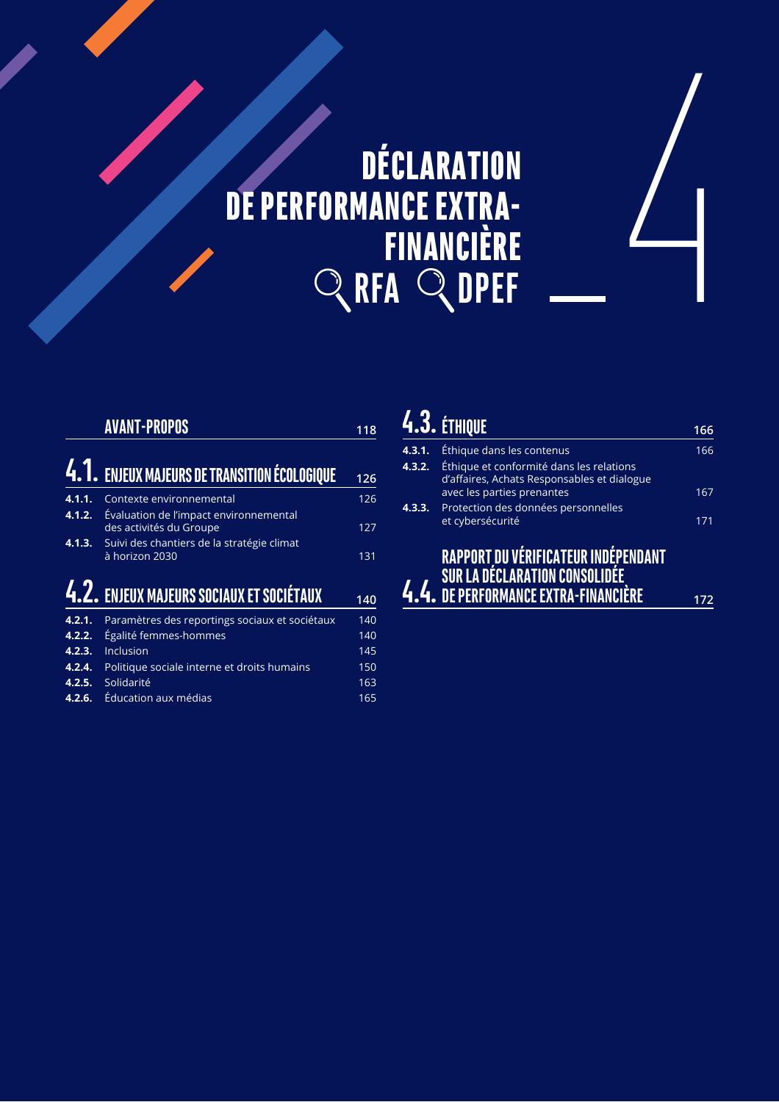# DÉCLARATION DE PERFORMANCE EXTRA-**QRFA QDPEF FINANCIÈRE**

|                  | <b>AVANT-PROPOS</b>                                                                                             | 118 |
|------------------|-----------------------------------------------------------------------------------------------------------------|-----|
|                  | 4.1. ENJEUX MAJEURS DE TRANSITION ÉCOLOGIQUE                                                                    | 126 |
| 4.1.1.           | Contexte environnemental                                                                                        | 126 |
| 4.1.2.<br>4.1.3. | Évaluation de l'impact environnemental<br>des activités du Groupe<br>Suivi des chantiers de la stratégie climat | 127 |
|                  | à horizon 2030                                                                                                  | 131 |
|                  | 4.2. ENJEUX MAJEURS SOCIAUX ET SOCIÉTAUX                                                                        | 140 |
| 4.2.1.           | Paramètres des reportings sociaux et sociétaux                                                                  | 140 |

| <b>4.2.1.</b> Parametres des reportings sociaux et societaux | 14U |
|--------------------------------------------------------------|-----|
| 4.2.2. Égalité femmes-hommes                                 | 140 |
| 4.2.3. Inclusion                                             | 145 |
| <b>4.2.4.</b> Politique sociale interne et droits humains    | 150 |
| 4.2.5. Solidarité                                            | 163 |
| 4.2.6. Éducation aux médias                                  | 165 |
|                                                              |     |

# **4.3.** ETHIQUE **166 4.3.1.** Éthique dans les contenus 166 **4.3.2.** Éthique et conformité dans les relations d'affaires, Achats Responsables et dialogue avec les parties prenantes 167 4.3.3. Protection des données personnelles et cybersécurité 71 <u>4.4.</u> RAPPORT<sub>,</sub>DU VÉRIFICATEUR INDÉPENDANT SUR LA DÉCLARATION CONSOLIDÉE<sub>,</sub> **%%# -(**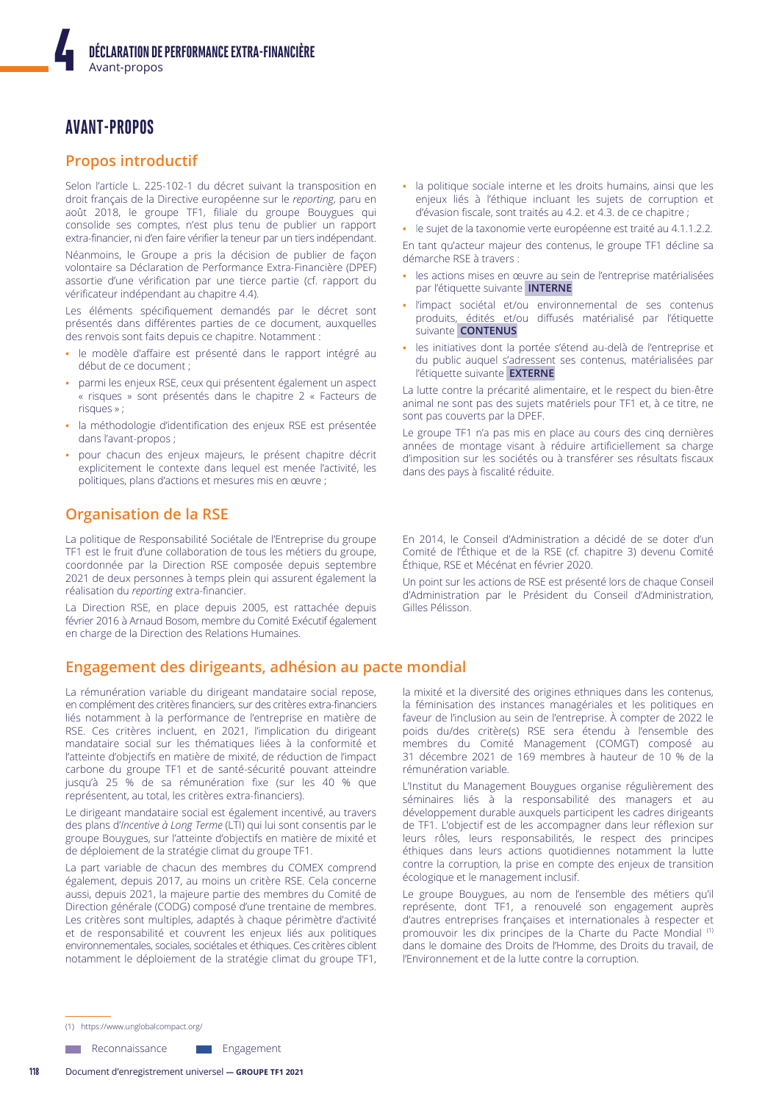# **AVANT-PROPOS**

# **Propos introductif**

Selon l'article L. 225-102-1 du décret suivant la transposition en droit français de la Directive européenne sur le reporting, paru en août 2018, le groupe TF1, filiale du groupe Bouygues qui consolide ses comptes, n'est plus tenu de publier un rapport extra-financier, ni d'en faire vérifier la teneur par un tiers indépendant.

Néanmoins, le Groupe a pris la décision de publier de façon volontaire sa Déclaration de Performance Extra-Financière (DPEF) assortie d'une vérification par une tierce partie (cf. rapport du vérificateur indépendant au chapitre 4.4).

Les éléments spécifiquement demandés par le décret sont présentés dans différentes parties de ce document, auxquelles des renvois sont faits depuis ce chapitre. Notamment :

- le modèle d'affaire est présenté dans le rapport intégré au  $\bullet$ début de ce document ;
- parmi les enjeux RSE, ceux qui présentent également un aspect « risques » sont présentés dans le chapitre 2 « Facteurs de risques »;
- la méthodologie d'identification des enjeux RSE est présentée dans l'avant-propos ;
- pour chacun des enjeux majeurs, le présent chapitre décrit explicitement le contexte dans lequel est menée l'activité, les politiques, plans d'actions et mesures mis en œuvre ;

# **Organisation de la RSE**

La politique de Responsabilité Sociétale de l'Entreprise du groupe TF1 est le fruit d'une collaboration de tous les métiers du groupe, coordonnée par la Direction RSE composée depuis septembre 2021 de deux personnes à temps plein qui assurent également la réalisation du reporting extra-financier.

La Direction RSE, en place depuis 2005, est rattachée depuis février 2016 à Arnaud Bosom, membre du Comité Exécutif également en charge de la Direction des Relations Humaines.

# Engagement des dirigeants, adhésion au pacte mondial

La rémunération variable du dirigeant mandataire social repose, en complément des critères financiers, sur des critères extra-financiers liés notamment à la performance de l'entreprise en matière de RSE. Ces critères incluent, en 2021, l'implication du dirigeant mandataire social sur les thématiques liées à la conformité et l'atteinte d'objectifs en matière de mixité, de réduction de l'impact carbone du groupe TF1 et de santé-sécurité pouvant atteindre jusqu'à 25 % de sa rémunération fixe (sur les 40 % que représentent, au total, les critères extra-financiers).

Le dirigeant mandataire social est également incentivé, au travers des plans d'Incentive à Long Terme (LTI) qui lui sont consentis par le groupe Bouygues, sur l'atteinte d'objectifs en matière de mixité et de déploiement de la stratégie climat du groupe TF1.

La part variable de chacun des membres du COMEX comprend également, depuis 2017, au moins un critère RSE. Cela concerne aussi, depuis 2021, la majeure partie des membres du Comité de Direction générale (CODG) composé d'une trentaine de membres. Les critères sont multiples, adaptés à chaque périmètre d'activité et de responsabilité et couvrent les enjeux liés aux politiques environnementales, sociales, sociétales et éthiques. Ces critères ciblent notamment le déploiement de la stratégie climat du groupe TF1,

- · la politique sociale interne et les droits humains, ainsi que les enjeux liés à l'éthique incluant les sujets de corruption et d'évasion fiscale, sont traités au 4.2. et 4.3. de ce chapitre ;
- · le sujet de la taxonomie verte européenne est traité au 4.1.1.2.2.

En tant qu'acteur majeur des contenus, le groupe TF1 décline sa démarche RSE à travers :

- · les actions mises en œuvre au sein de l'entreprise matérialisées par l'étiquette suivante INTERNE
- · l'impact sociétal et/ou environnemental de ses contenus produits, édités et/ou diffusés matérialisé par l'étiquette suivante **CONTENUS**
- · les initiatives dont la portée s'étend au-delà de l'entreprise et du public auguel s'adressent ses contenus, matérialisées par l'étiquette suivante EXTERNE

La lutte contre la précarité alimentaire, et le respect du bien-être animal ne sont pas des sujets matériels pour TF1 et, à ce titre, ne sont pas couverts par la DPEF.

Le groupe TF1 n'a pas mis en place au cours des cing dernières années de montage visant à réduire artificiellement sa charge d'imposition sur les sociétés ou à transférer ses résultats fiscaux dans des pays à fiscalité réduite.

En 2014, le Conseil d'Administration a décidé de se doter d'un Comité de l'Éthique et de la RSE (cf. chapitre 3) devenu Comité Éthique, RSE et Mécénat en février 2020.

Un point sur les actions de RSE est présenté lors de chaque Conseil d'Administration par le Président du Conseil d'Administration, Gilles Pélisson.

la mixité et la diversité des origines ethniques dans les contenus, la féminisation des instances managériales et les politiques en faveur de l'inclusion au sein de l'entreprise. À compter de 2022 le poids du/des critère(s) RSE sera étendu à l'ensemble des membres du Comité Management (COMGT) composé au 31 décembre 2021 de 169 membres à hauteur de 10 % de la rémunération variable.

L'Institut du Management Bouygues organise régulièrement des séminaires liés à la responsabilité des managers et au développement durable auxquels participent les cadres dirigeants de TF1. L'objectif est de les accompagner dans leur réflexion sur leurs rôles, leurs responsabilités, le respect des principes éthiques dans leurs actions quotidiennes notamment la lutte contre la corruption, la prise en compte des enjeux de transition écologique et le management inclusif.

Le groupe Bouygues, au nom de l'ensemble des métiers qu'il représente, dont TF1, a renouvelé son engagement auprès d'autres entreprises françaises et internationales à respecter et promouvoir les dix principes de la Charte du Pacte Mondial (1) dans le domaine des Droits de l'Homme, des Droits du travail, de l'Environnement et de la lutte contre la corruption.

(1) https://www.unglobalcompact.org/

Reconnaissance Engagement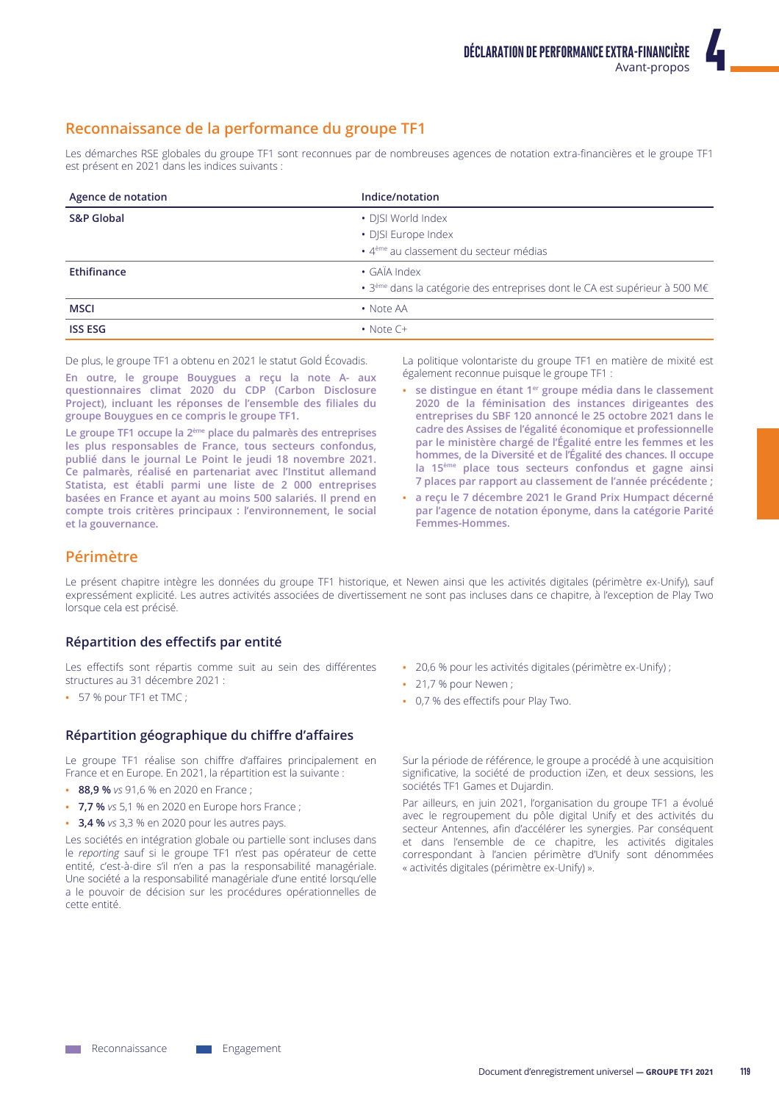# Reconnaissance de la performance du groupe TF1

Les démarches RSE globales du groupe TF1 sont reconnues par de nombreuses agences de notation extra-financières et le groupe TF1 est présent en 2021 dans les indices suivants :

| Agence de notation    | Indice/notation                                                                              |
|-----------------------|----------------------------------------------------------------------------------------------|
| <b>S&amp;P Global</b> | • DJSI World Index                                                                           |
|                       | • DJSI Europe Index                                                                          |
|                       | · 4 <sup>ème</sup> au classement du secteur médias                                           |
| Ethifinance           | • GAÏA Index                                                                                 |
|                       | $\cdot$ 3 <sup>ème</sup> dans la catégorie des entreprises dont le CA est supérieur à 500 M€ |
| <b>MSCI</b>           | • Note AA                                                                                    |
| <b>ISS ESG</b>        | $\cdot$ Note $C+$                                                                            |

De plus, le groupe TF1 a obtenu en 2021 le statut Gold Écovadis.

En outre, le groupe Bouygues a reçu la note A- aux questionnaires climat 2020 du CDP (Carbon Disclosure Project), incluant les réponses de l'ensemble des filiales du groupe Bouygues en ce compris le groupe TF1.

Le groupe TF1 occupe la 2<sup>ème</sup> place du palmarès des entreprises les plus responsables de France, tous secteurs confondus, publié dans le journal Le Point le jeudi 18 novembre 2021. Ce palmarès, réalisé en partenariat avec l'Institut allemand Statista, est établi parmi une liste de 2 000 entreprises basées en France et ayant au moins 500 salariés. Il prend en compte trois critères principaux : l'environnement, le social et la gouvernance.

La politique volontariste du groupe TF1 en matière de mixité est également reconnue puisque le groupe TF1 :

- · se distingue en étant 1<sup>er</sup> groupe média dans le classement 2020 de la féminisation des instances dirigeantes des entreprises du SBF 120 annoncé le 25 octobre 2021 dans le cadre des Assises de l'égalité économique et professionnelle par le ministère chargé de l'Égalité entre les femmes et les hommes, de la Diversité et de l'Égalité des chances. Il occupe la 15<sup>ème</sup> place tous secteurs confondus et gagne ainsi 7 places par rapport au classement de l'année précédente ;
- · a reçu le 7 décembre 2021 le Grand Prix Humpact décerné par l'agence de notation éponyme, dans la catégorie Parité Femmes-Hommes.

# Périmètre

Le présent chapitre intègre les données du groupe TF1 historique, et Newen ainsi que les activités digitales (périmètre ex-Unify), sauf expressément explicité. Les autres activités associées de divertissement ne sont pas incluses dans ce chapitre, à l'exception de Play Two lorsque cela est précisé.

# Répartition des effectifs par entité

Les effectifs sont répartis comme suit au sein des différentes structures au 31 décembre 2021 :

• 57 % pour TF1 et TMC;

# Répartition géographique du chiffre d'affaires

Le groupe TF1 réalise son chiffre d'affaires principalement en France et en Europe. En 2021, la répartition est la suivante :

- 88,9 % vs 91,6 % en 2020 en France ;
- 7,7 % vs 5,1 % en 2020 en Europe hors France;
- 3,4 % vs 3,3 % en 2020 pour les autres pays.

Les sociétés en intégration globale ou partielle sont incluses dans le reporting sauf si le groupe TF1 n'est pas opérateur de cette entité, c'est-à-dire s'il n'en a pas la responsabilité managériale. Une société a la responsabilité managériale d'une entité lorsqu'elle a le pouvoir de décision sur les procédures opérationnelles de cette entité

- · 20,6 % pour les activités digitales (périmètre ex-Unify) ;
- 21,7 % pour Newen ;
- 0,7 % des effectifs pour Play Two.

Sur la période de référence, le groupe a procédé à une acquisition significative, la société de production iZen, et deux sessions, les sociétés TF1 Games et Dujardin.

Par ailleurs, en juin 2021, l'organisation du groupe TF1 a évolué avec le regroupement du pôle digital Unify et des activités du secteur Antennes, afin d'accélérer les synergies. Par conséquent et dans l'ensemble de ce chapitre, les activités digitales correspondant à l'ancien périmètre d'Unify sont dénommées « activités digitales (périmètre ex-Unify) ».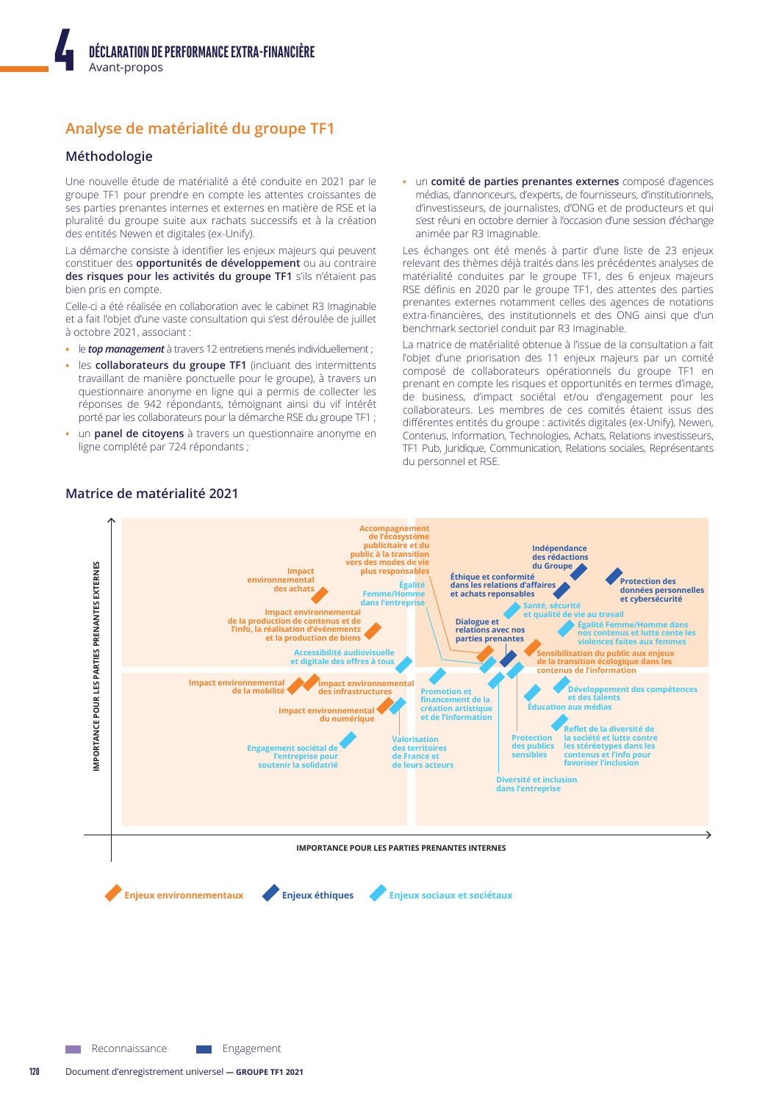# Analyse de matérialité du groupe TF1

# Méthodologie

Une nouvelle étude de matérialité a été conduite en 2021 par le groupe TF1 pour prendre en compte les attentes croissantes de ses parties prenantes internes et externes en matière de RSE et la pluralité du groupe suite aux rachats successifs et à la création des entités Newen et digitales (ex-Unify).

La démarche consiste à identifier les enjeux majeurs qui peuvent constituer des opportunités de développement ou au contraire des risques pour les activités du groupe TF1 s'ils n'étaient pas bien pris en compte.

Celle-ci a été réalisée en collaboration avec le cabinet R3 Imaginable et a fait l'objet d'une vaste consultation qui s'est déroulée de juillet à octobre 2021, associant :

- le top management à travers 12 entretiens menés individuellement;
- les collaborateurs du groupe TF1 (incluant des intermittents travaillant de manière ponctuelle pour le groupe), à travers un questionnaire anonyme en ligne qui a permis de collecter les réponses de 942 répondants, témoignant ainsi du vif intérêt porté par les collaborateurs pour la démarche RSE du groupe TF1 ;
- un panel de citoyens à travers un questionnaire anonyme en ligne complété par 724 répondants ;

· un comité de parties prenantes externes composé d'agences médias, d'annonceurs, d'experts, de fournisseurs, d'institutionnels, d'investisseurs, de journalistes, d'ONG et de producteurs et qui s'est réuni en octobre dernier à l'occasion d'une session d'échange animée par R3 Imaginable.

Les échanges ont été menés à partir d'une liste de 23 enjeux relevant des thèmes déjà traités dans les précédentes analyses de matérialité conduites par le groupe TF1, des 6 enjeux majeurs RSE définis en 2020 par le groupe TF1, des attentes des parties prenantes externes notamment celles des agences de notations extra-financières, des institutionnels et des ONG ainsi que d'un benchmark sectoriel conduit par R3 Imaginable.

La matrice de matérialité obtenue à l'issue de la consultation a fait l'objet d'une priorisation des 11 enjeux majeurs par un comité composé de collaborateurs opérationnels du groupe TF1 en prenant en compte les risques et opportunités en termes d'image, de business, d'impact sociétal et/ou d'engagement pour les collaborateurs. Les membres de ces comités étaient issus des différentes entités du groupe : activités digitales (ex-Unify), Newen, Contenus, Information, Technologies, Achats, Relations investisseurs, TF1 Pub, Juridique, Communication, Relations sociales, Représentants du personnel et RSE.





**Neconnaissance**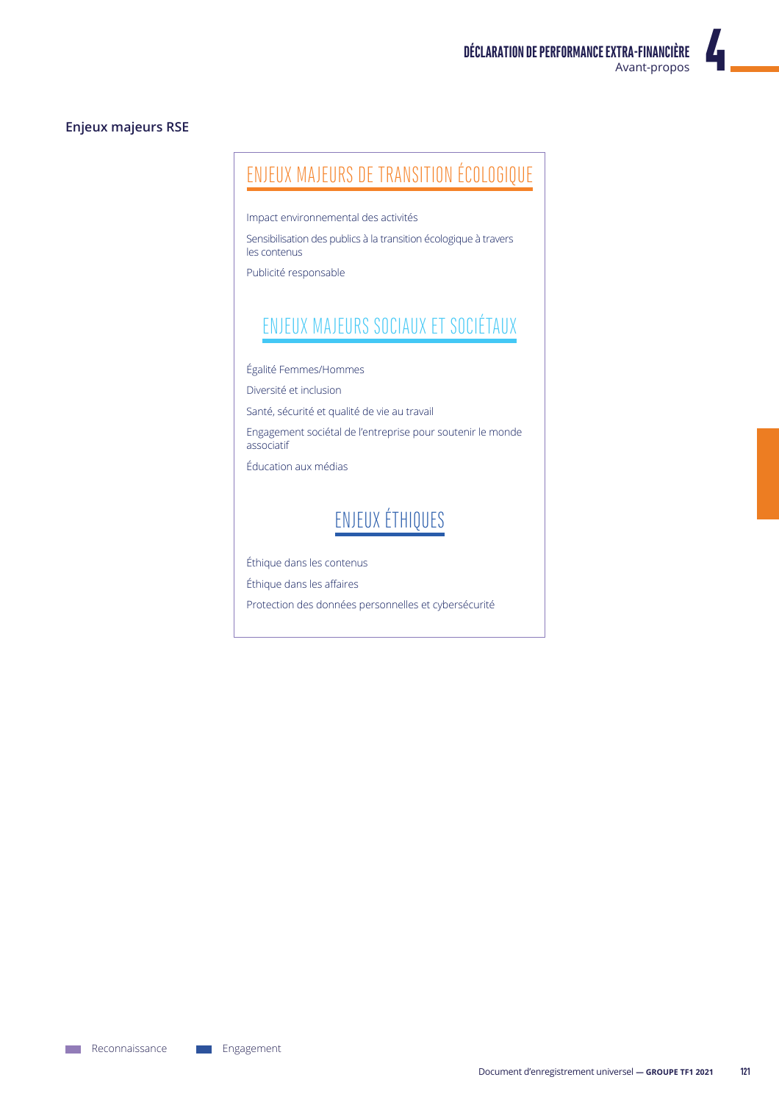# **Enjeux majeurs RSE**

# ENJEUX MAJEURS DE TRANSITION ÉCOLOGIQUE

Impact environnemental des activités

Sensibilisation des publics à la transition écologique à travers les contenus

Publicité responsable

# ENJEUX MAJEURS SOCIAUX ET SOCIÉTAUX

Égalité Femmes/Hommes

Diversité et inclusion

Santé, sécurité et qualité de vie au travail

Engagement sociétal de l'entreprise pour soutenir le monde associatif

Éducation aux médias

# ENJEUX ÉTHIQUES

Éthique dans les contenus

Éthique dans les affaires

Protection des données personnelles et cybersécurité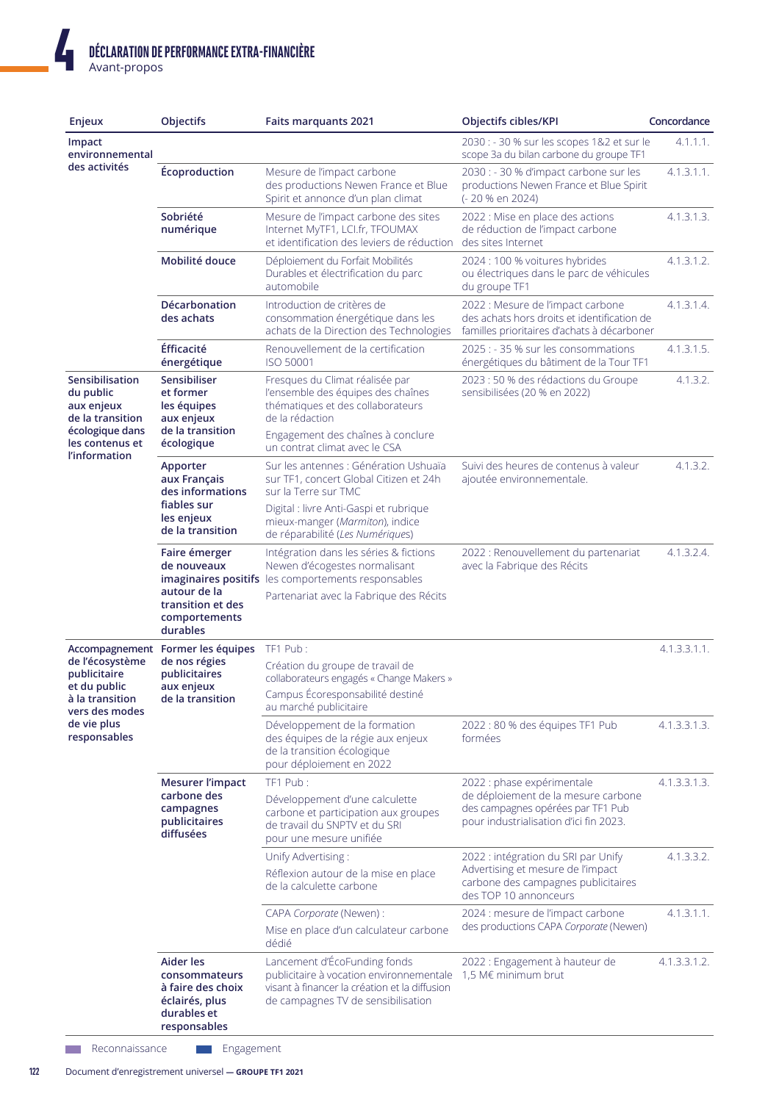| Enjeux                                                                            | Objectifs                                                                                        | <b>Faits marquants 2021</b>                                                                                                                                     | <b>Objectifs cibles/KPI</b>                                                                                                              | Concordance  |
|-----------------------------------------------------------------------------------|--------------------------------------------------------------------------------------------------|-----------------------------------------------------------------------------------------------------------------------------------------------------------------|------------------------------------------------------------------------------------------------------------------------------------------|--------------|
| Impact<br>environnemental                                                         |                                                                                                  |                                                                                                                                                                 | 2030 : - 30 % sur les scopes 1&2 et sur le<br>scope 3a du bilan carbone du groupe TF1                                                    | 4.1.1.1.     |
| des activités                                                                     | Écoproduction                                                                                    | Mesure de l'impact carbone<br>des productions Newen France et Blue<br>Spirit et annonce d'un plan climat                                                        | 2030 : - 30 % d'impact carbone sur les<br>productions Newen France et Blue Spirit<br>(-20 % en 2024)                                     | 4.1.3.1.1.   |
|                                                                                   | Sobriété<br>numérique                                                                            | Mesure de l'impact carbone des sites<br>Internet MyTF1, LCI.fr, TFOUMAX<br>et identification des leviers de réduction                                           | 2022 : Mise en place des actions<br>de réduction de l'impact carbone<br>des sites Internet                                               | 4.1.3.1.3.   |
|                                                                                   | Mobilité douce                                                                                   | Déploiement du Forfait Mobilités<br>Durables et électrification du parc<br>automobile                                                                           | 2024 : 100 % voitures hybrides<br>ou électriques dans le parc de véhicules<br>du groupe TF1                                              | 4.1.3.1.2.   |
|                                                                                   | Décarbonation<br>des achats                                                                      | Introduction de critères de<br>consommation énergétique dans les<br>achats de la Direction des Technologies                                                     | 2022 : Mesure de l'impact carbone<br>des achats hors droits et identification de<br>familles prioritaires d'achats à décarboner          | 4.1.3.1.4.   |
|                                                                                   | <b>Éfficacité</b><br>énergétique                                                                 | Renouvellement de la certification<br>ISO 50001                                                                                                                 | 2025 : - 35 % sur les consommations<br>énergétiques du bâtiment de la Tour TF1                                                           | 4.1.3.1.5.   |
| Sensibilisation<br>du public<br>aux enjeux<br>de la transition<br>écologique dans | Sensibiliser<br>et former<br>les équipes<br>aux enjeux<br>de la transition                       | Fresques du Climat réalisée par<br>l'ensemble des équipes des chaînes<br>thématiques et des collaborateurs<br>de la rédaction                                   | 2023 : 50 % des rédactions du Groupe<br>sensibilisées (20 % en 2022)                                                                     | 4.1.3.2.     |
| les contenus et                                                                   | écologique                                                                                       | Engagement des chaînes à conclure<br>un contrat climat avec le CSA                                                                                              |                                                                                                                                          |              |
| l'information                                                                     | Apporter<br>aux Français<br>des informations                                                     | Sur les antennes : Génération Ushuaïa<br>sur TF1, concert Global Citizen et 24h<br>sur la Terre sur TMC                                                         | Suivi des heures de contenus à valeur<br>ajoutée environnementale.                                                                       | 4.1.3.2.     |
|                                                                                   | fiables sur<br>les enjeux<br>de la transition                                                    | Digital : livre Anti-Gaspi et rubrique<br>mieux-manger (Marmiton), indice<br>de réparabilité (Les Numériques)                                                   |                                                                                                                                          |              |
|                                                                                   | Faire émerger<br>de nouveaux                                                                     | Intégration dans les séries & fictions<br>Newen d'écogestes normalisant<br>imaginaires positifs les comportements responsables                                  | 2022 : Renouvellement du partenariat<br>avec la Fabrique des Récits                                                                      | 4.1.3.2.4.   |
|                                                                                   | autour de la<br>transition et des<br>comportements<br>durables                                   | Partenariat avec la Fabrique des Récits                                                                                                                         |                                                                                                                                          |              |
| Accompagnement                                                                    | Former les équipes                                                                               | TF1 Pub:                                                                                                                                                        |                                                                                                                                          | 4.1.3.3.1.1. |
| de l'écosystème<br>publicitaire<br>et du public                                   | de nos régies<br>publicitaires<br>aux enjeux                                                     | Création du groupe de travail de<br>collaborateurs engagés « Change Makers »                                                                                    |                                                                                                                                          |              |
| à la transition<br>vers des modes                                                 | de la transition                                                                                 | Campus Écoresponsabilité destiné<br>au marché publicitaire                                                                                                      |                                                                                                                                          |              |
| de vie plus<br>responsables                                                       |                                                                                                  | Développement de la formation<br>des équipes de la régie aux enjeux<br>de la transition écologique<br>pour déploiement en 2022                                  | 2022 : 80 % des équipes TF1 Pub<br>formées                                                                                               | 4.1.3.3.1.3. |
|                                                                                   | <b>Mesurer l'impact</b>                                                                          | TF1 Pub:                                                                                                                                                        | 2022 : phase expérimentale                                                                                                               | 4.1.3.3.1.3. |
|                                                                                   | carbone des<br>campagnes<br>publicitaires<br>diffusées                                           | Développement d'une calculette<br>carbone et participation aux groupes<br>de travail du SNPTV et du SRI<br>pour une mesure unifiée                              | de déploiement de la mesure carbone<br>des campagnes opérées par TF1 Pub<br>pour industrialisation d'ici fin 2023.                       |              |
|                                                                                   |                                                                                                  | Unify Advertising:<br>Réflexion autour de la mise en place<br>de la calculette carbone                                                                          | 2022 : intégration du SRI par Unify<br>Advertising et mesure de l'impact<br>carbone des campagnes publicitaires<br>des TOP 10 annonceurs | 4.1.3.3.2.   |
|                                                                                   |                                                                                                  | CAPA Corporate (Newen) :<br>Mise en place d'un calculateur carbone<br>dédié                                                                                     | 2024 : mesure de l'impact carbone<br>des productions CAPA Corporate (Newen)                                                              | 4.1.3.1.1.   |
|                                                                                   | Aider les<br>consommateurs<br>à faire des choix<br>éclairés, plus<br>durables et<br>responsables | Lancement d'ÉcoFunding fonds<br>publicitaire à vocation environnementale<br>visant à financer la création et la diffusion<br>de campagnes TV de sensibilisation | 2022 : Engagement à hauteur de<br>1,5 M€ minimum brut                                                                                    | 4.1.3.3.1.2. |

Reconnaissance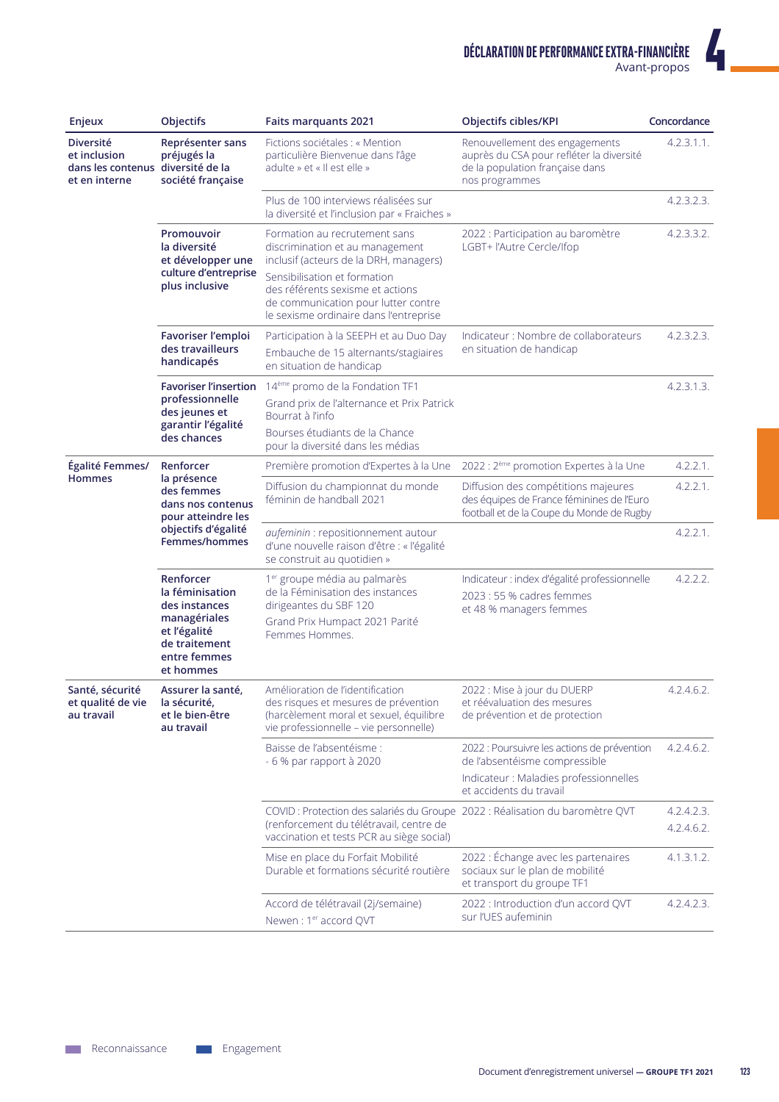$\boldsymbol{I}$ 

| Enjeux                                                                                 | <b>Objectifs</b>                                                                                             | <b>Faits marquants 2021</b>                                                                                                                                           | Objectifs cibles/KPI                                                                                                            | Concordance              |
|----------------------------------------------------------------------------------------|--------------------------------------------------------------------------------------------------------------|-----------------------------------------------------------------------------------------------------------------------------------------------------------------------|---------------------------------------------------------------------------------------------------------------------------------|--------------------------|
| <b>Diversité</b><br>et inclusion<br>dans les contenus diversité de la<br>et en interne | Représenter sans<br>préjugés la<br>société française                                                         | Fictions sociétales : « Mention<br>particulière Bienvenue dans l'âge<br>adulte » et « Il est elle »                                                                   | Renouvellement des engagements<br>auprès du CSA pour refléter la diversité<br>de la population française dans<br>nos programmes | 4.2.3.1.1.               |
|                                                                                        |                                                                                                              | Plus de 100 interviews réalisées sur<br>la diversité et l'inclusion par « Fraiches »                                                                                  |                                                                                                                                 | 4.2.3.2.3.               |
|                                                                                        | Promouvoir<br>la diversité<br>et développer une                                                              | Formation au recrutement sans<br>discrimination et au management<br>inclusif (acteurs de la DRH, managers)                                                            | 2022 : Participation au baromètre<br>LGBT+ l'Autre Cercle/Ifop                                                                  | 4.2.3.3.2.               |
|                                                                                        | culture d'entreprise<br>plus inclusive                                                                       | Sensibilisation et formation<br>des référents sexisme et actions<br>de communication pour lutter contre<br>le sexisme ordinaire dans l'entreprise                     |                                                                                                                                 |                          |
|                                                                                        | Favoriser l'emploi<br>des travailleurs<br>handicapés                                                         | Participation à la SEEPH et au Duo Day<br>Embauche de 15 alternants/stagiaires<br>en situation de handicap                                                            | Indicateur : Nombre de collaborateurs<br>en situation de handicap                                                               | 4.2.3.2.3.               |
|                                                                                        | <b>Favoriser l'insertion</b>                                                                                 | 14 <sup>ème</sup> promo de la Fondation TF1                                                                                                                           |                                                                                                                                 | 4.2.3.1.3.               |
|                                                                                        | professionnelle<br>des jeunes et                                                                             | Grand prix de l'alternance et Prix Patrick<br>Bourrat à l'info                                                                                                        |                                                                                                                                 |                          |
|                                                                                        | garantir l'égalité<br>des chances                                                                            | Bourses étudiants de la Chance<br>pour la diversité dans les médias                                                                                                   |                                                                                                                                 |                          |
| Égalité Femmes/                                                                        | Renforcer                                                                                                    | Première promotion d'Expertes à la Une                                                                                                                                | 2022 : 2 <sup>ème</sup> promotion Expertes à la Une                                                                             | 4.2.2.1.                 |
| <b>Hommes</b>                                                                          | la présence<br>des femmes<br>dans nos contenus<br>pour atteindre les<br>objectifs d'égalité<br>Femmes/hommes | Diffusion du championnat du monde<br>féminin de handball 2021                                                                                                         | Diffusion des compétitions majeures<br>des équipes de France féminines de l'Euro<br>football et de la Coupe du Monde de Rugby   | 4.2.2.1.                 |
|                                                                                        |                                                                                                              | aufeminin : repositionnement autour<br>d'une nouvelle raison d'être : « l'égalité<br>se construit au quotidien »                                                      |                                                                                                                                 | 4.2.2.1.                 |
|                                                                                        | Renforcer<br>la féminisation<br>des instances                                                                | 1 <sup>er</sup> groupe média au palmarès<br>de la Féminisation des instances<br>dirigeantes du SBF 120                                                                | Indicateur : index d'égalité professionnelle<br>2023 : 55 % cadres femmes<br>et 48 % managers femmes                            | 4.2.2.2.                 |
|                                                                                        | managériales<br>et l'égalité<br>de traitement<br>entre femmes<br>et hommes                                   | Grand Prix Humpact 2021 Parité<br>Femmes Hommes.                                                                                                                      |                                                                                                                                 |                          |
| Santé, sécurité<br>et qualité de vie<br>au travail                                     | Assurer la santé,<br>la sécurité,<br>et le bien-être<br>au travail                                           | Amélioration de l'identification<br>des risques et mesures de prévention<br>(harcèlement moral et sexuel, équilibre<br>vie professionnelle - vie personnelle)         | 2022 : Mise à jour du DUERP<br>et réévaluation des mesures<br>de prévention et de protection                                    | 4.2.4.6.2.               |
|                                                                                        |                                                                                                              | Baisse de l'absentéisme :<br>- 6 % par rapport à 2020                                                                                                                 | 2022 : Poursuivre les actions de prévention<br>de l'absentéisme compressible                                                    | 4.2.4.6.2.               |
|                                                                                        |                                                                                                              |                                                                                                                                                                       | Indicateur : Maladies professionnelles<br>et accidents du travail                                                               |                          |
|                                                                                        |                                                                                                              | COVID : Protection des salariés du Groupe 2022 : Réalisation du baromètre QVT<br>(renforcement du télétravail, centre de<br>vaccination et tests PCR au siège social) |                                                                                                                                 | 4.2.4.2.3.<br>4.2.4.6.2. |
|                                                                                        |                                                                                                              | Mise en place du Forfait Mobilité<br>Durable et formations sécurité routière                                                                                          | 2022 : Échange avec les partenaires<br>sociaux sur le plan de mobilité<br>et transport du groupe TF1                            | 4.1.3.1.2.               |
|                                                                                        |                                                                                                              | Accord de télétravail (2j/semaine)<br>Newen: 1er accord QVT                                                                                                           | 2022 : Introduction d'un accord QVT<br>sur l'UES aufeminin                                                                      | 4.2.4.2.3.               |

Engagement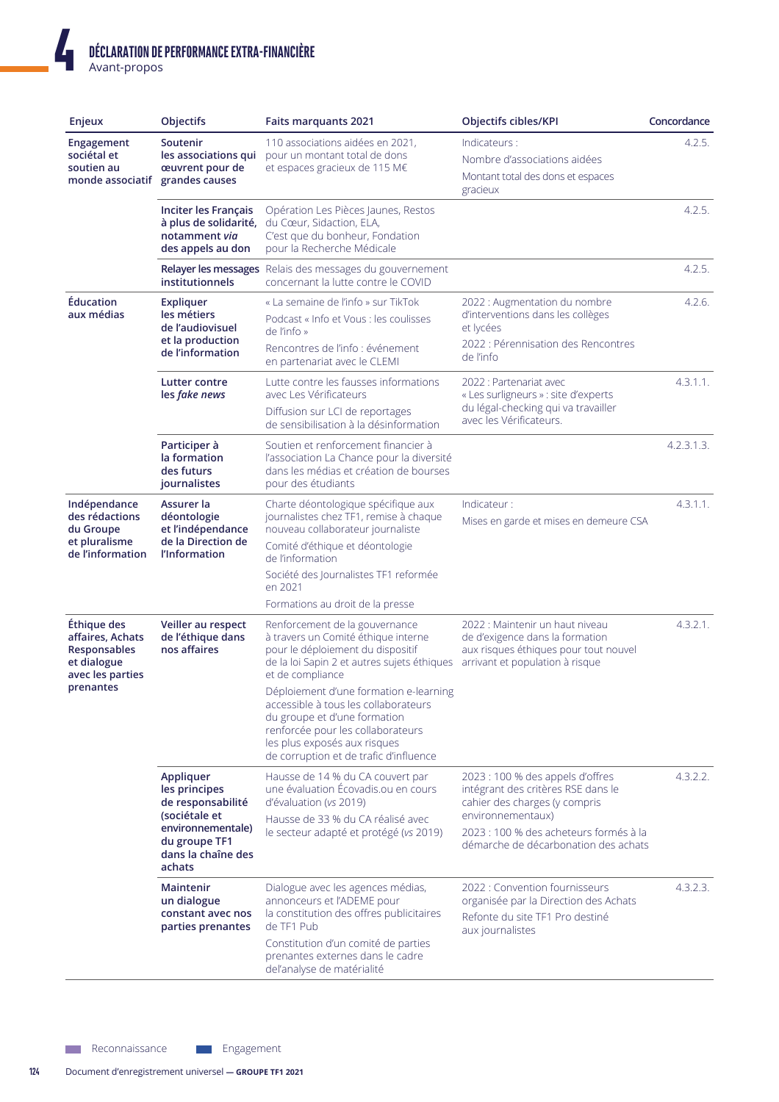| Enjeux                                                                                          | Objectifs                                                                                                                              | <b>Faits marquants 2021</b>                                                                                                                                                                                                                                                                                                                                                                                    | Objectifs cibles/KPI                                                                                                                                                                                           | Concordance |
|-------------------------------------------------------------------------------------------------|----------------------------------------------------------------------------------------------------------------------------------------|----------------------------------------------------------------------------------------------------------------------------------------------------------------------------------------------------------------------------------------------------------------------------------------------------------------------------------------------------------------------------------------------------------------|----------------------------------------------------------------------------------------------------------------------------------------------------------------------------------------------------------------|-------------|
| Engagement<br>sociétal et<br>soutien au<br>monde associatif                                     | Soutenir<br>les associations qui<br>œuvrent pour de<br>grandes causes                                                                  | 110 associations aidées en 2021,<br>pour un montant total de dons<br>et espaces gracieux de 115 M€                                                                                                                                                                                                                                                                                                             | Indicateurs :<br>Nombre d'associations aidées<br>Montant total des dons et espaces<br>gracieux                                                                                                                 | 4.2.5.      |
|                                                                                                 | Inciter les Français<br>à plus de solidarité,<br>notamment via<br>des appels au don                                                    | Opération Les Pièces Jaunes, Restos<br>du Cœur, Sidaction, ELA,<br>C'est que du bonheur, Fondation<br>pour la Recherche Médicale                                                                                                                                                                                                                                                                               |                                                                                                                                                                                                                | 4.2.5.      |
|                                                                                                 | institutionnels                                                                                                                        | Relayer les messages Relais des messages du gouvernement<br>concernant la lutte contre le COVID                                                                                                                                                                                                                                                                                                                |                                                                                                                                                                                                                | 4.2.5.      |
| Éducation<br>aux médias                                                                         | Expliquer<br>les métiers<br>de l'audiovisuel<br>et la production<br>de l'information                                                   | « La semaine de l'info » sur TikTok<br>Podcast « Info et Vous : les coulisses<br>de l'info »<br>Rencontres de l'info : événement<br>en partenariat avec le CLEMI                                                                                                                                                                                                                                               | 2022 : Augmentation du nombre<br>d'interventions dans les collèges<br>et lycées<br>2022 : Pérennisation des Rencontres<br>de l'info                                                                            | 4.2.6.      |
|                                                                                                 | <b>Lutter contre</b><br>les fake news                                                                                                  | Lutte contre les fausses informations<br>avec Les Vérificateurs<br>Diffusion sur LCI de reportages<br>de sensibilisation à la désinformation                                                                                                                                                                                                                                                                   | 2022 : Partenariat avec<br>« Les surligneurs » : site d'experts<br>du légal-checking qui va travailler<br>avec les Vérificateurs.                                                                              | 4.3.1.1.    |
|                                                                                                 | Participer à<br>la formation<br>des futurs<br>journalistes                                                                             | Soutien et renforcement financier à<br>l'association La Chance pour la diversité<br>dans les médias et création de bourses<br>pour des étudiants                                                                                                                                                                                                                                                               |                                                                                                                                                                                                                | 4.2.3.1.3.  |
| Indépendance<br>des rédactions<br>du Groupe<br>et pluralisme<br>de l'information                | Assurer la<br>déontologie<br>et l'indépendance<br>de la Direction de<br>l'Information                                                  | Charte déontologique spécifique aux<br>journalistes chez TF1, remise à chaque<br>nouveau collaborateur journaliste<br>Comité d'éthique et déontologie<br>de l'information<br>Société des Journalistes TF1 reformée<br>en 2021<br>Formations au droit de la presse                                                                                                                                              | Indicateur:<br>Mises en garde et mises en demeure CSA                                                                                                                                                          | 4.3.1.1.    |
| Éthique des<br>affaires, Achats<br>Responsables<br>et dialogue<br>avec les parties<br>prenantes | Veiller au respect<br>de l'éthique dans<br>nos affaires                                                                                | Renforcement de la gouvernance<br>à travers un Comité éthique interne<br>pour le déploiement du dispositif<br>de la loi Sapin 2 et autres sujets éthiques<br>et de compliance<br>Déploiement d'une formation e-learning<br>accessible à tous les collaborateurs<br>du groupe et d'une formation<br>renforcée pour les collaborateurs<br>les plus exposés aux risques<br>de corruption et de trafic d'influence | 2022 : Maintenir un haut niveau<br>de d'exigence dans la formation<br>aux risques éthiques pour tout nouvel<br>arrivant et population à risque                                                                 | 4.3.2.1.    |
|                                                                                                 | Appliquer<br>les principes<br>de responsabilité<br>(sociétale et<br>environnementale)<br>du groupe TF1<br>dans la chaîne des<br>achats | Hausse de 14 % du CA couvert par<br>une évaluation Écovadis.ou en cours<br>d'évaluation (vs 2019)<br>Hausse de 33 % du CA réalisé avec<br>le secteur adapté et protégé (vs 2019)                                                                                                                                                                                                                               | 2023 : 100 % des appels d'offres<br>intégrant des critères RSE dans le<br>cahier des charges (y compris<br>environnementaux)<br>2023 : 100 % des acheteurs formés à la<br>démarche de décarbonation des achats | 4.3.2.2.    |
|                                                                                                 | Maintenir<br>un dialogue<br>constant avec nos<br>parties prenantes                                                                     | Dialogue avec les agences médias,<br>annonceurs et l'ADEME pour<br>la constitution des offres publicitaires<br>de TF1 Pub<br>Constitution d'un comité de parties<br>prenantes externes dans le cadre<br>del'analyse de matérialité                                                                                                                                                                             | 2022 : Convention fournisseurs<br>organisée par la Direction des Achats<br>Refonte du site TF1 Pro destiné<br>aux journalistes                                                                                 | 4.3.2.3.    |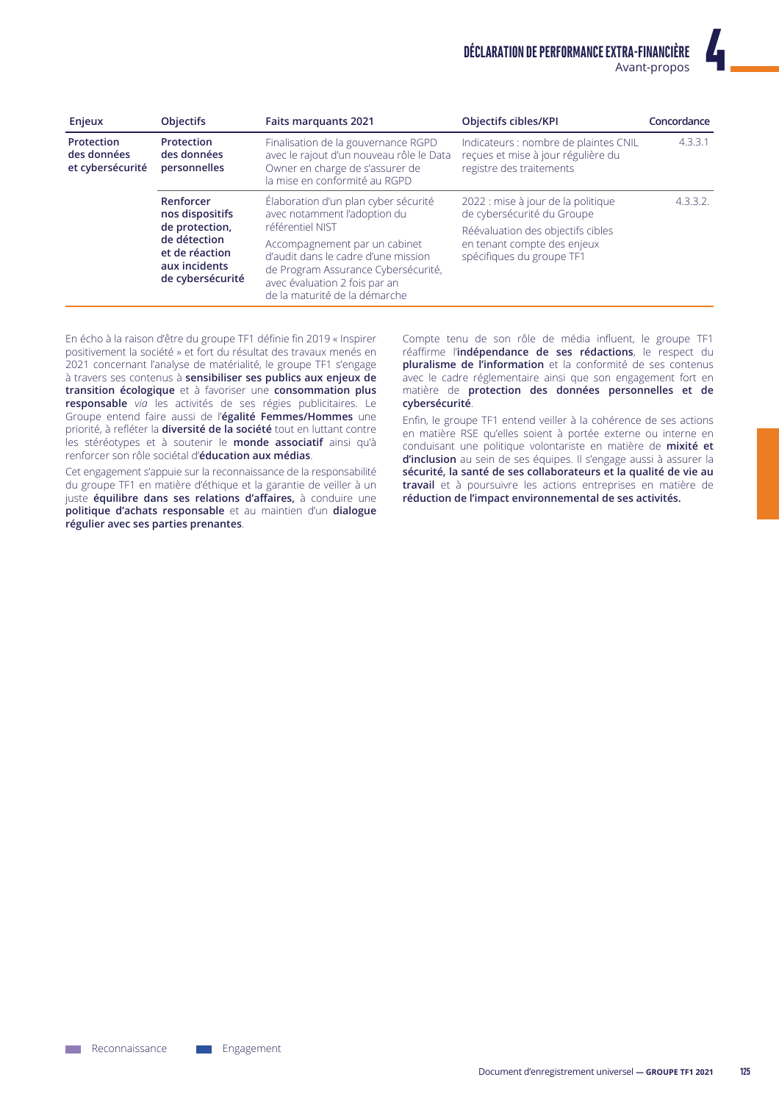| Enjeux                                        | <b>Objectifs</b>                                                                                                      | <b>Faits marquants 2021</b>                                                                                                                                                                                                                                               | Objectifs cibles/KPI                                                                                                                                              | Concordance |
|-----------------------------------------------|-----------------------------------------------------------------------------------------------------------------------|---------------------------------------------------------------------------------------------------------------------------------------------------------------------------------------------------------------------------------------------------------------------------|-------------------------------------------------------------------------------------------------------------------------------------------------------------------|-------------|
| Protection<br>des données<br>et cybersécurité | Protection<br>des données<br>personnelles                                                                             | Finalisation de la gouvernance RGPD<br>avec le rajout d'un nouveau rôle le Data<br>Owner en charge de s'assurer de<br>la mise en conformité au RGPD                                                                                                                       | Indicateurs : nombre de plaintes CNIL<br>reçues et mise à jour régulière du<br>registre des traitements                                                           | 4.3.3.1     |
|                                               | Renforcer<br>nos dispositifs<br>de protection.<br>de détection<br>et de réaction<br>aux incidents<br>de cybersécurité | Élaboration d'un plan cyber sécurité<br>avec notamment l'adoption du<br>référentiel NIST<br>Accompagnement par un cabinet<br>d'audit dans le cadre d'une mission<br>de Program Assurance Cybersécurité,<br>avec évaluation 2 fois par an<br>de la maturité de la démarche | 2022 : mise à jour de la politique<br>de cybersécurité du Groupe<br>Réévaluation des objectifs cibles<br>en tenant compte des enjeux<br>spécifiques du groupe TF1 | 4.3.3.2.    |

En écho à la raison d'être du groupe TF1 définie fin 2019 « Inspirer positivement la société » et fort du résultat des travaux menés en 2021 concernant l'analyse de matérialité, le groupe TF1 s'engage à travers ses contenus à sensibiliser ses publics aux enjeux de transition écologique et à favoriser une consommation plus responsable via les activités de ses régies publicitaires. Le Groupe entend faire aussi de l'égalité Femmes/Hommes une priorité, à refléter la diversité de la société tout en luttant contre les stéréotypes et à soutenir le monde associatif ainsi qu'à renforcer son rôle sociétal d'éducation aux médias.

Cet engagement s'appuie sur la reconnaissance de la responsabilité du groupe TF1 en matière d'éthique et la garantie de veiller à un juste équilibre dans ses relations d'affaires, à conduire une politique d'achats responsable et au maintien d'un dialogue régulier avec ses parties prenantes.

Compte tenu de son rôle de média influent, le groupe TF1 réaffirme l'indépendance de ses rédactions, le respect du pluralisme de l'information et la conformité de ses contenus avec le cadre réglementaire ainsi que son engagement fort en matière de protection des données personnelles et de cybersécurité.

Enfin, le groupe TF1 entend veiller à la cohérence de ses actions en matière RSE qu'elles soient à portée externe ou interne en conduisant une politique volontariste en matière de mixité et d'inclusion au sein de ses équipes. Il s'engage aussi à assurer la sécurité, la santé de ses collaborateurs et la qualité de vie au travail et à poursuivre les actions entreprises en matière de réduction de l'impact environnemental de ses activités.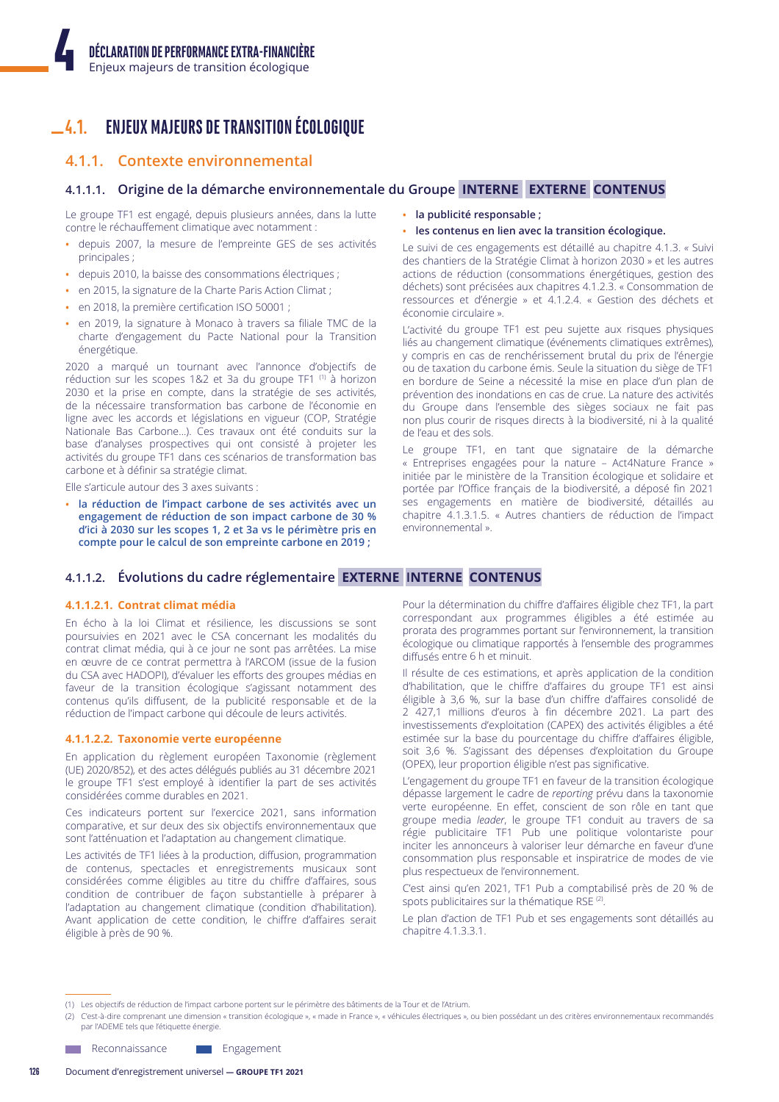#### **ENJEUX MAJEURS DE TRANSITION ÉCOLOGIQUE**  $-4.1.$

# 4.1.1. Contexte environnemental

# 4.1.1.1. Origine de la démarche environnementale du Groupe INTERNE EXTERNE CONTENUS

Le groupe TF1 est engagé, depuis plusieurs années, dans la lutte contre le réchauffement climatique avec notamment :

- depuis 2007, la mesure de l'empreinte GES de ses activités principales;
- · depuis 2010, la baisse des consommations électriques ;
- · en 2015, la signature de la Charte Paris Action Climat ;
- · en 2018, la première certification ISO 50001 ;
- en 2019, la signature à Monaco à travers sa filiale TMC de la charte d'engagement du Pacte National pour la Transition énergétique.

2020 a marqué un tournant avec l'annonce d'objectifs de réduction sur les scopes 1&2 et 3a du groupe TF1 (1) à horizon 2030 et la prise en compte, dans la stratégie de ses activités, de la nécessaire transformation bas carbone de l'économie en ligne avec les accords et législations en vigueur (COP, Stratégie Nationale Bas Carbone...). Ces travaux ont été conduits sur la base d'analyses prospectives qui ont consisté à projeter les activités du groupe TF1 dans ces scénarios de transformation bas carbone et à définir sa stratégie climat.

Elle s'articule autour des 3 axes suivants :

· la réduction de l'impact carbone de ses activités avec un engagement de réduction de son impact carbone de 30 % d'ici à 2030 sur les scopes 1, 2 et 3a vs le périmètre pris en compte pour le calcul de son empreinte carbone en 2019;

- · la publicité responsable ;
- · les contenus en lien avec la transition écologique.

Le suivi de ces engagements est détaillé au chapitre 4.1.3. « Suivi des chantiers de la Stratégie Climat à horizon 2030 » et les autres actions de réduction (consommations énergétiques, gestion des déchets) sont précisées aux chapitres 4.1.2.3, « Consommation de ressources et d'énergie » et 4.1.2.4. « Gestion des déchets et économie circulaire »

L'activité du groupe TF1 est peu sujette aux risques physiques liés au changement climatique (événements climatiques extrêmes), y compris en cas de renchérissement brutal du prix de l'énergie ou de taxation du carbone émis. Seule la situation du siège de TF1 en bordure de Seine a nécessité la mise en place d'un plan de prévention des inondations en cas de crue. La nature des activités du Groupe dans l'ensemble des sièges sociaux ne fait pas non plus courir de risques directs à la biodiversité, ni à la qualité de l'eau et des sols.

Le groupe TF1, en tant que signataire de la démarche « Entreprises engagées pour la nature - Act4Nature France » initiée par le ministère de la Transition écologique et solidaire et portée par l'Office français de la biodiversité, a déposé fin 2021 ses engagements en matière de biodiversité, détaillés au chapitre 4.1.3.1.5. « Autres chantiers de réduction de l'impact environnemental »

# 4.1.1.2. Évolutions du cadre réglementaire EXTERNE INTERNE CONTENUS

# 4.1.1.2.1. Contrat climat média

En écho à la loi Climat et résilience, les discussions se sont poursuivies en 2021 avec le CSA concernant les modalités du contrat climat média, qui à ce jour ne sont pas arrêtées. La mise en œuvre de ce contrat permettra à l'ARCOM (issue de la fusion du CSA avec HADOPI), d'évaluer les efforts des groupes médias en faveur de la transition écologique s'agissant notamment des contenus qu'ils diffusent, de la publicité responsable et de la réduction de l'impact carbone qui découle de leurs activités.

### 4.1.1.2.2. Taxonomie verte européenne

En application du règlement européen Taxonomie (règlement (UE) 2020/852), et des actes délégués publiés au 31 décembre 2021 le groupe TF1 s'est employé à identifier la part de ses activités considérées comme durables en 2021.

Ces indicateurs portent sur l'exercice 2021, sans information comparative, et sur deux des six objectifs environnementaux que sont l'atténuation et l'adaptation au changement climatique.

Les activités de TF1 liées à la production, diffusion, programmation de contenus, spectacles et enregistrements musicaux sont considérées comme éligibles au titre du chiffre d'affaires, sous condition de contribuer de façon substantielle à préparer à l'adaptation au changement climatique (condition d'habilitation). Avant application de cette condition, le chiffre d'affaires serait éligible à près de 90 %.

Pour la détermination du chiffre d'affaires éligible chez TF1, la part correspondant aux programmes éligibles a été estimée au prorata des programmes portant sur l'environnement, la transition écologique ou climatique rapportés à l'ensemble des programmes diffusés entre 6 h et minuit.

Il résulte de ces estimations, et après application de la condition d'habilitation, que le chiffre d'affaires du groupe TF1 est ainsi éligible à 3,6 %, sur la base d'un chiffre d'affaires consolidé de 2 427,1 millions d'euros à fin décembre 2021. La part des investissements d'exploitation (CAPEX) des activités éligibles a été estimée sur la base du pourcentage du chiffre d'affaires éligible, soit 3,6 %. S'agissant des dépenses d'exploitation du Groupe (OPEX), leur proportion éligible n'est pas significative.

L'engagement du groupe TF1 en faveur de la transition écologique dépasse largement le cadre de reporting prévu dans la taxonomie verte européenne. En effet, conscient de son rôle en tant que groupe media leader, le groupe TF1 conduit au travers de sa régie publicitaire TF1 Pub une politique volontariste pour inciter les annonceurs à valoriser leur démarche en faveur d'une consommation plus responsable et inspiratrice de modes de vie plus respectueux de l'environnement.

C'est ainsi qu'en 2021, TF1 Pub a comptabilisé près de 20 % de spots publicitaires sur la thématique RSE<sup>(2)</sup>.

Le plan d'action de TF1 Pub et ses engagements sont détaillés au chapitre 4.1.3.3.1.

Engagement

<sup>(1)</sup> Les objectifs de réduction de l'impact carbone portent sur le périmètre des bâtiments de la Tour et de l'Atrium

<sup>(2)</sup> C'est-à-dire comprenant une dimension « transition écologique », « made in France », « véhicules électriques », ou bien possédant un des critères environnementaux recommandés par l'ADEME tels que l'étiquette énergie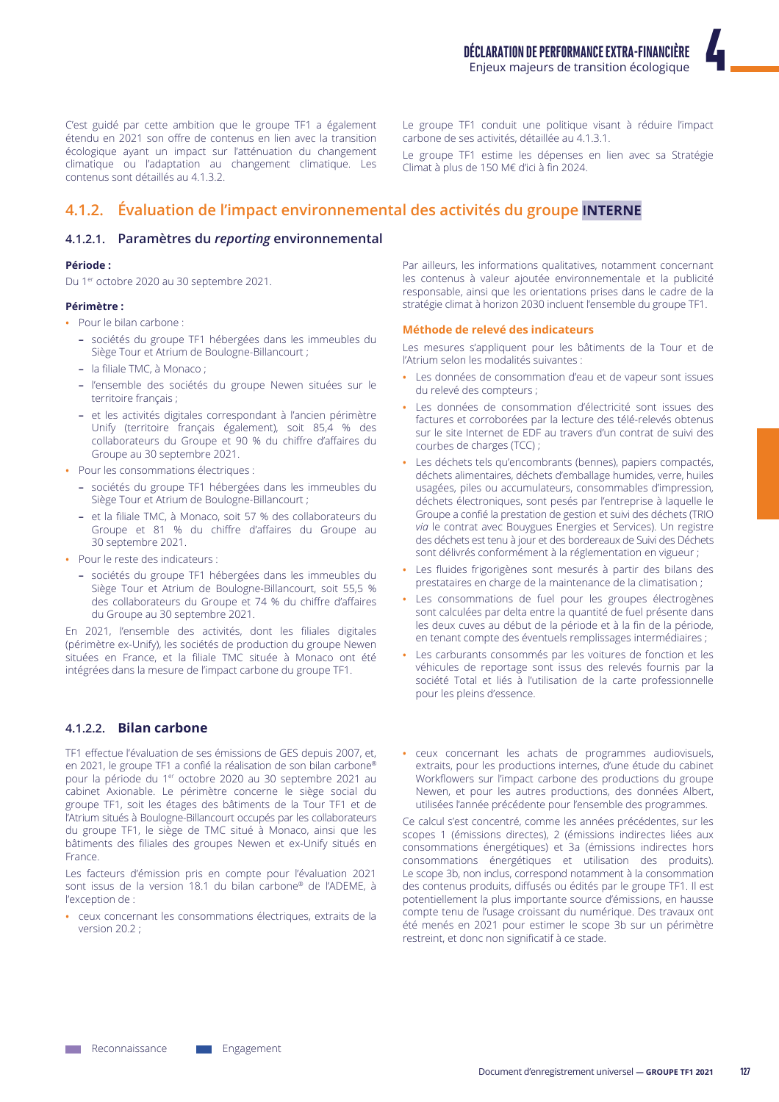C'est guidé par cette ambition que le groupe TF1 a également étendu en 2021 son offre de contenus en lien avec la transition écologique ayant un impact sur l'atténuation du changement climatique ou l'adaptation au changement climatique. Les contenus sont détaillés au 4.1.3.2.

Le groupe TF1 conduit une politique visant à réduire l'impact carbone de ses activités, détaillée au 4.1.3.1.

Le groupe TF1 estime les dépenses en lien avec sa Stratégie Climat à plus de 150 M€ d'ici à fin 2024.

# 4.1.2. Évaluation de l'impact environnemental des activités du groupe **INTERNE**

# 4.1.2.1. Paramètres du reporting environnemental

# Période :

Du 1<sup>er</sup> octobre 2020 au 30 septembre 2021.

#### Périmètre :

• Pour le bilan carbone :

- sociétés du groupe TF1 hébergées dans les immeubles du Siège Tour et Atrium de Boulogne-Billancourt ;
- la filiale TMC, à Monaco;
- l'ensemble des sociétés du groupe Newen situées sur le territoire français;
- et les activités digitales correspondant à l'ancien périmètre Unify (territoire français également), soit 85,4 % des collaborateurs du Groupe et 90 % du chiffre d'affaires du Groupe au 30 septembre 2021.
- · Pour les consommations électriques :
	- sociétés du groupe TF1 hébergées dans les immeubles du Siège Tour et Atrium de Boulogne-Billancourt ;
	- et la filiale TMC, à Monaco, soit 57 % des collaborateurs du Groupe et 81 % du chiffre d'affaires du Groupe au 30 septembre 2021.
- Pour le reste des indicateurs :
	- sociétés du groupe TF1 hébergées dans les immeubles du Siège Tour et Atrium de Boulogne-Billancourt, soit 55,5 % des collaborateurs du Groupe et 74 % du chiffre d'affaires du Groupe au 30 septembre 2021.

En 2021, l'ensemble des activités, dont les filiales digitales (périmètre ex-Unify), les sociétés de production du groupe Newen situées en France, et la filiale TMC située à Monaco ont été intégrées dans la mesure de l'impact carbone du groupe TF1.

# 4.1.2.2. Bilan carbone

TF1 effectue l'évaluation de ses émissions de GES depuis 2007, et, en 2021, le groupe TF1 a confié la réalisation de son bilan carbone® pour la période du 1<sup>er</sup> octobre 2020 au 30 septembre 2021 au cabinet Axionable. Le périmètre concerne le siège social du groupe TF1, soit les étages des bâtiments de la Tour TF1 et de l'Atrium situés à Boulogne-Billancourt occupés par les collaborateurs du groupe TF1, le siège de TMC situé à Monaco, ainsi que les bâtiments des filiales des groupes Newen et ex-Unify situés en France.

Les facteurs d'émission pris en compte pour l'évaluation 2021 sont issus de la version 18.1 du bilan carbone® de l'ADEME, à l'exception de :

· ceux concernant les consommations électriques, extraits de la version 20.2 :

Par ailleurs, les informations qualitatives, notamment concernant les contenus à valeur ajoutée environnementale et la publicité responsable, ainsi que les orientations prises dans le cadre de la stratégie climat à horizon 2030 incluent l'ensemble du groupe TF1.

#### Méthode de relevé des indicateurs

Les mesures s'appliquent pour les bâtiments de la Tour et de l'Atrium selon les modalités suivantes :

- · Les données de consommation d'eau et de vapeur sont issues du relevé des compteurs ;
- · Les données de consommation d'électricité sont issues des factures et corroborées par la lecture des télé-relevés obtenus sur le site Internet de EDF au travers d'un contrat de suivi des courbes de charges (TCC);
- · Les déchets tels qu'encombrants (bennes), papiers compactés, déchets alimentaires, déchets d'emballage humides, verre, huiles usagées, piles ou accumulateurs, consommables d'impression, déchets électroniques, sont pesés par l'entreprise à laquelle le Groupe a confié la prestation de gestion et suivi des déchets (TRIO via le contrat avec Bouygues Energies et Services). Un registre des déchets est tenu à jour et des bordereaux de Suivi des Déchets sont délivrés conformément à la réglementation en vigueur ;
- · Les fluides frigorigènes sont mesurés à partir des bilans des prestataires en charge de la maintenance de la climatisation ;
- · Les consommations de fuel pour les groupes électrogènes sont calculées par delta entre la quantité de fuel présente dans les deux cuves au début de la période et à la fin de la période, en tenant compte des éventuels remplissages intermédiaires ;
- Les carburants consommés par les voitures de fonction et les véhicules de reportage sont issus des relevés fournis par la société Total et liés à l'utilisation de la carte professionnelle pour les pleins d'essence.
- ceux concernant les achats de programmes audiovisuels, extraits, pour les productions internes, d'une étude du cabinet Workflowers sur l'impact carbone des productions du groupe Newen, et pour les autres productions, des données Albert, utilisées l'année précédente pour l'ensemble des programmes.

Ce calcul s'est concentré, comme les années précédentes, sur les scopes 1 (émissions directes), 2 (émissions indirectes liées aux consommations énergétiques) et 3a (émissions indirectes hors consommations énergétiques et utilisation des produits). Le scope 3b, non inclus, correspond notamment à la consommation des contenus produits, diffusés ou édités par le groupe TF1. Il est potentiellement la plus importante source d'émissions, en hausse compte tenu de l'usage croissant du numérique. Des travaux ont été menés en 2021 pour estimer le scope 3b sur un périmètre restreint, et donc non significatif à ce stade.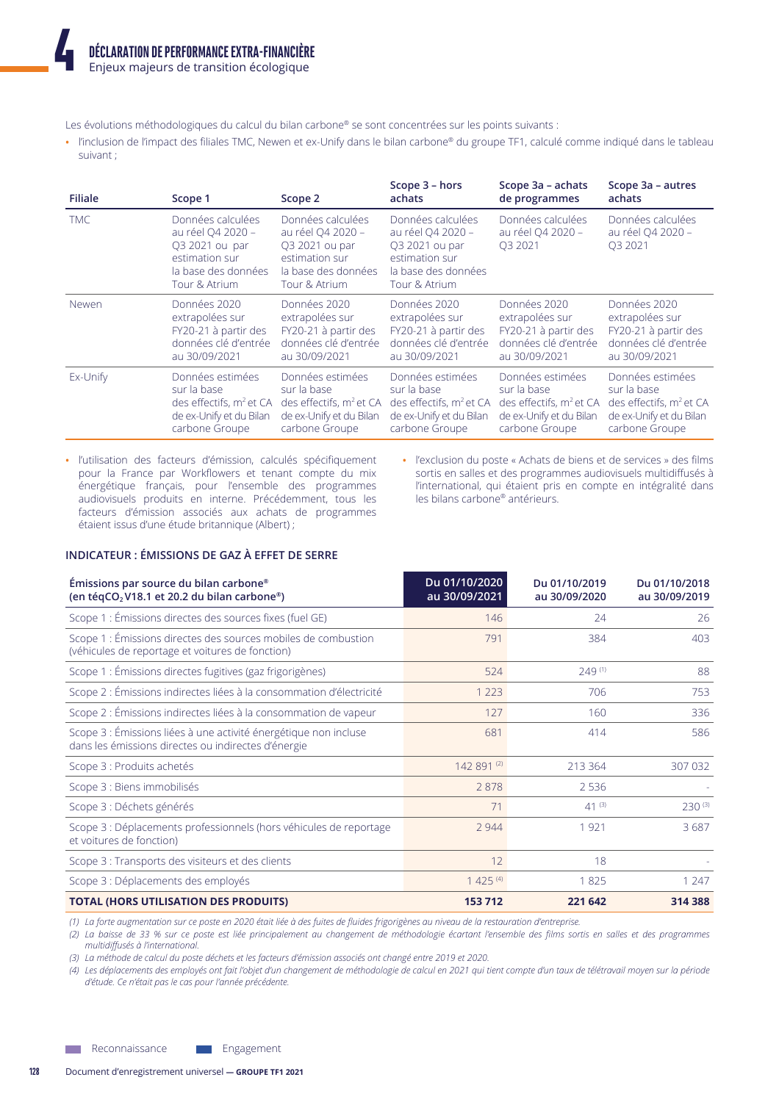Les évolutions méthodologiques du calcul du bilan carbone® se sont concentrées sur les points suivants :

• l'inclusion de l'impact des filiales TMC, Newen et ex-Unify dans le bilan carbone® du groupe TF1, calculé comme indiqué dans le tableau suivant :

| <b>Filiale</b> | Scope 1                                                                                                            | Scope 2                                                                                                            | Scope 3 - hors<br>achats                                                                                           | Scope 3a - achats<br>de programmes                            | Scope 3a - autres<br>achats                                   |
|----------------|--------------------------------------------------------------------------------------------------------------------|--------------------------------------------------------------------------------------------------------------------|--------------------------------------------------------------------------------------------------------------------|---------------------------------------------------------------|---------------------------------------------------------------|
| <b>TMC</b>     | Données calculées<br>au réel Q4 2020 -<br>O3 2021 ou par<br>estimation sur<br>la base des données<br>Tour & Atrium | Données calculées<br>au réel Q4 2020 -<br>O3 2021 ou par<br>estimation sur<br>la base des données<br>Tour & Atrium | Données calculées<br>au réel Q4 2020 -<br>O3 2021 ou par<br>estimation sur<br>la base des données<br>Tour & Atrium | Données calculées<br>au réel Q4 2020 -<br>O <sub>3</sub> 2021 | Données calculées<br>au réel O4 2020 -<br>O <sub>3</sub> 2021 |
| Newen          | Données 2020                                                                                                       | Données 2020                                                                                                       | Données 2020                                                                                                       | Données 2020                                                  | Données 2020                                                  |
|                | extrapolées sur                                                                                                    | extrapolées sur                                                                                                    | extrapolées sur                                                                                                    | extrapolées sur                                               | extrapolées sur                                               |
|                | FY20-21 à partir des                                                                                               | FY20-21 à partir des                                                                                               | FY20-21 à partir des                                                                                               | FY20-21 à partir des                                          | FY20-21 à partir des                                          |
|                | données clé d'entrée                                                                                               | données clé d'entrée                                                                                               | données clé d'entrée                                                                                               | données clé d'entrée                                          | données clé d'entrée                                          |
|                | au 30/09/2021                                                                                                      | au 30/09/2021                                                                                                      | au 30/09/2021                                                                                                      | au 30/09/2021                                                 | au 30/09/2021                                                 |
| Ex-Unify       | Données estimées                                                                                                   | Données estimées                                                                                                   | Données estimées                                                                                                   | Données estimées                                              | Données estimées                                              |
|                | sur la base                                                                                                        | sur la base                                                                                                        | sur la base                                                                                                        | sur la base                                                   | sur la base                                                   |
|                | des effectifs, $m^2$ et CA                                                                                         | des effectifs, m <sup>2</sup> et CA                                                                                | des effectifs, m <sup>2</sup> et CA                                                                                | des effectifs, m <sup>2</sup> et CA                           | des effectifs, m <sup>2</sup> et CA                           |
|                | de ex-Unify et du Bilan                                                                                            | de ex-Unify et du Bilan                                                                                            | de ex-Unify et du Bilan                                                                                            | de ex-Unify et du Bilan                                       | de ex-Unify et du Bilan                                       |
|                | carbone Groupe                                                                                                     | carbone Groupe                                                                                                     | carbone Groupe                                                                                                     | carbone Groupe                                                | carbone Groupe                                                |

• l'utilisation des facteurs d'émission, calculés spécifiquement pour la France par Workflowers et tenant compte du mix énergétique français, pour l'ensemble des programmes audiovisuels produits en interne. Précédemment, tous les facteurs d'émission associés aux achats de programmes étaient issus d'une étude britannique (Albert) ;

• l'exclusion du poste « Achats de biens et de services » des films sortis en salles et des programmes audiovisuels multidiffusés à l'international, qui étaient pris en compte en intégralité dans les bilans carbone<sup>®</sup> antérieurs.

# **INDICATEUR: ÉMISSIONS DE GAZ À EFFET DE SERRE**

| Émissions par source du bilan carbone®<br>(en téqCO <sub>2</sub> V18.1 et 20.2 du bilan carbone <sup>®</sup> )          | Du 01/10/2020<br>au 30/09/2021 | Du 01/10/2019<br>au 30/09/2020 | Du 01/10/2018<br>au 30/09/2019 |
|-------------------------------------------------------------------------------------------------------------------------|--------------------------------|--------------------------------|--------------------------------|
| Scope 1 : Émissions directes des sources fixes (fuel GE)                                                                | 146                            | 24                             | 26                             |
| Scope 1 : Émissions directes des sources mobiles de combustion<br>(véhicules de reportage et voitures de fonction)      | 791                            | 384                            | 403                            |
| Scope 1 : Émissions directes fugitives (gaz frigorigènes)                                                               | 524                            | 249(1)                         | 88                             |
| Scope 2 : Émissions indirectes liées à la consommation d'électricité                                                    | 1 2 2 3                        | 706                            | 753                            |
| Scope 2 : Émissions indirectes liées à la consommation de vapeur                                                        | 127                            | 160                            | 336                            |
| Scope 3 : Émissions liées à une activité énergétique non incluse<br>dans les émissions directes ou indirectes d'énergie | 681                            | 414                            | 586                            |
| Scope 3 : Produits achetés                                                                                              | 142 891 (2)                    | 213 364                        | 307 032                        |
| Scope 3 : Biens immobilisés                                                                                             | 2878                           | 2 5 3 6                        |                                |
| Scope 3 : Déchets générés                                                                                               | 71                             | $41^{(3)}$                     | $230^{(3)}$                    |
| Scope 3 : Déplacements professionnels (hors véhicules de reportage<br>et voitures de fonction)                          | 2944                           | 1921                           | 3687                           |
| Scope 3 : Transports des visiteurs et des clients                                                                       | 12                             | 18                             |                                |
| Scope 3 : Déplacements des employés                                                                                     | $1425^{(4)}$                   | 1825                           | 1 2 4 7                        |
| <b>TOTAL (HORS UTILISATION DES PRODUITS)</b>                                                                            | 153712                         | 221 642                        | 314 388                        |

(1) La forte augmentation sur ce poste en 2020 était liée à des fuites de fluides frigorigènes au niveau de la restauration d'entreprise.

(2) La baisse de 33 % sur ce poste est liée principalement au changement de méthodologie écartant l'ensemble des films sortis en salles et des programmes multidiffusés à l'international.

(3) La méthode de calcul du poste déchets et les facteurs d'émission associés ont changé entre 2019 et 2020.

(4) Les déplacements des employés ont fait l'objet d'un changement de méthodologie de calcul en 2021 qui tient compte d'un taux de télétravail moyen sur la période d'étude. Ce n'était pas le cas pour l'année précédente.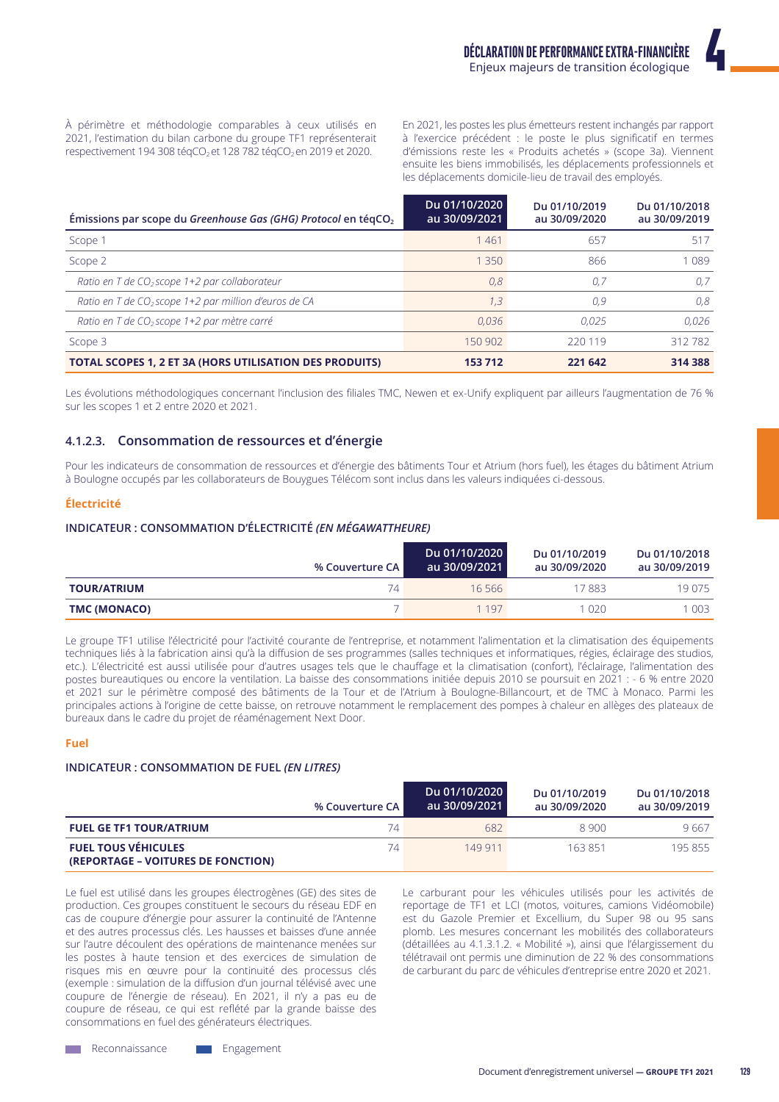À périmètre et méthodologie comparables à ceux utilisés en 2021, l'estimation du bilan carbone du groupe TF1 représenterait respectivement 194 308 tégCO<sub>2</sub> et 128 782 tégCO<sub>2</sub> en 2019 et 2020.

En 2021, les postes les plus émetteurs restent inchangés par rapport à l'exercice précédent : le poste le plus significatif en termes d'émissions reste les « Produits achetés » (scope 3a). Viennent ensuite les biens immobilisés, les déplacements professionnels et les déplacements domicile-lieu de travail des employés.

| Émissions par scope du Greenhouse Gas (GHG) Protocol en tégCO <sub>2</sub> | Du 01/10/2020<br>au 30/09/2021 | Du 01/10/2019<br>au 30/09/2020 | Du 01/10/2018<br>au 30/09/2019 |
|----------------------------------------------------------------------------|--------------------------------|--------------------------------|--------------------------------|
| Scope 1                                                                    | 1461                           | 657                            | 517                            |
| Scope 2                                                                    | 1 350                          | 866                            | 1 0 8 9                        |
| Ratio en T de $CO2$ scope 1+2 par collaborateur                            | 0,8                            | 0.7                            | 0.7                            |
| Ratio en T de CO <sub>2</sub> scope 1+2 par million d'euros de CA          | 1,3                            | 0.9                            | 0,8                            |
| Ratio en T de CO <sub>2</sub> scope 1+2 par mètre carré                    | 0.036                          | 0.025                          | 0.026                          |
| Scope 3                                                                    | 150 902                        | 220 119                        | 312782                         |
| TOTAL SCOPES 1, 2 ET 3A (HORS UTILISATION DES PRODUITS)                    | 153 712                        | 221 642                        | 314 388                        |

Les évolutions méthodologiques concernant l'inclusion des filiales TMC, Newen et ex-Unify expliquent par ailleurs l'augmentation de 76 % sur les scopes 1 et 2 entre 2020 et 2021.

# 4.1.2.3. Consommation de ressources et d'énergie

Pour les indicateurs de consommation de ressources et d'énergie des bâtiments Tour et Atrium (hors fuel), les étages du bâtiment Atrium à Boulogne occupés par les collaborateurs de Bouygues Télécom sont inclus dans les valeurs indiquées ci-dessous.

### Électricité

# INDICATEUR : CONSOMMATION D'ÉLECTRICITÉ (EN MÉGAWATTHEURE)

| % Couverture CA l  |    | Du 01/10/2020<br>au 30/09/2021 | Du 01/10/2019<br>au 30/09/2020 | Du 01/10/2018<br>au 30/09/2019 |
|--------------------|----|--------------------------------|--------------------------------|--------------------------------|
| <b>TOUR/ATRIUM</b> | 74 | 16.566                         | 17883                          | 19 0 75                        |
| TMC (MONACO)       |    | 1 1 9 7                        | 1.020                          | 003                            |

Le groupe TF1 utilise l'électricité pour l'activité courante de l'entreprise, et notamment l'alimentation et la climatisation des équipements techniques liés à la fabrication ainsi qu'à la diffusion de ses programmes (salles techniques et informatiques, régies, éclairage des studios, etc.). L'électricité est aussi utilisée pour d'autres usages tels que le chauffage et la climatisation (confort), l'éclairage, l'alimentation des postes bureautiques ou encore la ventilation. La baisse des consommations initiée depuis 2010 se poursuit en 2021 : - 6 % entre 2020 et 2021 sur le périmètre composé des bâtiments de la Tour et de l'Atrium à Boulogne-Billancourt, et de TMC à Monaco. Parmi les principales actions à l'origine de cette baisse, on retrouve notamment le remplacement des pompes à chaleur en allèges des plateaux de bureaux dans le cadre du projet de réaménagement Next Door.

#### **Fuel**

#### **INDICATEUR: CONSOMMATION DE FUEL (EN LITRES)**

|                                                                  | % Couverture CA | Du 01/10/2020<br>au 30/09/2021 | Du 01/10/2019<br>au 30/09/2020 | Du 01/10/2018<br>au 30/09/2019 |
|------------------------------------------------------------------|-----------------|--------------------------------|--------------------------------|--------------------------------|
| <b>FUEL GE TF1 TOUR/ATRIUM</b>                                   | 74              | 682                            | 8.900                          | 9667                           |
| <b>FUEL TOUS VÉHICULES</b><br>(REPORTAGE – VOITURES DE FONCTION) | 74              | 149 911                        | 163 851                        | 195855                         |

Le fuel est utilisé dans les groupes électrogènes (GE) des sites de production. Ces groupes constituent le secours du réseau EDF en cas de coupure d'énergie pour assurer la continuité de l'Antenne et des autres processus clés. Les hausses et baisses d'une année sur l'autre découlent des opérations de maintenance menées sur les postes à haute tension et des exercices de simulation de risques mis en œuvre pour la continuité des processus clés (exemple : simulation de la diffusion d'un journal télévisé avec une coupure de l'énergie de réseau). En 2021, il n'y a pas eu de coupure de réseau, ce qui est reflété par la grande baisse des consommations en fuel des générateurs électriques.

Le carburant pour les véhicules utilisés pour les activités de reportage de TF1 et LCI (motos, voitures, camions Vidéomobile) est du Gazole Premier et Excellium, du Super 98 ou 95 sans plomb. Les mesures concernant les mobilités des collaborateurs (détaillées au 4.1.3.1.2. « Mobilité »), ainsi que l'élargissement du télétravail ont permis une diminution de 22 % des consommations de carburant du parc de véhicules d'entreprise entre 2020 et 2021.

**Neconnaissance** 

Engagement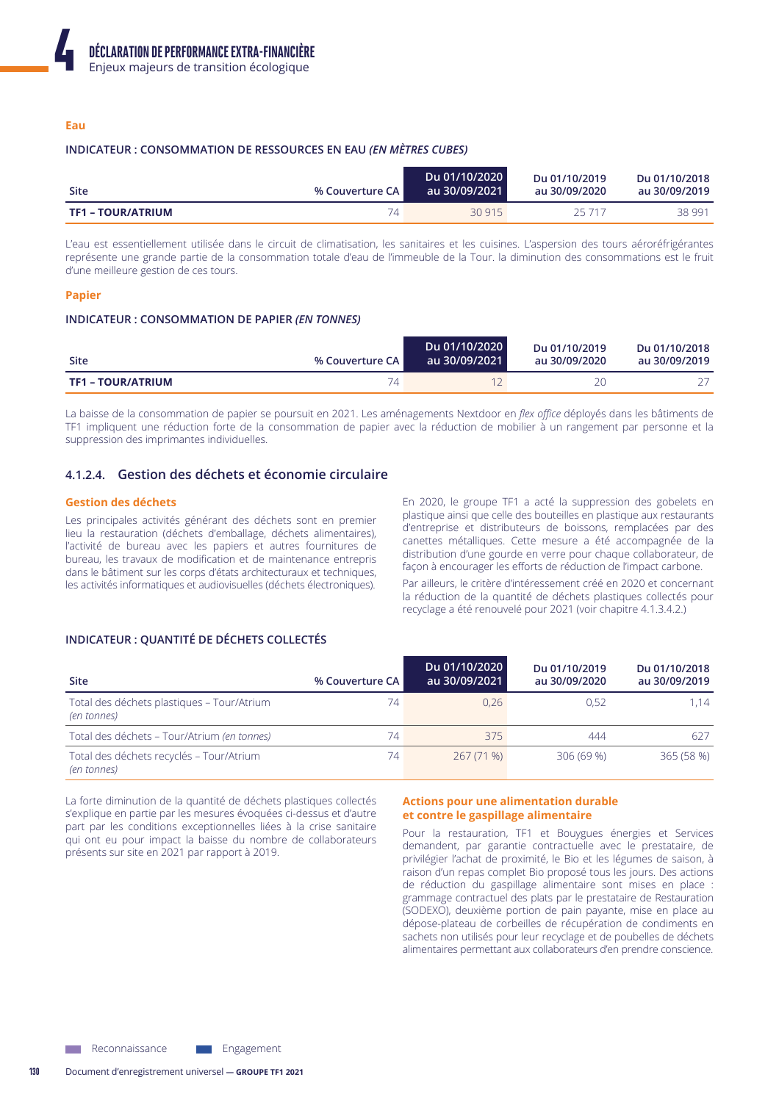# Eau

#### INDICATEUR : CONSOMMATION DE RESSOURCES EN EAU (EN MÈTRES CUBES)

| <b>Site</b>              | % Couverture CA I | Du 01/10/2020<br>au 30/09/2021 | Du 01/10/2019<br>au 30/09/2020 | Du 01/10/2018<br>au 30/09/2019 |
|--------------------------|-------------------|--------------------------------|--------------------------------|--------------------------------|
| <b>TF1 – TOUR/ATRIUM</b> | 74                | 30 915                         | 25 717                         | 38 991                         |

L'eau est essentiellement utilisée dans le circuit de climatisation, les sanitaires et les cuisines. L'aspersion des tours aéroréfrigérantes représente une grande partie de la consommation totale d'eau de l'immeuble de la Tour. la diminution des consommations est le fruit d'une meilleure gestion de ces tours.

#### **Papier**

# INDICATEUR : CONSOMMATION DE PAPIER (EN TONNES)

| Site                     | % Couverture CA I | Du 01/10/2020<br>au 30/09/2021 | Du 01/10/2019<br>au 30/09/2020 | Du 01/10/2018<br>au 30/09/2019 |
|--------------------------|-------------------|--------------------------------|--------------------------------|--------------------------------|
| <b>TF1 - TOUR/ATRIUM</b> | Δ                 |                                |                                |                                |

La baisse de la consommation de papier se poursuit en 2021. Les aménagements Nextdoor en flex office déployés dans les bâtiments de TF1 impliquent une réduction forte de la consommation de papier avec la réduction de mobilier à un rangement par personne et la suppression des imprimantes individuelles.

# 4.1.2.4. Gestion des déchets et économie circulaire

#### **Gestion des déchets**

Les principales activités générant des déchets sont en premier lieu la restauration (déchets d'emballage, déchets alimentaires), l'activité de bureau avec les papiers et autres fournitures de bureau, les travaux de modification et de maintenance entrepris dans le bâtiment sur les corps d'états architecturaux et techniques, les activités informatiques et audiovisuelles (déchets électroniques).

En 2020, le groupe TF1 a acté la suppression des gobelets en plastique ainsi que celle des bouteilles en plastique aux restaurants d'entreprise et distributeurs de boissons, remplacées par des canettes métalliques. Cette mesure a été accompagnée de la distribution d'une gourde en verre pour chaque collaborateur, de façon à encourager les efforts de réduction de l'impact carbone.

Par ailleurs, le critère d'intéressement créé en 2020 et concernant la réduction de la quantité de déchets plastiques collectés pour recyclage a été renouvelé pour 2021 (voir chapitre 4.1.3.4.2.)

# INDICATEUR : QUANTITÉ DE DÉCHETS COLLECTÉS

| <b>Site</b>                                               | % Couverture CA | Du 01/10/2020<br>au 30/09/2021 | Du 01/10/2019<br>au 30/09/2020 | Du 01/10/2018<br>au 30/09/2019 |
|-----------------------------------------------------------|-----------------|--------------------------------|--------------------------------|--------------------------------|
| Total des déchets plastiques - Tour/Atrium<br>(en tonnes) | 74              | 0.26                           | 0.52                           | 1.14                           |
| Total des déchets - Tour/Atrium (en tonnes)               | 74              | 375                            | 444                            | 627                            |
| Total des déchets recyclés - Tour/Atrium<br>(en tonnes)   | 74              | 267 (71 %)                     | 306(69%)                       | 365 (58 %)                     |

La forte diminution de la quantité de déchets plastiques collectés s'explique en partie par les mesures évoquées ci-dessus et d'autre part par les conditions exceptionnelles liées à la crise sanitaire qui ont eu pour impact la baisse du nombre de collaborateurs présents sur site en 2021 par rapport à 2019.

#### **Actions pour une alimentation durable** et contre le gaspillage alimentaire

Pour la restauration, TF1 et Bouygues énergies et Services demandent, par garantie contractuelle avec le prestataire, de privilégier l'achat de proximité, le Bio et les légumes de saison, à raison d'un repas complet Bio proposé tous les jours. Des actions de réduction du gaspillage alimentaire sont mises en place : grammage contractuel des plats par le prestataire de Restauration (SODEXO), deuxième portion de pain payante, mise en place au dépose-plateau de corbeilles de récupération de condiments en sachets non utilisés pour leur recyclage et de poubelles de déchets alimentaires permettant aux collaborateurs d'en prendre conscience.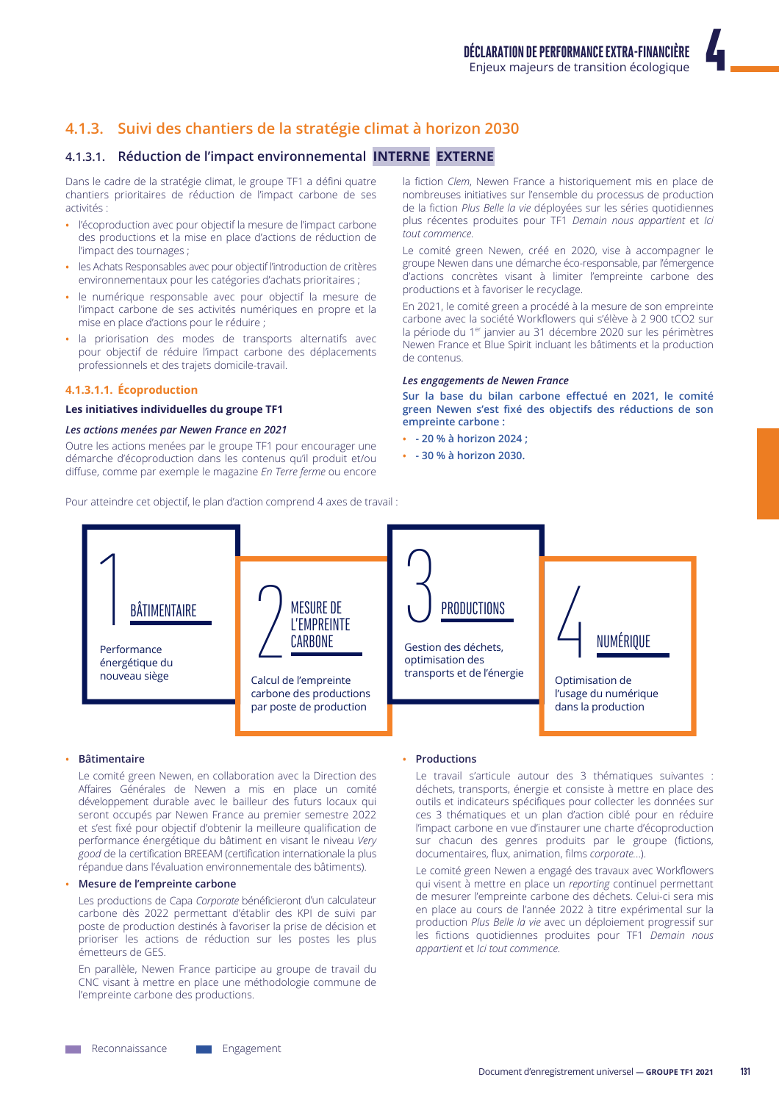# 4.1.3. Suivi des chantiers de la stratégie climat à horizon 2030

# 4.1.3.1. Réduction de l'impact environnemental INTERNE EXTERNE

Dans le cadre de la stratégie climat, le groupe TF1 a défini quatre chantiers prioritaires de réduction de l'impact carbone de ses activités :

- · l'écoproduction avec pour objectif la mesure de l'impact carbone des productions et la mise en place d'actions de réduction de l'impact des tournages ;
- · les Achats Responsables avec pour objectif l'introduction de critères environnementaux pour les catégories d'achats prioritaires ;
- le numérique responsable avec pour objectif la mesure de l'impact carbone de ses activités numériques en propre et la mise en place d'actions pour le réduire ;
- la priorisation des modes de transports alternatifs avec  $\bullet$ pour objectif de réduire l'impact carbone des déplacements professionnels et des trajets domicile-travail.

#### 4.1.3.1.1. Écoproduction

#### Les initiatives individuelles du groupe TF1

#### Les actions menées par Newen France en 2021

Outre les actions menées par le groupe TF1 pour encourager une démarche d'écoproduction dans les contenus qu'il produit et/ou diffuse, comme par exemple le magazine En Terre ferme ou encore

Pour atteindre cet objectif, le plan d'action comprend 4 axes de travail :

la fiction Clem. Newen France a historiquement mis en place de nombreuses initiatives sur l'ensemble du processus de production de la fiction Plus Belle la vie déployées sur les séries quotidiennes plus récentes produites pour TF1 Demain nous appartient et lci tout commence.

Le comité green Newen, créé en 2020, vise à accompagner le groupe Newen dans une démarche éco-responsable, par l'émergence d'actions concrètes visant à limiter l'empreinte carbone des productions et à favoriser le recyclage.

En 2021, le comité green a procédé à la mesure de son empreinte carbone avec la société Workflowers qui s'élève à 2 900 tCO2 sur la période du 1<sup>er</sup> janvier au 31 décembre 2020 sur les périmètres Newen France et Blue Spirit incluant les bâtiments et la production de contenus

#### Les engagements de Newen France

Sur la base du bilan carbone effectué en 2021, le comité green Newen s'est fixé des objectifs des réductions de son empreinte carbone :

- - 20 % à horizon 2024 :
- 30 % à horizon 2030.



#### Bâtimentaire

Le comité green Newen, en collaboration avec la Direction des Affaires Générales de Newen a mis en place un comité développement durable avec le bailleur des futurs locaux qui seront occupés par Newen France au premier semestre 2022 et s'est fixé pour objectif d'obtenir la meilleure qualification de performance énergétique du bâtiment en visant le niveau Very good de la certification BREEAM (certification internationale la plus répandue dans l'évaluation environnementale des bâtiments).

#### Mesure de l'empreinte carbone

Les productions de Capa Corporate bénéficieront d'un calculateur carbone dès 2022 permettant d'établir des KPI de suivi par poste de production destinés à favoriser la prise de décision et prioriser les actions de réduction sur les postes les plus émetteurs de GES.

En parallèle, Newen France participe au groupe de travail du CNC visant à mettre en place une méthodologie commune de l'empreinte carbone des productions.

#### • Productions

Le travail s'articule autour des 3 thématiques suivantes : déchets, transports, énergie et consiste à mettre en place des outils et indicateurs spécifiques pour collecter les données sur ces 3 thématiques et un plan d'action ciblé pour en réduire l'impact carbone en vue d'instaurer une charte d'écoproduction sur chacun des genres produits par le groupe (fictions, documentaires, flux, animation, films corporate...).

Le comité green Newen a engagé des travaux avec Workflowers qui visent à mettre en place un reporting continuel permettant de mesurer l'empreinte carbone des déchets. Celui-ci sera mis en place au cours de l'année 2022 à titre expérimental sur la production Plus Belle la vie avec un déploiement progressif sur les fictions quotidiennes produites pour TF1 Demain nous appartient et lci tout commence.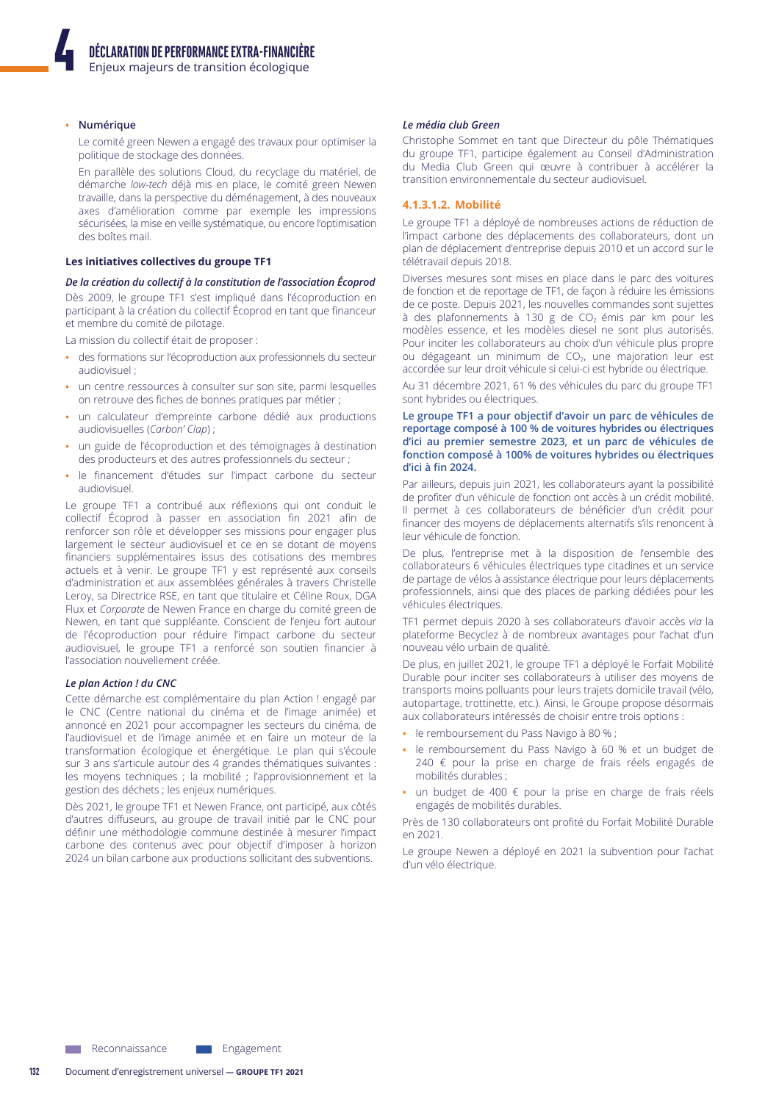#### · Numérique

Le comité green Newen a engagé des travaux pour optimiser la politique de stockage des données.

En parallèle des solutions Cloud, du recyclage du matériel, de démarche low-tech déjà mis en place, le comité green Newen travaille, dans la perspective du déménagement, à des nouveaux axes d'amélioration comme par exemple les impressions sécurisées, la mise en veille systématique, ou encore l'optimisation des boîtes mail

#### Les initiatives collectives du groupe TF1

#### De la création du collectif à la constitution de l'association Écoprod

Dès 2009, le groupe TF1 s'est impliqué dans l'écoproduction en participant à la création du collectif Écoprod en tant que financeur et membre du comité de pilotage.

La mission du collectif était de proposer :

- · des formations sur l'écoproduction aux professionnels du secteur audiovisuel :
- · un centre ressources à consulter sur son site, parmi lesquelles on retrouve des fiches de bonnes pratiques par métier ;
- · un calculateur d'empreinte carbone dédié aux productions audiovisuelles (Carbon' Clap);
- · un guide de l'écoproduction et des témoignages à destination des producteurs et des autres professionnels du secteur ;
- · le financement d'études sur l'impact carbone du secteur audiovisuel

Le groupe TF1 a contribué aux réflexions qui ont conduit le collectif Écoprod à passer en association fin 2021 afin de renforcer son rôle et développer ses missions pour engager plus largement le secteur audiovisuel et ce en se dotant de moyens financiers supplémentaires issus des cotisations des membres actuels et à venir. Le groupe TF1 y est représenté aux conseils d'administration et aux assemblées générales à travers Christelle Leroy, sa Directrice RSE, en tant que titulaire et Céline Roux, DGA Flux et Corporate de Newen France en charge du comité green de Newen, en tant que suppléante. Conscient de l'enjeu fort autour de l'écoproduction pour réduire l'impact carbone du secteur audiovisuel, le groupe TF1 a renforcé son soutien financier à l'association nouvellement créée.

#### Le plan Action ! du CNC

Cette démarche est complémentaire du plan Action ! engagé par le CNC (Centre national du cinéma et de l'image animée) et annoncé en 2021 pour accompagner les secteurs du cinéma, de l'audiovisuel et de l'image animée et en faire un moteur de la transformation écologique et énergétique. Le plan qui s'écoule sur 3 ans s'articule autour des 4 grandes thématiques suivantes : les moyens techniques ; la mobilité ; l'approvisionnement et la gestion des déchets ; les enjeux numériques.

Dès 2021, le groupe TF1 et Newen France, ont participé, aux côtés d'autres diffuseurs, au groupe de travail initié par le CNC pour définir une méthodologie commune destinée à mesurer l'impact carbone des contenus avec pour objectif d'imposer à horizon 2024 un bilan carbone aux productions sollicitant des subventions.

#### Le média club Green

Christophe Sommet en tant que Directeur du pôle Thématiques du groupe TF1, participe également au Conseil d'Administration du Media Club Green qui œuvre à contribuer à accélérer la transition environnementale du secteur audiovisuel.

#### 4.1.3.1.2. Mobilité

Le groupe TF1 a déployé de nombreuses actions de réduction de l'impact carbone des déplacements des collaborateurs, dont un plan de déplacement d'entreprise depuis 2010 et un accord sur le télétravail depuis 2018.

Diverses mesures sont mises en place dans le parc des voitures de fonction et de reportage de TF1, de façon à réduire les émissions de ce poste. Depuis 2021, les nouvelles commandes sont sujettes à des plafonnements à 130 g de CO<sub>2</sub> émis par km pour les modèles essence, et les modèles diesel ne sont plus autorisés. Pour inciter les collaborateurs au choix d'un véhicule plus propre ou dégageant un minimum de CO<sub>2</sub>, une majoration leur est accordée sur leur droit véhicule si celui-ci est hybride ou électrique.

Au 31 décembre 2021, 61 % des véhicules du parc du groupe TF1 sont hybrides ou électriques.

#### Le groupe TF1 a pour objectif d'avoir un parc de véhicules de reportage composé à 100 % de voitures hybrides ou électriques d'ici au premier semestre 2023, et un parc de véhicules de fonction composé à 100% de voitures hybrides ou électriques d'ici à fin 2024.

Par ailleurs, depuis juin 2021, les collaborateurs ayant la possibilité de profiter d'un véhicule de fonction ont accès à un crédit mobilité. Il permet à ces collaborateurs de bénéficier d'un crédit pour financer des moyens de déplacements alternatifs s'ils renoncent à leur véhicule de fonction.

De plus, l'entreprise met à la disposition de l'ensemble des collaborateurs 6 véhicules électriques type citadines et un service de partage de vélos à assistance électrique pour leurs déplacements professionnels, ainsi que des places de parking dédiées pour les véhicules électriques.

TF1 permet depuis 2020 à ses collaborateurs d'avoir accès via la plateforme Becyclez à de nombreux avantages pour l'achat d'un nouveau vélo urbain de qualité.

De plus, en juillet 2021, le groupe TF1 a déployé le Forfait Mobilité Durable pour inciter ses collaborateurs à utiliser des moyens de transports moins polluants pour leurs trajets domicile travail (vélo, autopartage, trottinette, etc.). Ainsi, le Groupe propose désormais aux collaborateurs intéressés de choisir entre trois options :

- · le remboursement du Pass Navigo à 80 % ;
- le remboursement du Pass Navigo à 60 % et un budget de 240 € pour la prise en charge de frais réels engagés de mobilités durables :
- un budget de 400 € pour la prise en charge de frais réels engagés de mobilités durables.

Près de 130 collaborateurs ont profité du Forfait Mobilité Durable en 2021

Le groupe Newen a déployé en 2021 la subvention pour l'achat d'un vélo électrique.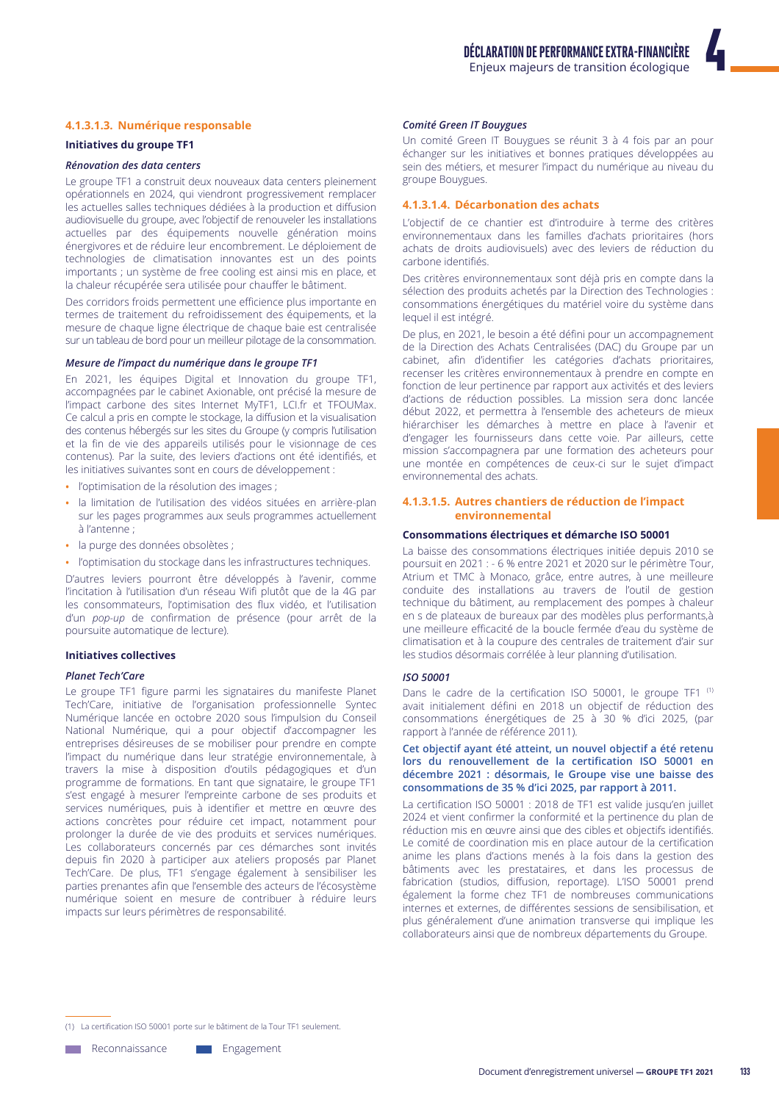#### 4.1.3.1.3. Numérique responsable

#### **Initiatives du groupe TF1**

#### Rénovation des data centers

Le groupe TF1 a construit deux nouveaux data centers pleinement opérationnels en 2024, qui viendront progressivement remplacer les actuelles salles techniques dédiées à la production et diffusion audiovisuelle du groupe, avec l'objectif de renouveler les installations actuelles par des équipements nouvelle génération moins énergivores et de réduire leur encombrement. Le déploiement de technologies de climatisation innovantes est un des points importants ; un système de free cooling est ainsi mis en place, et la chaleur récupérée sera utilisée pour chauffer le bâtiment.

Des corridors froids permettent une efficience plus importante en termes de traitement du refroidissement des équipements, et la mesure de chaque ligne électrique de chaque baje est centralisée sur un tableau de bord pour un meilleur pilotage de la consommation.

# Mesure de l'impact du numérique dans le groupe TF1

En 2021, les équipes Digital et Innovation du groupe TF1, accompagnées par le cabinet Axionable, ont précisé la mesure de l'impact carbone des sites Internet MyTF1, LCI.fr et TFOUMax. Ce calcul a pris en compte le stockage, la diffusion et la visualisation des contenus hébergés sur les sites du Groupe (y compris l'utilisation et la fin de vie des appareils utilisés pour le visionnage de ces contenus). Par la suite, des leviers d'actions ont été identifiés, et les initiatives suivantes sont en cours de développement :

- · l'optimisation de la résolution des images ;
- · la limitation de l'utilisation des vidéos situées en arrière-plan sur les pages programmes aux seuls programmes actuellement à l'antenne ;
- · la purge des données obsolètes ;
- · l'optimisation du stockage dans les infrastructures techniques.

D'autres leviers pourront être développés à l'avenir, comme l'incitation à l'utilisation d'un réseau Wifi plutôt que de la 4G par les consommateurs, l'optimisation des flux vidéo, et l'utilisation d'un pop-up de confirmation de présence (pour arrêt de la poursuite automatique de lecture).

#### **Initiatives collectives**

#### **Planet Tech'Care**

Le groupe TF1 figure parmi les signataires du manifeste Planet Tech'Care, initiative de l'organisation professionnelle Syntec Numérique lancée en octobre 2020 sous l'impulsion du Conseil National Numérique, qui a pour objectif d'accompagner les entreprises désireuses de se mobiliser pour prendre en compte l'impact du numérique dans leur stratégie environnementale, à travers la mise à disposition d'outils pédagogiques et d'un programme de formations. En tant que signataire, le groupe TF1 s'est engagé à mesurer l'empreinte carbone de ses produits et services numériques, puis à identifier et mettre en œuvre des actions concrètes pour réduire cet impact, notamment pour prolonger la durée de vie des produits et services numériques. Les collaborateurs concernés par ces démarches sont invités depuis fin 2020 à participer aux ateliers proposés par Planet Tech'Care. De plus, TF1 s'engage également à sensibiliser les parties prenantes afin que l'ensemble des acteurs de l'écosystème numérique soient en mesure de contribuer à réduire leurs impacts sur leurs périmètres de responsabilité.

#### Comité Green IT Bouygues

Un comité Green IT Bouygues se réunit 3 à 4 fois par an pour échanger sur les initiatives et bonnes pratiques développées au sein des métiers, et mesurer l'impact du numérique au niveau du groupe Bouygues.

#### 4.1.3.1.4. Décarbonation des achats

L'objectif de ce chantier est d'introduire à terme des critères environnementaux dans les familles d'achats prioritaires (hors achats de droits audiovisuels) avec des leviers de réduction du carbone identifiés

Des critères environnementaux sont déjà pris en compte dans la sélection des produits achetés par la Direction des Technologies : consommations énergétiques du matériel voire du système dans lequel il est intégré.

De plus, en 2021, le besoin a été défini pour un accompagnement de la Direction des Achats Centralisées (DAC) du Groupe par un cabinet, afin d'identifier les catégories d'achats prioritaires, recenser les critères environnementaux à prendre en compte en fonction de leur pertinence par rapport aux activités et des leviers d'actions de réduction possibles. La mission sera donc lancée début 2022, et permettra à l'ensemble des acheteurs de mieux hiérarchiser les démarches à mettre en place à l'avenir et d'engager les fournisseurs dans cette voie. Par ailleurs, cette mission s'accompagnera par une formation des acheteurs pour une montée en compétences de ceux-ci sur le sujet d'impact environnemental des achats.

#### 4.1.3.1.5. Autres chantiers de réduction de l'impact environnemental

#### Consommations électriques et démarche ISO 50001

La baisse des consommations électriques initiée depuis 2010 se poursuit en 2021 : - 6 % entre 2021 et 2020 sur le périmètre Tour, Atrium et TMC à Monaco, grâce, entre autres, à une meilleure conduite des installations au travers de l'outil de gestion technique du bâtiment, au remplacement des pompes à chaleur en s de plateaux de bureaux par des modèles plus performants,à une meilleure efficacité de la boucle fermée d'eau du système de climatisation et à la coupure des centrales de traitement d'air sur les studios désormais corrélée à leur planning d'utilisation.

#### 150 50001

Dans le cadre de la certification ISO 50001, le groupe TF1<sup>(1)</sup> avait initialement défini en 2018 un objectif de réduction des consommations énergétiques de 25 à 30 % d'ici 2025, (par rapport à l'année de référence 2011).

#### Cet objectif ayant été atteint, un nouvel objectif a été retenu lors du renouvellement de la certification ISO 50001 en décembre 2021 : désormais, le Groupe vise une baisse des consommations de 35 % d'ici 2025, par rapport à 2011.

La certification ISO 50001 : 2018 de TF1 est valide jusqu'en juillet 2024 et vient confirmer la conformité et la pertinence du plan de réduction mis en œuvre ainsi que des cibles et objectifs identifiés. Le comité de coordination mis en place autour de la certification anime les plans d'actions menés à la fois dans la gestion des bâtiments avec les prestataires, et dans les processus de fabrication (studios, diffusion, reportage). L'ISO 50001 prend également la forme chez TF1 de nombreuses communications internes et externes, de différentes sessions de sensibilisation, et plus généralement d'une animation transverse qui implique les collaborateurs ainsi que de nombreux départements du Groupe.

(1) La certification ISO 50001 porte sur le bâtiment de la Tour TF1 seulement.

**Neconnaissance** Engagement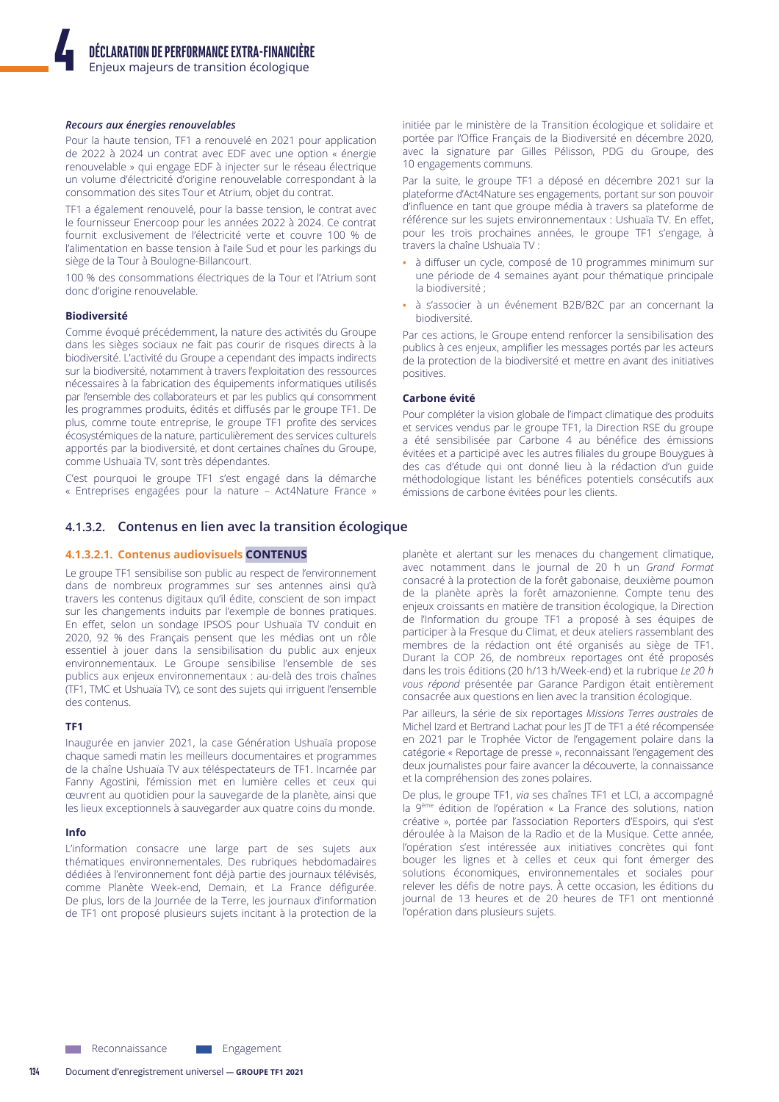### Recours aux énergies renouvelables

Pour la haute tension. TF1 a renouvelé en 2021 pour application de 2022 à 2024 un contrat avec EDF avec une option « énergie renouvelable » qui engage EDF à injecter sur le réseau électrique un volume d'électricité d'origine renouvelable correspondant à la consommation des sites Tour et Atrium, objet du contrat.

TF1 a également renouvelé, pour la basse tension, le contrat avec le fournisseur Enercoop pour les années 2022 à 2024. Ce contrat fournit exclusivement de l'électricité verte et couvre 100 % de l'alimentation en basse tension à l'aile Sud et pour les parkings du siège de la Tour à Boulogne-Billancourt.

100 % des consommations électriques de la Tour et l'Atrium sont donc d'origine renouvelable.

#### **Biodiversité**

Comme évoqué précédemment, la nature des activités du Groupe dans les sièges sociaux ne fait pas courir de risques directs à la biodiversité. L'activité du Groupe a cependant des impacts indirects sur la biodiversité, notamment à travers l'exploitation des ressources nécessaires à la fabrication des équipements informatiques utilisés par l'ensemble des collaborateurs et par les publics qui consomment les programmes produits, édités et diffusés par le groupe TF1. De plus, comme toute entreprise, le groupe TF1 profite des services écosystémiques de la nature, particulièrement des services culturels apportés par la biodiversité, et dont certaines chaînes du Groupe, comme Ushuaïa TV, sont très dépendantes.

C'est pourquoi le groupe TF1 s'est engagé dans la démarche « Entreprises engagées pour la nature - Act4Nature France »

### 4.1.3.2. Contenus en lien avec la transition écologique

### 4.1.3.2.1. Contenus audiovisuels CONTENUS

Le groupe TF1 sensibilise son public au respect de l'environnement dans de nombreux programmes sur ses antennes ainsi qu'à travers les contenus digitaux qu'il édite, conscient de son impact sur les changements induits par l'exemple de bonnes pratiques. En effet, selon un sondage IPSOS pour Ushuaïa TV conduit en 2020, 92 % des Français pensent que les médias ont un rôle essentiel à jouer dans la sensibilisation du public aux enjeux environnementaux. Le Groupe sensibilise l'ensemble de ses publics aux enjeux environnementaux : au-delà des trois chaînes (TF1, TMC et Ushuaïa TV), ce sont des sujets qui irriguent l'ensemble des contenus.

Inaugurée en janvier 2021, la case Génération Ushuaïa propose chaque samedi matin les meilleurs documentaires et programmes de la chaîne Ushuaïa TV aux téléspectateurs de TF1. Incarnée par Fanny Agostini, l'émission met en lumière celles et ceux qui œuvrent au quotidien pour la sauvegarde de la planète, ainsi que les lieux exceptionnels à sauvegarder aux quatre coins du monde.

#### Info

L'information consacre une large part de ses sujets aux thématiques environnementales. Des rubriques hebdomadaires dédiées à l'environnement font déjà partie des journaux télévisés, comme Planète Week-end, Demain, et La France défigurée. De plus, lors de la Journée de la Terre, les journaux d'information de TF1 ont proposé plusieurs sujets incitant à la protection de la

initiée par le ministère de la Transition écologique et solidaire et portée par l'Office Français de la Biodiversité en décembre 2020, avec la signature par Gilles Pélisson, PDG du Groupe, des 10 engagements communs.

Par la suite, le groupe TF1 a déposé en décembre 2021 sur la plateforme d'Act4Nature ses engagements, portant sur son pouvoir d'influence en tant que groupe média à travers sa plateforme de référence sur les sujets environnementaux : Ushuaïa TV. En effet, pour les trois prochaines années, le groupe TF1 s'engage, à travers la chaîne Ushuaïa TV :

- à diffuser un cycle, composé de 10 programmes minimum sur une période de 4 semaines ayant pour thématique principale la biodiversité ;
- à s'associer à un événement B2B/B2C par an concernant la biodiversité.

Par ces actions, le Groupe entend renforcer la sensibilisation des publics à ces enjeux, amplifier les messages portés par les acteurs de la protection de la biodiversité et mettre en avant des initiatives positives.

#### Carbone évité

Pour compléter la vision globale de l'impact climatique des produits et services vendus par le groupe TF1, la Direction RSE du groupe a été sensibilisée par Carbone 4 au bénéfice des émissions évitées et a participé avec les autres filiales du groupe Bouygues à des cas d'étude qui ont donné lieu à la rédaction d'un guide méthodologique listant les bénéfices potentiels consécutifs aux émissions de carbone évitées pour les clients.

planète et alertant sur les menaces du changement climatique, avec notamment dans le journal de 20 h un Grand Format consacré à la protection de la forêt gabonaise, deuxième poumon de la planète après la forêt amazonienne. Compte tenu des enjeux croissants en matière de transition écologique, la Direction de l'Information du groupe TF1 a proposé à ses équipes de participer à la Fresque du Climat, et deux ateliers rassemblant des membres de la rédaction ont été organisés au siège de TF1. Durant la COP 26, de nombreux reportages ont été proposés dans les trois éditions (20 h/13 h/Week-end) et la rubrique Le 20 h vous répond présentée par Garance Pardigon était entièrement consacrée aux questions en lien avec la transition écologique.

Par ailleurs, la série de six reportages Missions Terres australes de Michel Izard et Bertrand Lachat pour les JT de TF1 a été récompensée en 2021 par le Trophée Victor de l'engagement polaire dans la catégorie « Reportage de presse », reconnaissant l'engagement des deux journalistes pour faire avancer la découverte, la connaissance et la compréhension des zones polaires.

De plus, le groupe TF1, via ses chaînes TF1 et LCI, a accompagné la 9<sup>ème</sup> édition de l'opération « La France des solutions, nation créative », portée par l'association Reporters d'Espoirs, qui s'est déroulée à la Maison de la Radio et de la Musique. Cette année, l'opération s'est intéressée aux initiatives concrètes qui font bouger les lignes et à celles et ceux qui font émerger des solutions économiques, environnementales et sociales pour relever les défis de notre pays. À cette occasion, les éditions du journal de 13 heures et de 20 heures de TF1 ont mentionné l'opération dans plusieurs sujets.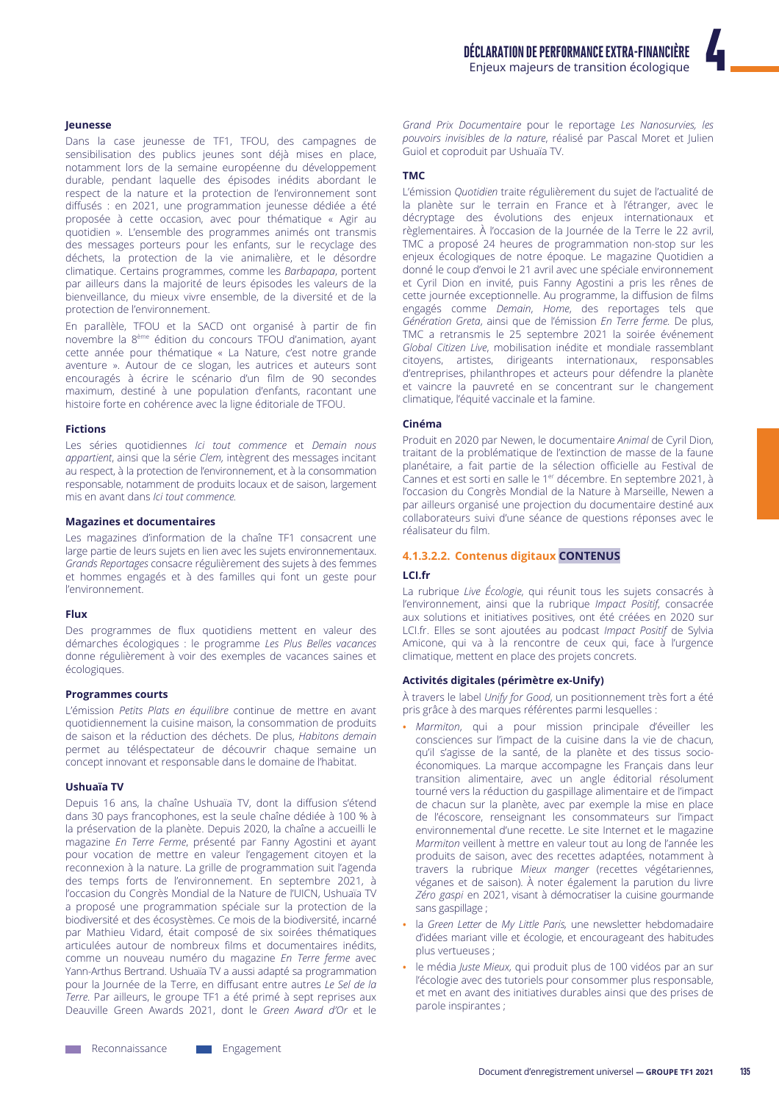leunesse

Dans la case jeunesse de TF1, TFOU, des campagnes de sensibilisation des publics jeunes sont déjà mises en place. notamment lors de la semaine européenne du développement durable, pendant laquelle des épisodes inédits abordant le respect de la nature et la protection de l'environnement sont diffusés : en 2021, une programmation jeunesse dédiée a été proposée à cette occasion, avec pour thématique « Agir au quotidien ». L'ensemble des programmes animés ont transmis des messages porteurs pour les enfants, sur le recyclage des déchets, la protection de la vie animalière, et le désordre climatique. Certains programmes, comme les Barbapapa, portent par ailleurs dans la majorité de leurs épisodes les valeurs de la bienveillance, du mieux vivre ensemble, de la diversité et de la protection de l'environnement.

En parallèle, TFOU et la SACD ont organisé à partir de fin novembre la 8<sup>ème</sup> édition du concours TFOU d'animation, ayant cette année pour thématique « La Nature, c'est notre grande aventure ». Autour de ce slogan, les autrices et auteurs sont encouragés à écrire le scénario d'un film de 90 secondes maximum, destiné à une population d'enfants, racontant une histoire forte en cohérence avec la ligne éditoriale de TFOU.

#### **Fictions**

Les séries quotidiennes lci tout commence et Demain nous appartient, ainsi que la série Clem, intègrent des messages incitant au respect, à la protection de l'environnement, et à la consommation responsable, notamment de produits locaux et de saison, largement mis en avant dans *lei tout commence* 

#### **Magazines et documentaires**

Les magazines d'information de la chaîne TF1 consacrent une large partie de leurs sujets en lien avec les sujets environnementaux. Grands Reportages consacre régulièrement des sujets à des femmes et hommes engagés et à des familles qui font un geste pour l'environnement.

#### Flux

Des programmes de flux quotidiens mettent en valeur des démarches écologiques : le programme Les Plus Belles vacances donne régulièrement à voir des exemples de vacances saines et écologiques.

#### **Programmes courts**

L'émission Petits Plats en équilibre continue de mettre en avant quotidiennement la cuisine maison, la consommation de produits de saison et la réduction des déchets. De plus, Habitons demain permet au téléspectateur de découvrir chaque semaine un concept innovant et responsable dans le domaine de l'habitat.

#### Ushuaïa TV

Depuis 16 ans, la chaîne Ushuaïa TV, dont la diffusion s'étend dans 30 pays francophones, est la seule chaîne dédiée à 100 % à la préservation de la planète. Depuis 2020, la chaîne a accueilli le magazine En Terre Ferme, présenté par Fanny Agostini et ayant pour vocation de mettre en valeur l'engagement citoyen et la reconnexion à la nature. La grille de programmation suit l'agenda des temps forts de l'environnement. En septembre 2021, à l'occasion du Congrès Mondial de la Nature de l'UICN, Ushuaïa TV a proposé une programmation spéciale sur la protection de la biodiversité et des écosystèmes. Ce mois de la biodiversité, incarné par Mathieu Vidard, était composé de six soirées thématiques articulées autour de nombreux films et documentaires inédits. comme un nouveau numéro du magazine En Terre ferme avec Yann-Arthus Bertrand. Ushuaïa TV a aussi adapté sa programmation pour la Journée de la Terre, en diffusant entre autres Le Sel de la Terre. Par ailleurs, le groupe TF1 a été primé à sept reprises aux Deauville Green Awards 2021, dont le Green Award d'Or et le

#### **TMC**

L'émission Quotidien traite régulièrement du sujet de l'actualité de la planète sur le terrain en France et à l'étranger, avec le décryptage des évolutions des enjeux internationaux et règlementaires. À l'occasion de la Journée de la Terre le 22 avril, TMC a proposé 24 heures de programmation non-stop sur les enjeux écologiques de notre époque. Le magazine Quotidien a donné le coup d'envoi le 21 avril avec une spéciale environnement et Cyril Dion en invité, puis Fanny Agostini a pris les rênes de cette journée exceptionnelle. Au programme, la diffusion de films engagés comme Demain, Home, des reportages tels que Génération Greta, ainsi que de l'émission En Terre ferme. De plus, TMC a retransmis le 25 septembre 2021 la soirée événement Global Citizen Live, mobilisation inédite et mondiale rassemblant citoyens, artistes, dirigeants internationaux, responsables d'entreprises, philanthropes et acteurs pour défendre la planète et vaincre la pauvreté en se concentrant sur le changement climatique, l'équité vaccinale et la famine.

#### Cinéma

Produit en 2020 par Newen, le documentaire Animal de Cyril Dion, traitant de la problématique de l'extinction de masse de la faune planétaire, a fait partie de la sélection officielle au Festival de Cannes et est sorti en salle le 1<sup>er</sup> décembre. En septembre 2021, à l'occasion du Congrès Mondial de la Nature à Marseille, Newen a par ailleurs organisé une projection du documentaire destiné aux collaborateurs suivi d'une séance de questions réponses avec le réalisateur du film

#### 4.1.3.2.2. Contenus digitaux CONTENUS

#### I CL fr

La rubrique Live Écologie, qui réunit tous les sujets consacrés à l'environnement, ainsi que la rubrique Impact Positif, consacrée aux solutions et initiatives positives, ont été créées en 2020 sur LCI.fr. Elles se sont ajoutées au podcast Impact Positif de Sylvia Amicone, qui va à la rencontre de ceux qui, face à l'urgence climatique, mettent en place des projets concrets.

#### Activités digitales (périmètre ex-Unify)

À travers le label Unify for Good, un positionnement très fort a été pris grâce à des marques référentes parmi lesquelles :

- · Marmiton, qui a pour mission principale d'éveiller les consciences sur l'impact de la cuisine dans la vie de chacun, qu'il s'agisse de la santé, de la planète et des tissus socioéconomiques. La marque accompagne les Français dans leur transition alimentaire, avec un angle éditorial résolument tourné vers la réduction du gaspillage alimentaire et de l'impact de chacun sur la planète, avec par exemple la mise en place de l'écoscore, renseignant les consommateurs sur l'impact environnemental d'une recette. Le site Internet et le magazine Marmiton veillent à mettre en valeur tout au long de l'année les produits de saison, avec des recettes adaptées, notamment à travers la rubrique Mieux manger (recettes végétariennes, véganes et de saison). À noter également la parution du livre Zéro gaspi en 2021, visant à démocratiser la cuisine gourmande sans gaspillage;
- la Green Letter de My Little Paris, une newsletter hebdomadaire d'idées mariant ville et écologie, et encourageant des habitudes plus vertueuses :
- · le média Juste Mieux, qui produit plus de 100 vidéos par an sur l'écologie avec des tutoriels pour consommer plus responsable, et met en avant des initiatives durables ainsi que des prises de parole inspirantes;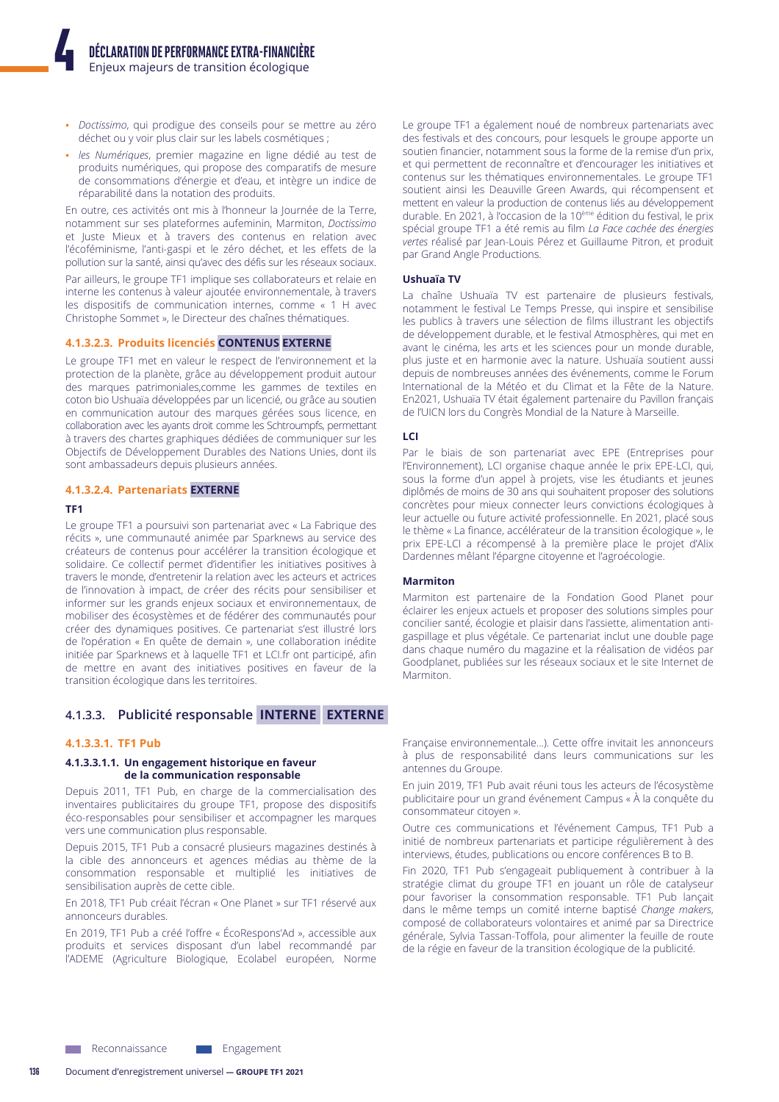- Doctissimo, qui prodigue des conseils pour se mettre au zéro déchet ou y voir plus clair sur les labels cosmétiques ;
- les Numériques, premier magazine en ligne dédié au test de produits numériques, qui propose des comparatifs de mesure de consommations d'énergie et d'eau, et intègre un indice de réparabilité dans la notation des produits.

En outre, ces activités ont mis à l'honneur la Journée de la Terre, notamment sur ses plateformes aufeminin, Marmiton, Doctissimo et Juste Mieux et à travers des contenus en relation avec l'écoféminisme, l'anti-gaspi et le zéro déchet, et les effets de la pollution sur la santé, ainsi qu'avec des défis sur les réseaux sociaux.

Par ailleurs, le groupe TF1 implique ses collaborateurs et relaie en interne les contenus à valeur ajoutée environnementale, à travers les dispositifs de communication internes, comme « 1 H avec Christophe Sommet », le Directeur des chaînes thématiques.

#### 4.1.3.2.3. Produits licenciés CONTENUS EXTERNE

Le groupe TF1 met en valeur le respect de l'environnement et la protection de la planète, grâce au développement produit autour des marques patrimoniales, comme les gammes de textiles en coton bio Ushuaïa développées par un licencié, ou grâce au soutien en communication autour des marques gérées sous licence, en collaboration avec les ayants droit comme les Schtroumpfs, permettant à travers des chartes graphiques dédiées de communiquer sur les Objectifs de Développement Durables des Nations Unies, dont ils sont ambassadeurs depuis plusieurs années.

#### 4.1.3.2.4. Partenariats EXTERNE

#### TF<sub>1</sub>

Le groupe TF1 a poursuivi son partenariat avec « La Fabrique des récits », une communauté animée par Sparknews au service des créateurs de contenus pour accélérer la transition écologique et solidaire. Ce collectif permet d'identifier les initiatives positives à travers le monde, d'entretenir la relation avec les acteurs et actrices de l'innovation à impact, de créer des récits pour sensibiliser et informer sur les grands enjeux sociaux et environnementaux, de mobiliser des écosystèmes et de fédérer des communautés pour créer des dynamiques positives. Ce partenariat s'est illustré lors de l'opération « En quête de demain », une collaboration inédite initiée par Sparknews et à laquelle TF1 et LCI.fr ont participé, afin de mettre en avant des initiatives positives en faveur de la transition écologique dans les territoires.

# 4.1.3.3. Publicité responsable INTERNE EXTERNE

# 4.1.3.3.1. TF1 Pub

#### 4.1.3.3.1.1. Un engagement historique en faveur de la communication responsable

Depuis 2011, TF1 Pub, en charge de la commercialisation des inventaires publicitaires du groupe TF1, propose des dispositifs éco-responsables pour sensibiliser et accompagner les marques vers une communication plus responsable.

Depuis 2015, TF1 Pub a consacré plusieurs magazines destinés à la cible des annonceurs et agences médias au thème de la consommation responsable et multiplié les initiatives de sensibilisation auprès de cette cible.

En 2018, TF1 Pub créait l'écran « One Planet » sur TF1 réservé aux annonceurs durables

En 2019, TF1 Pub a créé l'offre « ÉcoRespons'Ad », accessible aux produits et services disposant d'un label recommandé par l'ADEME (Agriculture Biologique, Ecolabel européen, Norme

Le groupe TF1 a également noué de nombreux partenariats avec des festivals et des concours, pour lesquels le groupe apporte un soutien financier, notamment sous la forme de la remise d'un prix, et qui permettent de reconnaître et d'encourager les initiatives et contenus sur les thématiques environnementales. Le groupe TF1 soutient ainsi les Deauville Green Awards, qui récompensent et mettent en valeur la production de contenus liés au développement durable. En 2021, à l'occasion de la 10<sup>ème</sup> édition du festival, le prix spécial groupe TF1 a été remis au film La Face cachée des énergies vertes réalisé par Jean-Louis Pérez et Guillaume Pitron, et produit par Grand Angle Productions.

#### **Ushuaïa TV**

La chaîne Ushuaïa TV est partenaire de plusieurs festivals, notamment le festival Le Temps Presse, qui inspire et sensibilise les publics à travers une sélection de films illustrant les objectifs de développement durable, et le festival Atmosphères, qui met en avant le cinéma, les arts et les sciences pour un monde durable, plus juste et en harmonie avec la nature. Ushuaïa soutient aussi depuis de nombreuses années des événements, comme le Forum International de la Météo et du Climat et la Fête de la Nature. En2021, Ushuaïa TV était également partenaire du Pavillon français de l'UICN lors du Congrès Mondial de la Nature à Marseille.

#### LCI

Par le biais de son partenariat avec EPE (Entreprises pour l'Environnement), LCI organise chaque année le prix EPE-LCI, qui, sous la forme d'un appel à projets, vise les étudiants et jeunes diplômés de moins de 30 ans qui souhaitent proposer des solutions concrètes pour mieux connecter leurs convictions écologiques à leur actuelle ou future activité professionnelle. En 2021, placé sous le thème « La finance, accélérateur de la transition écologique », le prix EPE-LCI a récompensé à la première place le projet d'Alix Dardennes mêlant l'épargne citoyenne et l'agroécologie.

#### **Marmiton**

Marmiton est partenaire de la Fondation Good Planet pour éclairer les enjeux actuels et proposer des solutions simples pour concilier santé, écologie et plaisir dans l'assiette, alimentation antigaspillage et plus végétale. Ce partenariat inclut une double page dans chaque numéro du magazine et la réalisation de vidéos par Goodplanet, publiées sur les réseaux sociaux et le site Internet de Marmiton.

Française environnementale...). Cette offre invitait les annonceurs à plus de responsabilité dans leurs communications sur les antennes du Groupe

En juin 2019, TF1 Pub avait réuni tous les acteurs de l'écosystème publicitaire pour un grand événement Campus « À la conquête du consommateur citoyen ».

Outre ces communications et l'événement Campus, TF1 Pub a initié de nombreux partenariats et participe régulièrement à des interviews, études, publications ou encore conférences B to B.

Fin 2020, TF1 Pub s'engageait publiquement à contribuer à la stratégie climat du groupe TF1 en jouant un rôle de catalyseur pour favoriser la consommation responsable. TF1 Pub lancait dans le même temps un comité interne baptisé Change makers, composé de collaborateurs volontaires et animé par sa Directrice générale, Sylvia Tassan-Toffola, pour alimenter la feuille de route de la régie en faveur de la transition écologique de la publicité.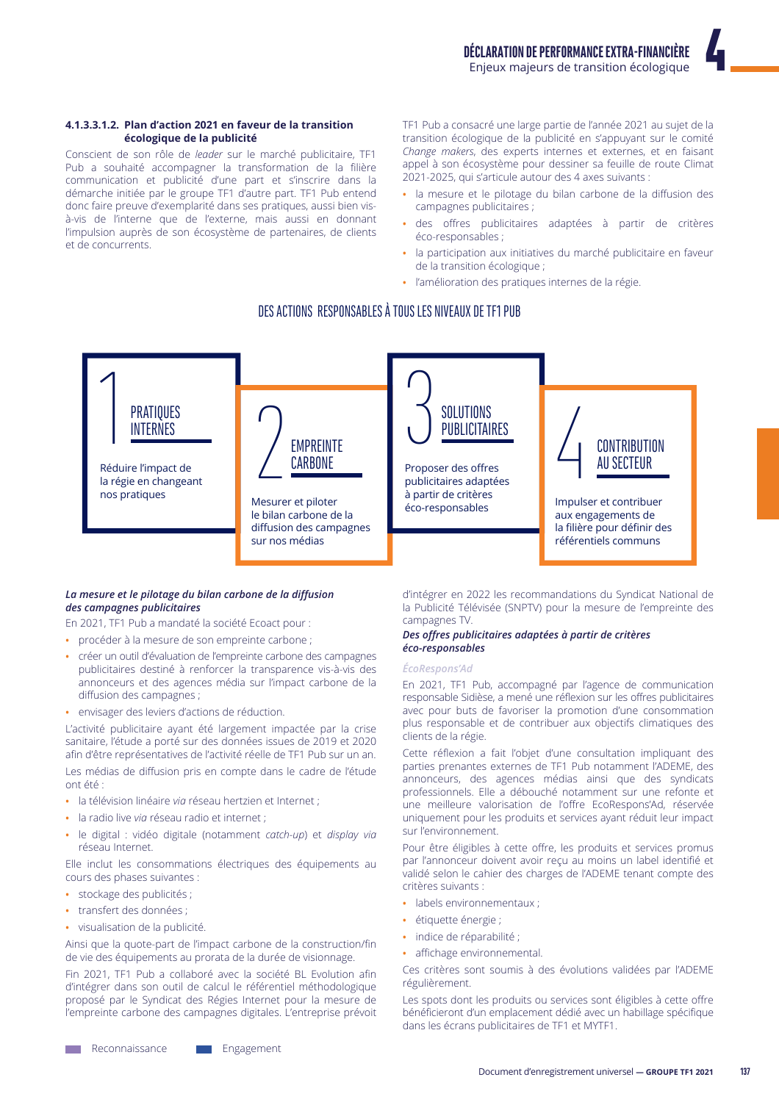#### 4.1.3.3.1.2. Plan d'action 2021 en faveur de la transition écologique de la publicité

Conscient de son rôle de leader sur le marché publicitaire. TF1 Pub a souhaité accompagner la transformation de la filière communication et publicité d'une part et s'inscrire dans la démarche initiée par le groupe TF1 d'autre part. TF1 Pub entend donc faire preuve d'exemplarité dans ses pratiques, aussi bien visà-vis de l'interne que de l'externe, mais aussi en donnant l'impulsion auprès de son écosystème de partenaires, de clients et de concurrents.

TF1 Pub a consacré une large partie de l'année 2021 au sujet de la transition écologique de la publicité en s'appuyant sur le comité Change makers, des experts internes et externes, et en faisant appel à son écosystème pour dessiner sa feuille de route Climat 2021-2025, qui s'articule autour des 4 axes suivants :

- · la mesure et le pilotage du bilan carbone de la diffusion des campagnes publicitaires;
- · des offres publicitaires adaptées à partir de critères éco-responsables ;
- la participation aux initiatives du marché publicitaire en faveur de la transition écologique ;
- · l'amélioration des pratiques internes de la régie.

# DES ACTIONS, RESPONSABLES À TOUS LES NIVEAUX DE TF1 PUB



#### La mesure et le pilotage du bilan carbone de la diffusion des campagnes publicitaires

En 2021, TF1 Pub a mandaté la société Ecoact pour :

- · procéder à la mesure de son empreinte carbone :
- · créer un outil d'évaluation de l'empreinte carbone des campagnes publicitaires destiné à renforcer la transparence vis-à-vis des annonceurs et des agences média sur l'impact carbone de la diffusion des campagnes ;
- · envisager des leviers d'actions de réduction.

L'activité publicitaire ayant été largement impactée par la crise sanitaire, l'étude a porté sur des données issues de 2019 et 2020 afin d'être représentatives de l'activité réelle de TF1 Pub sur un an.

Les médias de diffusion pris en compte dans le cadre de l'étude  $nnt$  átá ·

- la télévision linéaire vig réseau hertzien et Internet :
- · la radio live via réseau radio et internet ;
- · le digital : vidéo digitale (notamment catch-up) et display via réseau Internet.

Elle inclut les consommations électriques des équipements au cours des phases suivantes :

- stockage des publicités ;
- transfert des données ;
- · visualisation de la publicité.

Ainsi que la quote-part de l'impact carbone de la construction/fin de vie des équipements au prorata de la durée de visionnage.

Fin 2021, TF1 Pub a collaboré avec la société BL Evolution afin d'intégrer dans son outil de calcul le référentiel méthodologique proposé par le Syndicat des Régies Internet pour la mesure de l'empreinte carbone des campagnes digitales. L'entreprise prévoit

d'intégrer en 2022 les recommandations du Syndicat National de la Publicité Télévisée (SNPTV) pour la mesure de l'empreinte des campagnes TV.

#### Des offres publicitaires adaptées à partir de critères éco-responsables

#### ÉcoRespons'Ad

En 2021, TF1 Pub, accompagné par l'agence de communication responsable Sidièse, a mené une réflexion sur les offres publicitaires avec pour buts de favoriser la promotion d'une consommation plus responsable et de contribuer aux objectifs climatiques des clients de la régie.

Cette réflexion a fait l'objet d'une consultation impliquant des parties prenantes externes de TF1 Pub notamment l'ADEME, des annonceurs, des agences médias ainsi que des syndicats professionnels. Elle a débouché notamment sur une refonte et une meilleure valorisation de l'offre EcoRespons'Ad, réservée uniquement pour les produits et services ayant réduit leur impact sur l'environnement.

Pour être éligibles à cette offre, les produits et services promus par l'annonceur doivent avoir reçu au moins un label identifié et validé selon le cahier des charges de l'ADEME tenant compte des critères suivants :

- labels environnementaux;
- · étiquette énergie ;
- · indice de réparabilité ;
- · affichage environnemental.

Ces critères sont soumis à des évolutions validées par l'ADEME régulièrement.

Les spots dont les produits ou services sont éligibles à cette offre bénéficieront d'un emplacement dédié avec un habillage spécifique dans les écrans publicitaires de TF1 et MYTF1.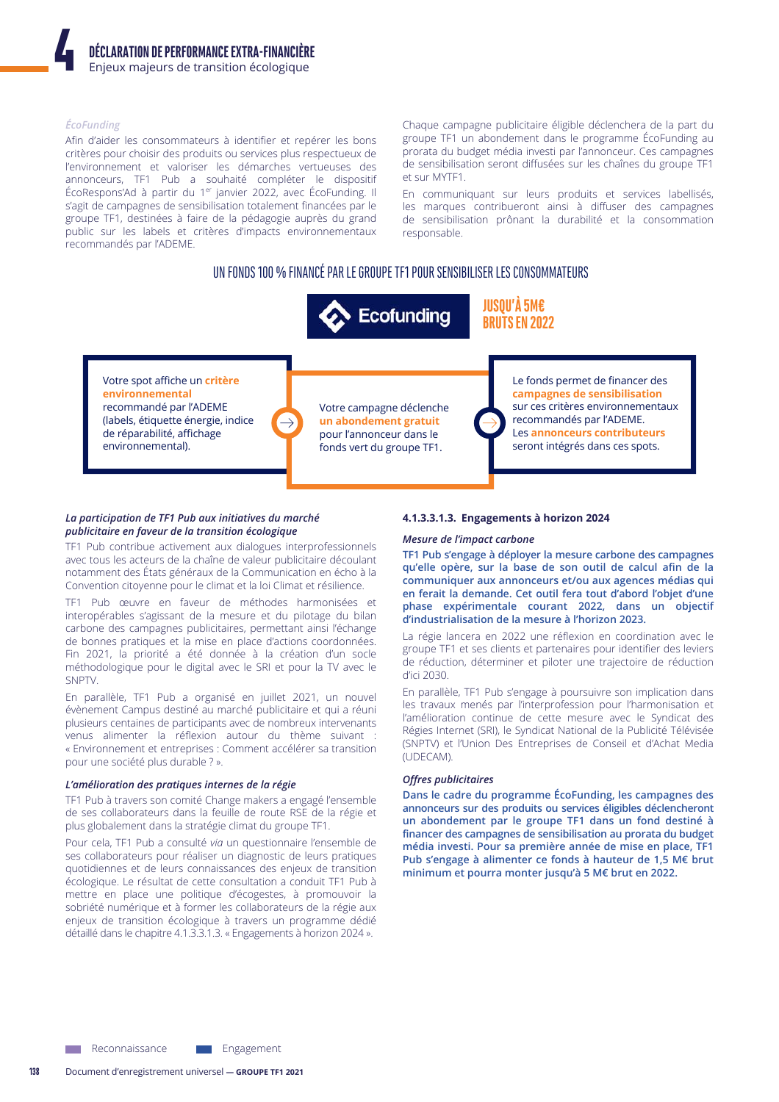#### ÉcoFunding

Afin d'aider les consommateurs à identifier et repérer les bons critères pour choisir des produits ou services plus respectueux de l'environnement et valoriser les démarches vertueuses des annonceurs, TF1 Pub a souhaité compléter le dispositif ÉcoRespons'Ad à partir du 1<sup>er</sup> janvier 2022, avec ÉcoFunding. Il s'agit de campagnes de sensibilisation totalement financées par le groupe TF1, destinées à faire de la pédagogie auprès du grand public sur les labels et critères d'impacts environnementaux recommandés par l'ADEME.

Chaque campagne publicitaire éligible déclenchera de la part du groupe TF1 un abondement dans le programme ÉcoFunding au prorata du budget média investi par l'annonceur. Ces campagnes de sensibilisation seront diffusées sur les chaînes du groupe TF1 et sur MYTF1.

En communiquant sur leurs produits et services labellisés, les marques contribueront ainsi à diffuser des campagnes de sensibilisation prônant la durabilité et la consommation responsable.

# UN FONDS 100 % FINANCÉ PAR LE GROUPE TF1 POUR SENSIBILISER LES CONSOMMATEURS



Votre spot affiche un critère environnemental recommandé par l'ADEME (labels, étiquette énergie, indice de réparabilité, affichage environnemental).

Votre campagne déclenche un abondement gratuit pour l'annonceur dans le fonds vert du groupe TF1.

Le fonds permet de financer des campagnes de sensibilisation sur ces critères environnementaux recommandés par l'ADEME. Les annonceurs contributeurs seront intégrés dans ces spots.

#### La participation de TF1 Pub aux initiatives du marché publicitaire en faveur de la transition écologique

TF1 Pub contribue activement aux dialogues interprofessionnels avec tous les acteurs de la chaîne de valeur publicitaire découlant notamment des États généraux de la Communication en écho à la Convention citoyenne pour le climat et la loi Climat et résilience.

TF1 Pub œuvre en faveur de méthodes harmonisées et interopérables s'agissant de la mesure et du pilotage du bilan carbone des campagnes publicitaires, permettant ainsi l'échange de bonnes pratiques et la mise en place d'actions coordonnées. Fin 2021, la priorité a été donnée à la création d'un socle méthodologique pour le digital avec le SRI et pour la TV avec le SNPTV.

En parallèle, TF1 Pub a organisé en juillet 2021, un nouvel évènement Campus destiné au marché publicitaire et qui a réuni plusieurs centaines de participants avec de nombreux intervenants venus alimenter la réflexion autour du thème suivant : « Environnement et entreprises : Comment accélérer sa transition pour une société plus durable ? ».

#### L'amélioration des pratiques internes de la régie

TF1 Pub à travers son comité Change makers a engagé l'ensemble de ses collaborateurs dans la feuille de route RSE de la régie et plus globalement dans la stratégie climat du groupe TF1.

Pour cela, TF1 Pub a consulté via un questionnaire l'ensemble de ses collaborateurs pour réaliser un diagnostic de leurs pratiques quotidiennes et de leurs connaissances des enjeux de transition écologique. Le résultat de cette consultation a conduit TF1 Pub à mettre en place une politique d'écogestes, à promouvoir la sobriété numérique et à former les collaborateurs de la régie aux enjeux de transition écologique à travers un programme dédié détaillé dans le chapitre 4.1.3.3.1.3. « Engagements à horizon 2024 ».

#### 4.1.3.3.1.3. Engagements à horizon 2024

#### Mesure de l'impact carbone

TF1 Pub s'engage à déployer la mesure carbone des campagnes qu'elle opère, sur la base de son outil de calcul afin de la communiquer aux annonceurs et/ou aux agences médias qui en ferait la demande. Cet outil fera tout d'abord l'objet d'une phase expérimentale courant 2022, dans un objectif d'industrialisation de la mesure à l'horizon 2023.

La régie lancera en 2022 une réflexion en coordination avec le groupe TF1 et ses clients et partenaires pour identifier des leviers de réduction, déterminer et piloter une trajectoire de réduction d'ici 2030

En parallèle, TF1 Pub s'engage à poursuivre son implication dans les travaux menés par l'interprofession pour l'harmonisation et l'amélioration continue de cette mesure avec le Syndicat des Régies Internet (SRI), le Syndicat National de la Publicité Télévisée (SNPTV) et l'Union Des Entreprises de Conseil et d'Achat Media (UDECAM).

# **Offres publicitaires**

Dans le cadre du programme ÉcoFunding, les campagnes des annonceurs sur des produits ou services éligibles déclencheront un abondement par le groupe TF1 dans un fond destiné à financer des campagnes de sensibilisation au prorata du budget média investi. Pour sa première année de mise en place, TF1 Pub s'engage à alimenter ce fonds à hauteur de 1,5 M€ brut minimum et pourra monter jusqu'à 5 M€ brut en 2022.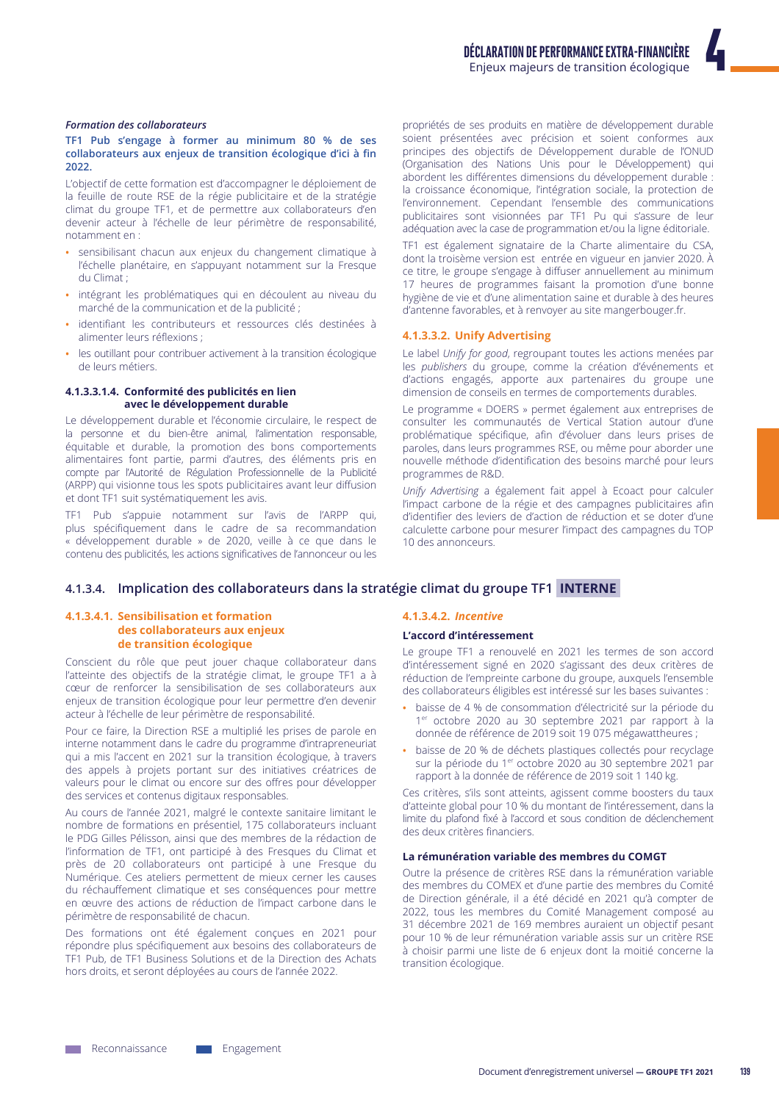#### **Formation des collaborateurs**

#### TF1 Pub s'engage à former au minimum 80 % de ses collaborateurs aux enjeux de transition écologique d'ici à fin 2022

L'objectif de cette formation est d'accompagner le déploiement de la feuille de route RSE de la régie publicitaire et de la stratégie climat du groupe TF1, et de permettre aux collaborateurs d'en devenir acteur à l'échelle de leur périmètre de responsabilité, notamment en :

- · sensibilisant chacun aux enjeux du changement climatique à l'échelle planétaire, en s'appuyant notamment sur la Fresque du Climat :
- intégrant les problématiques qui en découlent au niveau du marché de la communication et de la publicité ;
- identifiant les contributeurs et ressources clés destinées à alimenter leurs réflexions ;
- les outillant pour contribuer activement à la transition écologique  $\bullet$ de leurs métiers.

### 4.1.3.3.1.4. Conformité des publicités en lien avec le développement durable

Le développement durable et l'économie circulaire, le respect de la personne et du bien-être animal, l'alimentation responsable, équitable et durable, la promotion des bons comportements alimentaires font partie, parmi d'autres, des éléments pris en compte par l'Autorité de Régulation Professionnelle de la Publicité (ARPP) qui visionne tous les spots publicitaires avant leur diffusion et dont TF1 suit systématiquement les avis.

TF1 Pub s'appuie notamment sur l'avis de l'ARPP qui, plus spécifiquement dans le cadre de sa recommandation « développement durable » de 2020, veille à ce que dans le contenu des publicités, les actions significatives de l'annonceur ou les propriétés de ses produits en matière de développement durable soient présentées avec précision et soient conformes aux principes des objectifs de Développement durable de l'ONUD (Organisation des Nations Unis pour le Développement) qui abordent les différentes dimensions du développement durable : la croissance économique, l'intégration sociale, la protection de l'environnement. Cependant l'ensemble des communications publicitaires sont visionnées par TF1 Pu qui s'assure de leur adéquation avec la case de programmation et/ou la ligne éditoriale.

TF1 est également signataire de la Charte alimentaire du CSA, dont la troisème version est entrée en vigueur en janvier 2020. À ce titre, le groupe s'engage à diffuser annuellement au minimum 17 heures de programmes faisant la promotion d'une bonne hygiène de vie et d'une alimentation saine et durable à des heures d'antenne favorables, et à renvoyer au site mangerbouger.fr.

#### 4.1.3.3.2. Unify Advertising

Le label Unify for good, regroupant toutes les actions menées par les publishers du groupe, comme la création d'événements et d'actions engagés, apporte aux partenaires du groupe une dimension de conseils en termes de comportements durables.

Le programme « DOERS » permet également aux entreprises de consulter les communautés de Vertical Station autour d'une problématique spécifique, afin d'évoluer dans leurs prises de paroles, dans leurs programmes RSE, ou même pour aborder une nouvelle méthode d'identification des besoins marché pour leurs programmes de R&D.

Unify Advertising a également fait appel à Ecoact pour calculer l'impact carbone de la régie et des campagnes publicitaires afin d'identifier des leviers de d'action de réduction et se doter d'une calculette carbone pour mesurer l'impact des campagnes du TOP 10 des annonceurs.

# 4.1.3.4. Implication des collaborateurs dans la stratégie climat du groupe TF1 INTERNE

#### 4.1.3.4.1. Sensibilisation et formation des collaborateurs aux enjeux de transition écologique

Conscient du rôle que peut jouer chaque collaborateur dans l'atteinte des objectifs de la stratégie climat, le groupe TF1 a à cœur de renforcer la sensibilisation de ses collaborateurs aux enjeux de transition écologique pour leur permettre d'en devenir acteur à l'échelle de leur périmètre de responsabilité.

Pour ce faire, la Direction RSE a multiplié les prises de parole en interne notamment dans le cadre du programme d'intrapreneuriat qui a mis l'accent en 2021 sur la transition écologique, à travers des appels à projets portant sur des initiatives créatrices de valeurs pour le climat ou encore sur des offres pour développer des services et contenus digitaux responsables.

Au cours de l'année 2021, malgré le contexte sanitaire limitant le nombre de formations en présentiel, 175 collaborateurs incluant le PDG Gilles Pélisson, ainsi que des membres de la rédaction de l'information de TF1, ont participé à des Fresques du Climat et près de 20 collaborateurs ont participé à une Fresque du Numérique. Ces ateliers permettent de mieux cerner les causes du réchauffement climatique et ses conséquences pour mettre en œuvre des actions de réduction de l'impact carbone dans le périmètre de responsabilité de chacun.

Des formations ont été également conçues en 2021 pour répondre plus spécifiquement aux besoins des collaborateurs de TF1 Pub, de TF1 Business Solutions et de la Direction des Achats hors droits, et seront déployées au cours de l'année 2022.

#### 4.1.3.4.2. Incentive

#### L'accord d'intéressement

Le groupe TF1 a renouvelé en 2021 les termes de son accord d'intéressement signé en 2020 s'agissant des deux critères de réduction de l'empreinte carbone du groupe, auxquels l'ensemble des collaborateurs éligibles est intéressé sur les bases suivantes :

- · baisse de 4 % de consommation d'électricité sur la période du 1er octobre 2020 au 30 septembre 2021 par rapport à la donnée de référence de 2019 soit 19 075 mégawattheures ;
- · baisse de 20 % de déchets plastiques collectés pour recyclage sur la période du 1<sup>er</sup> octobre 2020 au 30 septembre 2021 par rapport à la donnée de référence de 2019 soit 1 140 kg.

Ces critères, s'ils sont atteints, agissent comme boosters du taux d'atteinte global pour 10 % du montant de l'intéressement, dans la limite du plafond fixé à l'accord et sous condition de déclenchement des deux critères financiers.

### La rémunération variable des membres du COMGT

Outre la présence de critères RSE dans la rémunération variable des membres du COMEX et d'une partie des membres du Comité de Direction générale, il a été décidé en 2021 qu'à compter de 2022, tous les membres du Comité Management composé au 31 décembre 2021 de 169 membres auraient un objectif pesant pour 10 % de leur rémunération variable assis sur un critère RSE à choisir parmi une liste de 6 enjeux dont la moitié concerne la transition écologique.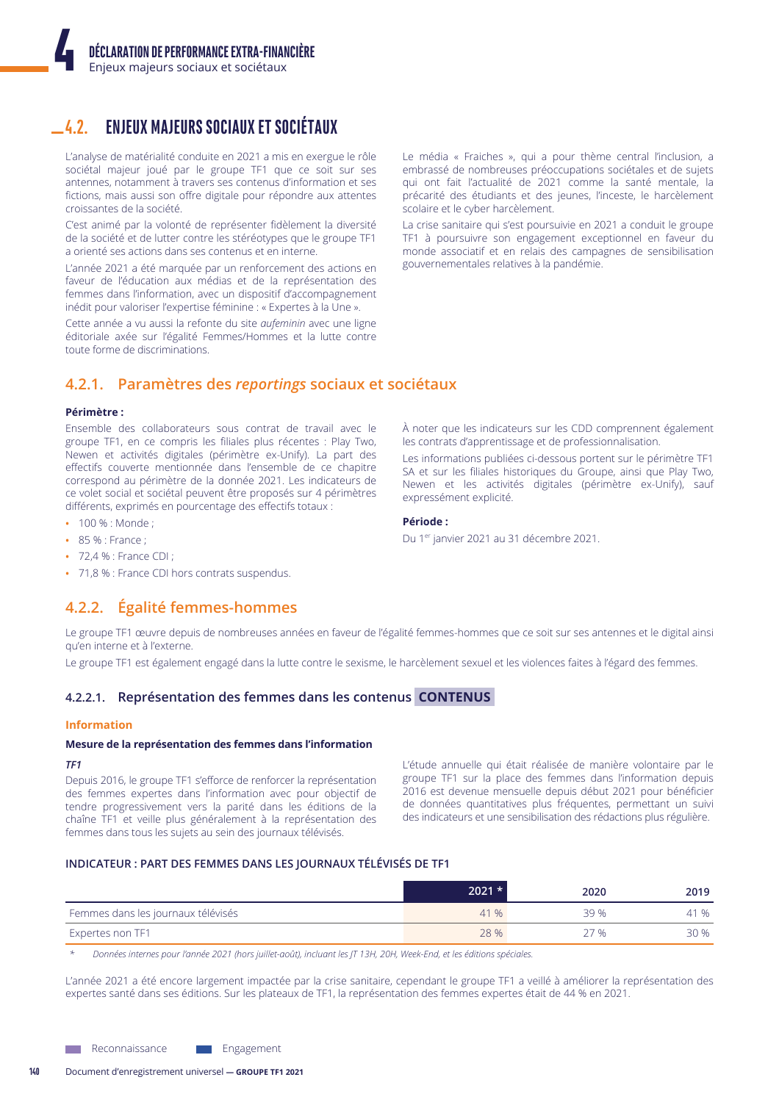#### **ENJEUX MAJEURS SOCIAUX ET SOCIÉTAUX**  $4.2.$

L'analyse de matérialité conduite en 2021 a mis en exergue le rôle sociétal majeur joué par le groupe TF1 que ce soit sur ses antennes, notamment à travers ses contenus d'information et ses fictions, mais aussi son offre digitale pour répondre aux attentes croissantes de la société.

C'est animé par la volonté de représenter fidèlement la diversité de la société et de lutter contre les stéréotypes que le groupe TF1 a orienté ses actions dans ses contenus et en interne.

L'année 2021 a été marquée par un renforcement des actions en faveur de l'éducation aux médias et de la représentation des femmes dans l'information, avec un dispositif d'accompagnement inédit pour valoriser l'expertise féminine : « Expertes à la Une ».

Cette année a vu aussi la refonte du site *aufeminin* avec une ligne éditoriale axée sur l'égalité Femmes/Hommes et la lutte contre toute forme de discriminations.

Le média « Fraiches », qui a pour thème central l'inclusion, a embrassé de nombreuses préoccupations sociétales et de sujets qui ont fait l'actualité de 2021 comme la santé mentale, la précarité des étudiants et des jeunes, l'inceste, le harcèlement scolaire et le cyber harcèlement.

La crise sanitaire qui s'est poursuivie en 2021 a conduit le groupe TF1 à poursuivre son engagement exceptionnel en faveur du monde associatif et en relais des campagnes de sensibilisation gouvernementales relatives à la pandémie.

À noter que les indicateurs sur les CDD comprennent également

Les informations publiées ci-dessous portent sur le périmètre TF1

SA et sur les filiales historiques du Groupe, ainsi que Play Two,

Newen et les activités digitales (périmètre ex-Unify), sauf

les contrats d'apprentissage et de professionnalisation.

Du 1<sup>er</sup> janvier 2021 au 31 décembre 2021.

expressément explicité.

Période:

# 4.2.1. Paramètres des reportings sociaux et sociétaux

# Périmètre :

Ensemble des collaborateurs sous contrat de travail avec le groupe TF1, en ce compris les filiales plus récentes : Play Two, Newen et activités digitales (périmètre ex-Unify). La part des effectifs couverte mentionnée dans l'ensemble de ce chapitre correspond au périmètre de la donnée 2021. Les indicateurs de ce volet social et sociétal peuvent être proposés sur 4 périmètres différents, exprimés en pourcentage des effectifs totaux :

- 100 % : Monde ;
- $\cdot$  85% : France :
- 72,4 % : France CDI ;
- 71,8 % : France CDI hors contrats suspendus.

# 4.2.2. Égalité femmes-hommes

Le groupe TF1 œuvre depuis de nombreuses années en faveur de l'égalité femmes-hommes que ce soit sur ses antennes et le digital ainsi qu'en interne et à l'externe.

Le groupe TF1 est également engagé dans la lutte contre le sexisme, le harcèlement sexuel et les violences faites à l'égard des femmes.

# 4.2.2.1. Représentation des femmes dans les contenus CONTENUS

# **Information**

#### Mesure de la représentation des femmes dans l'information

# TF1

Depuis 2016, le groupe TF1 s'efforce de renforcer la représentation des femmes expertes dans l'information avec pour objectif de tendre progressivement vers la parité dans les éditions de la chaîne TF1 et veille plus généralement à la représentation des femmes dans tous les sujets au sein des journaux télévisés.

L'étude annuelle qui était réalisée de manière volontaire par le groupe TF1 sur la place des femmes dans l'information depuis 2016 est devenue mensuelle depuis début 2021 pour bénéficier de données quantitatives plus fréquentes, permettant un suivi des indicateurs et une sensibilisation des rédactions plus régulière.

# INDICATEUR : PART DES FEMMES DANS LES JOURNAUX TÉLÉVISÉS DE TF1

|                                    | $2021 *$ | 2020 | 2019 |
|------------------------------------|----------|------|------|
| Femmes dans les journaux télévisés | 41 %     | 39 % | 41 % |
| Expertes non TF1                   | 28 %     | ን7 % | 30 % |

Données internes pour l'année 2021 (hors juillet-août), incluant les JT 13H, 20H, Week-End, et les éditions spéciales.

L'année 2021 a été encore largement impactée par la crise sanitaire, cependant le groupe TF1 a veillé à améliorer la représentation des expertes santé dans ses éditions. Sur les plateaux de TF1, la représentation des femmes expertes était de 44 % en 2021.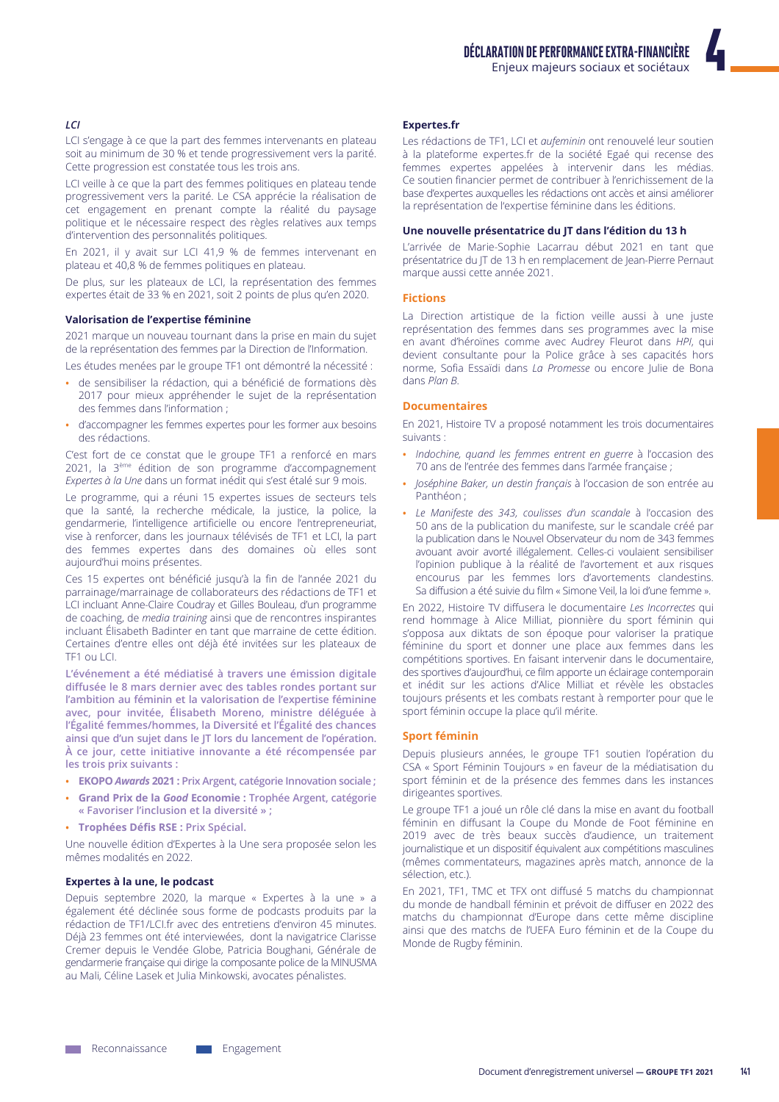# LCI

LCI s'engage à ce que la part des femmes intervenants en plateau soit au minimum de 30 % et tende progressivement vers la parité. Cette progression est constatée tous les trois ans.

LCI veille à ce que la part des femmes politiques en plateau tende progressivement vers la parité. Le CSA apprécie la réalisation de cet engagement en prenant compte la réalité du paysage politique et le nécessaire respect des règles relatives aux temps d'intervention des personnalités politiques.

En 2021, il y avait sur LCI 41,9 % de femmes intervenant en plateau et 40,8 % de femmes politiques en plateau.

De plus, sur les plateaux de LCI, la représentation des femmes expertes était de 33 % en 2021, soit 2 points de plus qu'en 2020.

# Valorisation de l'expertise féminine

2021 marque un nouveau tournant dans la prise en main du sujet de la représentation des femmes par la Direction de l'Information.

Les études menées par le groupe TF1 ont démontré la nécessité :

- de sensibiliser la rédaction, qui a bénéficié de formations dès 2017 pour mieux appréhender le sujet de la représentation des femmes dans l'information;
- d'accompagner les femmes expertes pour les former aux besoins des rédactions

C'est fort de ce constat que le groupe TF1 a renforcé en mars 2021, la 3ème édition de son programme d'accompagnement Expertes à la Une dans un format inédit qui s'est étalé sur 9 mois.

Le programme, qui a réuni 15 expertes issues de secteurs tels que la santé, la recherche médicale, la justice, la police, la gendarmerie, l'intelligence artificielle ou encore l'entrepreneuriat, vise à renforcer, dans les journaux télévisés de TF1 et LCI, la part des femmes expertes dans des domaines où elles sont aujourd'hui moins présentes.

Ces 15 expertes ont bénéficié jusqu'à la fin de l'année 2021 du parrainage/marrainage de collaborateurs des rédactions de TF1 et LCI incluant Anne-Claire Coudray et Gilles Bouleau, d'un programme de coaching, de media training ainsi que de rencontres inspirantes incluant Élisabeth Badinter en tant que marraine de cette édition. Certaines d'entre elles ont déjà été invitées sur les plateaux de TF1 ou LCI.

L'événement a été médiatisé à travers une émission digitale diffusée le 8 mars dernier avec des tables rondes portant sur l'ambition au féminin et la valorisation de l'expertise féminine avec, pour invitée, Élisabeth Moreno, ministre déléguée à l'Égalité femmes/hommes, la Diversité et l'Égalité des chances ainsi que d'un sujet dans le JT lors du lancement de l'opération. À ce jour, cette initiative innovante a été récompensée par les trois prix suivants :

- EKOPO Awards 2021 : Prix Argent, catégorie Innovation sociale ;
- Grand Prix de la Good Economie : Trophée Argent, catégorie « Favoriser l'inclusion et la diversité » :
- Trophées Défis RSE : Prix Spécial.

Une nouvelle édition d'Expertes à la Une sera proposée selon les mêmes modalités en 2022.

#### Expertes à la une, le podcast

Depuis septembre 2020, la marque « Expertes à la une » a également été déclinée sous forme de podcasts produits par la rédaction de TF1/LCI.fr avec des entretiens d'environ 45 minutes. Déjà 23 femmes ont été interviewées, dont la navigatrice Clarisse Cremer depuis le Vendée Globe, Patricia Boughani, Générale de gendarmerie française qui dirige la composante police de la MINUSMA au Mali, Céline Lasek et Julia Minkowski, avocates pénalistes.

#### **Expertes.fr**

Les rédactions de TF1, LCI et aufeminin ont renouvelé leur soutien à la plateforme expertes.fr de la société Egaé qui recense des femmes expertes appelées à intervenir dans les médias. Ce soutien financier permet de contribuer à l'enrichissement de la base d'expertes auxquelles les rédactions ont accès et ainsi améliorer la représentation de l'expertise féminine dans les éditions.

#### Une nouvelle présentatrice du JT dans l'édition du 13 h

L'arrivée de Marie-Sophie Lacarrau début 2021 en tant que présentatrice du JT de 13 h en remplacement de Jean-Pierre Pernaut marque aussi cette année 2021.

#### **Fictions**

La Direction artistique de la fiction veille aussi à une juste représentation des femmes dans ses programmes avec la mise en avant d'héroïnes comme avec Audrey Fleurot dans HPI, qui devient consultante pour la Police grâce à ses capacités hors norme, Sofia Essaïdi dans La Promesse ou encore Julie de Bona dans Plan B.

#### **Documentaires**

En 2021, Histoire TV a proposé notamment les trois documentaires suivants:

- · Indochine, quand les femmes entrent en guerre à l'occasion des 70 ans de l'entrée des femmes dans l'armée française ;
- Joséphine Baker, un destin français à l'occasion de son entrée au Panthéon:
- Le Manifeste des 343, coulisses d'un scandale à l'occasion des 50 ans de la publication du manifeste sur le scandale créé par la publication dans le Nouvel Observateur du nom de 343 femmes avouant avoir avorté illégalement. Celles-ci voulaient sensibiliser l'opinion publique à la réalité de l'avortement et aux risques encourus par les femmes lors d'avortements clandestins. Sa diffusion a été suivie du film « Simone Veil, la loi d'une femme ».

En 2022, Histoire TV diffusera le documentaire Les Incorrectes qui rend hommage à Alice Milliat, pionnière du sport féminin qui s'opposa aux diktats de son époque pour valoriser la pratique féminine du sport et donner une place aux femmes dans les compétitions sportives. En faisant intervenir dans le documentaire, des sportives d'aujourd'hui, ce film apporte un éclairage contemporain et inédit sur les actions d'Alice Milliat et révèle les obstacles toujours présents et les combats restant à remporter pour que le sport féminin occupe la place qu'il mérite.

#### **Sport féminin**

Depuis plusieurs années, le groupe TF1 soutien l'opération du CSA « Sport Féminin Toujours » en faveur de la médiatisation du sport féminin et de la présence des femmes dans les instances dirigeantes sportives.

Le groupe TF1 a joué un rôle clé dans la mise en avant du football féminin en diffusant la Coupe du Monde de Foot féminine en 2019 avec de très beaux succès d'audience, un traitement journalistique et un dispositif équivalent aux compétitions masculines (mêmes commentateurs, magazines après match, annonce de la sélection, etc.).

En 2021, TF1, TMC et TFX ont diffusé 5 matchs du championnat du monde de handball féminin et prévoit de diffuser en 2022 des matchs du championnat d'Europe dans cette même discipline ainsi que des matchs de l'UEFA Euro féminin et de la Coupe du Monde de Rugby féminin.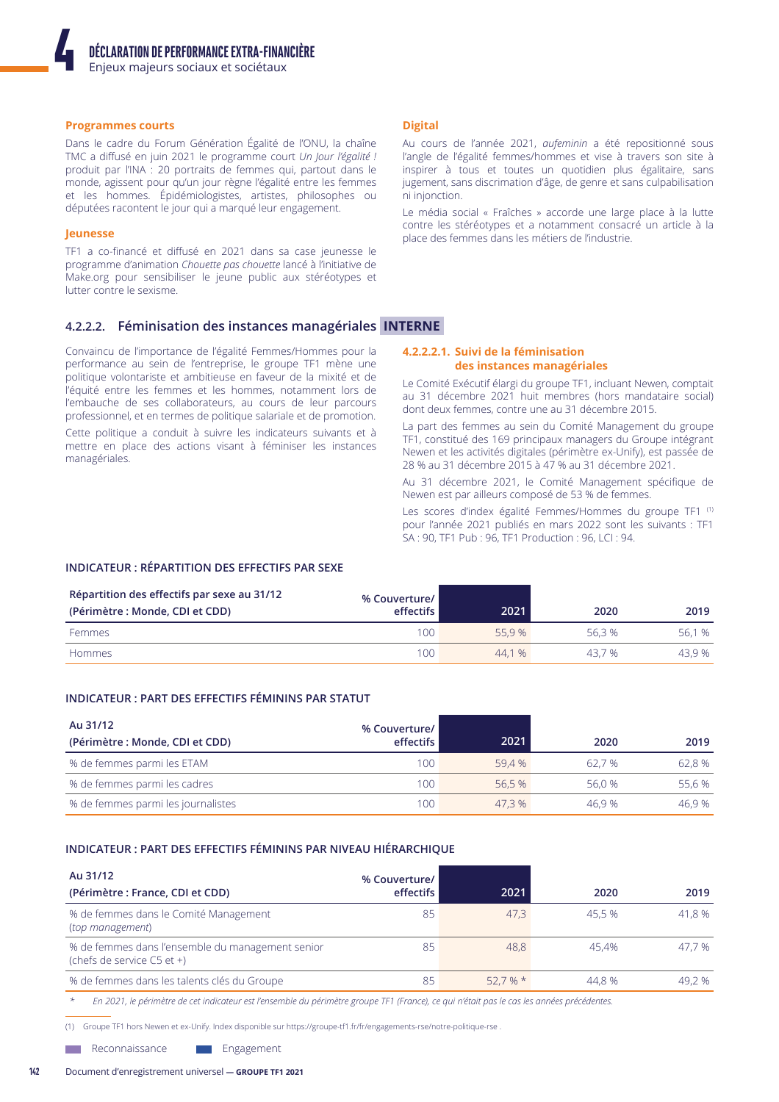#### **Programmes courts**

Dans le cadre du Forum Génération Égalité de l'ONU, la chaîne TMC a diffusé en juin 2021 le programme court Un Jour l'égalité ! produit par l'INA : 20 portraits de femmes qui, partout dans le monde, agissent pour qu'un jour règne l'égalité entre les femmes et les hommes. Épidémiologistes, artistes, philosophes ou députées racontent le jour qui a marqué leur engagement.

#### Jeunesse

TF1 a co-financé et diffusé en 2021 dans sa case jeunesse le programme d'animation Chouette pas chouette lancé à l'initiative de Make.org pour sensibiliser le jeune public aux stéréotypes et lutter contre le sexisme.

# 4.2.2.2. Féminisation des instances managériales INTERNE

Convaincu de l'importance de l'égalité Femmes/Hommes pour la performance au sein de l'entreprise, le groupe TF1 mène une politique volontariste et ambitieuse en faveur de la mixité et de l'équité entre les femmes et les hommes, notamment lors de l'embauche de ses collaborateurs, au cours de leur parcours professionnel, et en termes de politique salariale et de promotion.

Cette politique a conduit à suivre les indicateurs suivants et à mettre en place des actions visant à féminiser les instances managériales.

### **Digital**

Au cours de l'année 2021, *aufeminin* a été repositionné sous l'angle de l'égalité femmes/hommes et vise à travers son site à inspirer à tous et toutes un quotidien plus égalitaire, sans jugement, sans discrimation d'âge, de genre et sans culpabilisation ni injonction.

Le média social « Fraîches » accorde une large place à la lutte contre les stéréotypes et a notamment consacré un article à la place des femmes dans les métiers de l'industrie.

#### 4.2.2.2.1. Suivi de la féminisation des instances managériales

Le Comité Exécutif élargi du groupe TF1, incluant Newen, comptait au 31 décembre 2021 huit membres (hors mandataire social) dont deux femmes, contre une au 31 décembre 2015.

La part des femmes au sein du Comité Management du groupe TF1, constitué des 169 principaux managers du Groupe intégrant Newen et les activités digitales (périmètre ex-Unify), est passée de 28 % au 31 décembre 2015 à 47 % au 31 décembre 2021.

Au 31 décembre 2021, le Comité Management spécifique de Newen est par ailleurs composé de 53 % de femmes.

Les scores d'index égalité Femmes/Hommes du groupe TF1<sup>(1)</sup> pour l'année 2021 publiés en mars 2022 sont les suivants : TF1 SA: 90, TF1 Pub: 96, TF1 Production: 96, LCI: 94.

# **INDICATEUR: RÉPARTITION DES EFFECTIFS PAR SEXE**

| Répartition des effectifs par sexe au 31/12<br>(Périmètre : Monde, CDI et CDD) | % Couverture/<br>effectifs | 2021   | 2020   | 2019   |
|--------------------------------------------------------------------------------|----------------------------|--------|--------|--------|
| Femmes                                                                         | 100                        | 55.9 % | 56.3 % | 56.1 % |
| Hommes                                                                         | 100                        | 44.1%  | 43.7%  | 43.9 % |

# INDICATEUR : PART DES EFFECTIFS FÉMININS PAR STATUT

| Au 31/12<br>(Périmètre : Monde, CDI et CDD) | % Couverture/<br>effectifs | 2021   | 2020   | 2019   |
|---------------------------------------------|----------------------------|--------|--------|--------|
| % de femmes parmi les ETAM                  | 100                        | 59.4 % | 62.7 % | 62.8 % |
| % de femmes parmi les cadres                | 100                        | 56.5 % | 56.0 % | 55.6 % |
| % de femmes parmi les journalistes          | 100                        | 47.3 % | 46.9 % | 46.9 % |

#### INDICATEUR : PART DES EFFECTIFS FÉMININS PAR NIVEAU HIÉRARCHIQUE

| Au 31/12<br>(Périmètre : France, CDI et CDD)                                   | % Couverture/<br>effectifs | 2021  | 2020   | 2019   |
|--------------------------------------------------------------------------------|----------------------------|-------|--------|--------|
| % de femmes dans le Comité Management<br>(top management)                      | 85                         | 47.3  | 45.5 % | 41.8 % |
| % de femmes dans l'ensemble du management senior<br>(chefs de service C5 et +) | 85                         | 48.8  | 45.4%  | 47.7 % |
| % de femmes dans les talents clés du Groupe                                    | 85                         | 52.7% | 44.8 % | 49.2 % |

En 2021, le périmètre de cet indicateur est l'ensemble du périmètre groupe TF1 (France), ce qui n'était pas le cas les années précédentes.

(1) Groupe TF1 hors Newen et ex-Unify. Index disponible sur https://groupe-tf1.fr/fr/engagements-rse/notre-politique-rse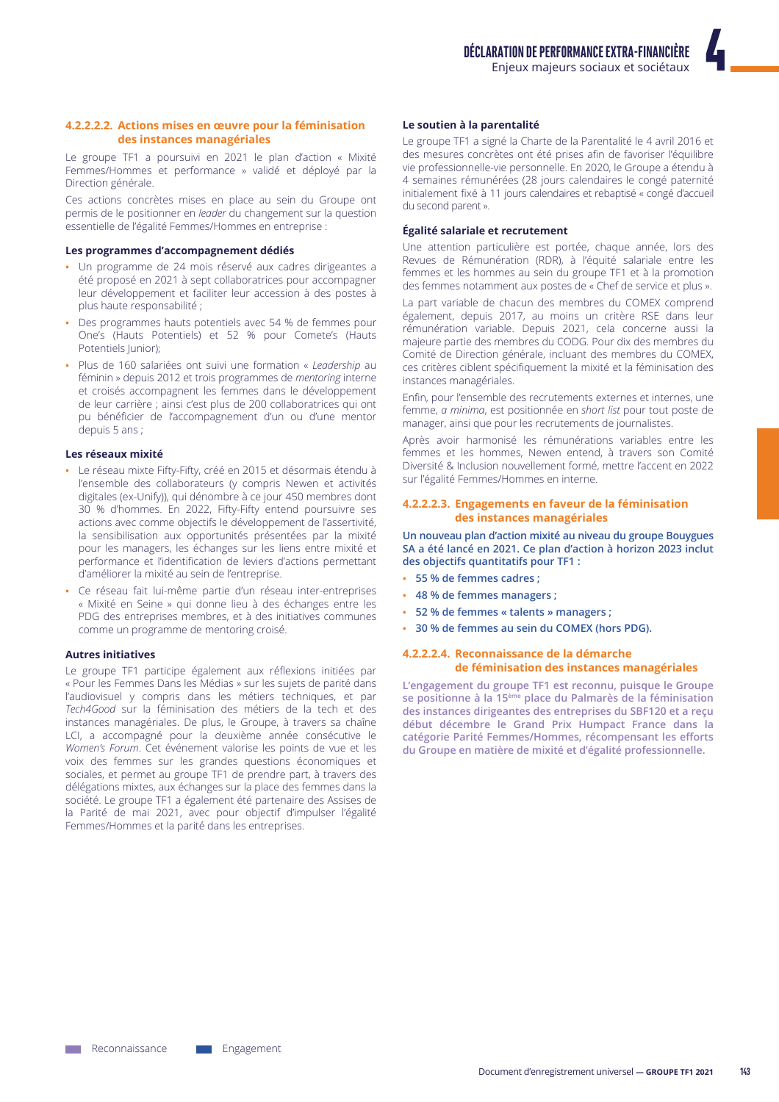#### 4.2.2.2.2. Actions mises en œuvre pour la féminisation des instances managériales

Le groupe TF1 a poursuivi en 2021 le plan d'action « Mixité Femmes/Hommes et performance » validé et déployé par la Direction générale.

Ces actions concrètes mises en place au sein du Groupe ont permis de le positionner en leader du changement sur la question essentielle de l'égalité Femmes/Hommes en entreprise :

#### Les programmes d'accompagnement dédiés

- · Un programme de 24 mois réservé aux cadres dirigeantes a été proposé en 2021 à sept collaboratrices pour accompagner leur développement et faciliter leur accession à des postes à plus haute responsabilité ;
- Des programmes hauts potentiels avec 54 % de femmes pour One's (Hauts Potentiels) et 52 % pour Comete's (Hauts Potentiels lunior):
- Plus de 160 salariées ont suivi une formation « Leadership au féminin » depuis 2012 et trois programmes de mentoring interne et croisés accompagnent les femmes dans le développement de leur carrière ; ainsi c'est plus de 200 collaboratrices qui ont pu bénéficier de l'accompagnement d'un ou d'une mentor depuis 5 ans;

#### Les réseaux mixité

- Le réseau mixte Fifty-Fifty, créé en 2015 et désormais étendu à l'ensemble des collaborateurs (y compris Newen et activités digitales (ex-Unify)), qui dénombre à ce jour 450 membres dont 30 % d'hommes. En 2022, Fifty-Fifty entend poursuivre ses actions avec comme objectifs le développement de l'assertivité, la sensibilisation aux opportunités présentées par la mixité pour les managers, les échanges sur les liens entre mixité et performance et l'identification de leviers d'actions permettant d'améliorer la mixité au sein de l'entreprise.
- · Ce réseau fait lui-même partie d'un réseau inter-entreprises « Mixité en Seine » qui donne lieu à des échanges entre les PDG des entreprises membres, et à des initiatives communes comme un programme de mentoring croisé.

### **Autres initiatives**

Le groupe TF1 participe également aux réflexions initiées par « Pour les Femmes Dans les Médias » sur les sujets de parité dans l'audiovisuel y compris dans les métiers techniques, et par Tech4Good sur la féminisation des métiers de la tech et des instances managériales. De plus, le Groupe, à travers sa chaîne LCI, a accompagné pour la deuxième année consécutive le Women's Forum. Cet événement valorise les points de vue et les voix des femmes sur les grandes questions économiques et sociales, et permet au groupe TF1 de prendre part, à travers des délégations mixtes, aux échanges sur la place des femmes dans la société. Le groupe TF1 a également été partenaire des Assises de la Parité de mai 2021, avec pour objectif d'impulser l'égalité Femmes/Hommes et la parité dans les entreprises.

#### Le soutien à la parentalité

Le groupe TF1 a signé la Charte de la Parentalité le 4 avril 2016 et des mesures concrètes ont été prises afin de favoriser l'équilibre vie professionnelle-vie personnelle. En 2020, le Groupe a étendu à 4 semaines rémunérées (28 jours calendaires le congé paternité initialement fixé à 11 jours calendaires et rebaptisé « congé d'accueil du second parent ».

#### Égalité salariale et recrutement

Une attention particulière est portée, chaque année, lors des Revues de Rémunération (RDR), à l'équité salariale entre les femmes et les hommes au sein du groupe TF1 et à la promotion des femmes notamment aux postes de « Chef de service et plus ».

La part variable de chacun des membres du COMEX comprend également, depuis 2017, au moins un critère RSE dans leur rémunération variable. Depuis 2021, cela concerne aussi la majeure partie des membres du CODG. Pour dix des membres du Comité de Direction générale, incluant des membres du COMEX, ces critères ciblent spécifiquement la mixité et la féminisation des instances managériales.

Enfin, pour l'ensemble des recrutements externes et internes, une femme, a minima, est positionnée en short list pour tout poste de manager, ainsi que pour les recrutements de journalistes.

Après avoir harmonisé les rémunérations variables entre les femmes et les hommes, Newen entend, à travers son Comité Diversité & Inclusion nouvellement formé, mettre l'accent en 2022 sur l'égalité Femmes/Hommes en interne.

#### 4.2.2.2.3. Engagements en faveur de la féminisation des instances managériales

Un nouveau plan d'action mixité au niveau du groupe Bouygues SA a été lancé en 2021. Ce plan d'action à horizon 2023 inclut des objectifs quantitatifs pour TF1 :

- 55 % de femmes cadres ;
- 48 % de femmes managers ;
- 52 % de femmes « talents » managers ;
- 30 % de femmes au sein du COMEX (hors PDG).

#### 4.2.2.2.4. Reconnaissance de la démarche de féminisation des instances managériales

L'engagement du groupe TF1 est reconnu, puisque le Groupe se positionne à la 15<sup>ème</sup> place du Palmarès de la féminisation des instances dirigeantes des entreprises du SBF120 et a reçu début décembre le Grand Prix Humpact France dans la catégorie Parité Femmes/Hommes, récompensant les efforts du Groupe en matière de mixité et d'égalité professionnelle.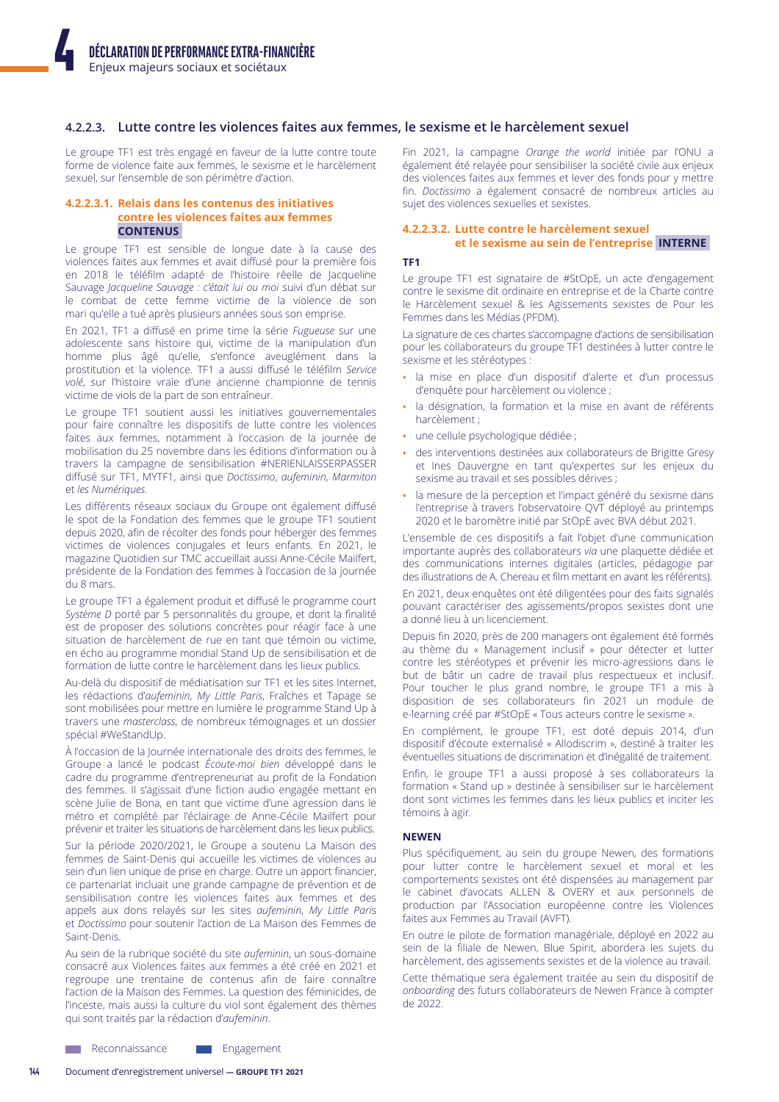# 4.2.2.3. Lutte contre les violences faites aux femmes, le sexisme et le harcèlement sexuel

Le groupe TF1 est très engagé en faveur de la lutte contre toute forme de violence faite aux femmes, le sexisme et le harcèlement sexuel, sur l'ensemble de son périmètre d'action.

#### 4.2.2.3.1. Relais dans les contenus des initiatives contre les violences faites aux femmes **CONTENUS**

Le groupe TF1 est sensible de longue date à la cause des violences faites aux femmes et avait diffusé pour la première fois en 2018 le téléfilm adapté de l'histoire réelle de Jacqueline Sauvage Jacqueline Sauvage : c'était lui ou moi suivi d'un débat sur le combat de cette femme victime de la violence de son mari qu'elle a tué après plusieurs années sous son emprise.

En 2021, TF1 a diffusé en prime time la série Fugueuse sur une adolescente sans histoire qui, victime de la manipulation d'un homme plus âgé qu'elle, s'enfonce aveuglément dans la prostitution et la violence. TF1 a aussi diffusé le téléfilm Service volé, sur l'histoire vraie d'une ancienne championne de tennis victime de viols de la part de son entraîneur.

Le groupe TF1 soutient aussi les initiatives gouvernementales pour faire connaître les dispositifs de lutte contre les violences faites aux femmes, notamment à l'occasion de la journée de mobilisation du 25 novembre dans les éditions d'information ou à travers la campagne de sensibilisation #NERIENLAISSERPASSER diffusé sur TF1, MYTF1, ainsi que Doctissimo, aufeminin, Marmiton et les Numériques.

Les différents réseaux sociaux du Groupe ont également diffusé le spot de la Fondation des femmes que le groupe TF1 soutient depuis 2020, afin de récolter des fonds pour héberger des femmes victimes de violences conjugales et leurs enfants. En 2021, le magazine Quotidien sur TMC accueillait aussi Anne-Cécile Mailfert, présidente de la Fondation des femmes à l'occasion de la journée du 8 mars

Le groupe TF1 a également produit et diffusé le programme court Système D porté par 5 personnalités du groupe, et dont la finalité est de proposer des solutions concrètes pour réagir face à une situation de harcèlement de rue en tant que témoin ou victime, en écho au programme mondial Stand Up de sensibilisation et de formation de lutte contre le harcèlement dans les lieux publics.

Au-delà du dispositif de médiatisation sur TF1 et les sites Internet, les rédactions d'aufeminin, My Little Paris, Fraîches et Tapage se sont mobilisées pour mettre en lumière le programme Stand Up à travers une masterclass, de nombreux témoignages et un dossier spécial #WeStandUp.

À l'occasion de la Journée internationale des droits des femmes, le Groupe a lancé le podcast Écoute-moi bien développé dans le cadre du programme d'entrepreneuriat au profit de la Fondation des femmes. Il s'agissait d'une fiction audio engagée mettant en scène Julie de Bona, en tant que victime d'une agression dans le métro et complété par l'éclairage de Anne-Cécile Mailfert pour prévenir et traiter les situations de harcèlement dans les lieux publics.

Sur la période 2020/2021, le Groupe a soutenu La Maison des femmes de Saint-Denis qui accueille les victimes de violences au sein d'un lien unique de prise en charge. Outre un apport financier, ce partenariat incluait une grande campagne de prévention et de sensibilisation contre les violences faites aux femmes et des appels aux dons relayés sur les sites aufeminin, My Little Paris et Doctissimo pour soutenir l'action de La Maison des Femmes de Saint-Denis

Au sein de la rubrique société du site aufeminin, un sous-domaine consacré aux Violences faites aux femmes a été créé en 2021 et regroupe une trentaine de contenus afin de faire connaître l'action de la Maison des Femmes. La question des féminicides, de l'inceste, mais aussi la culture du viol sont également des thèmes qui sont traités par la rédaction d'aufeminin.

Fin 2021, la campagne Orange the world initiée par l'ONU a également été relayée pour sensibiliser la société civile aux enjeux des violences faites aux femmes et lever des fonds pour y mettre fin. Doctissimo a également consacré de nombreux articles au sujet des violences sexuelles et sexistes.

#### 4.2.2.3.2. Lutte contre le harcèlement sexuel et le sexisme au sein de l'entreprise INTERNE

#### TF<sub>1</sub>

Le groupe TF1 est signataire de #StOpE, un acte d'engagement contre le sexisme dit ordinaire en entreprise et de la Charte contre le Harcèlement sexuel & les Agissements sexistes de Pour les Femmes dans les Médias (PFDM).

La signature de ces chartes s'accompagne d'actions de sensibilisation pour les collaborateurs du groupe TF1 destinées à lutter contre le sexisme et les stéréotypes :

- · la mise en place d'un dispositif d'alerte et d'un processus d'enquête pour harcèlement ou violence ;
- · la désignation, la formation et la mise en avant de référents harcèlement :
- · une cellule psychologique dédiée ;
- · des interventions destinées aux collaborateurs de Brigitte Gresy et Ines Dauvergne en tant qu'expertes sur les enjeux du sexisme au travail et ses possibles dérives ;
- la mesure de la perception et l'impact généré du sexisme dans l'entreprise à travers l'observatoire QVT déployé au printemps 2020 et le baromètre initié par StOpE avec BVA début 2021.

L'ensemble de ces dispositifs a fait l'objet d'une communication importante auprès des collaborateurs via une plaquette dédiée et des communications internes digitales (articles, pédagogie par des illustrations de A. Chereau et film mettant en avant les référents).

En 2021, deux enquêtes ont été diligentées pour des faits signalés pouvant caractériser des agissements/propos sexistes dont une a donné lieu à un licenciement.

Depuis fin 2020, près de 200 managers ont également été formés au thème du « Management inclusif » pour détecter et lutter contre les stéréotypes et prévenir les micro-agressions dans le but de bâtir un cadre de travail plus respectueux et inclusif. Pour toucher le plus grand nombre, le groupe TF1 a mis à disposition de ses collaborateurs fin 2021 un module de e-learning créé par #StOpE « Tous acteurs contre le sexisme ».

En complément, le groupe TF1, est doté depuis 2014, d'un dispositif d'écoute externalisé « Allodiscrim », destiné à traiter les éventuelles situations de discrimination et d'inégalité de traitement.

Enfin, le groupe TF1 a aussi proposé à ses collaborateurs la formation « Stand up » destinée à sensibiliser sur le harcèlement dont sont victimes les femmes dans les lieux publics et inciter les témoins à agir.

#### **NEWEN**

Plus spécifiquement, au sein du groupe Newen, des formations pour lutter contre le harcèlement sexuel et moral et les comportements sexistes ont été dispensées au management par le cabinet d'avocats ALLEN & OVERY et aux personnels de production par l'Association européenne contre les Violences faites aux Femmes au Travail (AVFT).

En outre le pilote de formation managériale, déployé en 2022 au sein de la filiale de Newen, Blue Spirit, abordera les sujets du harcèlement, des agissements sexistes et de la violence au travail.

Cette thématique sera également traitée au sein du dispositif de onboarding des futurs collaborateurs de Newen France à compter de 2022.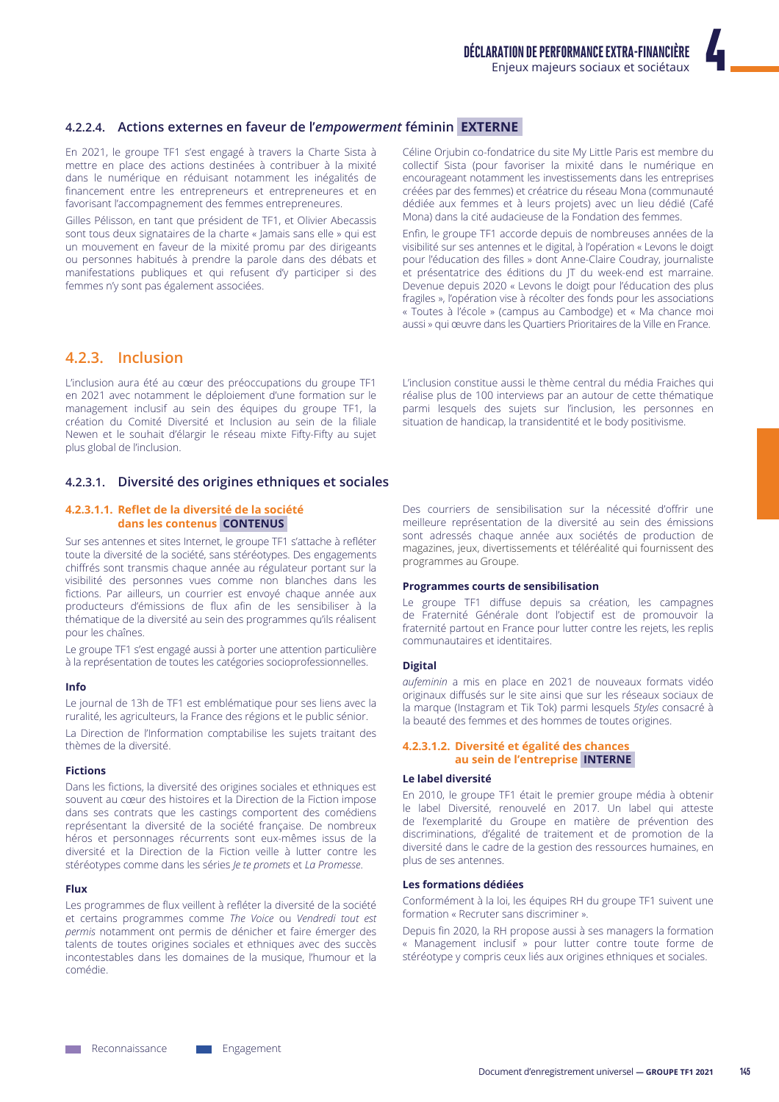# 4.2.2.4. Actions externes en faveur de l'empowerment féminin EXTERNE

En 2021, le groupe TF1 s'est engagé à travers la Charte Sista à mettre en place des actions destinées à contribuer à la mixité dans le numérique en réduisant notamment les inégalités de financement entre les entrepreneurs et entrepreneures et en favorisant l'accompagnement des femmes entrepreneures.

Gilles Pélisson, en tant que président de TF1, et Olivier Abecassis sont tous deux signataires de la charte « Jamais sans elle » qui est un mouvement en faveur de la mixité promu par des dirigeants ou personnes habitués à prendre la parole dans des débats et manifestations publiques et qui refusent d'y participer si des femmes n'y sont pas également associées.

Céline Orjubin co-fondatrice du site My Little Paris est membre du collectif Sista (pour favoriser la mixité dans le numérique en encourageant notamment les investissements dans les entreprises créées par des femmes) et créatrice du réseau Mona (communauté dédiée aux femmes et à leurs projets) avec un lieu dédié (Café Mona) dans la cité audacieuse de la Fondation des femmes.

Enfin, le groupe TF1 accorde depuis de nombreuses années de la visibilité sur ses antennes et le digital, à l'opération « Levons le doigt pour l'éducation des filles » dont Anne-Claire Coudray, journaliste et présentatrice des éditions du IT du week-end est marraine. Devenue depuis 2020 « Levons le doigt pour l'éducation des plus fragiles », l'opération vise à récolter des fonds pour les associations « Toutes à l'école » (campus au Cambodge) et « Ma chance moi aussi » qui œuvre dans les Quartiers Prioritaires de la Ville en France.

# 4.2.3. Inclusion

L'inclusion aura été au cœur des préoccupations du groupe TF1 en 2021 avec notamment le déploiement d'une formation sur le management inclusif au sein des équipes du groupe TF1, la création du Comité Diversité et Inclusion au sein de la filiale Newen et le souhait d'élargir le réseau mixte Fifty-Fifty au sujet plus global de l'inclusion.

# 4.2.3.1. Diversité des origines ethniques et sociales

### 4.2.3.1.1. Reflet de la diversité de la société dans les contenus CONTENUS

Sur ses antennes et sites Internet, le groupe TF1 s'attache à refléter toute la diversité de la société, sans stéréotypes. Des engagements chiffrés sont transmis chaque année au régulateur portant sur la visibilité des personnes vues comme non blanches dans les fictions. Par ailleurs, un courrier est envoyé chaque année aux producteurs d'émissions de flux afin de les sensibiliser à la thématique de la diversité au sein des programmes qu'ils réalisent pour les chaînes.

Le groupe TF1 s'est engagé aussi à porter une attention particulière à la représentation de toutes les catégories socioprofessionnelles.

#### Info

Le journal de 13h de TF1 est emblématique pour ses liens avec la ruralité, les agriculteurs, la France des régions et le public sénior.

La Direction de l'Information comptabilise les sujets traitant des thèmes de la diversité.

#### Eictions

Dans les fictions, la diversité des origines sociales et ethniques est souvent au cœur des histoires et la Direction de la Fiction impose dans ses contrats que les castings comportent des comédiens représentant la diversité de la société francaise. De nombreux héros et personnages récurrents sont eux-mêmes issus de la diversité et la Direction de la Fiction veille à lutter contre les stéréotypes comme dans les séries Je te promets et La Promesse.

#### Flux

Les programmes de flux veillent à refléter la diversité de la société et certains programmes comme The Voice ou Vendredi tout est permis notamment ont permis de dénicher et faire émerger des talents de toutes origines sociales et ethniques avec des succès incontestables dans les domaines de la musique, l'humour et la comédie.

L'inclusion constitue aussi le thème central du média Fraiches qui réalise plus de 100 interviews par an autour de cette thématique parmi lesquels des sujets sur l'inclusion, les personnes en situation de handicap, la transidentité et le body positivisme.

Des courriers de sensibilisation sur la nécessité d'offrir une meilleure représentation de la diversité au sein des émissions sont adressés chaque année aux sociétés de production de magazines, jeux, divertissements et téléréalité qui fournissent des programmes au Groupe.

#### Programmes courts de sensibilisation

Le groupe TF1 diffuse depuis sa création, les campagnes de Fraternité Générale dont l'objectif est de promouvoir la fraternité partout en France pour lutter contre les rejets, les replis communautaires et identitaires.

#### **Digital**

aufeminin a mis en place en 2021 de nouveaux formats vidéo originaux diffusés sur le site ainsi que sur les réseaux sociaux de la marque (Instagram et Tik Tok) parmi lesquels 5tyles consacré à la beauté des femmes et des hommes de toutes origines.

# 4.2.3.1.2. Diversité et égalité des chances au sein de l'entreprise INTERNE

# Le label diversité

En 2010, le groupe TF1 était le premier groupe média à obtenir le label Diversité, renouvelé en 2017. Un label qui atteste de l'exemplarité du Groupe en matière de prévention des discriminations, d'égalité de traitement et de promotion de la diversité dans le cadre de la gestion des ressources humaines, en plus de ses antennes.

#### Les formations dédiées

Conformément à la loi, les équipes RH du groupe TF1 suivent une formation « Recruter sans discriminer ».

Depuis fin 2020, la RH propose aussi à ses managers la formation « Management inclusif » pour lutter contre toute forme de stéréotype y compris ceux liés aux origines ethniques et sociales.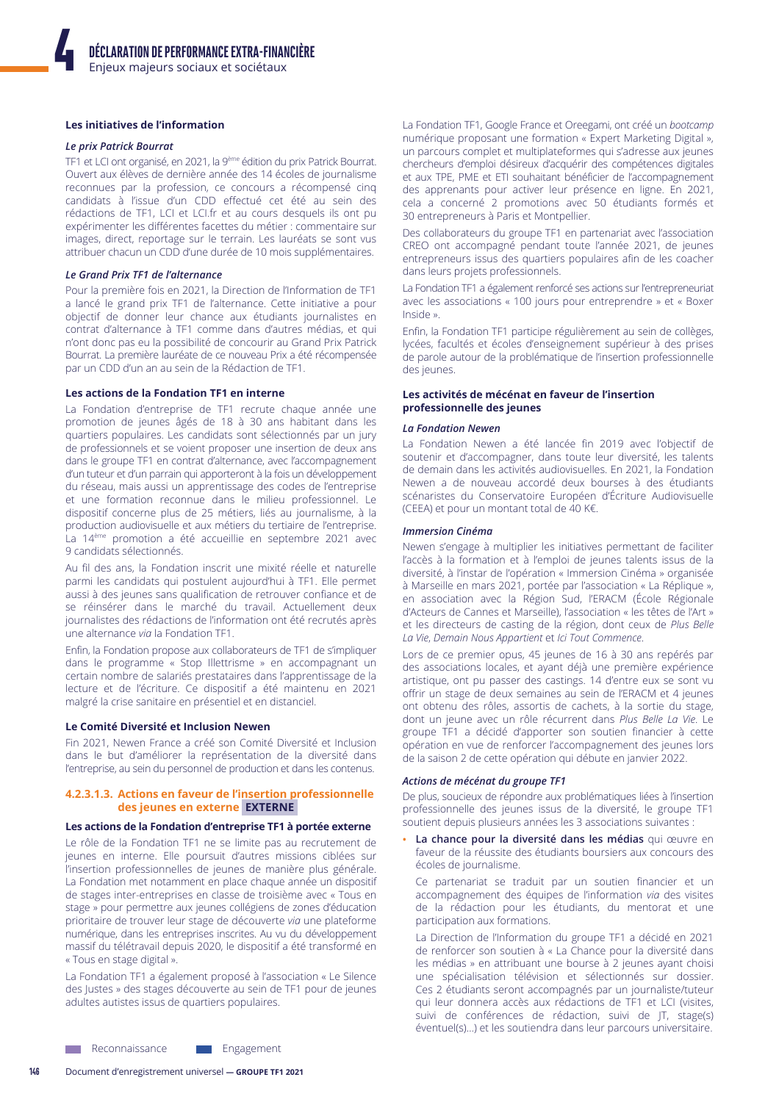# Les initiatives de l'information

#### Le prix Patrick Bourrat

TF1 et LCI ont organisé, en 2021, la 9<sup>ème</sup> édition du prix Patrick Bourrat. Ouvert aux élèves de dernière année des 14 écoles de journalisme reconnues par la profession, ce concours a récompensé cinq candidats à l'issue d'un CDD effectué cet été au sein des rédactions de TF1, LCI et LCI.fr et au cours desquels ils ont pu expérimenter les différentes facettes du métier : commentaire sur images, direct, reportage sur le terrain. Les lauréats se sont vus attribuer chacun un CDD d'une durée de 10 mois supplémentaires.

#### Le Grand Prix TF1 de l'alternance

Pour la première fois en 2021, la Direction de l'Information de TF1 a lancé le grand prix TF1 de l'alternance. Cette initiative a pour objectif de donner leur chance aux étudiants journalistes en contrat d'alternance à TF1 comme dans d'autres médias, et qui n'ont donc pas eu la possibilité de concourir au Grand Prix Patrick Bourrat. La première lauréate de ce nouveau Prix a été récompensée par un CDD d'un an au sein de la Rédaction de TF1.

#### Les actions de la Fondation TF1 en interne

La Fondation d'entreprise de TF1 recrute chaque année une promotion de jeunes âgés de 18 à 30 ans habitant dans les quartiers populaires. Les candidats sont sélectionnés par un jury de professionnels et se voient proposer une insertion de deux ans dans le groupe TF1 en contrat d'alternance, avec l'accompagnement d'un tuteur et d'un parrain qui apporteront à la fois un développement du réseau, mais aussi un apprentissage des codes de l'entreprise et une formation reconnue dans le milieu professionnel. Le dispositif concerne plus de 25 métiers, liés au journalisme, à la production audiovisuelle et aux métiers du tertiaire de l'entreprise. La 14<sup>ème</sup> promotion a été accueillie en septembre 2021 avec 9 candidats sélectionnés.

Au fil des ans, la Fondation inscrit une mixité réelle et naturelle parmi les candidats qui postulent aujourd'hui à TF1. Elle permet aussi à des jeunes sans qualification de retrouver confiance et de se réinsérer dans le marché du travail. Actuellement deux journalistes des rédactions de l'information ont été recrutés après une alternance via la Fondation TF1.

Enfin, la Fondation propose aux collaborateurs de TF1 de s'impliquer dans le programme « Stop Illettrisme » en accompagnant un certain nombre de salariés prestataires dans l'apprentissage de la lecture et de l'écriture. Ce dispositif a été maintenu en 2021 malgré la crise sanitaire en présentiel et en distanciel.

#### Le Comité Diversité et Inclusion Newen

Fin 2021, Newen France a créé son Comité Diversité et Inclusion dans le but d'améliorer la représentation de la diversité dans l'entreprise, au sein du personnel de production et dans les contenus.

### 4.2.3.1.3. Actions en faveur de l'insertion professionnelle des jeunes en externe EXTERNE

#### Les actions de la Fondation d'entreprise TF1 à portée externe

Le rôle de la Fondation TF1 ne se limite pas au recrutement de jeunes en interne. Elle poursuit d'autres missions ciblées sur l'insertion professionnelles de jeunes de manière plus générale. La Fondation met notamment en place chaque année un dispositif de stages inter-entreprises en classe de troisième avec « Tous en stage » pour permettre aux jeunes collégiens de zones d'éducation prioritaire de trouver leur stage de découverte via une plateforme numérique, dans les entreprises inscrites. Au vu du développement massif du télétravail depuis 2020, le dispositif a été transformé en « Tous en stage digital ».

La Fondation TF1 a également proposé à l'association « Le Silence des Justes » des stages découverte au sein de TF1 pour de jeunes adultes autistes issus de quartiers populaires.

La Fondation TF1, Google France et Oreegami, ont créé un bootcamp numérique proposant une formation « Expert Marketing Digital », un parcours complet et multiplateformes qui s'adresse aux jeunes chercheurs d'emploi désireux d'acquérir des compétences digitales et aux TPE, PME et ETI souhaitant bénéficier de l'accompagnement des apprenants pour activer leur présence en ligne. En 2021, cela a concerné 2 promotions avec 50 étudiants formés et 30 entrepreneurs à Paris et Montpellier.

Des collaborateurs du groupe TF1 en partenariat avec l'association CREO ont accompagné pendant toute l'année 2021, de jeunes entrepreneurs issus des quartiers populaires afin de les coacher dans leurs projets professionnels.

La Fondation TF1 a également renforcé ses actions sur l'entrepreneuriat avec les associations « 100 jours pour entreprendre » et « Boxer Inside »

Enfin, la Fondation TF1 participe régulièrement au sein de collèges, lycées, facultés et écoles d'enseignement supérieur à des prises de parole autour de la problématique de l'insertion professionnelle des jeunes.

#### Les activités de mécénat en faveur de l'insertion professionnelle des jeunes

#### **La Fondation Newen**

La Fondation Newen a été lancée fin 2019 avec l'objectif de soutenir et d'accompagner, dans toute leur diversité, les talents de demain dans les activités audiovisuelles. En 2021, la Fondation Newen a de nouveau accordé deux bourses à des étudiants scénaristes du Conservatoire Européen d'Écriture Audiovisuelle (CEEA) et pour un montant total de 40 K€.

#### **Immersion Cinéma**

Newen s'engage à multiplier les initiatives permettant de faciliter l'accès à la formation et à l'emploi de jeunes talents issus de la diversité, à l'instar de l'opération « Immersion Cinéma » organisée à Marseille en mars 2021, portée par l'association « La Réplique », en association avec la Région Sud, l'ERACM (École Régionale d'Acteurs de Cannes et Marseille), l'association « les têtes de l'Art » et les directeurs de casting de la région, dont ceux de Plus Belle La Vie, Demain Nous Appartient et Ici Tout Commence.

Lors de ce premier opus, 45 jeunes de 16 à 30 ans repérés par des associations locales, et ayant déjà une première expérience artistique, ont pu passer des castings. 14 d'entre eux se sont vu offrir un stage de deux semaines au sein de l'ERACM et 4 jeunes ont obtenu des rôles, assortis de cachets, à la sortie du stage, dont un jeune avec un rôle récurrent dans Plus Belle La Vie. Le groupe TF1 a décidé d'apporter son soutien financier à cette opération en vue de renforcer l'accompagnement des jeunes lors de la saison 2 de cette opération qui débute en janvier 2022.

#### Actions de mécénat du groupe TF1

De plus, soucieux de répondre aux problématiques liées à l'insertion professionnelle des jeunes issus de la diversité, le groupe TF1 soutient depuis plusieurs années les 3 associations suivantes :

· La chance pour la diversité dans les médias qui œuvre en faveur de la réussite des étudiants boursiers aux concours des écoles de journalisme.

Ce partenariat se traduit par un soutien financier et un accompagnement des équipes de l'information via des visites de la rédaction pour les étudiants, du mentorat et une participation aux formations.

La Direction de l'Information du groupe TF1 a décidé en 2021 de renforcer son soutien à « La Chance pour la diversité dans les médias » en attribuant une bourse à 2 jeunes ayant choisi une spécialisation télévision et sélectionnés sur dossier. Ces 2 étudiants seront accompagnés par un journaliste/tuteur qui leur donnera accès aux rédactions de TF1 et LCI (visites, suivi de conférences de rédaction, suivi de JT, stage(s) éventuel(s)...) et les soutiendra dans leur parcours universitaire.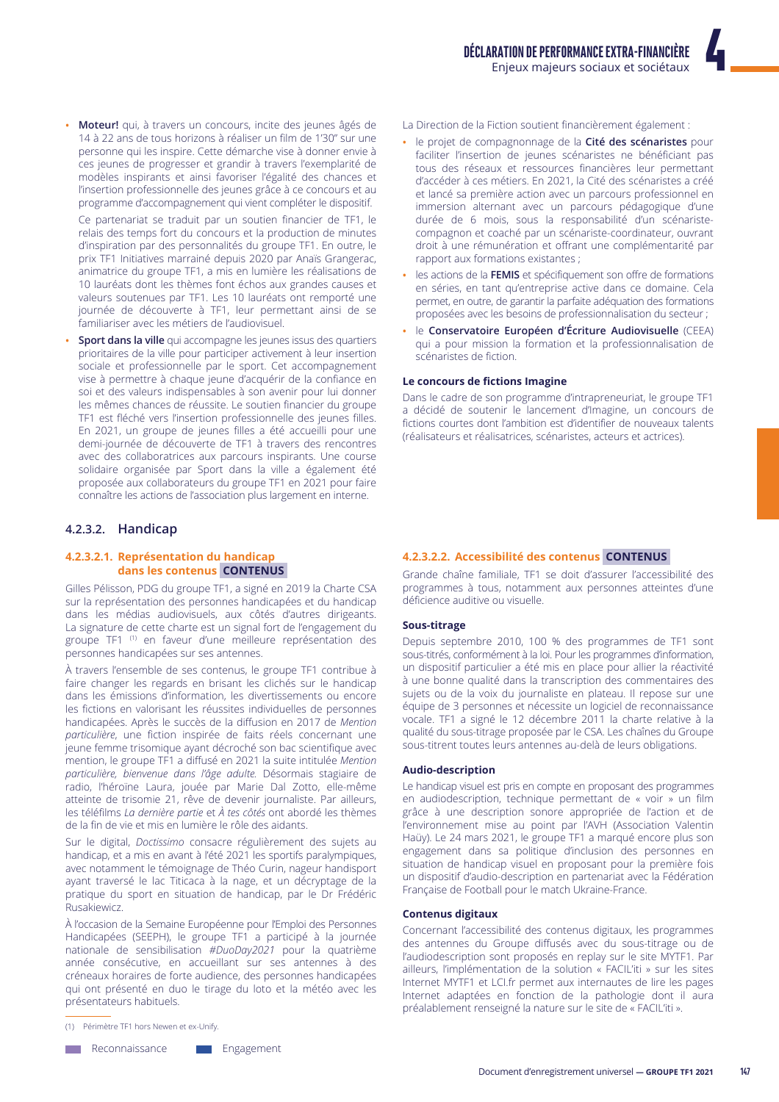· Moteur! qui, à travers un concours, incite des jeunes âgés de 14 à 22 ans de tous horizons à réaliser un film de 1'30" sur une personne qui les inspire. Cette démarche vise à donner envie à ces jeunes de progresser et grandir à travers l'exemplarité de modèles inspirants et ainsi favoriser l'égalité des chances et l'insertion professionnelle des jeunes grâce à ce concours et au programme d'accompagnement qui vient compléter le dispositif.

Ce partenariat se traduit par un soutien financier de TF1, le relais des temps fort du concours et la production de minutes d'inspiration par des personnalités du groupe TF1. En outre, le prix TF1 Initiatives marrainé depuis 2020 par Anaïs Grangerac, animatrice du groupe TF1, a mis en lumière les réalisations de 10 lauréats dont les thèmes font échos aux grandes causes et valeurs soutenues par TF1. Les 10 lauréats ont remporté une journée de découverte à TF1, leur permettant ainsi de se familiariser avec les métiers de l'audiovisuel.

Sport dans la ville qui accompagne les jeunes issus des quartiers prioritaires de la ville pour participer activement à leur insertion sociale et professionnelle par le sport. Cet accompagnement vise à permettre à chaque jeune d'acquérir de la confiance en soi et des valeurs indispensables à son avenir pour lui donner les mêmes chances de réussite. Le soutien financier du groupe TF1 est fléché vers l'insertion professionnelle des jeunes filles. En 2021, un groupe de jeunes filles a été accueilli pour une demi-journée de découverte de TF1 à travers des rencontres avec des collaboratrices aux parcours inspirants. Une course solidaire organisée par Sport dans la ville a également été proposée aux collaborateurs du groupe TF1 en 2021 pour faire connaître les actions de l'association plus largement en interne.

# 4.2.3.2. Handicap

# 4.2.3.2.1. Représentation du handicap dans les contenus CONTENUS

Gilles Pélisson, PDG du groupe TF1, a signé en 2019 la Charte CSA sur la représentation des personnes handicapées et du handicap dans les médias audiovisuels, aux côtés d'autres dirigeants. La signature de cette charte est un signal fort de l'engagement du groupe TF1<sup>(1)</sup> en faveur d'une meilleure représentation des personnes handicapées sur ses antennes.

À travers l'ensemble de ses contenus, le groupe TF1 contribue à faire changer les regards en brisant les clichés sur le handicap dans les émissions d'information, les divertissements ou encore les fictions en valorisant les réussites individuelles de personnes handicapées. Après le succès de la diffusion en 2017 de Mention particulière, une fiction inspirée de faits réels concernant une jeune femme trisomique ayant décroché son bac scientifique avec mention, le groupe TF1 a diffusé en 2021 la suite intitulée Mention particulière, bienvenue dans l'âge adulte. Désormais stagiaire de radio, l'héroïne Laura, jouée par Marie Dal Zotto, elle-même atteinte de trisomie 21, rêve de devenir journaliste. Par ailleurs, les téléfilms La dernière partie et À tes côtés ont abordé les thèmes de la fin de vie et mis en lumière le rôle des aidants.

Sur le digital, Doctissimo consacre régulièrement des sujets au handicap, et a mis en avant à l'été 2021 les sportifs paralympiques, avec notamment le témoignage de Théo Curin, nageur handisport ayant traversé le lac Titicaca à la nage, et un décryptage de la pratique du sport en situation de handicap, par le Dr Frédéric Rusakiewicz

À l'occasion de la Semaine Européenne pour l'Emploi des Personnes Handicapées (SEEPH), le groupe TF1 a participé à la journée nationale de sensibilisation #DuoDay2021 pour la quatrième année consécutive, en accueillant sur ses antennes à des créneaux horaires de forte audience, des personnes handicapées qui ont présenté en duo le tirage du loto et la météo avec les présentateurs habituels.

**Neconnaissance** 

Engagement

- La Direction de la Fiction soutient financièrement également :
- · le projet de compagnonnage de la Cité des scénaristes pour faciliter l'insertion de jeunes scénaristes ne bénéficiant pas tous des réseaux et ressources financières leur permettant d'accéder à ces métiers. En 2021, la Cité des scénaristes a créé et lancé sa première action avec un parcours professionnel en immersion alternant avec un parcours pédagogique d'une durée de 6 mois, sous la responsabilité d'un scénaristecompagnon et coaché par un scénariste-coordinateur, ouvrant droit à une rémunération et offrant une complémentarité par rapport aux formations existantes;
- · les actions de la FEMIS et spécifiquement son offre de formations en séries, en tant qu'entreprise active dans ce domaine. Cela permet, en outre, de garantir la parfaite adéquation des formations proposées avec les besoins de professionnalisation du secteur ;
- le Conservatoire Européen d'Écriture Audiovisuelle (CEEA) qui a pour mission la formation et la professionnalisation de scénaristes de fiction.

#### Le concours de fictions Imagine

Dans le cadre de son programme d'intrapreneuriat, le groupe TF1 a décidé de soutenir le lancement d'Imagine, un concours de fictions courtes dont l'ambition est d'identifier de nouveaux talents (réalisateurs et réalisatrices, scénaristes, acteurs et actrices).

#### 4.2.3.2.2. Accessibilité des contenus CONTENUS

Grande chaîne familiale, TF1 se doit d'assurer l'accessibilité des programmes à tous, notamment aux personnes atteintes d'une déficience auditive ou visuelle.

#### Sous-titrage

Depuis septembre 2010, 100 % des programmes de TF1 sont sous-titrés, conformément à la loi. Pour les programmes d'information, un dispositif particulier a été mis en place pour allier la réactivité à une bonne qualité dans la transcription des commentaires des sujets ou de la voix du journaliste en plateau. Il repose sur une équipe de 3 personnes et nécessite un logiciel de reconnaissance vocale. TF1 a signé le 12 décembre 2011 la charte relative à la qualité du sous-titrage proposée par le CSA. Les chaînes du Groupe sous-titrent toutes leurs antennes au-delà de leurs obligations.

#### **Audio-description**

Le handicap visuel est pris en compte en proposant des programmes en audiodescription, technique permettant de « voir » un film grâce à une description sonore appropriée de l'action et de l'environnement mise au point par l'AVH (Association Valentin Haüy). Le 24 mars 2021, le groupe TF1 a marqué encore plus son engagement dans sa politique d'inclusion des personnes en situation de handicap visuel en proposant pour la première fois un dispositif d'audio-description en partenariat avec la Fédération Française de Football pour le match Ukraine-France.

#### **Contenus digitaux**

Concernant l'accessibilité des contenus digitaux, les programmes des antennes du Groupe diffusés avec du sous-titrage ou de l'audiodescription sont proposés en replay sur le site MYTF1. Par ailleurs, l'implémentation de la solution « FACIL'iti » sur les sites Internet MYTF1 et LCI.fr permet aux internautes de lire les pages Internet adaptées en fonction de la pathologie dont il aura préalablement renseigné la nature sur le site de « FACIL'iti ».

<sup>(1)</sup> Périmètre TF1 hors Newen et ex-Unify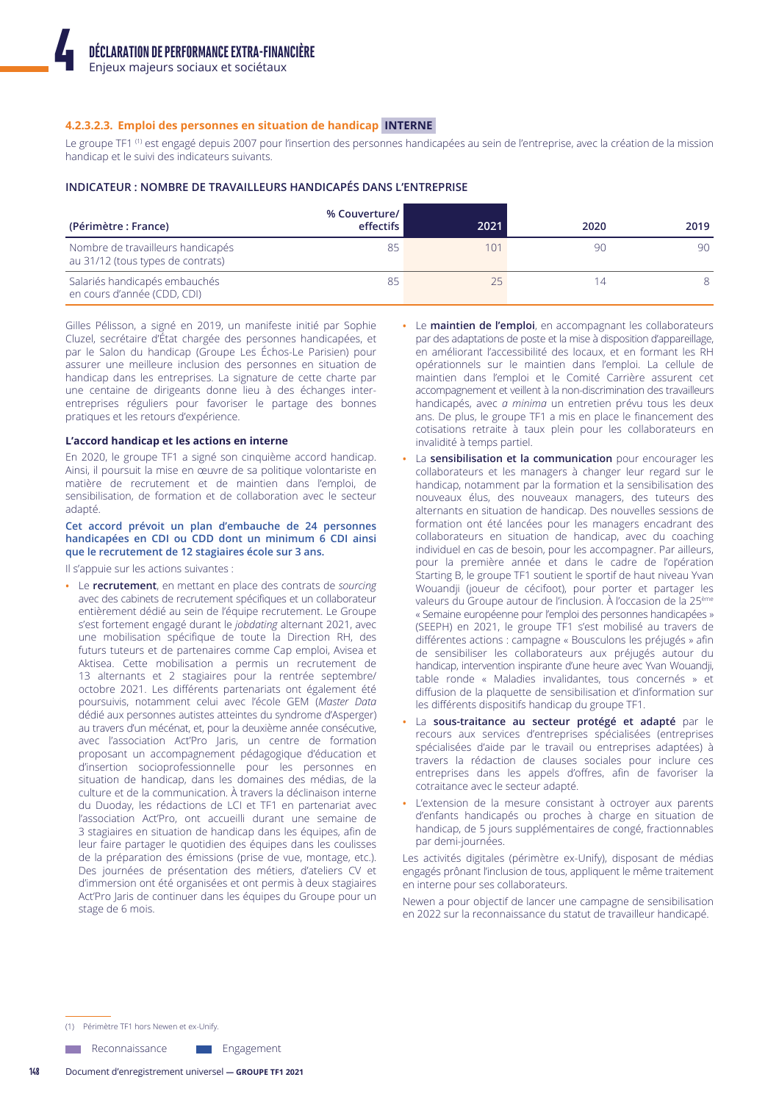#### 4.2.3.2.3. Emploi des personnes en situation de handicap INTERNE

Le groupe TF1<sup>(1)</sup> est engagé depuis 2007 pour l'insertion des personnes handicapées au sein de l'entreprise, avec la création de la mission handicap et le suivi des indicateurs suivants.

#### INDICATEUR : NOMBRE DE TRAVAILLEURS HANDICAPÉS DANS L'ENTREPRISE

| (Périmètre : France)                                                   | % Couverture/<br>effectifs | 2021 | 2020 | 2019 |
|------------------------------------------------------------------------|----------------------------|------|------|------|
| Nombre de travailleurs handicapés<br>au 31/12 (tous types de contrats) | 85                         | 101  | 90   | 90   |
| Salariés handicapés embauchés<br>en cours d'année (CDD, CDI)           | 85                         | フ5   | 14   |      |

Gilles Pélisson, a signé en 2019, un manifeste initié par Sophie Cluzel, secrétaire d'État chargée des personnes handicapées, et par le Salon du handicap (Groupe Les Échos-Le Parisien) pour assurer une meilleure inclusion des personnes en situation de handicap dans les entreprises. La signature de cette charte par une centaine de dirigeants donne lieu à des échanges interentreprises réguliers pour favoriser le partage des bonnes pratiques et les retours d'expérience.

#### L'accord handicap et les actions en interne

En 2020, le groupe TF1 a signé son cinquième accord handicap. Ainsi, il poursuit la mise en œuvre de sa politique volontariste en matière de recrutement et de maintien dans l'emploi, de sensibilisation, de formation et de collaboration avec le secteur adapté.

#### Cet accord prévoit un plan d'embauche de 24 personnes handicapées en CDI ou CDD dont un minimum 6 CDI ainsi que le recrutement de 12 stagiaires école sur 3 ans.

Il s'appuie sur les actions suivantes :

Le recrutement, en mettant en place des contrats de sourcing avec des cabinets de recrutement spécifiques et un collaborateur entièrement dédié au sein de l'équipe recrutement. Le Groupe s'est fortement engagé durant le *jobdating* alternant 2021, avec une mobilisation spécifique de toute la Direction RH, des futurs tuteurs et de partenaires comme Cap emploi, Avisea et Aktisea. Cette mobilisation a permis un recrutement de 13 alternants et 2 stagiaires pour la rentrée septembre/ octobre 2021. Les différents partenariats ont également été poursuivis, notamment celui avec l'école GEM (Master Data dédié aux personnes autistes atteintes du syndrome d'Asperger) au travers d'un mécénat, et, pour la deuxième année consécutive, avec l'association Act'Pro Jaris, un centre de formation proposant un accompagnement pédagogique d'éducation et d'insertion socioprofessionnelle pour les personnes en situation de handicap, dans les domaines des médias, de la culture et de la communication. À travers la déclinaison interne du Duoday, les rédactions de LCI et TF1 en partenariat avec l'association Act'Pro, ont accueilli durant une semaine de 3 stagiaires en situation de handicap dans les équipes, afin de leur faire partager le quotidien des équipes dans les coulisses de la préparation des émissions (prise de vue, montage, etc.). Des journées de présentation des métiers, d'ateliers CV et d'immersion ont été organisées et ont permis à deux stagiaires Act'Pro laris de continuer dans les équipes du Groupe pour un stage de 6 mois.

- Le maintien de l'emploi, en accompagnant les collaborateurs par des adaptations de poste et la mise à disposition d'appareillage, en améliorant l'accessibilité des locaux, et en formant les RH opérationnels sur le maintien dans l'emploi. La cellule de maintien dans l'emploi et le Comité Carrière assurent cet accompagnement et veillent à la non-discrimination des travailleurs handicapés, avec a minima un entretien prévu tous les deux ans. De plus, le groupe TF1 a mis en place le financement des cotisations retraite à taux plein pour les collaborateurs en invalidité à temps partiel.
- La sensibilisation et la communication pour encourager les collaborateurs et les managers à changer leur regard sur le handicap, notamment par la formation et la sensibilisation des nouveaux élus, des nouveaux managers, des tuteurs des alternants en situation de handicap. Des nouvelles sessions de formation ont été lancées pour les managers encadrant des collaborateurs en situation de handicap, avec du coaching individuel en cas de besoin, pour les accompagner. Par ailleurs, pour la première année et dans le cadre de l'opération Starting B, le groupe TF1 soutient le sportif de haut niveau Yvan Wouandji (joueur de cécifoot), pour porter et partager les valeurs du Groupe autour de l'inclusion. À l'occasion de la 25<sup>ème</sup> « Semaine européenne pour l'emploi des personnes handicapées » (SEEPH) en 2021, le groupe TF1 s'est mobilisé au travers de différentes actions : campagne « Bousculons les préjugés » afin de sensibiliser les collaborateurs aux préjugés autour du handicap, intervention inspirante d'une heure avec Yvan Wouandji, table ronde « Maladies invalidantes, tous concernés » et diffusion de la plaquette de sensibilisation et d'information sur les différents dispositifs handicap du groupe TF1.
- · La sous-traitance au secteur protégé et adapté par le recours aux services d'entreprises spécialisées (entreprises spécialisées d'aide par le travail ou entreprises adaptées) à travers la rédaction de clauses sociales pour inclure ces entreprises dans les appels d'offres, afin de favoriser la cotraitance avec le secteur adapté.
- L'extension de la mesure consistant à octroyer aux parents d'enfants handicapés ou proches à charge en situation de handicap, de 5 jours supplémentaires de congé, fractionnables par demi-journées.

Les activités digitales (périmètre ex-Unify), disposant de médias engagés prônant l'inclusion de tous, appliquent le même traitement en interne pour ses collaborateurs.

Newen a pour objectif de lancer une campagne de sensibilisation en 2022 sur la reconnaissance du statut de travailleur handicapé.

(1) Périmètre TF1 hors Newen et ex-Unify

Reconnaissance Engagement

Document d'enregistrement universel - GROUPE TF1 2021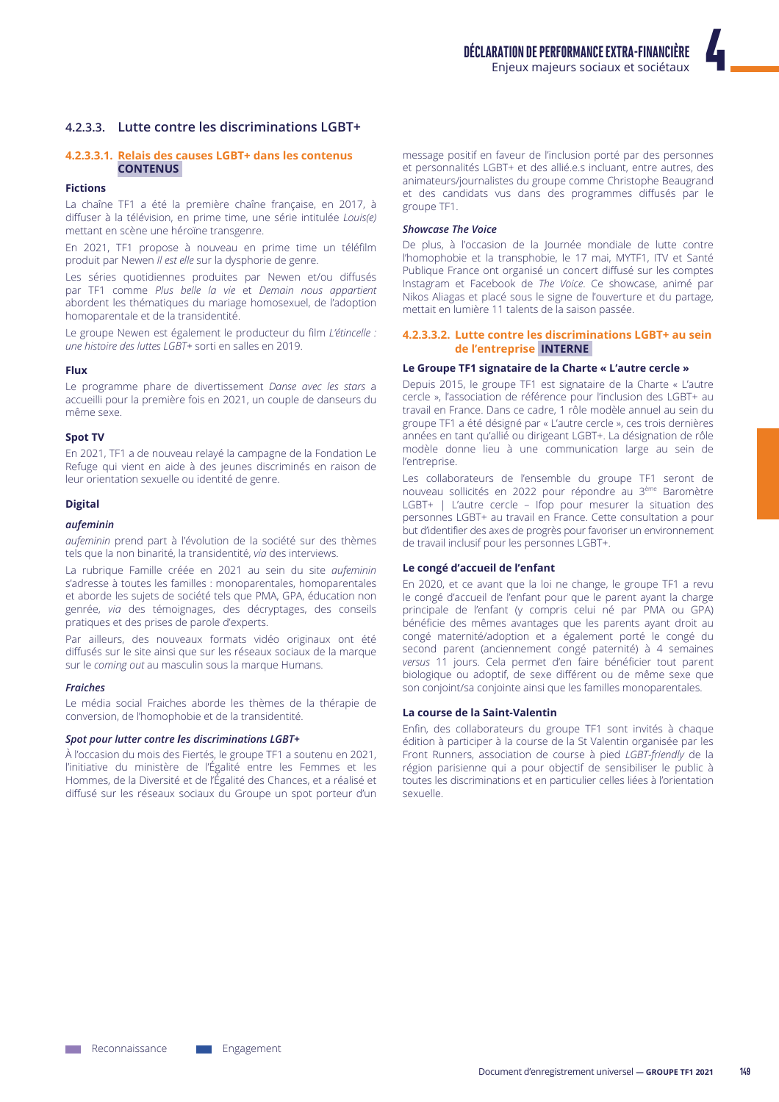# 4.2.3.3. Lutte contre les discriminations LGBT+

# 4.2.3.3.1. Relais des causes LGBT+ dans les contenus **CONTENUS**

#### **Fictions**

La chaîne TF1 a été la première chaîne française, en 2017, à diffuser à la télévision, en prime time, une série intitulée Louis(e) mettant en scène une héroïne transgenre.

En 2021, TF1 propose à nouveau en prime time un téléfilm produit par Newen II est elle sur la dysphorie de genre.

Les séries quotidiennes produites par Newen et/ou diffusés par TF1 comme Plus belle la vie et Demain nous appartient abordent les thématiques du mariage homosexuel, de l'adoption homoparentale et de la transidentité.

Le groupe Newen est également le producteur du film L'étincelle : une histoire des luttes LGBT+ sorti en salles en 2019.

#### Flux

Le programme phare de divertissement Danse avec les stars a accueilli pour la première fois en 2021, un couple de danseurs du même sexe

#### **Spot TV**

En 2021, TF1 a de nouveau relayé la campagne de la Fondation Le Refuge qui vient en aide à des jeunes discriminés en raison de leur orientation sexuelle ou identité de genre.

#### **Digital**

#### aufeminin

*aufeminin* prend part à l'évolution de la société sur des thèmes tels que la non binarité, la transidentité, via des interviews.

La rubrique Famille créée en 2021 au sein du site aufeminin s'adresse à toutes les familles : monoparentales, homoparentales et aborde les sujets de société tels que PMA, GPA, éducation non genrée, via des témoignages, des décryptages, des conseils pratiques et des prises de parole d'experts.

Par ailleurs, des nouveaux formats vidéo originaux ont été diffusés sur le site ainsi que sur les réseaux sociaux de la marque sur le coming out au masculin sous la marque Humans.

#### **Fraiches**

Le média social Fraiches aborde les thèmes de la thérapie de conversion, de l'homophobie et de la transidentité.

#### Spot pour lutter contre les discriminations LGBT+

À l'occasion du mois des Fiertés, le groupe TF1 a soutenu en 2021, l'initiative du ministère de l'Égalité entre les Femmes et les Hommes, de la Diversité et de l'Égalité des Chances, et a réalisé et diffusé sur les réseaux sociaux du Groupe un spot porteur d'un

message positif en faveur de l'inclusion porté par des personnes et personnalités LGBT+ et des allié.e.s incluant, entre autres, des animateurs/journalistes du groupe comme Christophe Beaugrand et des candidats vus dans des programmes diffusés par le groupe TF1.

#### **Showcase The Voice**

De plus, à l'occasion de la Journée mondiale de lutte contre l'homophobie et la transphobie, le 17 mai, MYTF1, ITV et Santé Publique France ont organisé un concert diffusé sur les comptes Instagram et Facebook de The Voice. Ce showcase, animé par Nikos Aliagas et placé sous le signe de l'ouverture et du partage, mettait en lumière 11 talents de la saison passée.

### 4.2.3.3.2. Lutte contre les discriminations LGBT+ au sein de l'entreprise INTERNE

# Le Groupe TF1 signataire de la Charte « L'autre cercle »

Depuis 2015, le groupe TF1 est signataire de la Charte « L'autre cercle », l'association de référence pour l'inclusion des LGBT+ au travail en France. Dans ce cadre, 1 rôle modèle annuel au sein du groupe TF1 a été désigné par « L'autre cercle », ces trois dernières années en tant qu'allié ou dirigeant LGBT+. La désignation de rôle modèle donne lieu à une communication large au sein de l'entreprise.

Les collaborateurs de l'ensemble du groupe TF1 seront de nouveau sollicités en 2022 pour répondre au 3ème Baromètre LGBT+ | L'autre cercle - Ifop pour mesurer la situation des personnes LGBT+ au travail en France. Cette consultation a pour but d'identifier des axes de progrès pour favoriser un environnement de travail inclusif pour les personnes LGBT+.

#### Le congé d'accueil de l'enfant

En 2020, et ce avant que la loi ne change, le groupe TF1 a revu le congé d'accueil de l'enfant pour que le parent ayant la charge principale de l'enfant (y compris celui né par PMA ou GPA) bénéficie des mêmes avantages que les parents ayant droit au congé maternité/adoption et a également porté le congé du second parent (anciennement congé paternité) à 4 semaines versus 11 jours. Cela permet d'en faire bénéficier tout parent biologique ou adoptif, de sexe différent ou de même sexe que son conjoint/sa conjointe ainsi que les familles monoparentales.

#### La course de la Saint-Valentin

Enfin, des collaborateurs du groupe TF1 sont invités à chaque édition à participer à la course de la St Valentin organisée par les Front Runners, association de course à pied LGBT-friendly de la région parisienne qui a pour objectif de sensibiliser le public à toutes les discriminations et en particulier celles liées à l'orientation **Allauxez**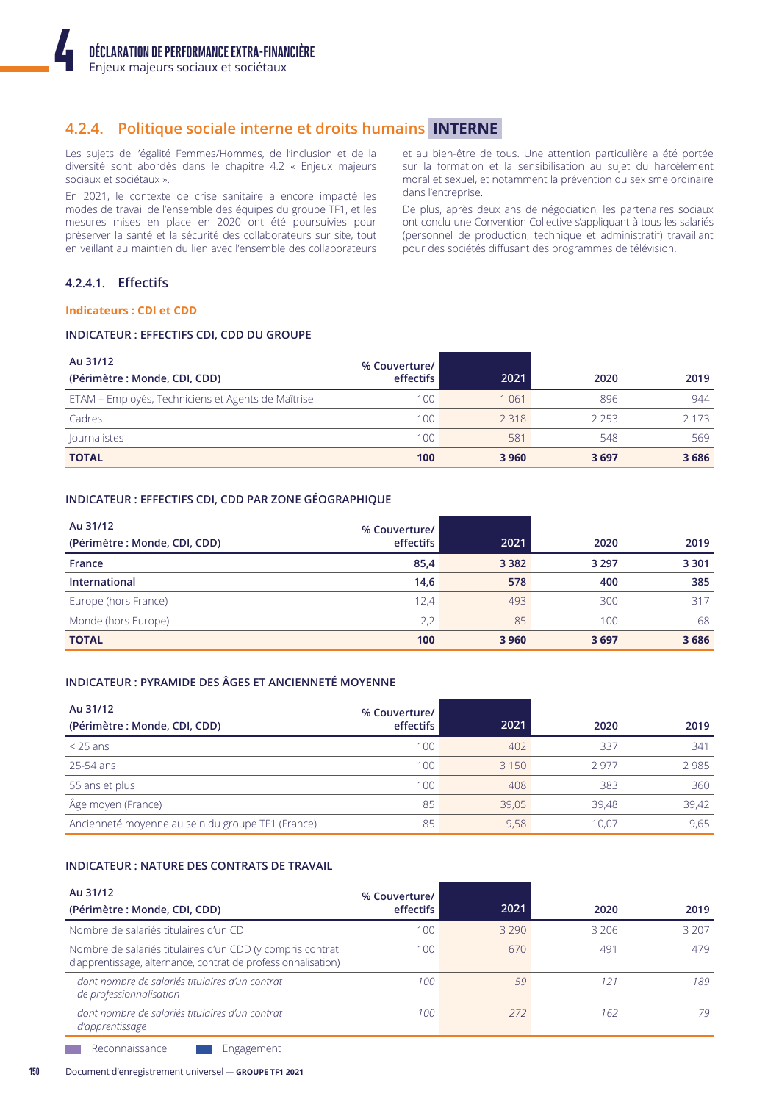# 4.2.4. Politique sociale interne et droits humains INTERNE

Les sujets de l'égalité Femmes/Hommes, de l'inclusion et de la diversité sont abordés dans le chapitre 4.2 « Enjeux majeurs sociaux et sociétaux ».

En 2021, le contexte de crise sanitaire a encore impacté les modes de travail de l'ensemble des équipes du groupe TF1, et les mesures mises en place en 2020 ont été poursuivies pour préserver la santé et la sécurité des collaborateurs sur site, tout en veillant au maintien du lien avec l'ensemble des collaborateurs

et au bien-être de tous. Une attention particulière a été portée sur la formation et la sensibilisation au sujet du harcèlement moral et sexuel, et notamment la prévention du sexisme ordinaire dans l'entreprise.

De plus, après deux ans de négociation, les partenaires sociaux ont conclu une Convention Collective s'appliquant à tous les salariés (personnel de production, technique et administratif) travaillant pour des sociétés diffusant des programmes de télévision.

# 4.2.4.1. Effectifs

### **Indicateurs: CDI et CDD**

# INDICATEUR : EFFECTIFS CDI, CDD DU GROUPE

| Au 31/12<br>(Périmètre : Monde, CDI, CDD)          | % Couverture/<br>effectifs | 2021    | 2020 | 2019    |
|----------------------------------------------------|----------------------------|---------|------|---------|
| ETAM - Employés, Techniciens et Agents de Maîtrise | 100                        | 1 0 6 1 | 896  | 944     |
| Cadres                                             | 100                        | 2 3 1 8 | 2253 | 2 1 7 3 |
| Journalistes                                       | 100                        | 581     | 548  | 569     |
| <b>TOTAL</b>                                       | 100                        | 3 9 6 0 | 3697 | 3686    |

# INDICATEUR : EFFECTIFS CDI, CDD PAR ZONE GÉOGRAPHIQUE

| Au 31/12<br>(Périmètre : Monde, CDI, CDD) | % Couverture/<br>effectifs | 2021    | 2020    | 2019    |
|-------------------------------------------|----------------------------|---------|---------|---------|
| France                                    | 85,4                       | 3 3 8 2 | 3 2 9 7 | 3 3 0 1 |
| International                             | 14,6                       | 578     | 400     | 385     |
| Europe (hors France)                      | 12.4                       | 493     | 300     | 317     |
| Monde (hors Europe)                       | 2,2                        | 85      | 100     | 68      |
| <b>TOTAL</b>                              | 100                        | 3 9 6 0 | 3697    | 3686    |

# INDICATEUR : PYRAMIDE DES ÂGES ET ANCIENNETÉ MOYENNE

| Au 31/12<br>(Périmètre : Monde, CDI, CDD)         | % Couverture/<br>effectifs | 2021    | 2020  | 2019  |
|---------------------------------------------------|----------------------------|---------|-------|-------|
| $<$ 25 ans                                        | 100                        | 402     | 337   | 341   |
| 25-54 ans                                         | 100                        | 3 1 5 0 | 2977  | 2985  |
| 55 ans et plus                                    | 100                        | 408     | 383   | 360   |
| Âge moyen (France)                                | 85                         | 39.05   | 39,48 | 39,42 |
| Ancienneté moyenne au sein du groupe TF1 (France) | 85                         | 9,58    | 10.07 | 9,65  |

# **INDICATEUR : NATURE DES CONTRATS DE TRAVAIL**

| Au 31/12<br>(Périmètre : Monde, CDI, CDD)                                                                                  | % Couverture/<br>effectifs | 2021    | 2020  | 2019  |
|----------------------------------------------------------------------------------------------------------------------------|----------------------------|---------|-------|-------|
| Nombre de salariés titulaires d'un CDI                                                                                     | 100                        | 3 2 9 0 | 3 206 | 3 207 |
| Nombre de salariés titulaires d'un CDD (y compris contrat<br>d'apprentissage, alternance, contrat de professionnalisation) | 100                        | 670     | 491   | 479   |
| dont nombre de salariés titulaires d'un contrat<br>de professionnalisation                                                 | 100                        | 59      | 12:   | 189   |
| dont nombre de salariés titulaires d'un contrat<br>d'apprentissage                                                         | 100                        | 272     | 162   | 79    |

Reconnaissance Engagement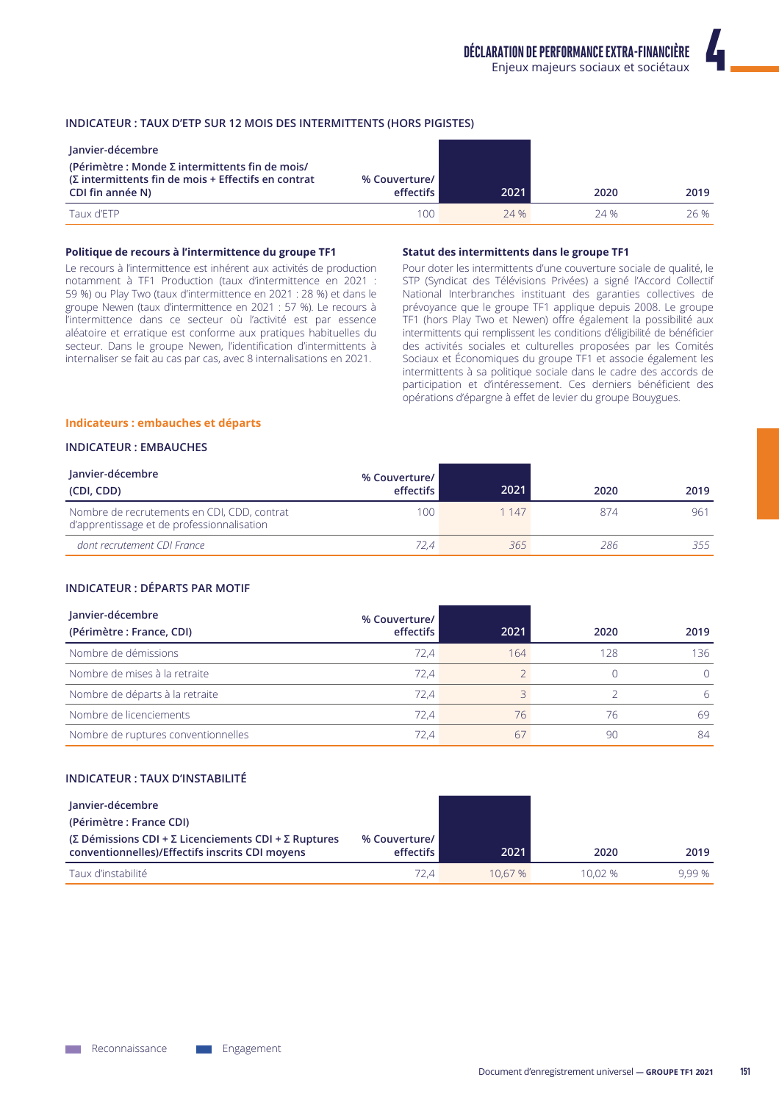# INDICATEUR : TAUX D'ETP SUR 12 MOIS DES INTERMITTENTS (HORS PIGISTES)

| Janvier-décembre                                                                                                                    |                                   |      |      |      |
|-------------------------------------------------------------------------------------------------------------------------------------|-----------------------------------|------|------|------|
| (Périmètre : Monde $\Sigma$ intermittents fin de mois/<br>$(Σ$ intermittents fin de mois + Effectifs en contrat<br>CDI fin année N) | % Couverture/<br><b>effectifs</b> | 2021 | 2020 | 2019 |
| Taux d'ETP                                                                                                                          | 100                               | 24 % | 24 % | 26 % |

#### Politique de recours à l'intermittence du groupe TF1

Le recours à l'intermittence est inhérent aux activités de production notamment à TF1 Production (taux d'intermittence en 2021 : 59 %) ou Play Two (taux d'intermittence en 2021 : 28 %) et dans le groupe Newen (taux d'intermittence en 2021 : 57 %). Le recours à l'intermittence dans ce secteur où l'activité est par essence aléatoire et erratique est conforme aux pratiques habituelles du secteur. Dans le groupe Newen, l'identification d'intermittents à internaliser se fait au cas par cas, avec 8 internalisations en 2021.

#### Statut des intermittents dans le groupe TF1

Pour doter les intermittents d'une couverture sociale de qualité, le STP (Syndicat des Télévisions Privées) a signé l'Accord Collectif National Interbranches instituant des garanties collectives de prévoyance que le groupe TF1 applique depuis 2008. Le groupe TF1 (hors Play Two et Newen) offre également la possibilité aux intermittents qui remplissent les conditions d'éligibilité de bénéficier des activités sociales et culturelles proposées par les Comités Sociaux et Économiques du groupe TF1 et associe également les intermittents à sa politique sociale dans le cadre des accords de participation et d'intéressement. Ces derniers bénéficient des opérations d'épargne à effet de levier du groupe Bouygues.

#### Indicateurs : embauches et départs

#### **INDICATEUR: EMBAUCHES**

| Janvier-décembre<br>(CDI, CDD)                                                            | % Couverture/<br>effectifs | 2021  | 2020 | 2019 |
|-------------------------------------------------------------------------------------------|----------------------------|-------|------|------|
| Nombre de recrutements en CDI, CDD, contrat<br>d'apprentissage et de professionnalisation | 100.                       | 1 147 | 874  | 961  |
| dont recrutement CDI France                                                               | 72.4                       | 365   | 286  | 255  |

### **INDICATEUR : DÉPARTS PAR MOTIF**

| Janvier-décembre<br>(Périmètre : France, CDI) | % Couverture/<br>effectifs | 2021 | 2020 | 2019     |
|-----------------------------------------------|----------------------------|------|------|----------|
| Nombre de démissions                          | 72.4                       | 164  | 128  | 136      |
| Nombre de mises à la retraite                 | 72.4                       |      |      | $\Omega$ |
| Nombre de départs à la retraite               | 72.4                       |      |      | 6        |
| Nombre de licenciements                       | 72.4                       | 76   | 76   | 69       |
| Nombre de ruptures conventionnelles           | 72.4                       | 67   | 90   | 84       |

### **INDICATEUR : TAUX D'INSTABILITÉ**

| Janvier-décembre                                     |               |         |        |       |
|------------------------------------------------------|---------------|---------|--------|-------|
| (Périmètre : France CDI)                             |               |         |        |       |
| (Σ Démissions CDI + Σ Licenciements CDI + Σ Ruptures | % Couverture/ |         |        |       |
| conventionnelles)/Effectifs inscrits CDI moyens      | effectifs     | 2021    | 2020   | 2019  |
| Taux d'instabilité                                   | 72.4          | 10.67 % | 10.02% | 9.99% |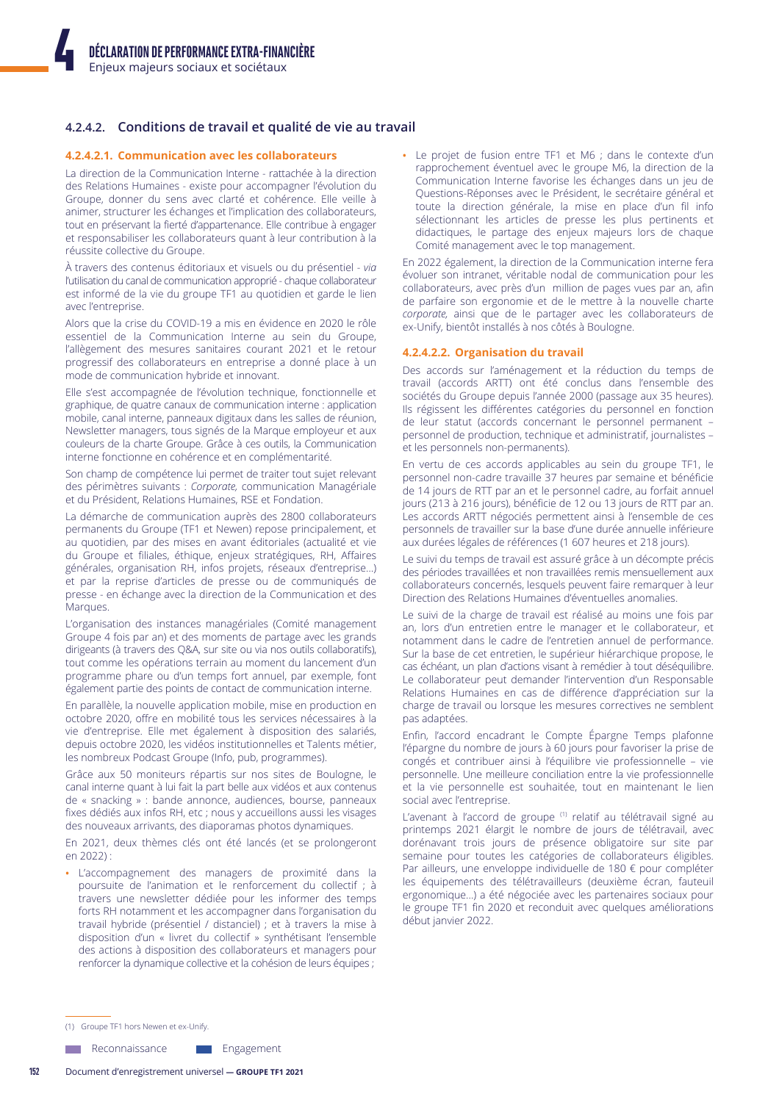# 4.2.4.2. Conditions de travail et qualité de vie au travail

### 4.2.4.2.1. Communication avec les collaborateurs

La direction de la Communication Interne - rattachée à la direction des Relations Humaines - existe pour accompagner l'évolution du Groupe, donner du sens avec clarté et cohérence. Elle veille à animer, structurer les échanges et l'implication des collaborateurs, tout en préservant la fierté d'appartenance. Elle contribue à engager et responsabiliser les collaborateurs quant à leur contribution à la réussite collective du Groupe.

À travers des contenus éditoriaux et visuels ou du présentiel - via l'utilisation du canal de communication approprié - chaque collaborateur est informé de la vie du groupe TF1 au quotidien et garde le lien avec l'entreprise.

Alors que la crise du COVID-19 a mis en évidence en 2020 le rôle essentiel de la Communication Interne au sein du Groupe, l'allègement des mesures sanitaires courant 2021 et le retour progressif des collaborateurs en entreprise a donné place à un mode de communication hybride et innovant.

Elle s'est accompagnée de l'évolution technique, fonctionnelle et graphique, de quatre canaux de communication interne : application mobile, canal interne, panneaux digitaux dans les salles de réunion, Newsletter managers, tous signés de la Marque employeur et aux couleurs de la charte Groupe. Grâce à ces outils, la Communication interne fonctionne en cohérence et en complémentarité.

Son champ de compétence lui permet de traiter tout sujet relevant des périmètres suivants : Corporate, communication Managériale et du Président, Relations Humaines, RSE et Fondation.

La démarche de communication auprès des 2800 collaborateurs permanents du Groupe (TF1 et Newen) repose principalement, et au quotidien, par des mises en avant éditoriales (actualité et vie du Groupe et filiales, éthique, enjeux stratégiques, RH, Affaires générales, organisation RH, infos projets, réseaux d'entreprise...) et par la reprise d'articles de presse ou de communiqués de presse - en échange avec la direction de la Communication et des Marques.

L'organisation des instances managériales (Comité management Groupe 4 fois par an) et des moments de partage avec les grands dirigeants (à travers des Q&A, sur site ou via nos outils collaboratifs), tout comme les opérations terrain au moment du lancement d'un programme phare ou d'un temps fort annuel, par exemple, font également partie des points de contact de communication interne.

En parallèle, la nouvelle application mobile, mise en production en octobre 2020, offre en mobilité tous les services nécessaires à la vie d'entreprise. Elle met également à disposition des salariés, depuis octobre 2020, les vidéos institutionnelles et Talents métier, les nombreux Podcast Groupe (Info, pub, programmes).

Grâce aux 50 moniteurs répartis sur nos sites de Boulogne, le canal interne quant à lui fait la part belle aux vidéos et aux contenus de « snacking » : bande annonce, audiences, bourse, panneaux fixes dédiés aux infos RH, etc ; nous y accueillons aussi les visages des nouveaux arrivants, des diaporamas photos dynamiques.

En 2021, deux thèmes clés ont été lancés (et se prolongeront  $en 2022$ 

· L'accompagnement des managers de proximité dans la poursuite de l'animation et le renforcement du collectif : à travers une newsletter dédiée pour les informer des temps forts RH notamment et les accompagner dans l'organisation du travail hybride (présentiel / distanciel) ; et à travers la mise à disposition d'un « livret du collectif » synthétisant l'ensemble des actions à disposition des collaborateurs et managers pour renforcer la dynamique collective et la cohésion de leurs équipes ;

• Le projet de fusion entre TF1 et M6 ; dans le contexte d'un rapprochement éventuel avec le groupe M6, la direction de la Communication Interne favorise les échanges dans un jeu de Questions-Réponses avec le Président, le secrétaire général et toute la direction générale, la mise en place d'un fil info sélectionnant les articles de presse les plus pertinents et didactiques, le partage des enjeux majeurs lors de chaque Comité management avec le top management.

En 2022 également, la direction de la Communication interne fera évoluer son intranet, véritable nodal de communication pour les collaborateurs, avec près d'un million de pages vues par an, afin de parfaire son ergonomie et de le mettre à la nouvelle charte corporate, ainsi que de le partager avec les collaborateurs de ex-Unify, bientôt installés à nos côtés à Boulogne.

#### 4.2.4.2.2. Organisation du travail

Des accords sur l'aménagement et la réduction du temps de travail (accords ARTT) ont été conclus dans l'ensemble des sociétés du Groupe depuis l'année 2000 (passage aux 35 heures). Ils régissent les différentes catégories du personnel en fonction de leur statut (accords concernant le personnel permanent personnel de production, technique et administratif, journalistes et les personnels non-permanents).

En vertu de ces accords applicables au sein du groupe TF1, le personnel non-cadre travaille 37 heures par semaine et bénéficie de 14 jours de RTT par an et le personnel cadre, au forfait annuel jours (213 à 216 jours), bénéficie de 12 ou 13 jours de RTT par an. Les accords ARTT négociés permettent ainsi à l'ensemble de ces personnels de travailler sur la base d'une durée annuelle inférieure aux durées légales de références (1 607 heures et 218 jours).

Le suivi du temps de travail est assuré grâce à un décompte précis des périodes travaillées et non travaillées remis mensuellement aux collaborateurs concernés, lesquels peuvent faire remarquer à leur Direction des Relations Humaines d'éventuelles anomalies.

Le suivi de la charge de travail est réalisé au moins une fois par an, lors d'un entretien entre le manager et le collaborateur, et notamment dans le cadre de l'entretien annuel de performance. Sur la base de cet entretien, le supérieur hiérarchique propose, le cas échéant, un plan d'actions visant à remédier à tout déséquilibre. Le collaborateur peut demander l'intervention d'un Responsable Relations Humaines en cas de différence d'appréciation sur la charge de travail ou lorsque les mesures correctives ne semblent pas adaptées.

Enfin, l'accord encadrant le Compte Épargne Temps plafonne l'épargne du nombre de jours à 60 jours pour favoriser la prise de congés et contribuer ainsi à l'équilibre vie professionnelle - vie personnelle. Une meilleure conciliation entre la vie professionnelle et la vie personnelle est souhaitée, tout en maintenant le lien social avec l'entreprise.

L'avenant à l'accord de groupe (1) relatif au télétravail signé au printemps 2021 élargit le nombre de jours de télétravail, avec dorénavant trois jours de présence obligatoire sur site par semaine pour toutes les catégories de collaborateurs éligibles. Par ailleurs, une enveloppe individuelle de 180 € pour compléter les équipements des télétravailleurs (deuxième écran, fauteuil ergonomique...) a été négociée avec les partenaires sociaux pour le groupe TF1 fin 2020 et reconduit avec quelques améliorations début janvier 2022.

(1) Groupe TF1 hors Newen et ex-Unify

Reconnaissance Engagement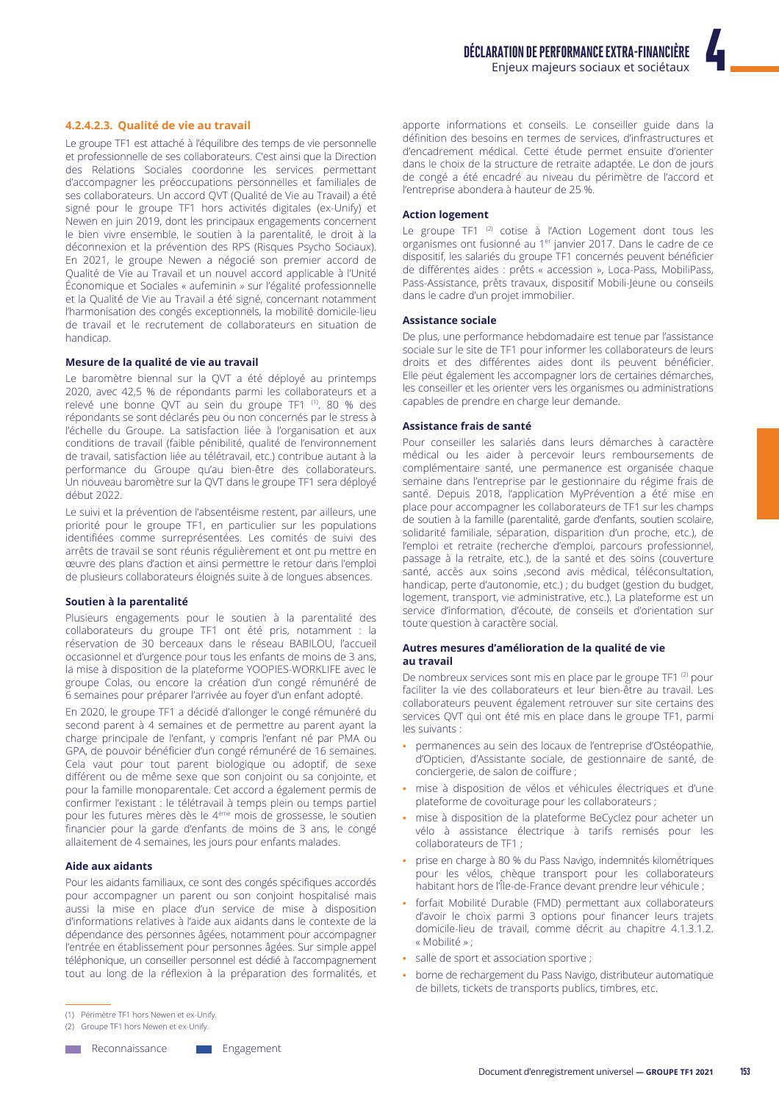4.2.4.2.3. Qualité de vie au travail

Le groupe TF1 est attaché à l'équilibre des temps de vie personnelle et professionnelle de ses collaborateurs. C'est ainsi que la Direction des Relations Sociales coordonne les services permettant d'accompagner les préoccupations personnelles et familiales de ses collaborateurs. Un accord OVT (Qualité de Vie au Travail) a été signé pour le groupe TF1 hors activités digitales (ex-Unify) et Newen en juin 2019, dont les principaux engagements concernent le bien vivre ensemble, le soutien à la parentalité, le droit à la déconnexion et la prévention des RPS (Risques Psycho Sociaux). En 2021, le groupe Newen a négocié son premier accord de Qualité de Vie au Travail et un nouvel accord applicable à l'Unité Économique et Sociales « aufeminin » sur l'égalité professionnelle et la Qualité de Vie au Travail a été signé, concernant notamment l'harmonisation des congés exceptionnels, la mobilité domicile-lieu de travail et le recrutement de collaborateurs en situation de handicap.

# Mesure de la qualité de vie au travail

Le baromètre biennal sur la OVT a été déployé au printemps 2020, avec 42,5 % de répondants parmi les collaborateurs et a relevé une bonne QVT au sein du groupe TF1<sup>(1)</sup>. 80 % des répondants se sont déclarés peu ou non concernés par le stress à l'échelle du Groupe. La satisfaction liée à l'organisation et aux conditions de travail (faible pénibilité, qualité de l'environnement de travail, satisfaction liée au télétravail, etc.) contribue autant à la performance du Groupe qu'au bien-être des collaborateurs. Un nouveau baromètre sur la QVT dans le groupe TF1 sera déployé début 2022.

Le suivi et la prévention de l'absentéisme restent, par ailleurs, une priorité pour le groupe TF1, en particulier sur les populations identifiées comme surreprésentées. Les comités de suivi des arrêts de travail se sont réunis régulièrement et ont pu mettre en œuvre des plans d'action et ainsi permettre le retour dans l'emploi de plusieurs collaborateurs éloignés suite à de longues absences.

# Soutien à la parentalité

Plusieurs engagements pour le soutien à la parentalité des collaborateurs du groupe TF1 ont été pris, notamment : la réservation de 30 berceaux dans le réseau BABILOU, l'accueil occasionnel et d'urgence pour tous les enfants de moins de 3 ans, la mise à disposition de la plateforme YOOPIES-WORKLIFE avec le groupe Colas, ou encore la création d'un congé rémunéré de 6 semaines pour préparer l'arrivée au foyer d'un enfant adopté.

En 2020, le groupe TF1 a décidé d'allonger le congé rémunéré du second parent à 4 semaines et de permettre au parent ayant la charge principale de l'enfant, y compris l'enfant né par PMA ou GPA, de pouvoir bénéficier d'un congé rémunéré de 16 semaines. Cela vaut pour tout parent biologique ou adoptif, de sexe différent ou de même sexe que son conjoint ou sa conjointe, et pour la famille monoparentale. Cet accord a également permis de confirmer l'existant : le télétravail à temps plein ou temps partiel pour les futures mères dès le 4<sup>ème</sup> mois de grossesse, le soutien financier pour la garde d'enfants de moins de 3 ans, le congé allaitement de 4 semaines, les jours pour enfants malades.

# **Aide aux aidants**

Pour les aidants familiaux, ce sont des congés spécifiques accordés pour accompagner un parent ou son conjoint hospitalisé mais aussi la mise en place d'un service de mise à disposition d'informations relatives à l'aide aux aidants dans le contexte de la dépendance des personnes âgées, notamment pour accompagner l'entrée en établissement pour personnes âgées. Sur simple appel téléphonique, un conseiller personnel est dédié à l'accompagnement tout au long de la réflexion à la préparation des formalités, et

(1) Périmètre TF1 hors Newen et ex-Unify.

(2) Groupe TF1 hors Newen et ex-Unify.

**Neconnaissance** 

Engagement

apporte informations et conseils. Le conseiller guide dans la définition des besoins en termes de services, d'infrastructures et d'encadrement médical. Cette étude permet ensuite d'orienter dans le choix de la structure de retraite adaptée. Le don de jours de congé a été encadré au niveau du périmètre de l'accord et l'entreprise abondera à hauteur de 25 %.

#### **Action logement**

Le groupe TF1<sup>(2)</sup> cotise à l'Action Logement dont tous les organismes ont fusionné au 1<sup>er</sup> janvier 2017. Dans le cadre de ce dispositif, les salariés du groupe TF1 concernés peuvent bénéficier de différentes aides : prêts « accession », Loca-Pass, MobiliPass, Pass-Assistance, prêts travaux, dispositif Mobili-Jeune ou conseils dans le cadre d'un projet immobilier.

# **Assistance sociale**

De plus, une performance hebdomadaire est tenue par l'assistance sociale sur le site de TF1 pour informer les collaborateurs de leurs droits et des différentes aides dont ils peuvent bénéficier. Elle peut également les accompagner lors de certaines démarches, les conseiller et les orienter vers les organismes ou administrations capables de prendre en charge leur demande.

#### Assistance frais de santé

Pour conseiller les salariés dans leurs démarches à caractère médical ou les aider à percevoir leurs remboursements de complémentaire santé, une permanence est organisée chaque semaine dans l'entreprise par le gestionnaire du régime frais de santé. Depuis 2018, l'application MyPrévention a été mise en place pour accompagner les collaborateurs de TF1 sur les champs de soutien à la famille (parentalité, garde d'enfants, soutien scolaire, solidarité familiale, séparation, disparition d'un proche, etc.), de l'emploi et retraite (recherche d'emploi, parcours professionnel, passage à la retraite, etc.), de la santé et des soins (couverture santé, accès aux soins , second avis médical, téléconsultation, handicap, perte d'autonomie, etc.) ; du budget (gestion du budget, logement, transport, vie administrative, etc.). La plateforme est un service d'information, d'écoute, de conseils et d'orientation sur toute question à caractère social.

#### Autres mesures d'amélioration de la qualité de vie au travail

De nombreux services sont mis en place par le groupe TF1<sup>(2)</sup> pour faciliter la vie des collaborateurs et leur bien-être au travail. Les collaborateurs peuvent également retrouver sur site certains des services QVT qui ont été mis en place dans le groupe TF1, parmi les suivants :

- · permanences au sein des locaux de l'entreprise d'Ostéopathie, d'Opticien, d'Assistante sociale, de gestionnaire de santé, de conciergerie, de salon de coiffure ;
- · mise à disposition de vélos et véhicules électriques et d'une plateforme de covoiturage pour les collaborateurs ;
- · mise à disposition de la plateforme BeCyclez pour acheter un vélo à assistance électrique à tarifs remisés pour les collaborateurs de TF1 ;
- · prise en charge à 80 % du Pass Navigo, indemnités kilométriques pour les vélos, chèque transport pour les collaborateurs habitant hors de l'Île-de-France devant prendre leur véhicule ;
- · forfait Mobilité Durable (FMD) permettant aux collaborateurs d'avoir le choix parmi 3 options pour financer leurs trajets domicile-lieu de travail, comme décrit au chapitre 4.1.3.1.2. « Mobilité » ;
- · salle de sport et association sportive ;
- · borne de rechargement du Pass Navigo, distributeur automatique de billets, tickets de transports publics, timbres, etc.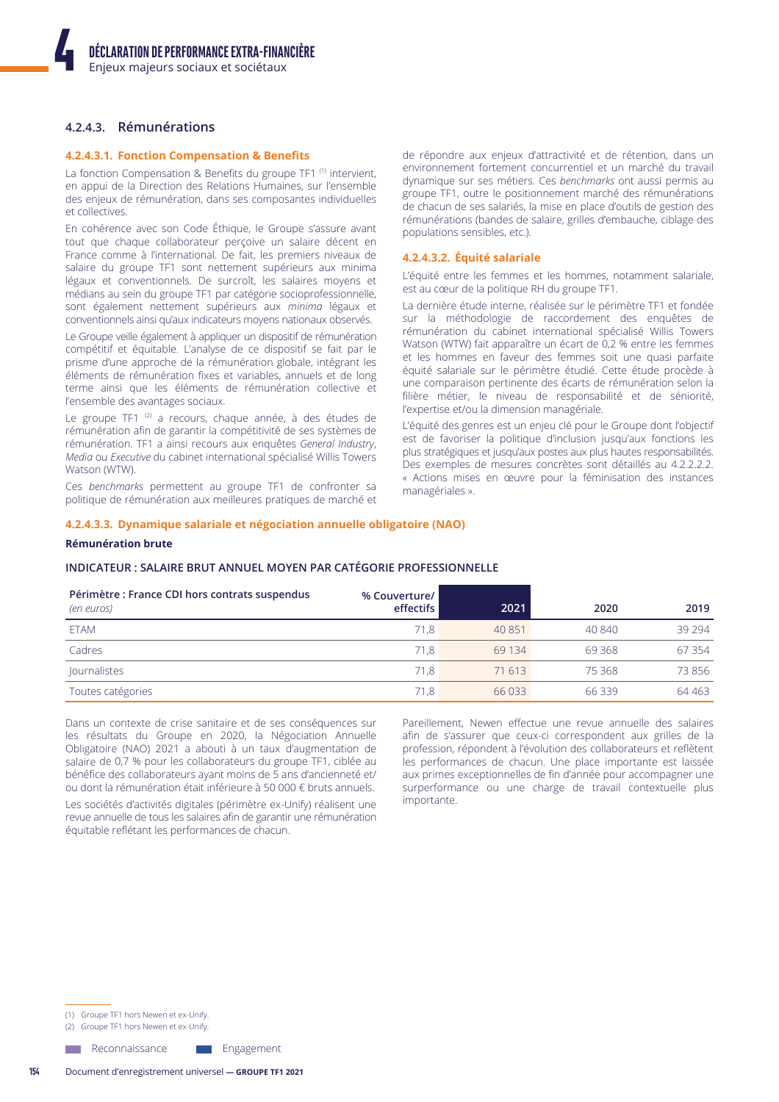# 4.2.4.3. Rémunérations

#### 4.2.4.3.1. Fonction Compensation & Benefits

La fonction Compensation & Benefits du groupe TF1<sup>(1)</sup> intervient, en appui de la Direction des Relations Humaines, sur l'ensemble des enjeux de rémunération, dans ses composantes individuelles et collectives.

En cohérence avec son Code Éthique, le Groupe s'assure avant tout que chaque collaborateur perçoive un salaire décent en France comme à l'international. De fait, les premiers niveaux de salaire du groupe TF1 sont nettement supérieurs aux minima légaux et conventionnels. De surcroît, les salaires moyens et médians au sein du groupe TF1 par catégorie socioprofessionnelle, sont également nettement supérieurs aux minima légaux et conventionnels ainsi qu'aux indicateurs moyens nationaux observés.

Le Groupe veille également à appliquer un dispositif de rémunération compétitif et équitable. L'analyse de ce dispositif se fait par le prisme d'une approche de la rémunération globale, intégrant les éléments de rémunération fixes et variables, annuels et de long terme ainsi que les éléments de rémunération collective et l'ensemble des avantages sociaux.

Le groupe TF1<sup>(2)</sup> a recours, chaque année, à des études de rémunération afin de garantir la compétitivité de ses systèmes de rémunération. TF1 a ainsi recours aux enquêtes General Industry, Media ou Executive du cabinet international spécialisé Willis Towers Watson (WTW).

Ces benchmarks permettent au groupe TF1 de confronter sa politique de rémunération aux meilleures pratiques de marché et de répondre aux enjeux d'attractivité et de rétention, dans un environnement fortement concurrentiel et un marché du travail dynamique sur ses métiers. Ces benchmarks ont aussi permis au groupe TF1, outre le positionnement marché des rémunérations de chacun de ses salariés, la mise en place d'outils de gestion des rémunérations (bandes de salaire, grilles d'embauche, ciblage des populations sensibles, etc.).

#### 4.2.4.3.2. Équité salariale

L'équité entre les femmes et les hommes, notamment salariale, est au cœur de la politique RH du groupe TF1.

La dernière étude interne, réalisée sur le périmètre TF1 et fondée sur la méthodologie de raccordement des enquêtes de rémunération du cabinet international spécialisé Willis Towers Watson (WTW) fait apparaître un écart de 0,2 % entre les femmes et les hommes en faveur des femmes soit une quasi parfaite équité salariale sur le périmètre étudié. Cette étude procède à une comparaison pertinente des écarts de rémunération selon la filière métier, le niveau de responsabilité et de séniorité, l'expertise et/ou la dimension managériale.

L'équité des genres est un enjeu clé pour le Groupe dont l'objectif est de favoriser la politique d'inclusion jusqu'aux fonctions les plus stratégiques et jusqu'aux postes aux plus hautes responsabilités. Des exemples de mesures concrètes sont détaillés au 4.2.2.2.2. « Actions mises en œuvre pour la féminisation des instances managériales ».

#### 4.2.4.3.3. Dynamique salariale et négociation annuelle obligatoire (NAO)

#### **Rémunération brute**

# INDICATEUR : SALAIRE BRUT ANNUEL MOYEN PAR CATÉGORIE PROFESSIONNELLE

| Périmètre : France CDI hors contrats suspendus<br>(en euros) | % Couverture/<br>effectifs | 2021   | 2020    | 2019     |
|--------------------------------------------------------------|----------------------------|--------|---------|----------|
| <b>ETAM</b>                                                  | 71.8                       | 40 851 | 40 840  | 39 2 9 4 |
| Cadres                                                       | 71.8                       | 69 134 | 69368   | 67 354   |
| <b>Journalistes</b>                                          | 71.8                       | 71 613 | 75 368  | 73856    |
| Toutes catégories                                            | 71,8                       | 66 033 | 66 3 39 | 64 4 63  |

Dans un contexte de crise sanitaire et de ses conséquences sur les résultats du Groupe en 2020, la Négociation Annuelle Obligatoire (NAO) 2021 a abouti à un taux d'augmentation de salaire de 0,7 % pour les collaborateurs du groupe TF1, ciblée au bénéfice des collaborateurs ayant moins de 5 ans d'ancienneté et/ ou dont la rémunération était inférieure à 50 000 € bruts annuels.

Les sociétés d'activités digitales (périmètre ex-Unify) réalisent une revue annuelle de tous les salaires afin de garantir une rémunération équitable reflétant les performances de chacun.

Engagement

Pareillement, Newen effectue une revue annuelle des salaires afin de s'assurer que ceux-ci correspondent aux grilles de la profession, répondent à l'évolution des collaborateurs et reflètent les performances de chacun. Une place importante est laissée aux primes exceptionnelles de fin d'année pour accompagner une surperformance ou une charge de travail contextuelle plus importante.

(1) Groupe TE1 hors Newen et ex-Unify

(2) Groupe TF1 hors Newen et ex-Unify.

Reconnaissance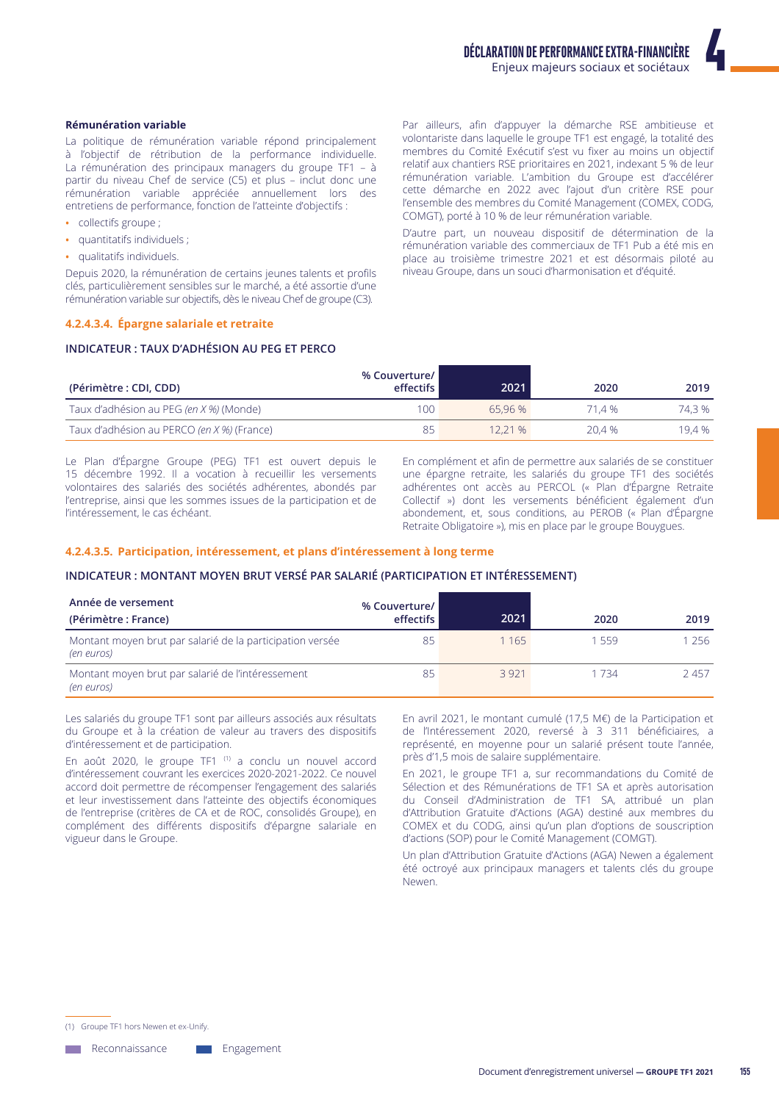#### **Rémunération variable**

La politique de rémunération variable répond principalement à l'obiectif de rétribution de la performance individuelle. La rémunération des principaux managers du groupe TF1 - à partir du niveau Chef de service (C5) et plus - inclut donc une rémunération variable appréciée annuellement lors des entretiens de performance, fonction de l'atteinte d'objectifs :

- collectifs groupe ;
- · quantitatifs individuels :
- · qualitatifs individuels.

Depuis 2020, la rémunération de certains jeunes talents et profils clés, particulièrement sensibles sur le marché, a été assortie d'une rémunération variable sur objectifs, dès le niveau Chef de groupe (C3).

### 4.2.4.3.4. Épargne salariale et retraite

### **INDICATEUR: TAUX D'ADHÉSION AU PEG ET PERCO**

Par ailleurs, afin d'appuyer la démarche RSE ambitieuse et volontariste dans laquelle le groupe TF1 est engagé, la totalité des membres du Comité Exécutif s'est vu fixer au moins un objectif relatif aux chantiers RSE prioritaires en 2021, indexant 5 % de leur rémunération variable. L'ambition du Groupe est d'accélérer cette démarche en 2022 avec l'ajout d'un critère RSE pour l'ensemble des membres du Comité Management (COMEX, CODG, COMGT), porté à 10 % de leur rémunération variable.

D'autre part, un nouveau dispositif de détermination de la rémunération variable des commerciaux de TF1 Pub a été mis en place au troisième trimestre 2021 et est désormais piloté au niveau Groupe, dans un souci d'harmonisation et d'équité.

| (Périmètre : CDI, CDD)                     | % Couverture/<br>effectifs | 2021   | 2020   | 2019   |
|--------------------------------------------|----------------------------|--------|--------|--------|
| Taux d'adhésion au PEG (en X %) (Monde)    | 100.                       | 65.96% | 71.4 % | 74.3 % |
| Taux d'adhésion au PERCO (en X %) (France) | 85                         | 12.21% | 20.4 % | 19.4 % |

Le Plan d'Épargne Groupe (PEG) TF1 est ouvert depuis le 15 décembre 1992. Il a vocation à recueillir les versements volontaires des salariés des sociétés adhérentes, abondés par l'entreprise, ainsi que les sommes issues de la participation et de l'intéressement, le cas échéant.

En complément et afin de permettre aux salariés de se constituer une épargne retraite, les salariés du groupe TF1 des sociétés adhérentes ont accès au PERCOL (« Plan d'Épargne Retraite Collectif ») dont les versements bénéficient également d'un abondement, et, sous conditions, au PEROB (« Plan d'Épargne Retraite Obligatoire »), mis en place par le groupe Bouygues.

#### 4.2.4.3.5. Participation, intéressement, et plans d'intéressement à long terme

#### INDICATEUR : MONTANT MOYEN BRUT VERSÉ PAR SALARIÉ (PARTICIPATION ET INTÉRESSEMENT)

| Année de versement<br>(Périmètre : France)                              | % Couverture/<br>effectifs | 2021  | 2020  | 2019 |
|-------------------------------------------------------------------------|----------------------------|-------|-------|------|
| Montant moyen brut par salarié de la participation versée<br>(en euros) | 85                         | 1 165 | 1559  | 256  |
| Montant moyen brut par salarié de l'intéressement<br>(en euros)         | 85                         | 3921  | 1 734 | 2457 |

Les salariés du groupe TF1 sont par ailleurs associés aux résultats du Groupe et à la création de valeur au travers des dispositifs d'intéressement et de participation.

En août 2020, le groupe TF1<sup>(1)</sup> a conclu un nouvel accord d'intéressement couvrant les exercices 2020-2021-2022. Ce nouvel accord doit permettre de récompenser l'engagement des salariés et leur investissement dans l'atteinte des objectifs économiques de l'entreprise (critères de CA et de ROC, consolidés Groupe), en complément des différents dispositifs d'épargne salariale en vigueur dans le Groupe.

En avril 2021, le montant cumulé (17,5 M€) de la Participation et de l'Intéressement 2020, reversé à 3 311 bénéficiaires, a représenté, en moyenne pour un salarié présent toute l'année, près d'1,5 mois de salaire supplémentaire.

En 2021, le groupe TF1 a, sur recommandations du Comité de Sélection et des Rémunérations de TF1 SA et après autorisation du Conseil d'Administration de TF1 SA, attribué un plan d'Attribution Gratuite d'Actions (AGA) destiné aux membres du COMEX et du CODG, ainsi qu'un plan d'options de souscription d'actions (SOP) pour le Comité Management (COMGT).

Un plan d'Attribution Gratuite d'Actions (AGA) Newen a également été octroyé aux principaux managers et talents clés du groupe Newen.

(1) Groupe TF1 hors Newen et ex-Unify.

**Neconnaissance** 

Engagement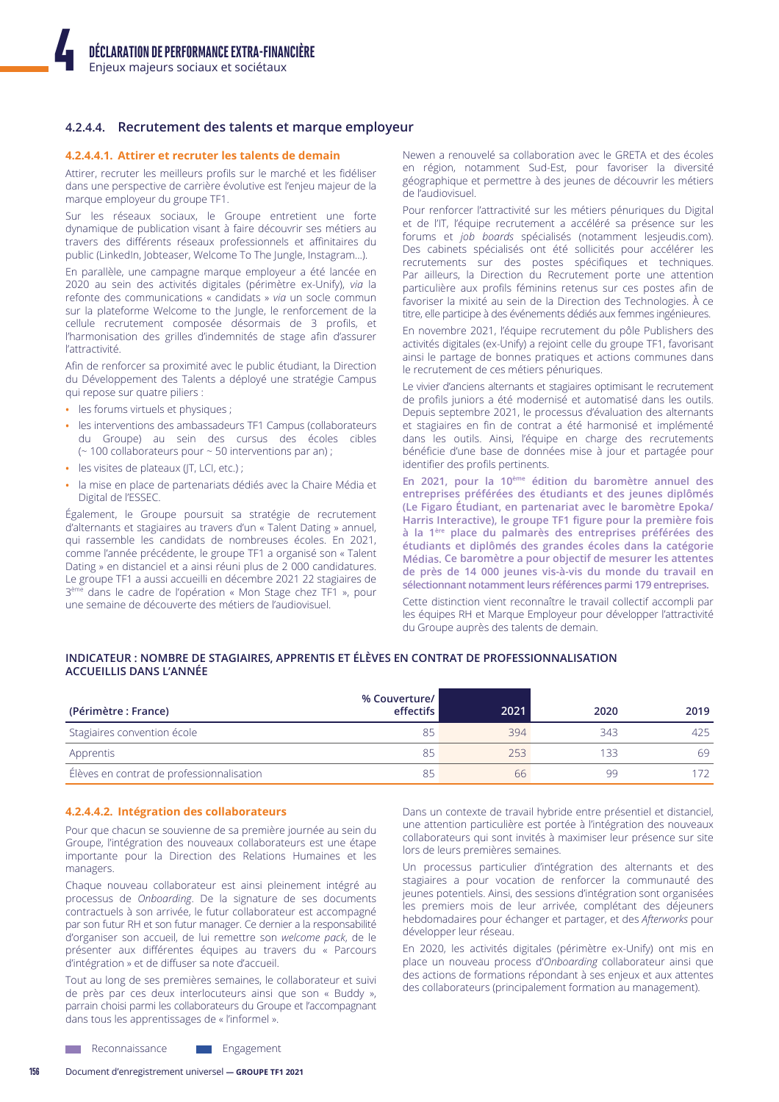# 4.2.4.4. Recrutement des talents et marque employeur

#### 4.2.4.4.1. Attirer et recruter les talents de demain

Attirer, recruter les meilleurs profils sur le marché et les fidéliser dans une perspective de carrière évolutive est l'enjeu majeur de la marque employeur du groupe TF1.

Sur les réseaux sociaux, le Groupe entretient une forte dynamique de publication visant à faire découvrir ses métiers au travers des différents réseaux professionnels et affinitaires du public (LinkedIn, Jobteaser, Welcome To The Jungle, Instagram...).

En parallèle, une campagne marque employeur a été lancée en 2020 au sein des activités digitales (périmètre ex-Unify), via la refonte des communications « candidats » via un socle commun sur la plateforme Welcome to the Jungle, le renforcement de la cellule recrutement composée désormais de 3 profils, et l'harmonisation des grilles d'indemnités de stage afin d'assurer l'attractivité.

Afin de renforcer sa proximité avec le public étudiant, la Direction du Développement des Talents a déployé une stratégie Campus qui repose sur quatre piliers :

- · les forums virtuels et physiques ;
- les interventions des ambassadeurs TF1 Campus (collaborateurs du Groupe) au sein des cursus des écoles cibles (~100 collaborateurs pour ~50 interventions par an);
- · les visites de plateaux (JT, LCI, etc.) ;
- la mise en place de partenariats dédiés avec la Chaire Média et Digital de l'ESSEC.

Également, le Groupe poursuit sa stratégie de recrutement d'alternants et stagiaires au travers d'un « Talent Dating » annuel, qui rassemble les candidats de nombreuses écoles. En 2021, comme l'année précédente, le groupe TF1 a organisé son « Talent Dating » en distanciel et a ainsi réuni plus de 2 000 candidatures. Le groupe TF1 a aussi accueilli en décembre 2021 22 stagiaires de 3<sup>ème</sup> dans le cadre de l'opération « Mon Stage chez TF1 », pour une semaine de découverte des métiers de l'audiovisuel.

Newen a renouvelé sa collaboration avec le GRFTA et des écoles en région, notamment Sud-Est, pour favoriser la diversité géographique et permettre à des jeunes de découvrir les métiers de l'audiovisuel

Pour renforcer l'attractivité sur les métiers pénuriques du Digital et de l'IT, l'équipe recrutement a accéléré sa présence sur les forums et job boards spécialisés (notamment lesjeudis.com). Des cabinets spécialisés ont été sollicités pour accélérer les recrutements sur des postes spécifiques et techniques. Par ailleurs, la Direction du Recrutement porte une attention particulière aux profils féminins retenus sur ces postes afin de favoriser la mixité au sein de la Direction des Technologies. À ce titre, elle participe à des événements dédiés aux femmes ingénieures.

En novembre 2021, l'équipe recrutement du pôle Publishers des activités digitales (ex-Unify) a rejoint celle du groupe TF1, favorisant ainsi le partage de bonnes pratiques et actions communes dans le recrutement de ces métiers pénuriques.

Le vivier d'anciens alternants et stagiaires optimisant le recrutement de profils juniors a été modernisé et automatisé dans les outils. Depuis septembre 2021, le processus d'évaluation des alternants et stagiaires en fin de contrat a été harmonisé et implémenté dans les outils. Ainsi, l'équipe en charge des recrutements bénéficie d'une base de données mise à jour et partagée pour identifier des profils pertinents.

En 2021, pour la 10<sup>ème</sup> édition du baromètre annuel des entreprises préférées des étudiants et des jeunes diplômés (Le Figaro Étudiant, en partenariat avec le baromètre Epoka/ Harris Interactive), le groupe TF1 figure pour la première fois à la 1<sup>ère</sup> place du palmarès des entreprises préférées des étudiants et diplômés des grandes écoles dans la catégorie Médias. Ce baromètre a pour objectif de mesurer les attentes de près de 14 000 jeunes vis-à-vis du monde du travail en sélectionnant notamment leurs références parmi 179 entreprises.

Cette distinction vient reconnaître le travail collectif accompli par les équipes RH et Marque Employeur pour développer l'attractivité du Groupe auprès des talents de demain.

# INDICATEUR : NOMBRE DE STAGIAIRES, APPRENTIS ET ÉLÈVES EN CONTRAT DE PROFESSIONNALISATION **ACCUEILLIS DANS L'ANNÉE**

| (Périmètre : France)                      | % Couverture/<br>effectifs | 2021 | 2020 | 2019 |
|-------------------------------------------|----------------------------|------|------|------|
| Stagiaires convention école               | 85                         | 394  | 343  | 425  |
| Apprentis                                 | 85                         | 253  | 133  | 69   |
| Élèves en contrat de professionnalisation | 85                         | 66   | 99   |      |

#### 4.2.4.4.2. Intégration des collaborateurs

Pour que chacun se souvienne de sa première journée au sein du Groupe, l'intégration des nouveaux collaborateurs est une étape importante pour la Direction des Relations Humaines et les managers.

Chaque nouveau collaborateur est ainsi pleinement intégré au processus de Onboarding. De la signature de ses documents contractuels à son arrivée, le futur collaborateur est accompagné par son futur RH et son futur manager. Ce dernier a la responsabilité d'organiser son accueil, de lui remettre son welcome pack, de le présenter aux différentes équipes au travers du « Parcours d'intégration » et de diffuser sa note d'accueil.

Tout au long de ses premières semaines, le collaborateur et suivi de près par ces deux interlocuteurs ainsi que son « Buddy », parrain choisi parmi les collaborateurs du Groupe et l'accompagnant dans tous les apprentissages de « l'informel ».

Dans un contexte de travail hybride entre présentiel et distanciel, une attention particulière est portée à l'intégration des nouveaux collaborateurs qui sont invités à maximiser leur présence sur site lors de leurs premières semaines.

Un processus particulier d'intégration des alternants et des stagiaires a pour vocation de renforcer la communauté des jeunes potentiels. Ainsi, des sessions d'intégration sont organisées les premiers mois de leur arrivée, complétant des déjeuners hebdomadaires pour échanger et partager, et des Afterworks pour développer leur réseau.

En 2020, les activités digitales (périmètre ex-Unify) ont mis en place un nouveau process d'Onboarding collaborateur ainsi que des actions de formations répondant à ses enjeux et aux attentes des collaborateurs (principalement formation au management).

Reconnaissance Engagement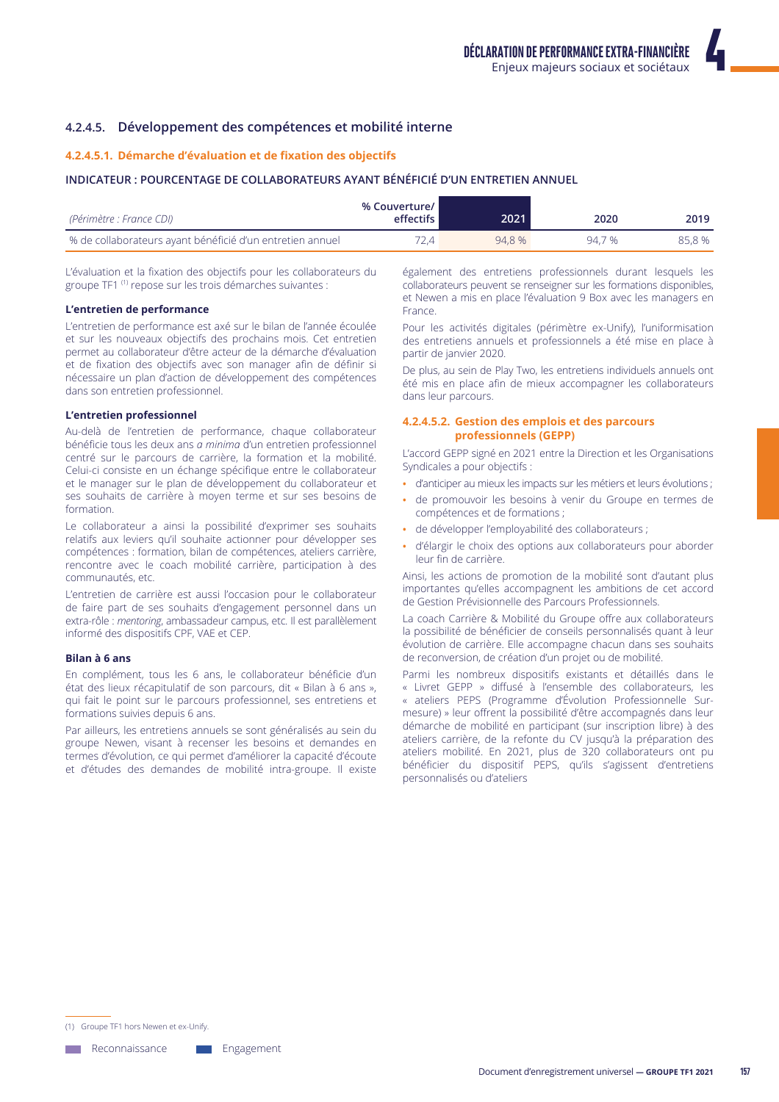# 4.2.4.5. Développement des compétences et mobilité interne

# 4.2.4.5.1. Démarche d'évaluation et de fixation des objectifs

# INDICATEUR : POURCENTAGE DE COLLABORATEURS AYANT BÉNÉFICIÉ D'UN ENTRETIEN ANNUEL

| (Périmètre : France CDI)                                  | % Couverture/ I<br><b>effectifs</b> | 2021   | 2020   | 2019   |
|-----------------------------------------------------------|-------------------------------------|--------|--------|--------|
| % de collaborateurs ayant bénéficié d'un entretien annuel | 72.4 .                              | 94.8 % | 94.7 % | 85.8 % |

L'évaluation et la fixation des objectifs pour les collaborateurs du groupe TF1<sup>(1)</sup> repose sur les trois démarches suivantes :

#### L'entretien de performance

L'entretien de performance est axé sur le bilan de l'année écoulée et sur les nouveaux objectifs des prochains mois. Cet entretien permet au collaborateur d'être acteur de la démarche d'évaluation et de fixation des objectifs avec son manager afin de définir si nécessaire un plan d'action de développement des compétences dans son entretien professionnel.

#### L'entretien professionnel

Au-delà de l'entretien de performance, chaque collaborateur bénéficie tous les deux ans *a minima* d'un entretien professionnel centré sur le parcours de carrière, la formation et la mobilité. Celui-ci consiste en un échange spécifique entre le collaborateur et le manager sur le plan de développement du collaborateur et ses souhaits de carrière à moyen terme et sur ses besoins de formation.

Le collaborateur a ainsi la possibilité d'exprimer ses souhaits relatifs aux leviers qu'il souhaite actionner pour développer ses compétences : formation, bilan de compétences, ateliers carrière, rencontre avec le coach mobilité carrière, participation à des communautés, etc.

L'entretien de carrière est aussi l'occasion pour le collaborateur de faire part de ses souhaits d'engagement personnel dans un extra-rôle : mentoring, ambassadeur campus, etc. Il est parallèlement informé des dispositifs CPF, VAE et CEP.

# Bilan à 6 ans

En complément, tous les 6 ans, le collaborateur bénéficie d'un état des lieux récapitulatif de son parcours, dit « Bilan à 6 ans », qui fait le point sur le parcours professionnel, ses entretiens et formations suivies depuis 6 ans.

Par ailleurs, les entretiens annuels se sont généralisés au sein du groupe Newen, visant à recenser les besoins et demandes en termes d'évolution, ce qui permet d'améliorer la capacité d'écoute et d'études des demandes de mobilité intra-groupe. Il existe

également des entretiens professionnels durant lesquels les collaborateurs peuvent se renseigner sur les formations disponibles, et Newen a mis en place l'évaluation 9 Box avec les managers en Erance

Pour les activités digitales (périmètre ex-Unify), l'uniformisation des entretiens annuels et professionnels a été mise en place à partir de janvier 2020.

De plus, au sein de Play Two, les entretiens individuels annuels ont été mis en place afin de mieux accompagner les collaborateurs dans leur parcours.

# 4.2.4.5.2. Gestion des emplois et des parcours professionnels (GEPP)

L'accord GEPP signé en 2021 entre la Direction et les Organisations Syndicales a pour objectifs :

- · d'anticiper au mieux les impacts sur les métiers et leurs évolutions ;
- de promouvoir les besoins à venir du Groupe en termes de compétences et de formations ;
- · de développer l'emplovabilité des collaborateurs :
- · d'élargir le choix des options aux collaborateurs pour aborder leur fin de carrière

Ainsi, les actions de promotion de la mobilité sont d'autant plus importantes qu'elles accompagnent les ambitions de cet accord de Gestion Prévisionnelle des Parcours Professionnels.

La coach Carrière & Mobilité du Groupe offre aux collaborateurs la possibilité de bénéficier de conseils personnalisés quant à leur évolution de carrière. Elle accompagne chacun dans ses souhaits de reconversion, de création d'un projet ou de mobilité.

Parmi les nombreux dispositifs existants et détaillés dans le « Livret GEPP » diffusé à l'ensemble des collaborateurs, les « ateliers PEPS (Programme d'Évolution Professionnelle Surmesure) » leur offrent la possibilité d'être accompagnés dans leur démarche de mobilité en participant (sur inscription libre) à des ateliers carrière, de la refonte du CV jusqu'à la préparation des ateliers mobilité. En 2021, plus de 320 collaborateurs ont pu bénéficier du dispositif PEPS, qu'ils s'agissent d'entretiens personnalisés ou d'ateliers

(1) Groupe TF1 hors Newen et ex-Unify

**Neconnaissance** 

Engagement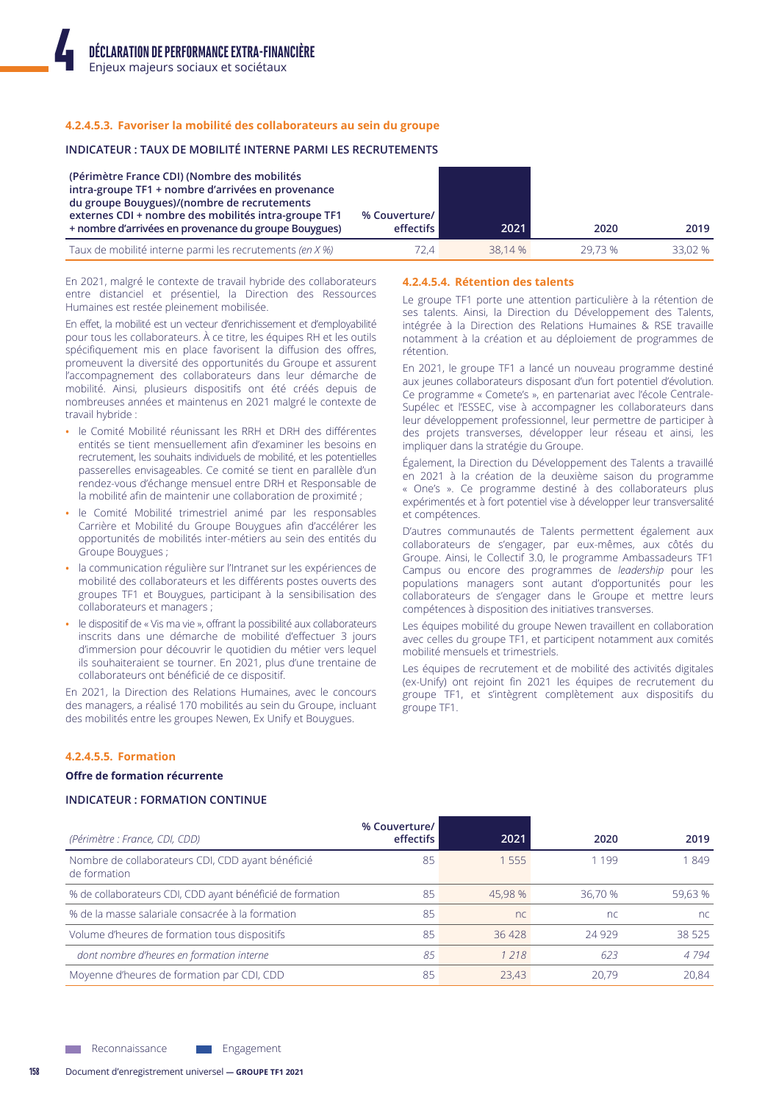### 4.2.4.5.3. Favoriser la mobilité des collaborateurs au sein du groupe

#### **INDICATEUR: TAUX DE MOBILITÉ INTERNE PARMI LES RECRUTEMENTS**

| (Périmètre France CDI) (Nombre des mobilités<br>intra-groupe TF1 + nombre d'arrivées en provenance<br>du groupe Bouygues)/(nombre de recrutements<br>externes CDI + nombre des mobilités intra-groupe TF1<br>+ nombre d'arrivées en provenance du groupe Bouygues) | % Couverture/<br>effectifs | 2021    | 2020   | 2019    |
|--------------------------------------------------------------------------------------------------------------------------------------------------------------------------------------------------------------------------------------------------------------------|----------------------------|---------|--------|---------|
| Taux de mobilité interne parmi les recrutements (en X %)                                                                                                                                                                                                           | D 4                        | 38.14 % | 29.73% | 33.02 % |

En 2021, malgré le contexte de travail hybride des collaborateurs entre distanciel et présentiel, la Direction des Ressources Humaines est restée pleinement mobilisée.

En effet, la mobilité est un vecteur d'enrichissement et d'employabilité pour tous les collaborateurs. À ce titre, les équipes RH et les outils spécifiquement mis en place favorisent la diffusion des offres, promeuvent la diversité des opportunités du Groupe et assurent l'accompagnement des collaborateurs dans leur démarche de mobilité. Ainsi, plusieurs dispositifs ont été créés depuis de nombreuses années et maintenus en 2021 malgré le contexte de travail hybride :

- · le Comité Mobilité réunissant les RRH et DRH des différentes entités se tient mensuellement afin d'examiner les besoins en recrutement, les souhaits individuels de mobilité, et les potentielles passerelles envisageables. Ce comité se tient en parallèle d'un rendez-vous d'échange mensuel entre DRH et Responsable de la mobilité afin de maintenir une collaboration de proximité ;
- le Comité Mobilité trimestriel animé par les responsables Carrière et Mobilité du Groupe Bouygues afin d'accélérer les opportunités de mobilités inter-métiers au sein des entités du Groupe Bouygues;
- la communication régulière sur l'Intranet sur les expériences de mobilité des collaborateurs et les différents postes ouverts des groupes TF1 et Bouygues, participant à la sensibilisation des collaborateurs et managers;
- le dispositif de « Vis ma vie », offrant la possibilité aux collaborateurs inscrits dans une démarche de mobilité d'effectuer 3 jours d'immersion pour découvrir le quotidien du métier vers lequel ils souhaiteraient se tourner. En 2021, plus d'une trentaine de collaborateurs ont bénéficié de ce dispositif.

En 2021, la Direction des Relations Humaines, avec le concours des managers, a réalisé 170 mobilités au sein du Groupe, incluant des mobilités entre les groupes Newen, Ex Unify et Bouygues.

#### 4.2.4.5.4. Rétention des talents

Le groupe TF1 porte une attention particulière à la rétention de ses talents. Ainsi, la Direction du Développement des Talents, intégrée à la Direction des Relations Humaines & RSE travaille notamment à la création et au déploiement de programmes de rétention.

En 2021, le groupe TF1 a lancé un nouveau programme destiné aux jeunes collaborateurs disposant d'un fort potentiel d'évolution. Ce programme « Comete's », en partenariat avec l'école Centrale-Supélec et l'ESSEC, vise à accompagner les collaborateurs dans leur développement professionnel, leur permettre de participer à des projets transverses, développer leur réseau et ainsi, les impliquer dans la stratégie du Groupe.

Également, la Direction du Développement des Talents a travaillé en 2021 à la création de la deuxième saison du programme « One's ». Ce programme destiné à des collaborateurs plus expérimentés et à fort potentiel vise à développer leur transversalité et compétences.

D'autres communautés de Talents permettent également aux collaborateurs de s'engager, par eux-mêmes, aux côtés du Groupe. Ainsi, le Collectif 3.0, le programme Ambassadeurs TF1 Campus ou encore des programmes de leadership pour les populations managers sont autant d'opportunités pour les collaborateurs de s'engager dans le Groupe et mettre leurs compétences à disposition des initiatives transverses.

Les équipes mobilité du groupe Newen travaillent en collaboration avec celles du groupe TF1, et participent notamment aux comités mobilité mensuels et trimestriels.

Les équipes de recrutement et de mobilité des activités digitales (ex-Unify) ont rejoint fin 2021 les équipes de recrutement du groupe TF1, et s'intègrent complètement aux dispositifs du groupe TF1.

#### 4.2.4.5.5. Formation

#### Offre de formation récurrente

#### **INDICATEUR: FORMATION CONTINUE**

| (Périmètre : France, CDI, CDD)                                    | % Couverture/<br>effectifs | 2021    | 2020    | 2019    |
|-------------------------------------------------------------------|----------------------------|---------|---------|---------|
| Nombre de collaborateurs CDI, CDD ayant bénéficié<br>de formation | 85                         | 1 5 5 5 | 1199    | 1849    |
| % de collaborateurs CDI, CDD ayant bénéficié de formation         | 85                         | 45.98 % | 36.70 % | 59.63 % |
| % de la masse salariale consacrée à la formation                  | 85                         | nc      | nc      | nc.     |
| Volume d'heures de formation tous dispositifs                     | 85                         | 36428   | 24929   | 38.525  |
| dont nombre d'heures en formation interne                         | 85                         | 1 218   | 623     | 4 7 9 4 |
| Moyenne d'heures de formation par CDI, CDD                        | 85                         | 23.43   | 20.79   | 20.84   |

Engagement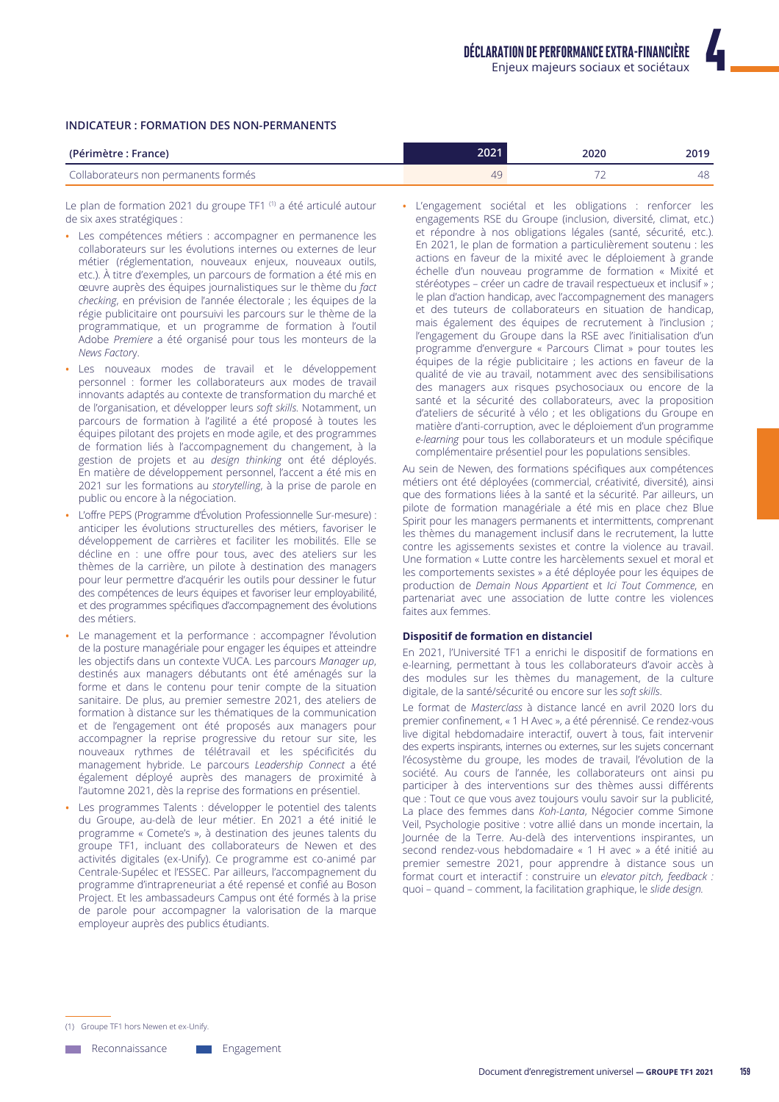#### **INDICATEUR: FORMATION DES NON-PERMANENTS**

| (Périmètre : France)                 | 2021                  | 2020 | 2019 |
|--------------------------------------|-----------------------|------|------|
| Collaborateurs non permanents formés | $\Delta$ <sup>O</sup> |      | 48   |

Le plan de formation 2021 du groupe TF1<sup>(1)</sup> a été articulé autour de six axes stratégiques :

- · Les compétences métiers : accompagner en permanence les collaborateurs sur les évolutions internes ou externes de leur métier (réglementation, nouveaux enjeux, nouveaux outils, etc.). À titre d'exemples, un parcours de formation a été mis en œuvre auprès des équipes journalistiques sur le thème du fact checking, en prévision de l'année électorale ; les équipes de la régie publicitaire ont poursuivi les parcours sur le thème de la programmatique, et un programme de formation à l'outil Adobe Premiere a été organisé pour tous les monteurs de la News Factory.
- Les nouveaux modes de travail et le développement personnel : former les collaborateurs aux modes de travail innovants adaptés au contexte de transformation du marché et de l'organisation, et développer leurs soft skills. Notamment, un parcours de formation à l'agilité a été proposé à toutes les équipes pilotant des projets en mode agile, et des programmes de formation liés à l'accompagnement du changement, à la gestion de projets et au design thinking ont été déployés. En matière de développement personnel, l'accent a été mis en 2021 sur les formations au storytelling, à la prise de parole en public ou encore à la négociation.
- L'offre PEPS (Programme d'Évolution Professionnelle Sur-mesure) : anticiper les évolutions structurelles des métiers, favoriser le développement de carrières et faciliter les mobilités. Elle se décline en : une offre pour tous, avec des ateliers sur les thèmes de la carrière, un pilote à destination des managers pour leur permettre d'acquérir les outils pour dessiner le futur des compétences de leurs équipes et favoriser leur employabilité, et des programmes spécifiques d'accompagnement des évolutions des métiers
- Le management et la performance : accompagner l'évolution de la posture managériale pour engager les équipes et atteindre les objectifs dans un contexte VUCA. Les parcours Manager up, destinés aux managers débutants ont été aménagés sur la forme et dans le contenu pour tenir compte de la situation sanitaire. De plus, au premier semestre 2021, des ateliers de formation à distance sur les thématiques de la communication et de l'engagement ont été proposés aux managers pour accompagner la reprise progressive du retour sur site, les nouveaux rythmes de télétravail et les spécificités du management hybride. Le parcours Leadership Connect a été également déployé auprès des managers de proximité à l'automne 2021, dès la reprise des formations en présentiel.
- Les programmes Talents : développer le potentiel des talents du Groupe, au-delà de leur métier. En 2021 a été initié le programme « Comete's », à destination des jeunes talents du groupe TF1, incluant des collaborateurs de Newen et des activités digitales (ex-Unify). Ce programme est co-animé par Centrale-Supélec et l'ESSEC. Par ailleurs, l'accompagnement du programme d'intrapreneuriat a été repensé et confié au Boson Project. Et les ambassadeurs Campus ont été formés à la prise de parole pour accompagner la valorisation de la marque employeur auprès des publics étudiants.

· L'engagement sociétal et les obligations : renforcer les engagements RSE du Groupe (inclusion, diversité, climat, etc.) et répondre à nos obligations légales (santé, sécurité, etc.). En 2021, le plan de formation a particulièrement soutenu : les actions en faveur de la mixité avec le déploiement à grande échelle d'un nouveau programme de formation « Mixité et stéréotypes – créer un cadre de travail respectueux et inclusif » ; le plan d'action handicap, avec l'accompagnement des managers et des tuteurs de collaborateurs en situation de handicap, mais également des équipes de recrutement à l'inclusion ; l'engagement du Groupe dans la RSE avec l'initialisation d'un programme d'envergure « Parcours Climat » pour toutes les équipes de la régie publicitaire ; les actions en faveur de la qualité de vie au travail, notamment avec des sensibilisations des managers aux risques psychosociaux ou encore de la santé et la sécurité des collaborateurs, avec la proposition d'ateliers de sécurité à vélo ; et les obligations du Groupe en matière d'anti-corruption, avec le déploiement d'un programme e-learning pour tous les collaborateurs et un module spécifique complémentaire présentiel pour les populations sensibles.

Au sein de Newen, des formations spécifiques aux compétences métiers ont été déployées (commercial, créativité, diversité), ainsi que des formations liées à la santé et la sécurité. Par ailleurs, un pilote de formation managériale a été mis en place chez Blue Spirit pour les managers permanents et intermittents, comprenant les thèmes du management inclusif dans le recrutement, la lutte contre les agissements sexistes et contre la violence au travail. Une formation « Lutte contre les harcèlements sexuel et moral et les comportements sexistes » a été déployée pour les équipes de production de Demain Nous Appartient et Ici Tout Commence, en partenariat avec une association de lutte contre les violences faites aux femmes.

#### Dispositif de formation en distanciel

En 2021, l'Université TF1 a enrichi le dispositif de formations en e-learning, permettant à tous les collaborateurs d'avoir accès à des modules sur les thèmes du management, de la culture digitale, de la santé/sécurité ou encore sur les soft skills.

Le format de Masterclass à distance lancé en avril 2020 lors du premier confinement, « 1 H Avec », a été pérennisé. Ce rendez-vous live digital hebdomadaire interactif, ouvert à tous, fait intervenir des experts inspirants, internes ou externes, sur les sujets concernant l'écosystème du groupe, les modes de travail, l'évolution de la société. Au cours de l'année, les collaborateurs ont ainsi pu participer à des interventions sur des thèmes aussi différents que : Tout ce que vous avez toujours voulu savoir sur la publicité, La place des femmes dans Koh-Lanta, Négocier comme Simone Veil, Psychologie positive : votre allié dans un monde incertain, la Journée de la Terre. Au-delà des interventions inspirantes, un second rendez-vous hebdomadaire « 1 H avec » a été initié au premier semestre 2021, pour apprendre à distance sous un format court et interactif : construire un elevator pitch, feedback : quoi - quand - comment, la facilitation graphique, le slide design.

(1) Groupe TF1 hors Newen et ex-Unify

**Neconnaissance** Engagement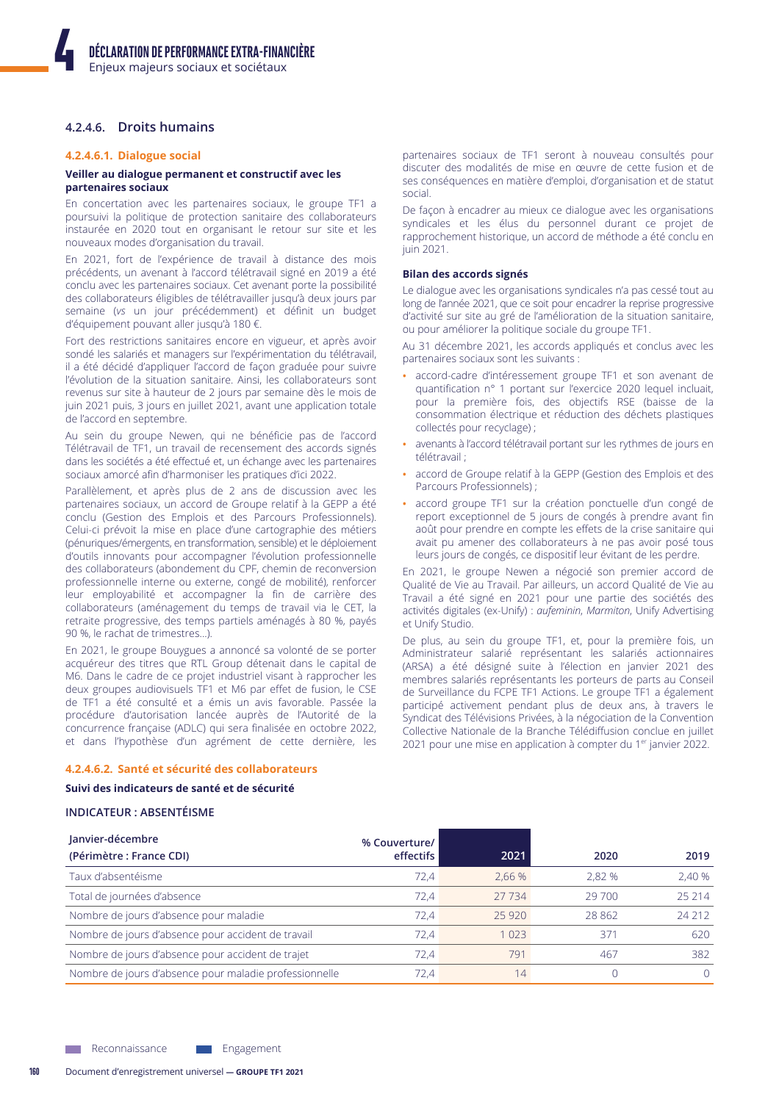# 4.2.4.6. Droits humains

#### 4.2.4.6.1. Dialogue social

#### Veiller au dialogue permanent et constructif avec les partenaires sociaux

En concertation avec les partenaires sociaux, le groupe TF1 a poursuivi la politique de protection sanitaire des collaborateurs instaurée en 2020 tout en organisant le retour sur site et les nouveaux modes d'organisation du travail.

En 2021, fort de l'expérience de travail à distance des mois précédents, un avenant à l'accord télétravail signé en 2019 a été conclu avec les partenaires sociaux. Cet avenant porte la possibilité des collaborateurs éligibles de télétravailler jusqu'à deux jours par semaine (vs un jour précédemment) et définit un budget d'équipement pouvant aller jusqu'à 180 €.

Fort des restrictions sanitaires encore en vigueur, et après avoir sondé les salariés et managers sur l'expérimentation du télétravail, il a été décidé d'appliquer l'accord de façon graduée pour suivre l'évolution de la situation sanitaire. Ainsi, les collaborateurs sont revenus sur site à hauteur de 2 jours par semaine dès le mois de juin 2021 puis, 3 jours en juillet 2021, avant une application totale de l'accord en septembre.

Au sein du groupe Newen, qui ne bénéficie pas de l'accord Télétravail de TF1, un travail de recensement des accords signés dans les sociétés a été effectué et, un échange avec les partenaires sociaux amorcé afin d'harmoniser les pratiques d'ici 2022.

Parallèlement, et après plus de 2 ans de discussion avec les partenaires sociaux, un accord de Groupe relatif à la GEPP a été conclu (Gestion des Emplois et des Parcours Professionnels). Celui-ci prévoit la mise en place d'une cartographie des métiers (pénuriques/émergents, en transformation, sensible) et le déploiement d'outils innovants pour accompagner l'évolution professionnelle des collaborateurs (abondement du CPF, chemin de reconversion professionnelle interne ou externe, congé de mobilité), renforcer leur employabilité et accompagner la fin de carrière des collaborateurs (aménagement du temps de travail via le CET, la retraite progressive, des temps partiels aménagés à 80 %, payés 90 %, le rachat de trimestres...).

En 2021, le groupe Bouygues a annoncé sa volonté de se porter acquéreur des titres que RTL Group détenait dans le capital de M6. Dans le cadre de ce projet industriel visant à rapprocher les deux groupes audiovisuels TF1 et M6 par effet de fusion, le CSE de TF1 a été consulté et a émis un avis favorable. Passée la procédure d'autorisation lancée auprès de l'Autorité de la concurrence française (ADLC) qui sera finalisée en octobre 2022, et dans l'hypothèse d'un agrément de cette dernière, les

#### 4.2.4.6.2. Santé et sécurité des collaborateurs

#### Suivi des indicateurs de santé et de sécurité

### **INDICATEUR : ABSENTÉISME**

partenaires sociaux de TF1 seront à nouveau consultés pour discuter des modalités de mise en œuvre de cette fusion et de ses conséquences en matière d'emploi, d'organisation et de statut social

De façon à encadrer au mieux ce dialogue avec les organisations syndicales et les élus du personnel durant ce projet de rapprochement historique, un accord de méthode a été conclu en iuin 2021.

#### Bilan des accords signés

Le dialogue avec les organisations syndicales n'a pas cessé tout au long de l'année 2021, que ce soit pour encadrer la reprise progressive d'activité sur site au gré de l'amélioration de la situation sanitaire, ou pour améliorer la politique sociale du groupe TF1.

Au 31 décembre 2021, les accords appliqués et conclus avec les partenaires sociaux sont les suivants :

- accord-cadre d'intéressement groupe TF1 et son avenant de quantification nº 1 portant sur l'exercice 2020 lequel incluait, pour la première fois, des objectifs RSE (baisse de la consommation électrique et réduction des déchets plastiques collectés pour recyclage) ;
- avenants à l'accord télétravail portant sur les rythmes de jours en télétravail :
- accord de Groupe relatif à la GEPP (Gestion des Emplois et des Parcours Professionnels);
- · accord groupe TF1 sur la création ponctuelle d'un congé de report exceptionnel de 5 jours de congés à prendre avant fin août pour prendre en compte les effets de la crise sanitaire qui avait pu amener des collaborateurs à ne pas avoir posé tous leurs jours de congés, ce dispositif leur évitant de les perdre.

En 2021, le groupe Newen a négocié son premier accord de Qualité de Vie au Travail. Par ailleurs, un accord Qualité de Vie au Travail a été signé en 2021 pour une partie des sociétés des activités digitales (ex-Unify) : aufeminin, Marmiton, Unify Advertising et Unify Studio.

De plus, au sein du groupe TF1, et, pour la première fois, un Administrateur salarié représentant les salariés actionnaires (ARSA) a été désigné suite à l'élection en janvier 2021 des membres salariés représentants les porteurs de parts au Conseil de Surveillance du FCPE TF1 Actions. Le groupe TF1 a également participé activement pendant plus de deux ans, à travers le Syndicat des Télévisions Privées, à la négociation de la Convention Collective Nationale de la Branche Télédiffusion conclue en juillet 2021 pour une mise en application à compter du 1<sup>er</sup> janvier 2022.

| Janvier-décembre                                       | % Couverture/ |         |        |        |
|--------------------------------------------------------|---------------|---------|--------|--------|
| (Périmètre : France CDI)                               | effectifs     | 2021    | 2020   | 2019   |
| Taux d'absentéisme                                     | 72.4          | 2.66 %  | 2.82 % | 2,40 % |
| Total de journées d'absence                            | 72.4          | 27 7 34 | 29 700 | 25 214 |
| Nombre de jours d'absence pour maladie                 | 72.4          | 25 9 20 | 28 862 | 24 212 |
| Nombre de jours d'absence pour accident de travail     | 72.4          | l 023   | 371    | 620    |
| Nombre de jours d'absence pour accident de trajet      | 72.4          | 791     | 467    | 382    |
| Nombre de jours d'absence pour maladie professionnelle | 72.4          | 14      |        | 0      |

Engagement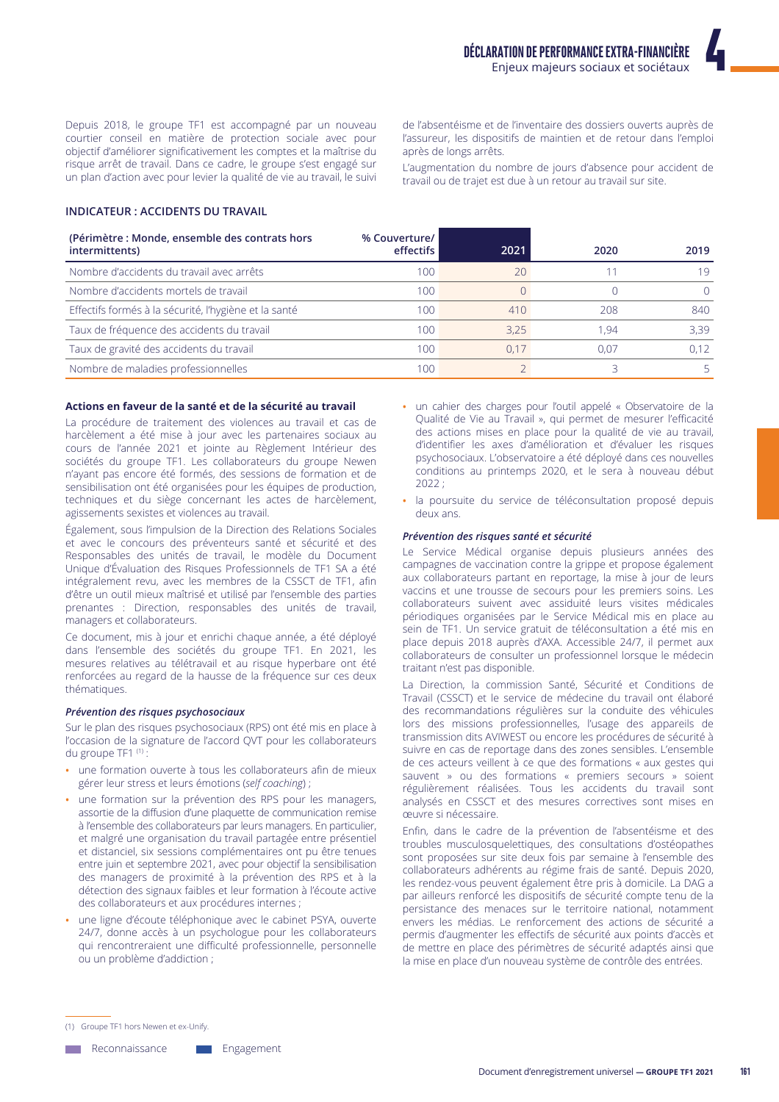Depuis 2018, le groupe TF1 est accompagné par un nouveau courtier conseil en matière de protection sociale avec pour objectif d'améliorer significativement les comptes et la maîtrise du risque arrêt de travail. Dans ce cadre, le groupe s'est engagé sur un plan d'action avec pour levier la qualité de vie au travail, le suivi

de l'absentéisme et de l'inventaire des dossiers ouverts auprès de l'assureur, les dispositifs de maintien et de retour dans l'emploi après de longs arrêts.

L'augmentation du nombre de jours d'absence pour accident de travail ou de trajet est due à un retour au travail sur site.

# **INDICATEUR: ACCIDENTS DU TRAVAIL**

| (Périmètre : Monde, ensemble des contrats hors<br>intermittents) | % Couverture/<br>effectifs | 2021 | 2020 | 2019             |
|------------------------------------------------------------------|----------------------------|------|------|------------------|
| Nombre d'accidents du travail avec arrêts                        | 100                        | 20   |      | 19               |
| Nombre d'accidents mortels de travail                            | 100                        |      |      | $\left( \right)$ |
| Effectifs formés à la sécurité, l'hygiène et la santé            | 100                        | 410  | 208  | 840              |
| Taux de fréquence des accidents du travail                       | 100                        | 3.25 | 1.94 | 3.39             |
| Taux de gravité des accidents du travail                         | 100                        | 0.17 | 0.07 | 0.12             |
| Nombre de maladies professionnelles                              | 100                        |      |      |                  |

#### Actions en faveur de la santé et de la sécurité au travail

La procédure de traitement des violences au travail et cas de harcèlement a été mise à jour avec les partenaires sociaux au cours de l'année 2021 et jointe au Règlement Intérieur des sociétés du groupe TF1. Les collaborateurs du groupe Newen n'ayant pas encore été formés, des sessions de formation et de sensibilisation ont été organisées pour les équipes de production, techniques et du siège concernant les actes de harcèlement, agissements sexistes et violences au travail.

Également, sous l'impulsion de la Direction des Relations Sociales et avec le concours des préventeurs santé et sécurité et des Responsables des unités de travail, le modèle du Document Unique d'Évaluation des Risques Professionnels de TF1 SA a été intégralement revu, avec les membres de la CSSCT de TF1, afin d'être un outil mieux maîtrisé et utilisé par l'ensemble des parties prenantes : Direction, responsables des unités de travail, managers et collaborateurs.

Ce document, mis à jour et enrichi chaque année, a été déployé dans l'ensemble des sociétés du groupe TF1. En 2021, les mesures relatives au télétravail et au risque hyperbare ont été renforcées au regard de la hausse de la fréquence sur ces deux thématiques.

#### Prévention des risques psychosociaux

Sur le plan des risques psychosociaux (RPS) ont été mis en place à l'occasion de la signature de l'accord QVT pour les collaborateurs du groupe TF1 (1):

- · une formation ouverte à tous les collaborateurs afin de mieux gérer leur stress et leurs émotions (self coaching) ;
- · une formation sur la prévention des RPS pour les managers, assortie de la diffusion d'une plaquette de communication remise à l'ensemble des collaborateurs par leurs managers. En particulier, et malgré une organisation du travail partagée entre présentiel et distanciel, six sessions complémentaires ont pu être tenues entre juin et septembre 2021, avec pour objectif la sensibilisation des managers de proximité à la prévention des RPS et à la détection des signaux faibles et leur formation à l'écoute active des collaborateurs et aux procédures internes ;
- une ligne d'écoute téléphonique avec le cabinet PSYA, ouverte 24/7, donne accès à un psychologue pour les collaborateurs qui rencontreraient une difficulté professionnelle, personnelle ou un problème d'addiction;
- · un cahier des charges pour l'outil appelé « Observatoire de la Qualité de Vie au Travail », qui permet de mesurer l'efficacité des actions mises en place pour la qualité de vie au travail, d'identifier les axes d'amélioration et d'évaluer les risques psychosociaux. L'observatoire a été déployé dans ces nouvelles conditions au printemps 2020, et le sera à nouveau début  $2022 -$
- · la poursuite du service de téléconsultation proposé depuis deux ans

#### Prévention des risques santé et sécurité

Le Service Médical organise depuis plusieurs années des campagnes de vaccination contre la grippe et propose également aux collaborateurs partant en reportage, la mise à jour de leurs vaccins et une trousse de secours pour les premiers soins. Les collaborateurs suivent avec assiduité leurs visites médicales périodiques organisées par le Service Médical mis en place au sein de TF1. Un service gratuit de téléconsultation a été mis en place depuis 2018 auprès d'AXA. Accessible 24/7, il permet aux collaborateurs de consulter un professionnel lorsque le médecin traitant n'est pas disponible.

La Direction, la commission Santé, Sécurité et Conditions de Travail (CSSCT) et le service de médecine du travail ont élaboré des recommandations régulières sur la conduite des véhicules lors des missions professionnelles, l'usage des appareils de transmission dits AVIWEST ou encore les procédures de sécurité à suivre en cas de reportage dans des zones sensibles. L'ensemble de ces acteurs veillent à ce que des formations « aux gestes qui sauvent » ou des formations « premiers secours » soient régulièrement réalisées. Tous les accidents du travail sont analysés en CSSCT et des mesures correctives sont mises en œuvre si nécessaire.

Enfin, dans le cadre de la prévention de l'absentéisme et des troubles musculosquelettiques, des consultations d'ostéopathes sont proposées sur site deux fois par semaine à l'ensemble des collaborateurs adhérents au régime frais de santé. Depuis 2020, les rendez-vous peuvent également être pris à domicile. La DAG a par ailleurs renforcé les dispositifs de sécurité compte tenu de la persistance des menaces sur le territoire national, notamment envers les médias. Le renforcement des actions de sécurité a permis d'augmenter les effectifs de sécurité aux points d'accès et de mettre en place des périmètres de sécurité adaptés ainsi que la mise en place d'un nouveau système de contrôle des entrées.

**Neconnaissance** Engagement

<sup>(1)</sup> Groupe TF1 hors Newen et ex-Unify.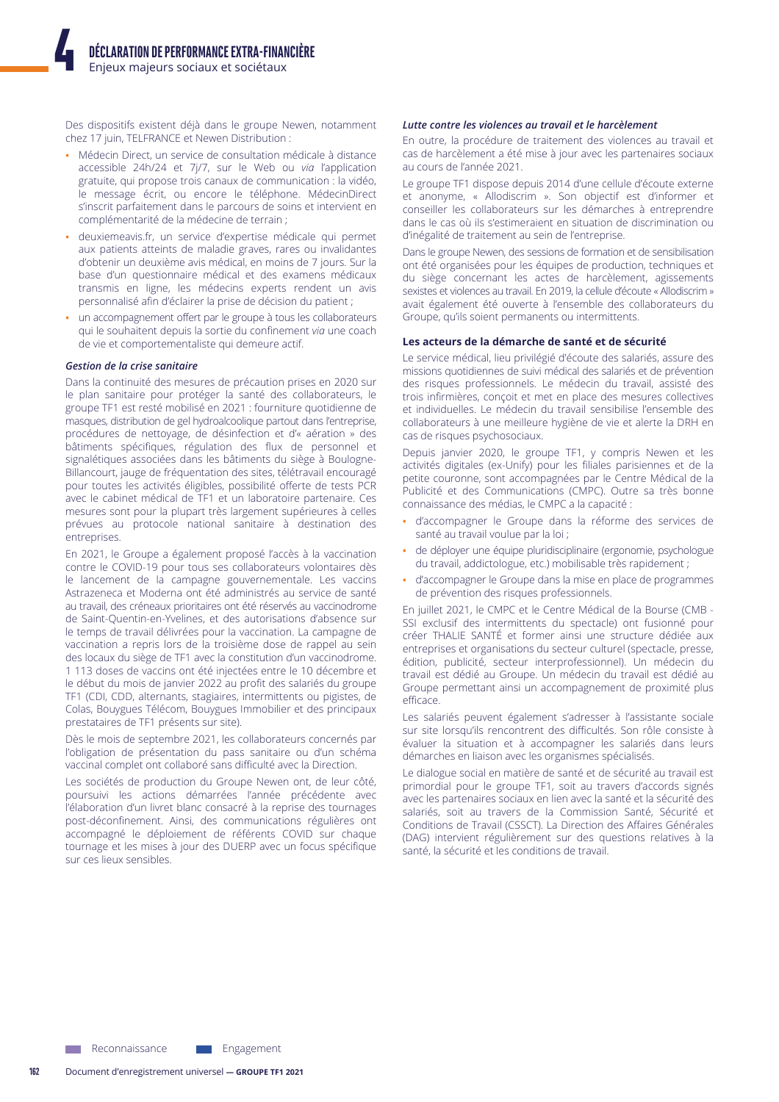Des dispositifs existent déjà dans le groupe Newen, notamment chez 17 juin, TELFRANCE et Newen Distribution :

- Médecin Direct, un service de consultation médicale à distance accessible 24h/24 et 7j/7, sur le Web ou via l'application gratuite, qui propose trois canaux de communication : la vidéo, le message écrit, ou encore le téléphone. MédecinDirect s'inscrit parfaitement dans le parcours de soins et intervient en complémentarité de la médecine de terrain ;
- deuxiemeavis.fr, un service d'expertise médicale qui permet aux patients atteints de maladie graves, rares ou invalidantes d'obtenir un deuxième avis médical, en moins de 7 jours. Sur la base d'un questionnaire médical et des examens médicaux transmis en ligne, les médecins experts rendent un avis personnalisé afin d'éclairer la prise de décision du patient ;
- un accompagnement offert par le groupe à tous les collaborateurs qui le souhaitent depuis la sortie du confinement via une coach de vie et comportementaliste qui demeure actif.

#### Gestion de la crise sanitaire

Dans la continuité des mesures de précaution prises en 2020 sur le plan sanitaire pour protéger la santé des collaborateurs, le groupe TF1 est resté mobilisé en 2021 : fourniture quotidienne de masques, distribution de gel hydroalcoolique partout dans l'entreprise, procédures de nettoyage, de désinfection et d'« aération » des bâtiments spécifiques, régulation des flux de personnel et signalétiques associées dans les bâtiments du siège à Boulogne-Billancourt, jauge de fréquentation des sites, télétravail encouragé pour toutes les activités éligibles, possibilité offerte de tests PCR avec le cabinet médical de TF1 et un laboratoire partenaire. Ces mesures sont pour la plupart très largement supérieures à celles prévues au protocole national sanitaire à destination des entreprises.

En 2021, le Groupe a également proposé l'accès à la vaccination contre le COVID-19 pour tous ses collaborateurs volontaires dès le lancement de la campagne gouvernementale. Les vaccins Astrazeneca et Moderna ont été administrés au service de santé au travail, des créneaux prioritaires ont été réservés au vaccinodrome de Saint-Quentin-en-Yvelines, et des autorisations d'absence sur le temps de travail délivrées pour la vaccination. La campagne de vaccination a repris lors de la troisième dose de rappel au sein des locaux du siège de TF1 avec la constitution d'un vaccinodrome. 1 113 doses de vaccins ont été injectées entre le 10 décembre et le début du mois de janvier 2022 au profit des salariés du groupe TF1 (CDI, CDD, alternants, stagiaires, intermittents ou pigistes, de Colas, Bouygues Télécom, Bouygues Immobilier et des principaux prestataires de TF1 présents sur site).

Dès le mois de septembre 2021, les collaborateurs concernés par l'obligation de présentation du pass sanitaire ou d'un schéma vaccinal complet ont collaboré sans difficulté avec la Direction.

Les sociétés de production du Groupe Newen ont, de leur côté, poursuivi les actions démarrées l'année précédente avec l'élaboration d'un livret blanc consacré à la reprise des tournages post-déconfinement. Ainsi, des communications régulières ont accompagné le déploiement de référents COVID sur chaque tournage et les mises à jour des DUERP avec un focus spécifique sur ces lieux sensibles.

#### Lutte contre les violences au travail et le harcèlement

En outre, la procédure de traitement des violences au travail et cas de harcèlement a été mise à jour avec les partenaires sociaux au cours de l'année 2021.

Le groupe TF1 dispose depuis 2014 d'une cellule d'écoute externe et anonyme, « Allodiscrim ». Son objectif est d'informer et conseiller les collaborateurs sur les démarches à entreprendre dans le cas où ils s'estimeraient en situation de discrimination ou d'inégalité de traitement au sein de l'entreprise.

Dans le groupe Newen, des sessions de formation et de sensibilisation ont été organisées pour les équipes de production, techniques et du siège concernant les actes de harcèlement, agissements sexistes et violences au travail. En 2019, la cellule d'écoute « Allodiscrim » avait également été ouverte à l'ensemble des collaborateurs du Groupe, qu'ils soient permanents ou intermittents.

#### Les acteurs de la démarche de santé et de sécurité

Le service médical, lieu privilégié d'écoute des salariés, assure des missions quotidiennes de suivi médical des salariés et de prévention des risques professionnels. Le médecin du travail, assisté des trois infirmières, concoit et met en place des mesures collectives et individuelles. Le médecin du travail sensibilise l'ensemble des collaborateurs à une meilleure hygiène de vie et alerte la DRH en cas de risques psychosociaux.

Depuis janvier 2020, le groupe TF1, y compris Newen et les activités digitales (ex-Unify) pour les filiales parisiennes et de la petite couronne, sont accompagnées par le Centre Médical de la Publicité et des Communications (CMPC). Outre sa très bonne connaissance des médias, le CMPC a la capacité :

- d'accompagner le Groupe dans la réforme des services de santé au travail voulue par la loi ;
- de déployer une équipe pluridisciplinaire (ergonomie, psychologue du travail, addictologue, etc.) mobilisable très rapidement ;
- d'accompagner le Groupe dans la mise en place de programmes de prévention des risques professionnels.

En juillet 2021, le CMPC et le Centre Médical de la Bourse (CMB -SSI exclusif des intermittents du spectacle) ont fusionné pour créer THALIE SANTÉ et former ainsi une structure dédiée aux entreprises et organisations du secteur culturel (spectacle, presse, édition, publicité, secteur interprofessionnel). Un médecin du travail est dédié au Groupe. Un médecin du travail est dédié au Groupe permettant ainsi un accompagnement de proximité plus efficace.

Les salariés peuvent également s'adresser à l'assistante sociale sur site lorsqu'ils rencontrent des difficultés. Son rôle consiste à évaluer la situation et à accompagner les salariés dans leurs démarches en liaison avec les organismes spécialisés.

Le dialogue social en matière de santé et de sécurité au travail est primordial pour le groupe TF1, soit au travers d'accords signés avec les partenaires sociaux en lien avec la santé et la sécurité des salariés, soit au travers de la Commission Santé, Sécurité et Conditions de Travail (CSSCT). La Direction des Affaires Générales (DAG) intervient régulièrement sur des questions relatives à la santé, la sécurité et les conditions de travail.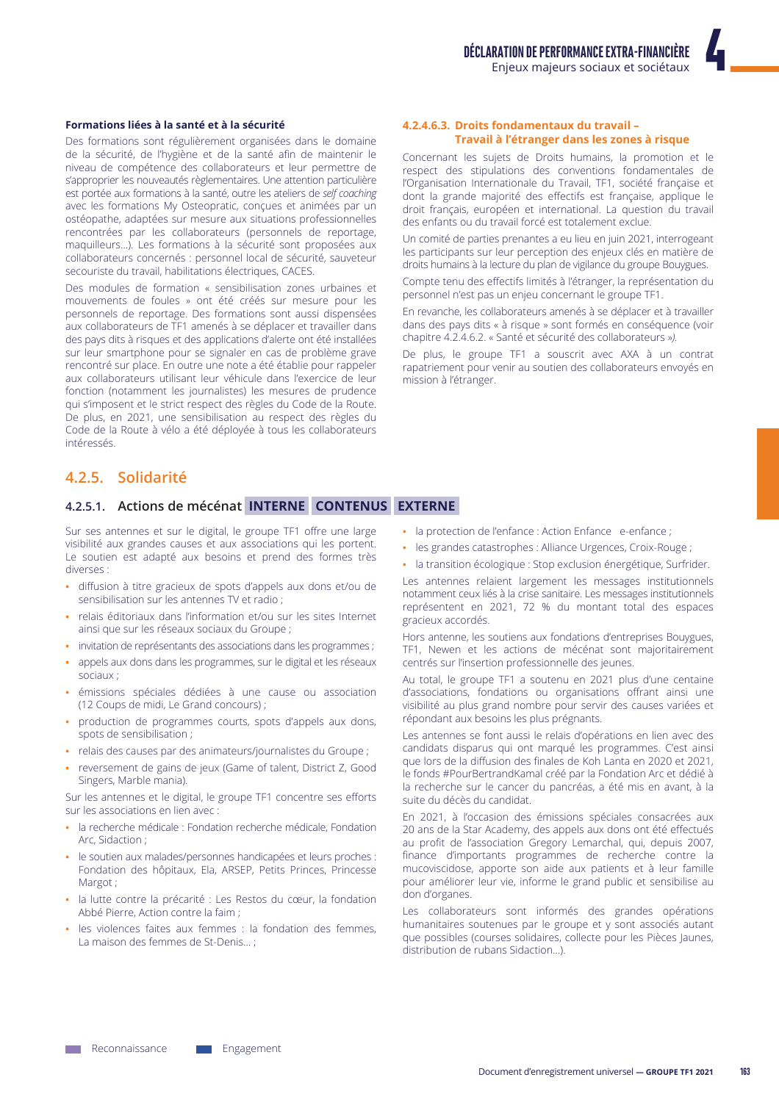### Formations liées à la santé et à la sécurité

Des formations sont régulièrement organisées dans le domaine de la sécurité, de l'hygiène et de la santé afin de maintenir le niveau de compétence des collaborateurs et leur permettre de s'approprier les nouveautés règlementaires. Une attention particulière est portée aux formations à la santé, outre les ateliers de self coaching avec les formations My Osteopratic, conçues et animées par un ostéopathe, adaptées sur mesure aux situations professionnelles rencontrées par les collaborateurs (personnels de reportage, maquilleurs...). Les formations à la sécurité sont proposées aux collaborateurs concernés : personnel local de sécurité, sauveteur secouriste du travail, habilitations électriques, CACES.

Des modules de formation « sensibilisation zones urbaines et mouvements de foules » ont été créés sur mesure pour les personnels de reportage. Des formations sont aussi dispensées aux collaborateurs de TF1 amenés à se déplacer et travailler dans des pays dits à risques et des applications d'alerte ont été installées sur leur smartphone pour se signaler en cas de problème grave rencontré sur place. En outre une note a été établie pour rappeler aux collaborateurs utilisant leur véhicule dans l'exercice de leur fonction (notamment les journalistes) les mesures de prudence qui s'imposent et le strict respect des règles du Code de la Route. De plus, en 2021, une sensibilisation au respect des règles du Code de la Route à vélo a été déployée à tous les collaborateurs *intéressés* 

# 4.2.5. Solidarité

# 4.2.5.1. Actions de mécénat INTERNE CONTENUS EXTERNE

Sur ses antennes et sur le digital, le groupe TF1 offre une large visibilité aux grandes causes et aux associations qui les portent. Le soutien est adapté aux besoins et prend des formes très diverses ·

- diffusion à titre gracieux de spots d'appels aux dons et/ou de sensibilisation sur les antennes TV et radio ;
- relais éditoriaux dans l'information et/ou sur les sites Internet ainsi que sur les réseaux sociaux du Groupe ;
- invitation de représentants des associations dans les programmes ;
- appels aux dons dans les programmes, sur le digital et les réseaux sociaux :
- émissions spéciales dédiées à une cause ou association (12 Coups de midi, Le Grand concours);
- production de programmes courts, spots d'appels aux dons, spots de sensibilisation;
- · relais des causes par des animateurs/journalistes du Groupe ;
- reversement de gains de jeux (Game of talent, District Z, Good Singers, Marble mania).

Sur les antennes et le digital, le groupe TF1 concentre ses efforts sur les associations en lien avec :

- · la recherche médicale : Fondation recherche médicale, Fondation Arc. Sidaction:
- · le soutien aux malades/personnes handicapées et leurs proches : Fondation des hôpitaux, Ela, ARSEP, Petits Princes, Princesse Margot:
- · la lutte contre la précarité : Les Restos du cœur, la fondation Abbé Pierre, Action contre la faim :
- les violences faites aux femmes : la fondation des femmes, La maison des femmes de St-Denis...;

#### 4.2.4.6.3. Droits fondamentaux du travail -Travail à l'étranger dans les zones à risque

Concernant les sujets de Droits humains, la promotion et le respect des stipulations des conventions fondamentales de l'Organisation Internationale du Travail, TF1, société française et dont la grande majorité des effectifs est française, applique le droit français, européen et international. La question du travail des enfants ou du travail forcé est totalement exclue.

Un comité de parties prenantes a eu lieu en juin 2021, interrogeant les participants sur leur perception des enjeux clés en matière de droits humains à la lecture du plan de vigilance du groupe Bouygues.

Compte tenu des effectifs limités à l'étranger, la représentation du personnel n'est pas un enjeu concernant le groupe TF1.

En revanche, les collaborateurs amenés à se déplacer et à travailler dans des pays dits « à risque » sont formés en conséquence (voir chapitre 4.2.4.6.2. « Santé et sécurité des collaborateurs »).

De plus, le groupe TF1 a souscrit avec AXA à un contrat rapatriement pour venir au soutien des collaborateurs envoyés en mission à l'étranger.

- la protection de l'enfance : Action Enfance e-enfance ;
- · les grandes catastrophes : Alliance Urgences, Croix-Rouge ;
- · la transition écologique : Stop exclusion énergétique, Surfrider.

Les antennes relaient largement les messages institutionnels notamment ceux liés à la crise sanitaire. Les messages institutionnels représentent en 2021, 72 % du montant total des espaces gracieux accordés.

Hors antenne, les soutiens aux fondations d'entreprises Bouygues, TF1, Newen et les actions de mécénat sont majoritairement centrés sur l'insertion professionnelle des jeunes.

Au total, le groupe TF1 a soutenu en 2021 plus d'une centaine d'associations, fondations ou organisations offrant ainsi une visibilité au plus grand nombre pour servir des causes variées et répondant aux besoins les plus prégnants.

Les antennes se font aussi le relais d'opérations en lien avec des candidats disparus qui ont marqué les programmes. C'est ainsi que lors de la diffusion des finales de Koh Lanta en 2020 et 2021, le fonds #PourBertrandKamal créé par la Fondation Arc et dédié à la recherche sur le cancer du pancréas, a été mis en avant, à la suite du décès du candidat.

En 2021, à l'occasion des émissions spéciales consacrées aux 20 ans de la Star Academy, des appels aux dons ont été effectués au profit de l'association Gregory Lemarchal, qui, depuis 2007, finance d'importants programmes de recherche contre la mucoviscidose, apporte son aide aux patients et à leur famille pour améliorer leur vie, informe le grand public et sensibilise au don d'organes.

Les collaborateurs sont informés des grandes opérations humanitaires soutenues par le groupe et y sont associés autant que possibles (courses solidaires, collecte pour les Pièces Jaunes, distribution de rubans Sidaction...).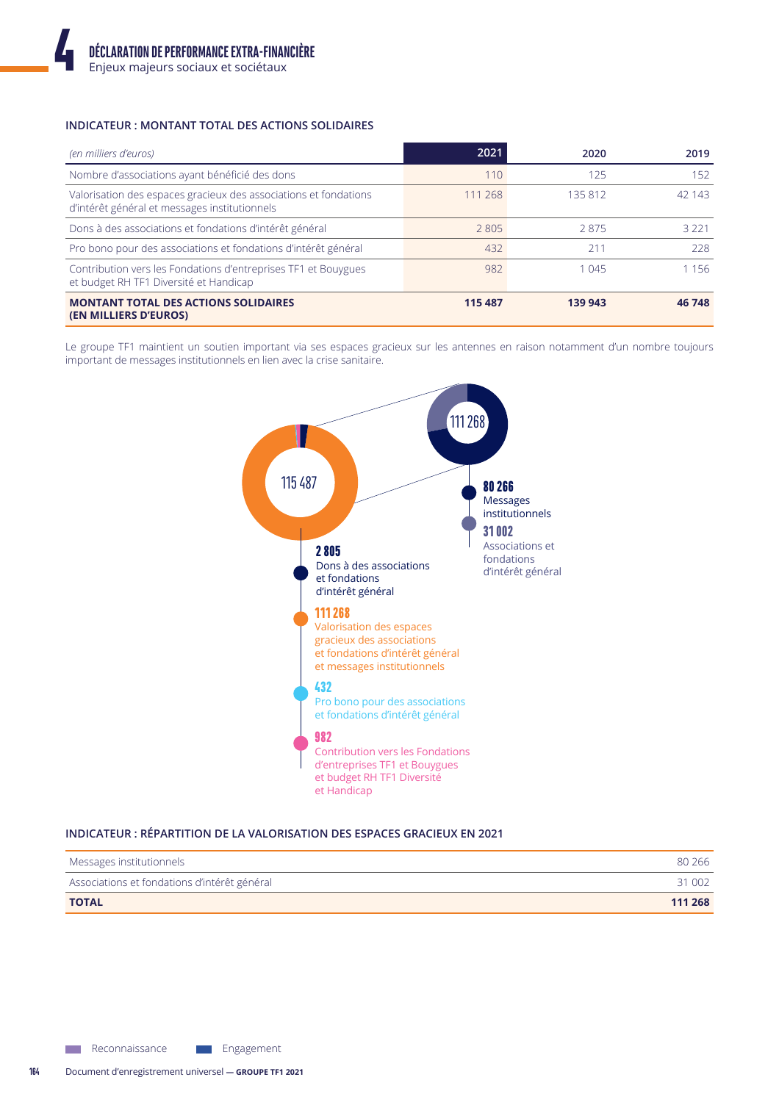# **INDICATEUR: MONTANT TOTAL DES ACTIONS SOLIDAIRES**

| (en milliers d'euros)                                                                                             | 2021    | 2020    | 2019    |
|-------------------------------------------------------------------------------------------------------------------|---------|---------|---------|
| Nombre d'associations ayant bénéficié des dons                                                                    | 110     | 125     | 152     |
| Valorisation des espaces gracieux des associations et fondations<br>d'intérêt général et messages institutionnels | 111 268 | 135812  | 42 143  |
| Dons à des associations et fondations d'intérêt général                                                           | 2805    | 2875    | 3 2 2 1 |
| Pro bono pour des associations et fondations d'intérêt général                                                    | 432     | 211     | 228     |
| Contribution vers les Fondations d'entreprises TF1 et Bouygues<br>et budget RH TF1 Diversité et Handicap          | 982     | 1 0 4 5 | 1 1 5 6 |
| <b>MONTANT TOTAL DES ACTIONS SOLIDAIRES</b><br><b>(EN MILLIERS D'EUROS)</b>                                       | 115 487 | 139 943 | 46 748  |

Le groupe TF1 maintient un soutien important via ses espaces gracieux sur les antennes en raison notamment d'un nombre toujours important de messages institutionnels en lien avec la crise sanitaire.



INDICATEUR : RÉPARTITION DE LA VALORISATION DES ESPACES GRACIEUX EN 2021

| Messages institutionnels                     | 80 266  |
|----------------------------------------------|---------|
| Associations et fondations d'intérêt général | 31 002  |
| <b>TOTAL</b>                                 | 111 268 |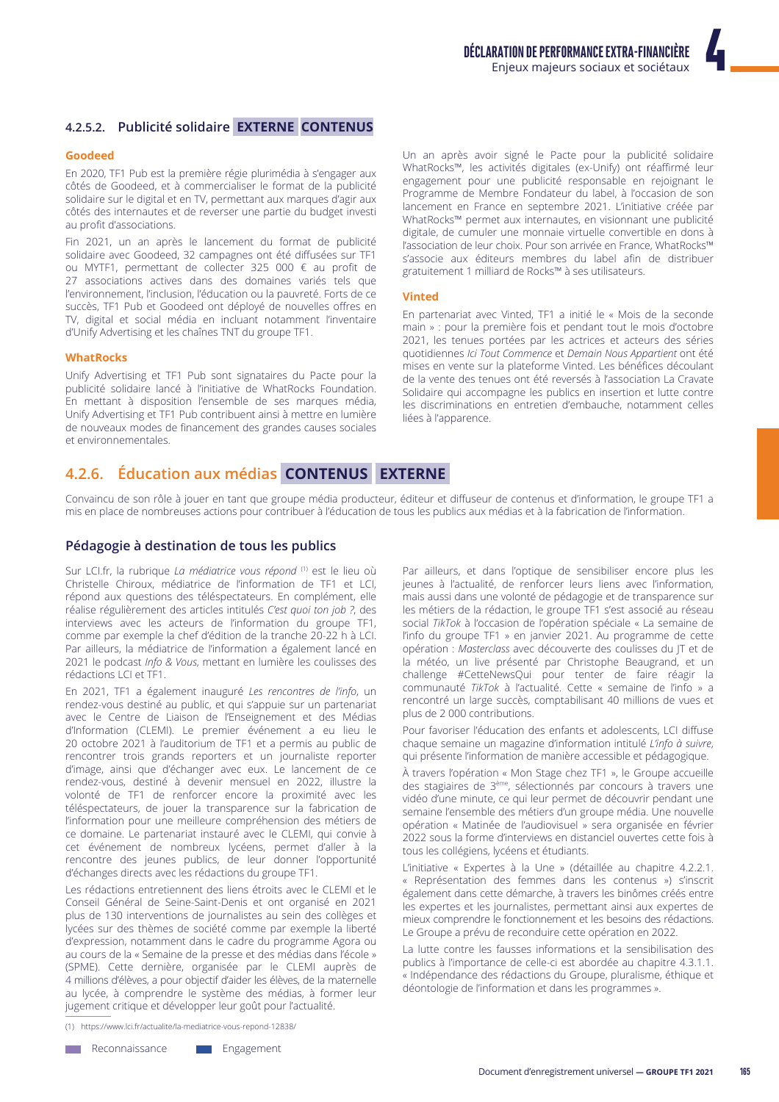# **4.2.5.2. Publicité solidaire <b>EXTERNE CONTENUS**

#### **Goodeed**

En 2020, TF1 Pub est la première régie plurimédia à s'engager aux côtés de Goodeed, et à commercialiser le format de la publicité solidaire sur le digital et en TV, permettant aux marques d'agir aux côtés des internautes et de reverser une partie du budget investi au profit d'associations

Fin 2021, un an après le lancement du format de publicité solidaire avec Goodeed, 32 campagnes ont été diffusées sur TF1 ou MYTF1, permettant de collecter 325 000  $\epsilon$  au profit de 27 associations actives dans des domaines variés tels que l'environnement, l'inclusion, l'éducation ou la pauvreté. Forts de ce succès, TF1 Pub et Goodeed ont déployé de nouvelles offres en TV, digital et social média en incluant notamment l'inventaire d'Unify Advertising et les chaînes TNT du groupe TF1.

#### **WhatRocks**

Unify Advertising et TF1 Pub sont signataires du Pacte pour la publicité solidaire lancé à l'initiative de WhatRocks Foundation. En mettant à disposition l'ensemble de ses marques média, Unify Advertising et TF1 Pub contribuent ainsi à mettre en lumière de nouveaux modes de financement des grandes causes sociales et environnementales.

Un an après avoir signé le Pacte pour la publicité solidaire WhatRocks™, les activités digitales (ex-Unify) ont réaffirmé leur engagement pour une publicité responsable en rejoignant le Programme de Membre Fondateur du label, à l'occasion de son lancement en France en septembre 2021. L'initiative créée par WhatRocks™ permet aux internautes, en visionnant une publicité digitale, de cumuler une monnaie virtuelle convertible en dons à l'association de leur choix. Pour son arrivée en France, WhatRocks™ s'associe aux éditeurs membres du label afin de distribuer gratuitement 1 milliard de Rocks™ à ses utilisateurs.

#### **Vinted**

En partenariat avec Vinted, TF1 a initié le « Mois de la seconde main » : pour la première fois et pendant tout le mois d'octobre 2021, les tenues portées par les actrices et acteurs des séries auotidiennes *Ici Tout Commence* et Demain Nous Appartient ont été mises en vente sur la plateforme Vinted. Les bénéfices découlant de la vente des tenues ont été reversés à l'association La Cravate Solidaire qui accompagne les publics en insertion et lutte contre les discriminations en entretien d'embauche, notamment celles liées à l'apparence.

# **4.2.6. Éducation aux médias CONTENUS EXTERNE**

Convaincu de son rôle à jouer en tant que groupe média producteur, éditeur et diffuseur de contenus et d'information, le groupe TF1 a mis en place de nombreuses actions pour contribuer à l'éducation de tous les publics aux médias et à la fabrication de l'information.

#### Pédagogie à destination de tous les publics

Sur LCI.fr, la rubrique *La médiatrice vous répond*<sup>(1)</sup> est le lieu où Christelle Chiroux, médiatrice de l'information de TF1 et LCI, répond aux questions des téléspectateurs. En complément, elle réalise régulièrement des articles intitulés C'est quoi ton job ?, des interviews avec les acteurs de l'information du groupe TF1, comme par exemple la chef d'édition de la tranche 20-22 h à LCI. Par ailleurs, la médiatrice de l'information a également lancé en 2021 le podcast *Info & Vous*, mettant en lumière les coulisses des rédactions LCI et TF1.

En 2021, TF1 a également inauguré Les rencontres de l'info, un rendez-vous destiné au public, et qui s'appuie sur un partenariat avec le Centre de Liaison de l'Enseignement et des Médias d'Information (CLEMI). Le premier événement a eu lieu le 20 octobre 2021 à l'auditorium de TF1 et a permis au public de rencontrer trois grands reporters et un journaliste reporter d'image, ainsi que d'échanger avec eux. Le lancement de ce rendez-vous, destiné à devenir mensuel en 2022, illustre la volonté de TF1 de renforcer encore la proximité avec les téléspectateurs, de jouer la transparence sur la fabrication de l'information pour une meilleure compréhension des métiers de ce domaine. Le partenariat instauré avec le CLEMI, qui convie à cet événement de nombreux lycéens, permet d'aller à la rencontre des jeunes publics, de leur donner l'opportunité d'échanges directs avec les rédactions du groupe TF1.

Les rédactions entretiennent des liens étroits avec le CLEMI et le Conseil Général de Seine-Saint-Denis et ont organisé en 2021 plus de 130 interventions de journalistes au sein des collèges et lycées sur des thèmes de société comme par exemple la liberté d'expression, notamment dans le cadre du programme Agora ou au cours de la « Semaine de la presse et des médias dans l'école » (SPME). Cette dernière, organisée par le CLEMI auprès de 4 millions d'élèves, a pour objectif d'aider les élèves, de la maternelle au lycée, à comprendre le système des médias, à former leur jugement critique et développer leur goût pour l'actualité.

(1) https://www.lci.fr/actualite/la-mediatrice-vous-repond-12838/

Par ailleurs, et dans l'optique de sensibiliser encore plus les jeunes à l'actualité, de renforcer leurs liens avec l'information, mais aussi dans une volonté de pédagogie et de transparence sur les métiers de la rédaction, le groupe TF1 s'est associé au réseau social TikTok à l'occasion de l'opération spéciale « La semaine de l'info du groupe TF1 » en janvier 2021. Au programme de cette opération : Masterclass avec découverte des coulisses du JT et de la météo, un live présenté par Christophe Beaugrand, et un challenge #CetteNewsQui pour tenter de faire réagir la communauté TikTok à l'actualité. Cette « semaine de l'info » a rencontré un large succès, comptabilisant 40 millions de vues et plus de 2 000 contributions.

Pour favoriser l'éducation des enfants et adolescents, LCI diffuse chaque semaine un magazine d'information intitulé L'info à suivre, qui présente l'information de manière accessible et pédagogique.

À travers l'opération « Mon Stage chez TF1 », le Groupe accueille des stagiaires de 3<sup>ème</sup>, sélectionnés par concours à travers une vidéo d'une minute, ce qui leur permet de découvrir pendant une semaine l'ensemble des métiers d'un groupe média. Une nouvelle opération « Matinée de l'audiovisuel » sera organisée en février 2022 sous la forme d'interviews en distanciel ouvertes cette fois à tous les collégiens, lycéens et étudiants.

L'initiative « Expertes à la Une » (détaillée au chapitre 4.2.2.1. « Représentation des femmes dans les contenus ») s'inscrit également dans cette démarche, à travers les binômes créés entre les expertes et les journalistes, permettant ainsi aux expertes de mieux comprendre le fonctionnement et les besoins des rédactions. Le Groupe a prévu de reconduire cette opération en 2022.

La lutte contre les fausses informations et la sensibilisation des publics à l'importance de celle-ci est abordée au chapitre 4.3.1.1. « Indépendance des rédactions du Groupe, pluralisme, éthique et déontologie de l'information et dans les programmes ».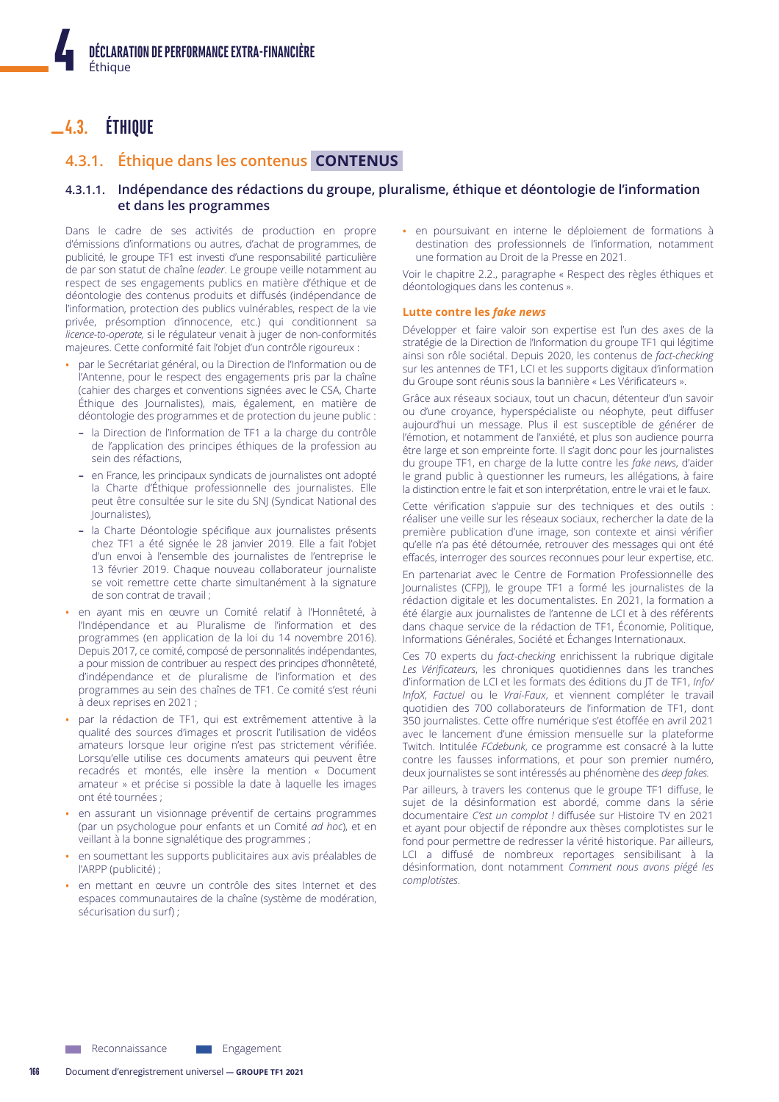# $-4.3.$  ETHIQUE

# 4.3.1. Éthique dans les contenus CONTENUS

# 4.3.1.1. Indépendance des rédactions du groupe, pluralisme, éthique et déontologie de l'information et dans les programmes

Dans le cadre de ses activités de production en propre d'émissions d'informations ou autres, d'achat de programmes, de publicité, le groupe TF1 est investi d'une responsabilité particulière de par son statut de chaîne leader. Le groupe veille notamment au respect de ses engagements publics en matière d'éthique et de déontologie des contenus produits et diffusés (indépendance de l'information, protection des publics vulnérables, respect de la vie privée, présomption d'innocence, etc.) qui conditionnent sa licence-to-operate, si le régulateur venait à juger de non-conformités majeures. Cette conformité fait l'objet d'un contrôle rigoureux :

- par le Secrétariat général, ou la Direction de l'Information ou de l'Antenne, pour le respect des engagements pris par la chaîne (cahier des charges et conventions signées avec le CSA, Charte Éthique des Journalistes), mais, également, en matière de déontologie des programmes et de protection du jeune public :
	- la Direction de l'Information de TF1 a la charge du contrôle de l'application des principes éthiques de la profession au sein des réfactions.
	- en France, les principaux syndicats de journalistes ont adopté la Charte d'Éthique professionnelle des journalistes. Elle peut être consultée sur le site du SNJ (Syndicat National des Journalistes),
- la Charte Déontologie spécifique aux journalistes présents chez TF1 a été signée le 28 janvier 2019. Elle a fait l'objet d'un envoi à l'ensemble des journalistes de l'entreprise le 13 février 2019. Chaque nouveau collaborateur journaliste se voit remettre cette charte simultanément à la signature de son contrat de travail ;
- en ayant mis en œuvre un Comité relatif à l'Honnêteté, à l'Indépendance et au Pluralisme de l'information et des programmes (en application de la loi du 14 novembre 2016). Depuis 2017, ce comité, composé de personnalités indépendantes, a pour mission de contribuer au respect des principes d'honnêteté, d'indépendance et de pluralisme de l'information et des programmes au sein des chaînes de TF1. Ce comité s'est réuni à deux reprises en 2021 ;
- par la rédaction de TF1, qui est extrêmement attentive à la qualité des sources d'images et proscrit l'utilisation de vidéos amateurs lorsque leur origine n'est pas strictement vérifiée. Lorsqu'elle utilise ces documents amateurs qui peuvent être recadrés et montés, elle insère la mention « Document amateur » et précise si possible la date à laquelle les images ont été tournées ;
- · en assurant un visionnage préventif de certains programmes (par un psychologue pour enfants et un Comité ad hoc), et en veillant à la bonne signalétique des programmes ;
- · en soumettant les supports publicitaires aux avis préalables de l'ARPP (publicité) ;
- en mettant en œuvre un contrôle des sites Internet et des espaces communautaires de la chaîne (système de modération, sécurisation du surf) ;

· en poursuivant en interne le déploiement de formations à destination des professionnels de l'information, notamment une formation au Droit de la Presse en 2021.

Voir le chapitre 2.2., paragraphe « Respect des règles éthiques et déontologiques dans les contenus ».

#### Lutte contre les fake news

Développer et faire valoir son expertise est l'un des axes de la stratégie de la Direction de l'Information du groupe TF1 qui légitime ainsi son rôle sociétal. Depuis 2020, les contenus de fact-checking sur les antennes de TF1, LCI et les supports digitaux d'information du Groupe sont réunis sous la bannière « Les Vérificateurs ».

Grâce aux réseaux sociaux, tout un chacun, détenteur d'un savoir ou d'une crovance, hyperspécialiste ou néophyte, peut diffuser aujourd'hui un message. Plus il est susceptible de générer de l'émotion, et notamment de l'anxiété, et plus son audience pourra être large et son empreinte forte. Il s'agit donc pour les journalistes du groupe TF1, en charge de la lutte contre les fake news, d'aider le grand public à questionner les rumeurs, les allégations, à faire la distinction entre le fait et son interprétation, entre le vrai et le faux.

Cette vérification s'appuie sur des techniques et des outils : réaliser une veille sur les réseaux sociaux, rechercher la date de la première publication d'une image, son contexte et ainsi vérifier qu'elle n'a pas été détournée, retrouver des messages qui ont été effacés, interroger des sources reconnues pour leur expertise, etc.

En partenariat avec le Centre de Formation Professionnelle des Journalistes (CFPI), le groupe TF1 a formé les journalistes de la rédaction digitale et les documentalistes. En 2021, la formation a été élargie aux journalistes de l'antenne de LCI et à des référents dans chaque service de la rédaction de TF1, Économie, Politique, Informations Générales, Société et Échanges Internationaux.

Ces 70 experts du fact-checking enrichissent la rubrique digitale Les Vérificateurs, les chroniques quotidiennes dans les tranches d'information de LCI et les formats des éditions du JT de TF1, Info/ InfoX, Factuel ou le Vrai-Faux, et viennent compléter le travail quotidien des 700 collaborateurs de l'information de TF1, dont 350 journalistes. Cette offre numérique s'est étoffée en avril 2021 avec le lancement d'une émission mensuelle sur la plateforme Twitch. Intitulée FCdebunk, ce programme est consacré à la lutte contre les fausses informations, et pour son premier numéro, deux journalistes se sont intéressés au phénomène des deep fakes.

Par ailleurs, à travers les contenus que le groupe TF1 diffuse, le sujet de la désinformation est abordé, comme dans la série documentaire C'est un complot ! diffusée sur Histoire TV en 2021 et ayant pour objectif de répondre aux thèses complotistes sur le fond pour permettre de redresser la vérité historique. Par ailleurs, LCI a diffusé de nombreux reportages sensibilisant à la désinformation, dont notamment Comment nous avons piégé les complotistes.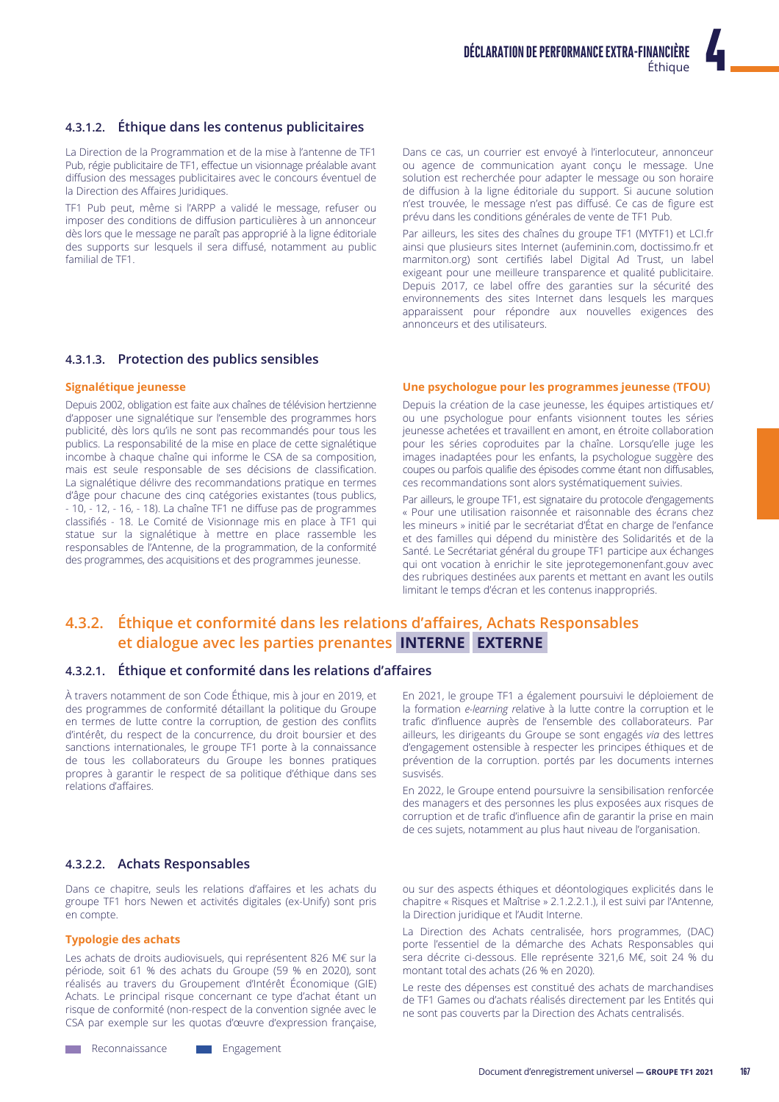# 4.3.1.2. Éthique dans les contenus publicitaires

La Direction de la Programmation et de la mise à l'antenne de TF1 Pub, régie publicitaire de TF1, effectue un visionnage préalable avant diffusion des messages publicitaires avec le concours éventuel de la Direction des Affaires Juridiques.

TF1 Pub peut, même si l'ARPP a validé le message, refuser ou imposer des conditions de diffusion particulières à un annonceur dès lors que le message ne paraît pas approprié à la ligne éditoriale des supports sur lesquels il sera diffusé, notamment au public familial de TF1.

Dans ce cas, un courrier est envoyé à l'interlocuteur, annonceur ou agence de communication ayant conçu le message. Une solution est recherchée pour adapter le message ou son horaire de diffusion à la ligne éditoriale du support. Si aucune solution n'est trouvée, le message n'est pas diffusé. Ce cas de figure est prévu dans les conditions générales de vente de TF1 Pub.

Par ailleurs, les sites des chaînes du groupe TF1 (MYTF1) et LCI.fr ainsi que plusieurs sites Internet (aufeminin.com, doctissimo.fr et marmiton.org) sont certifiés label Digital Ad Trust, un label exigeant pour une meilleure transparence et qualité publicitaire. Depuis 2017, ce label offre des garanties sur la sécurité des environnements des sites Internet dans lesquels les marques apparaissent pour répondre aux nouvelles exigences des annonceurs et des utilisateurs.

# 4.3.1.3. Protection des publics sensibles

# Signalétique jeunesse

Depuis 2002, obligation est faite aux chaînes de télévision hertzienne d'apposer une signalétique sur l'ensemble des programmes hors publicité, dès lors qu'ils ne sont pas recommandés pour tous les publics. La responsabilité de la mise en place de cette signalétique incombe à chaque chaîne qui informe le CSA de sa composition, mais est seule responsable de ses décisions de classification. La signalétique délivre des recommandations pratique en termes d'âge pour chacune des cing catégories existantes (tous publics, - 10, - 12, - 16, - 18). La chaîne TF1 ne diffuse pas de programmes classifiés - 18. Le Comité de Visionnage mis en place à TF1 qui statue sur la signalétique à mettre en place rassemble les responsables de l'Antenne, de la programmation, de la conformité des programmes, des acquisitions et des programmes jeunesse.

#### Une psychologue pour les programmes jeunesse (TFOU)

Depuis la création de la case jeunesse, les équipes artistiques et/ ou une psychologue pour enfants visionnent toutes les séries jeunesse achetées et travaillent en amont, en étroite collaboration pour les séries coproduites par la chaîne. Lorsqu'elle juge les images inadaptées pour les enfants, la psychologue suggère des coupes ou parfois qualifie des épisodes comme étant non diffusables, ces recommandations sont alors systématiquement suivies.

Par ailleurs, le groupe TF1, est signataire du protocole d'engagements « Pour une utilisation raisonnée et raisonnable des écrans chez les mineurs » initié par le secrétariat d'État en charge de l'enfance et des familles qui dépend du ministère des Solidarités et de la Santé. Le Secrétariat général du groupe TF1 participe aux échanges qui ont vocation à enrichir le site jeprotegemonenfant.gouv avec des rubriques destinées aux parents et mettant en avant les outils limitant le temps d'écran et les contenus inappropriés.

# 4.3.2. Éthique et conformité dans les relations d'affaires, Achats Responsables et dialogue avec les parties prenantes INTERNE EXTERNE

# 4.3.2.1. Éthique et conformité dans les relations d'affaires

À travers notamment de son Code Éthique, mis à jour en 2019, et des programmes de conformité détaillant la politique du Groupe en termes de lutte contre la corruption, de gestion des conflits d'intérêt, du respect de la concurrence, du droit boursier et des sanctions internationales, le groupe TF1 porte à la connaissance de tous les collaborateurs du Groupe les bonnes pratiques propres à garantir le respect de sa politique d'éthique dans ses relations d'affaires.

En 2021, le groupe TF1 a également poursuivi le déploiement de la formation e-learning relative à la lutte contre la corruption et le trafic d'influence auprès de l'ensemble des collaborateurs. Par ailleurs, les dirigeants du Groupe se sont engagés via des lettres d'engagement ostensible à respecter les principes éthiques et de prévention de la corruption. portés par les documents internes susvisés.

En 2022, le Groupe entend poursuivre la sensibilisation renforcée des managers et des personnes les plus exposées aux risques de corruption et de trafic d'influence afin de garantir la prise en main de ces sujets, notamment au plus haut niveau de l'organisation.

# 4.3.2.2. Achats Responsables

Dans ce chapitre, seuls les relations d'affaires et les achats du groupe TF1 hors Newen et activités digitales (ex-Unify) sont pris en compte.

### **Typologie des achats**

Les achats de droits audiovisuels, qui représentent 826 M€ sur la période, soit 61 % des achats du Groupe (59 % en 2020), sont réalisés au travers du Groupement d'Intérêt Économique (GIE) Achats. Le principal risque concernant ce type d'achat étant un risque de conformité (non-respect de la convention signée avec le CSA par exemple sur les quotas d'œuvre d'expression française,

**Neconnaissance** 

ou sur des aspects éthiques et déontologiques explicités dans le chapitre « Risques et Maîtrise » 2.1.2.2.1.), il est suivi par l'Antenne, la Direction juridique et l'Audit Interne.

La Direction des Achats centralisée, hors programmes, (DAC) porte l'essentiel de la démarche des Achats Responsables qui sera décrite ci-dessous. Elle représente 321,6 M€, soit 24 % du montant total des achats (26 % en 2020).

Le reste des dépenses est constitué des achats de marchandises de TF1 Games ou d'achats réalisés directement par les Entités qui ne sont pas couverts par la Direction des Achats centralisés.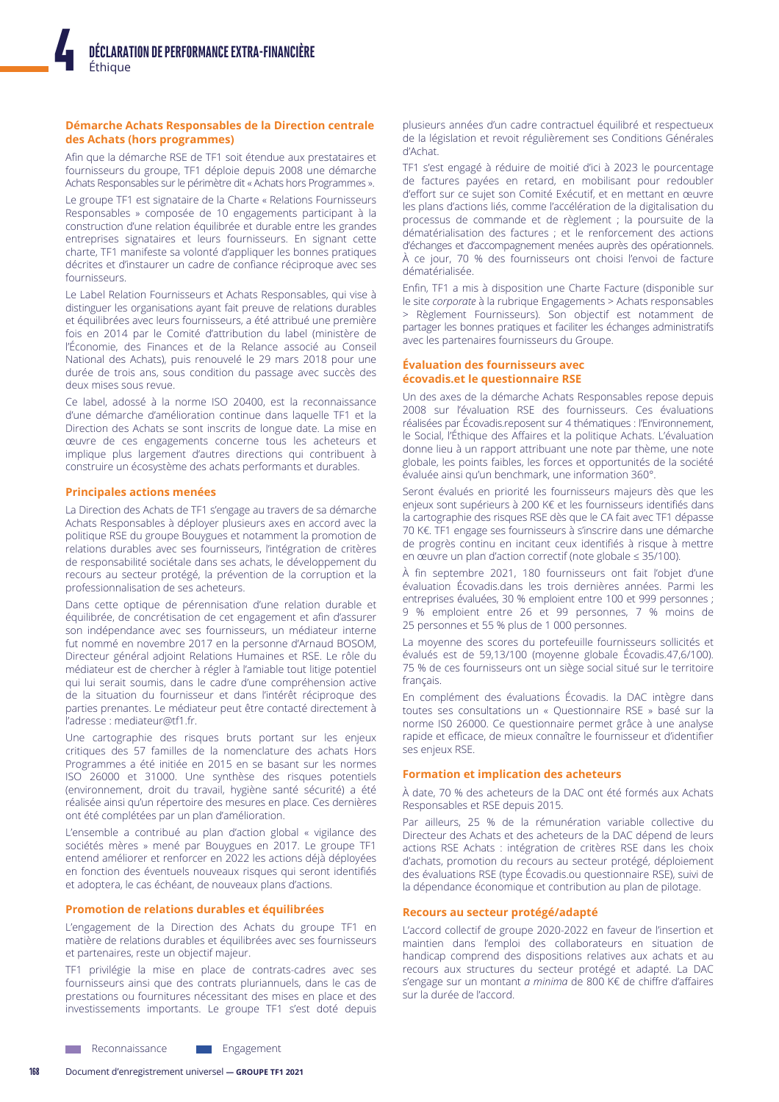# Démarche Achats Responsables de la Direction centrale des Achats (hors programmes)

Afin que la démarche RSE de TF1 soit étendue aux prestataires et fournisseurs du groupe, TF1 déploie depuis 2008 une démarche Achats Responsables sur le périmètre dit « Achats hors Programmes ».

Le groupe TF1 est signataire de la Charte « Relations Fournisseurs Responsables » composée de 10 engagements participant à la construction d'une relation équilibrée et durable entre les grandes entreprises signataires et leurs fournisseurs. En signant cette charte, TF1 manifeste sa volonté d'appliquer les bonnes pratiques décrites et d'instaurer un cadre de confiance réciproque avec ses fournisseurs.

Le Label Relation Fournisseurs et Achats Responsables, qui vise à distinguer les organisations ayant fait preuve de relations durables et équilibrées avec leurs fournisseurs, a été attribué une première fois en 2014 par le Comité d'attribution du label (ministère de l'Économie, des Finances et de la Relance associé au Conseil National des Achats), puis renouvelé le 29 mars 2018 pour une durée de trois ans, sous condition du passage avec succès des deux mises sous revue.

Ce label, adossé à la norme ISO 20400, est la reconnaissance d'une démarche d'amélioration continue dans laquelle TF1 et la Direction des Achats se sont inscrits de longue date. La mise en œuvre de ces engagements concerne tous les acheteurs et implique plus largement d'autres directions qui contribuent à construire un écosystème des achats performants et durables.

#### **Principales actions menées**

La Direction des Achats de TF1 s'engage au travers de sa démarche Achats Responsables à déployer plusieurs axes en accord avec la politique RSE du groupe Bouygues et notamment la promotion de relations durables avec ses fournisseurs, l'intégration de critères de responsabilité sociétale dans ses achats, le développement du recours au secteur protégé, la prévention de la corruption et la professionnalisation de ses acheteurs.

Dans cette optique de pérennisation d'une relation durable et équilibrée, de concrétisation de cet engagement et afin d'assurer son indépendance avec ses fournisseurs, un médiateur interne fut nommé en novembre 2017 en la personne d'Arnaud BOSOM, Directeur général adjoint Relations Humaines et RSE. Le rôle du médiateur est de chercher à régler à l'amiable tout litige potentiel qui lui serait soumis, dans le cadre d'une compréhension active de la situation du fournisseur et dans l'intérêt réciproque des parties prenantes. Le médiateur peut être contacté directement à l'adresse : mediateur@tf1.fr.

Une cartographie des risques bruts portant sur les enjeux critiques des 57 familles de la nomenclature des achats Hors Programmes a été initiée en 2015 en se basant sur les normes ISO 26000 et 31000. Une synthèse des risques potentiels (environnement, droit du travail, hygiène santé sécurité) a été réalisée ainsi qu'un répertoire des mesures en place. Ces dernières ont été complétées par un plan d'amélioration.

L'ensemble a contribué au plan d'action global « vigilance des sociétés mères » mené par Bouygues en 2017. Le groupe TF1 entend améliorer et renforcer en 2022 les actions déjà déployées en fonction des éventuels nouveaux risques qui seront identifiés et adoptera, le cas échéant, de nouveaux plans d'actions.

#### Promotion de relations durables et équilibrées

L'engagement de la Direction des Achats du groupe TF1 en matière de relations durables et équilibrées avec ses fournisseurs et partenaires, reste un objectif majeur.

TF1 privilégie la mise en place de contrats-cadres avec ses fournisseurs ainsi que des contrats pluriannuels, dans le cas de prestations ou fournitures nécessitant des mises en place et des investissements importants. Le groupe TF1 s'est doté depuis

plusieurs années d'un cadre contractuel équilibré et respectueux de la législation et revoit régulièrement ses Conditions Générales d'Achat.

TF1 s'est engagé à réduire de moitié d'ici à 2023 le pourcentage de factures payées en retard, en mobilisant pour redoubler d'effort sur ce sujet son Comité Exécutif, et en mettant en œuvre les plans d'actions liés, comme l'accélération de la digitalisation du processus de commande et de règlement ; la poursuite de la dématérialisation des factures ; et le renforcement des actions d'échanges et d'accompagnement menées auprès des opérationnels. A ce jour, 70 % des fournisseurs ont choisi l'envoi de facture dématérialisée.

Enfin, TF1 a mis à disposition une Charte Facture (disponible sur le site corporate à la rubrique Engagements > Achats responsables > Règlement Fournisseurs). Son objectif est notamment de partager les bonnes pratiques et faciliter les échanges administratifs avec les partenaires fournisseurs du Groupe.

#### **Évaluation des fournisseurs avec** écovadis.et le questionnaire RSE

Un des axes de la démarche Achats Responsables repose depuis 2008 sur l'évaluation RSE des fournisseurs. Ces évaluations réalisées par Écovadis.reposent sur 4 thématiques : l'Environnement, le Social, l'Éthique des Affaires et la politique Achats. L'évaluation donne lieu à un rapport attribuant une note par thème, une note globale, les points faibles, les forces et opportunités de la société évaluée ainsi qu'un benchmark, une information 360°.

Seront évalués en priorité les fournisseurs majeurs dès que les enjeux sont supérieurs à 200 K€ et les fournisseurs identifiés dans la cartographie des risques RSE dès que le CA fait avec TF1 dépasse 70 K€. TF1 engage ses fournisseurs à s'inscrire dans une démarche de progrès continu en incitant ceux identifiés à risque à mettre en œuvre un plan d'action correctif (note globale  $\leq$  35/100).

À fin septembre 2021, 180 fournisseurs ont fait l'objet d'une évaluation Écovadis.dans les trois dernières années. Parmi les entreprises évaluées, 30 % emploient entre 100 et 999 personnes ; 9 % emploient entre 26 et 99 personnes, 7 % moins de 25 personnes et 55 % plus de 1 000 personnes.

La moyenne des scores du portefeuille fournisseurs sollicités et évalués est de 59,13/100 (moyenne globale Écovadis.47,6/100). 75 % de ces fournisseurs ont un siège social situé sur le territoire francais.

En complément des évaluations Écovadis, la DAC intègre dans toutes ses consultations un « Questionnaire RSE » basé sur la norme ISO 26000. Ce questionnaire permet grâce à une analyse rapide et efficace, de mieux connaître le fournisseur et d'identifier ses enjeux RSE.

#### **Formation et implication des acheteurs**

À date, 70 % des acheteurs de la DAC ont été formés aux Achats Responsables et RSE depuis 2015.

Par ailleurs, 25 % de la rémunération variable collective du Directeur des Achats et des acheteurs de la DAC dépend de leurs actions RSE Achats : intégration de critères RSE dans les choix d'achats, promotion du recours au secteur protégé, déploiement des évaluations RSE (type Écovadis.ou questionnaire RSE), suivi de la dépendance économique et contribution au plan de pilotage.

#### Recours au secteur protégé/adapté

L'accord collectif de groupe 2020-2022 en faveur de l'insertion et maintien dans l'emploi des collaborateurs en situation de handicap comprend des dispositions relatives aux achats et au recours aux structures du secteur protégé et adapté. La DAC s'engage sur un montant *a minima* de 800 K€ de chiffre d'affaires sur la durée de l'accord.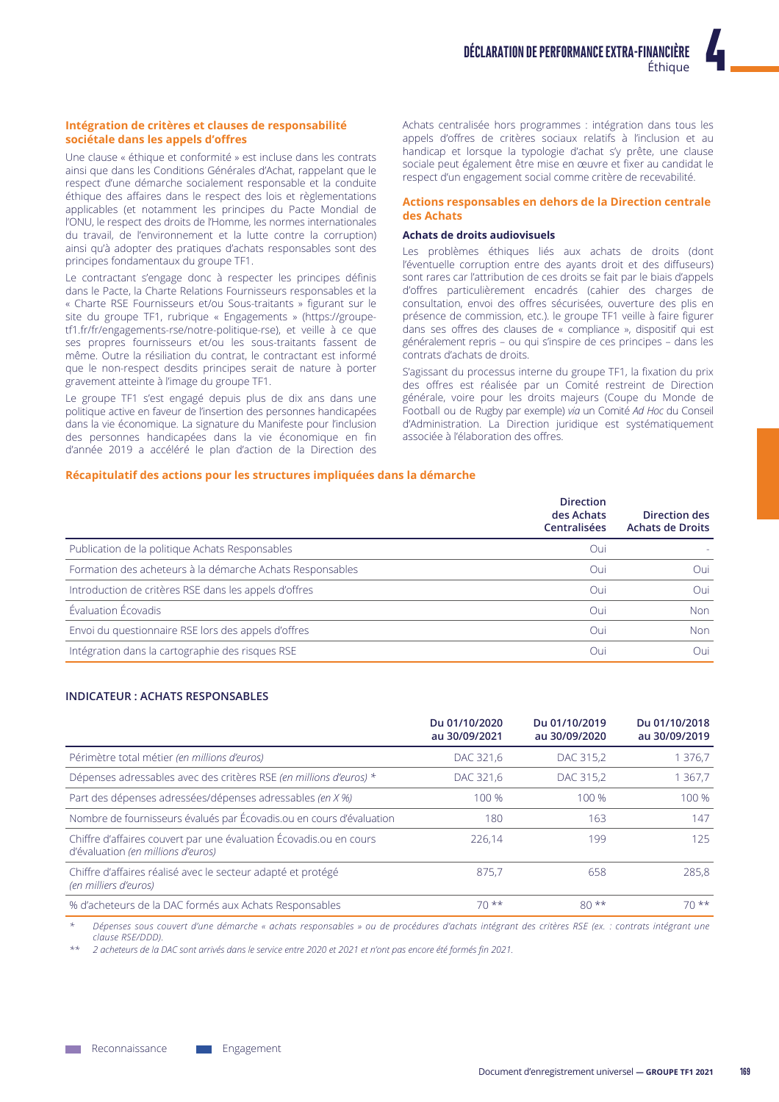# Intégration de critères et clauses de responsabilité sociétale dans les appels d'offres

Une clause « éthique et conformité » est incluse dans les contrats ainsi que dans les Conditions Générales d'Achat, rappelant que le respect d'une démarche socialement responsable et la conduite éthique des affaires dans le respect des lois et règlementations applicables (et notamment les principes du Pacte Mondial de l'ONU, le respect des droits de l'Homme, les normes internationales du travail, de l'environnement et la lutte contre la corruption) ainsi qu'à adopter des pratiques d'achats responsables sont des principes fondamentaux du groupe TF1.

Le contractant s'engage donc à respecter les principes définis dans le Pacte, la Charte Relations Fournisseurs responsables et la « Charte RSE Fournisseurs et/ou Sous-traitants » figurant sur le site du groupe TF1, rubrique « Engagements » (https://groupetf1.fr/fr/engagements-rse/notre-politique-rse), et veille à ce que ses propres fournisseurs et/ou les sous-traitants fassent de même. Outre la résiliation du contrat, le contractant est informé que le non-respect desdits principes serait de nature à porter gravement atteinte à l'image du groupe TF1.

Le groupe TF1 s'est engagé depuis plus de dix ans dans une politique active en faveur de l'insertion des personnes handicapées dans la vie économique. La signature du Manifeste pour l'inclusion des personnes handicapées dans la vie économique en fin d'année 2019 a accéléré le plan d'action de la Direction des Achats centralisée hors programmes : intégration dans tous les appels d'offres de critères sociaux relatifs à l'inclusion et au handicap et lorsque la typologie d'achat s'y prête, une clause sociale peut également être mise en œuvre et fixer au candidat le respect d'un engagement social comme critère de recevabilité.

### Actions responsables en dehors de la Direction centrale des Achats

### **Achats de droits audiovisuels**

Les problèmes éthiques liés aux achats de droits (dont l'éventuelle corruption entre des ayants droit et des diffuseurs) sont rares car l'attribution de ces droits se fait par le biais d'appels d'offres particulièrement encadrés (cahier des charges de consultation, envoi des offres sécurisées, ouverture des plis en présence de commission, etc.). le groupe TF1 veille à faire figurer dans ses offres des clauses de « compliance », dispositif qui est généralement repris - ou qui s'inspire de ces principes - dans les contrats d'achats de droits.

S'agissant du processus interne du groupe TF1, la fixation du prix des offres est réalisée par un Comité restreint de Direction générale, voire pour les droits majeurs (Coupe du Monde de Football ou de Rugby par exemple) via un Comité Ad Hoc du Conseil d'Administration. La Direction juridique est systématiquement associée à l'élaboration des offres.

# Récapitulatif des actions pour les structures impliquées dans la démarche

|                                                           | <b>Direction</b><br>des Achats<br><b>Centralisées</b> | Direction des<br><b>Achats de Droits</b> |
|-----------------------------------------------------------|-------------------------------------------------------|------------------------------------------|
| Publication de la politique Achats Responsables           | Oui                                                   |                                          |
| Formation des acheteurs à la démarche Achats Responsables | Oui                                                   | Oui                                      |
| Introduction de critères RSE dans les appels d'offres     | Oui                                                   | Oui                                      |
| Évaluation Écovadis                                       | Oui                                                   | <b>Non</b>                               |
| Envoi du questionnaire RSE lors des appels d'offres       | Oui                                                   | Non                                      |
| Intégration dans la cartographie des risques RSE          | Oui                                                   | Oui.                                     |

# **INDICATEUR: ACHATS RESPONSABLES**

|                                                                                                          | Du 01/10/2020<br>au 30/09/2021 | Du 01/10/2019<br>au 30/09/2020 | Du 01/10/2018<br>au 30/09/2019 |
|----------------------------------------------------------------------------------------------------------|--------------------------------|--------------------------------|--------------------------------|
| Périmètre total métier (en millions d'euros)                                                             | DAC 321.6                      | DAC 315,2                      | 376.7                          |
| Dépenses adressables avec des critères RSE (en millions d'euros) *                                       | DAC 321,6                      | DAC 315,2                      | 367,7                          |
| Part des dépenses adressées/dépenses adressables (en X %)                                                | 100 %                          | 100 %                          | 100 %                          |
| Nombre de fournisseurs évalués par Écovadis.ou en cours d'évaluation                                     | 180                            | 163                            | 147                            |
| Chiffre d'affaires couvert par une évaluation Écovadis.ou en cours<br>d'évaluation (en millions d'euros) | 226.14                         | 199                            | 125                            |
| Chiffre d'affaires réalisé avec le secteur adapté et protégé<br>(en milliers d'euros)                    | 875.7                          | 658                            | 285.8                          |
| % d'acheteurs de la DAC formés aux Achats Responsables                                                   | $70**$                         | $80**$                         | $70**$                         |

Dépenses sous couvert d'une démarche « achats responsables » ou de procédures d'achats intégrant des critères RSE (ex. : contrats intégrant une  $clause$  RSE/DDD)

2 acheteurs de la DAC sont arrivés dans le service entre 2020 et 2021 et n'ont pas encore été formés fin 2021.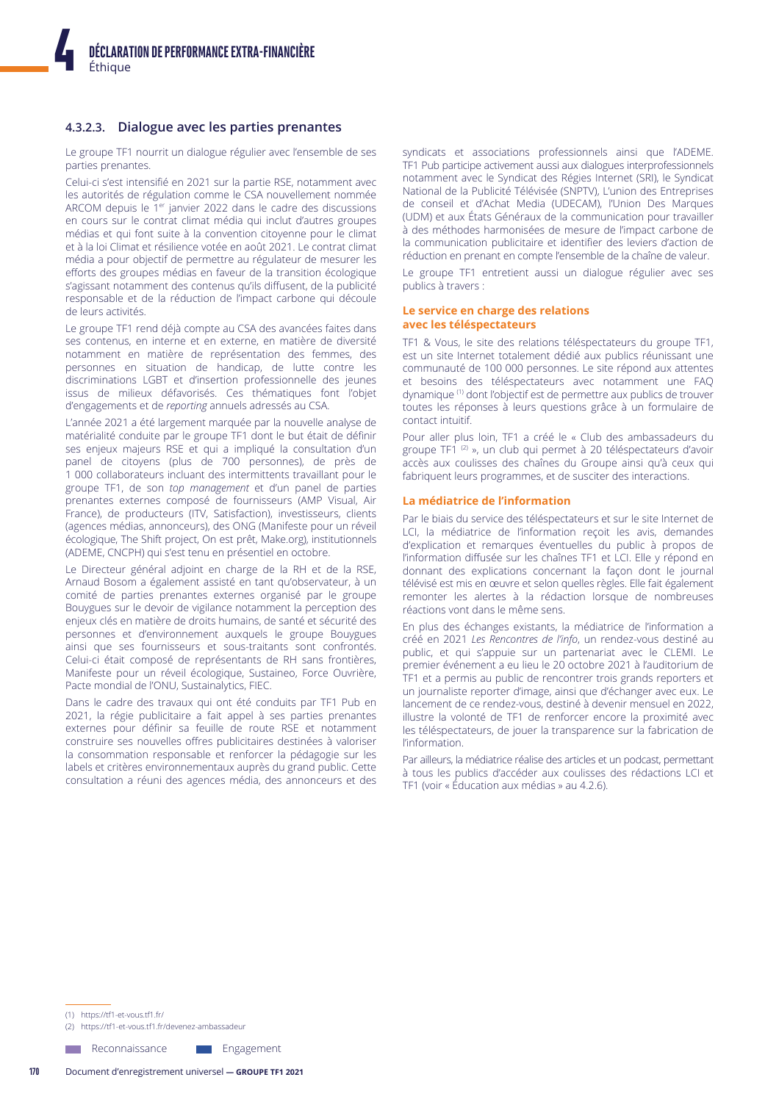# 4.3.2.3. Dialogue avec les parties prenantes

Le groupe TF1 nourrit un dialogue régulier avec l'ensemble de ses parties prenantes.

Celui-ci s'est intensifié en 2021 sur la partie RSE, notamment avec les autorités de régulation comme le CSA nouvellement nommée ARCOM depuis le 1<sup>er</sup> janvier 2022 dans le cadre des discussions en cours sur le contrat climat média qui inclut d'autres groupes médias et qui font suite à la convention citoyenne pour le climat et à la loi Climat et résilience votée en août 2021. Le contrat climat média a pour objectif de permettre au régulateur de mesurer les efforts des groupes médias en faveur de la transition écologique s'agissant notamment des contenus qu'ils diffusent, de la publicité responsable et de la réduction de l'impact carbone qui découle de leurs activités.

Le groupe TF1 rend déjà compte au CSA des avancées faites dans ses contenus, en interne et en externe, en matière de diversité notamment en matière de représentation des femmes, des personnes en situation de handicap, de lutte contre les discriminations LGBT et d'insertion professionnelle des jeunes issus de milieux défavorisés. Ces thématiques font l'objet d'engagements et de reporting annuels adressés au CSA.

L'année 2021 a été largement marquée par la nouvelle analyse de matérialité conduite par le groupe TF1 dont le but était de définir ses enjeux majeurs RSE et qui a impliqué la consultation d'un<br>panel de citoyens (plus de 700 personnes), de près de 1 000 collaborateurs incluant des intermittents travaillant pour le groupe TF1, de son top management et d'un panel de parties prenantes externes composé de fournisseurs (AMP Visual, Air France), de producteurs (ITV, Satisfaction), investisseurs, clients (agences médias, annonceurs), des ONG (Manifeste pour un réveil écologique, The Shift project, On est prêt, Make.org), institutionnels (ADEME, CNCPH) qui s'est tenu en présentiel en octobre.

Le Directeur général adjoint en charge de la RH et de la RSE, Arnaud Bosom a également assisté en tant qu'observateur, à un comité de parties prenantes externes organisé par le groupe Bouygues sur le devoir de vigilance notamment la perception des enjeux clés en matière de droits humains, de santé et sécurité des personnes et d'environnement auxquels le groupe Bouygues ainsi que ses fournisseurs et sous-traitants sont confrontés. Celui-ci était composé de représentants de RH sans frontières, Manifeste pour un réveil écologique, Sustaineo, Force Ouvrière, Pacte mondial de l'ONU, Sustainalytics, FIEC.

Dans le cadre des travaux qui ont été conduits par TF1 Pub en 2021, la régie publicitaire a fait appel à ses parties prenantes externes pour définir sa feuille de route RSE et notamment construire ses nouvelles offres publicitaires destinées à valoriser la consommation responsable et renforcer la pédagogie sur les labels et critères environnementaux auprès du grand public. Cette consultation a réuni des agences média, des annonceurs et des syndicats et associations professionnels ainsi que l'ADEME. TF1 Pub participe activement aussi aux dialogues interprofessionnels notamment avec le Syndicat des Régies Internet (SRI), le Syndicat National de la Publicité Télévisée (SNPTV), L'union des Entreprises de conseil et d'Achat Media (UDECAM), l'Union Des Marques (UDM) et aux États Généraux de la communication pour travailler à des méthodes harmonisées de mesure de l'impact carbone de la communication publicitaire et identifier des leviers d'action de réduction en prenant en compte l'ensemble de la chaîne de valeur.

Le groupe TF1 entretient aussi un dialogue régulier avec ses publics à travers :

#### Le service en charge des relations avec les téléspectateurs

TF1 & Vous, le site des relations téléspectateurs du groupe TF1, est un site Internet totalement dédié aux publics réunissant une communauté de 100 000 personnes. Le site répond aux attentes et besoins des téléspectateurs avec notamment une FAQ dynamique <sup>(1)</sup> dont l'objectif est de permettre aux publics de trouver toutes les réponses à leurs questions grâce à un formulaire de contact intuitif.

Pour aller plus loin, TF1 a créé le « Club des ambassadeurs du groupe TF1<sup>(2)</sup> », un club qui permet à 20 téléspectateurs d'avoir accès aux coulisses des chaînes du Groupe ainsi qu'à ceux qui fabriquent leurs programmes, et de susciter des interactions.

#### La médiatrice de l'information

Par le biais du service des téléspectateurs et sur le site Internet de LCI, la médiatrice de l'information reçoit les avis, demandes d'explication et remarques éventuelles du public à propos de l'information diffusée sur les chaînes TF1 et LCI. Elle y répond en donnant des explications concernant la façon dont le journal télévisé est mis en œuvre et selon quelles règles. Elle fait également remonter les alertes à la rédaction lorsque de nombreuses réactions vont dans le même sens.

En plus des échanges existants, la médiatrice de l'information a créé en 2021 Les Rencontres de l'info, un rendez-vous destiné au public, et qui s'appuie sur un partenariat avec le CLEMI. Le premier événement a eu lieu le 20 octobre 2021 à l'auditorium de TF1 et a permis au public de rencontrer trois grands reporters et un journaliste reporter d'image, ainsi que d'échanger avec eux. Le lancement de ce rendez-vous, destiné à devenir mensuel en 2022, illustre la volonté de TF1 de renforcer encore la proximité avec les téléspectateurs, de jouer la transparence sur la fabrication de l'information.

Par ailleurs, la médiatrice réalise des articles et un podcast, permettant à tous les publics d'accéder aux coulisses des rédactions LCI et TF1 (voir « Éducation aux médias » au 4.2.6).

(1) https://tf1-et-vous.tf1.fr/

(2) https://tf1-et-vous.tf1.fr/devenez-ambassadeur

**Neconnaissance** 

Engagement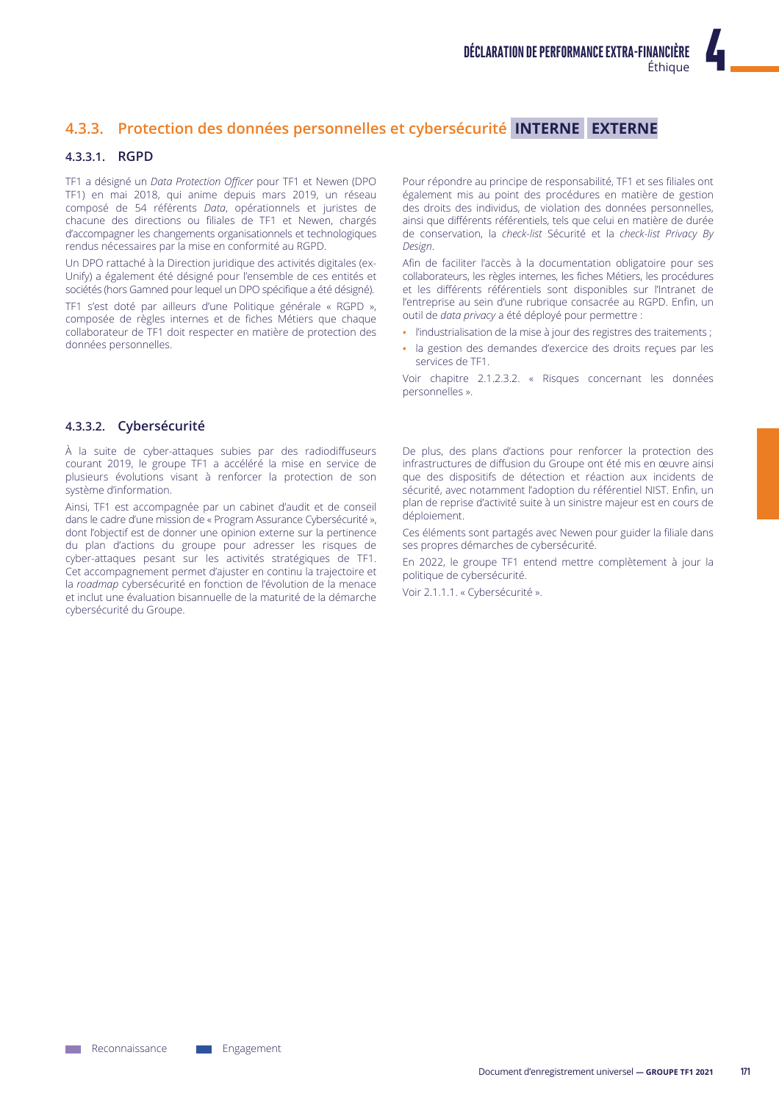# 4.3.3. Protection des données personnelles et cybersécurité INTERNE EXTERNE

# 4.3.3.1. RGPD

TF1 a désigné un Data Protection Officer pour TF1 et Newen (DPO TF1) en mai 2018, qui anime depuis mars 2019, un réseau composé de 54 référents Data, opérationnels et juristes de chacune des directions ou filiales de TF1 et Newen, chargés d'accompagner les changements organisationnels et technologiques rendus nécessaires par la mise en conformité au RGPD.

Un DPO rattaché à la Direction juridique des activités digitales (ex-Unify) a également été désigné pour l'ensemble de ces entités et sociétés (hors Gamned pour lequel un DPO spécifique a été désigné).

TF1 s'est doté par ailleurs d'une Politique générale « RGPD », composée de règles internes et de fiches Métiers que chaque collaborateur de TF1 doit respecter en matière de protection des données personnelles.

Pour répondre au principe de responsabilité, TF1 et ses filiales ont également mis au point des procédures en matière de gestion des droits des individus, de violation des données personnelles, ainsi que différents référentiels, tels que celui en matière de durée de conservation, la check-list Sécurité et la check-list Privacy By Design

Afin de faciliter l'accès à la documentation obligatoire pour ses collaborateurs, les règles internes, les fiches Métiers, les procédures et les différents référentiels sont disponibles sur l'Intranet de l'entreprise au sein d'une rubrique consacrée au RGPD. Enfin, un outil de data privacy a été déployé pour permettre :

- · l'industrialisation de la mise à jour des registres des traitements ;
- · la gestion des demandes d'exercice des droits reçues par les services de TF1.

Voir chapitre 2.1.2.3.2. « Risques concernant les données personnelles ».

# 4.3.3.2. Cybersécurité

À la suite de cyber-attaques subies par des radiodiffuseurs courant 2019, le groupe TF1 a accéléré la mise en service de plusieurs évolutions visant à renforcer la protection de son système d'information.

Ainsi, TF1 est accompagnée par un cabinet d'audit et de conseil dans le cadre d'une mission de « Program Assurance Cybersécurité », dont l'objectif est de donner une opinion externe sur la pertinence du plan d'actions du groupe pour adresser les risques de cyber-attaques pesant sur les activités stratégiques de TF1. Cet accompagnement permet d'ajuster en continu la trajectoire et la roadman cybersécurité en fonction de l'évolution de la menace et inclut une évaluation bisannuelle de la maturité de la démarche cybersécurité du Groupe.

De plus, des plans d'actions pour renforcer la protection des infrastructures de diffusion du Groupe ont été mis en œuvre ainsi que des dispositifs de détection et réaction aux incidents de sécurité, avec notamment l'adoption du référentiel NIST. Enfin, un plan de reprise d'activité suite à un sinistre majeur est en cours de déploiement.

Ces éléments sont partagés avec Newen pour guider la filiale dans ses propres démarches de cybersécurité.

En 2022, le groupe TF1 entend mettre complètement à jour la politique de cybersécurité.

Voir 2.1.1.1. « Cybersécurité ».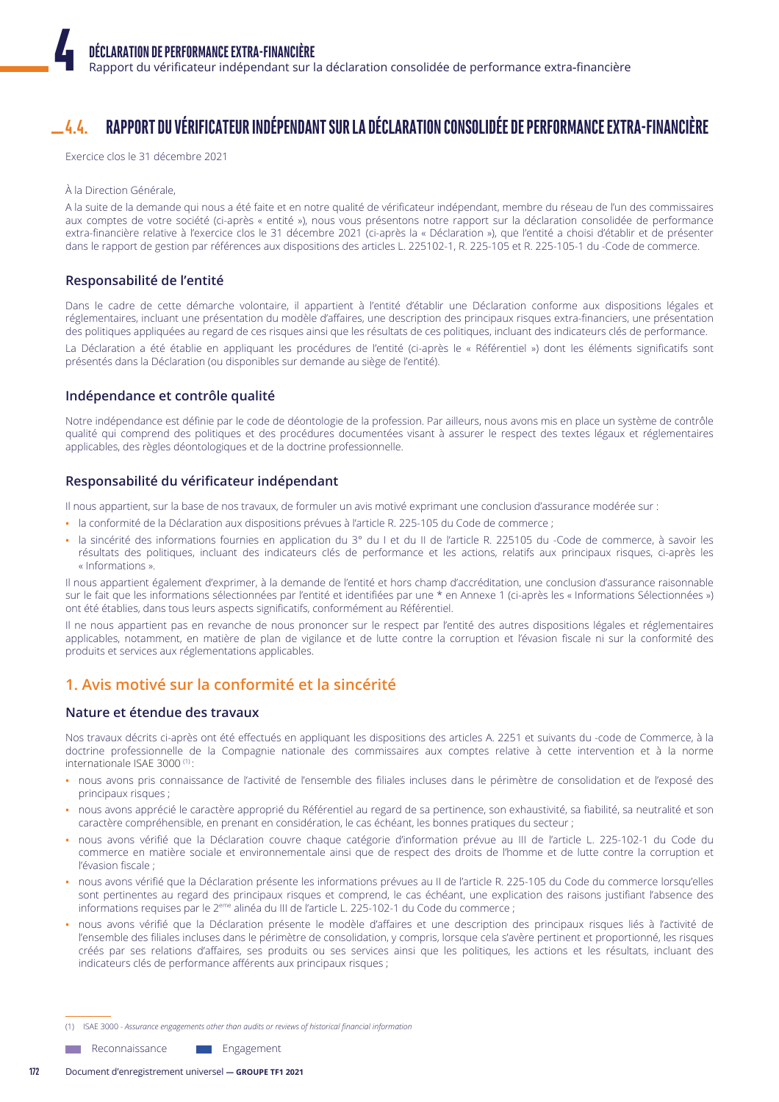#### RAPPORT DU VÉRIFICATEUR INDÉPENDANT SUR LA DÉCLARATION CONSOLIDÉE DE PERFORMANCE EXTRA-FINANCIÈRE  $4.4.$

Exercice clos le 31 décembre 2021

#### À la Direction Générale,

A la suite de la demande qui nous a été faite et en notre qualité de vérificateur indépendant, membre du réseau de l'un des commissaires aux comptes de votre société (ci-après « entité »), nous vous présentons notre rapport sur la déclaration consolidée de performance extra-financière relative à l'exercice clos le 31 décembre 2021 (ci-après la « Déclaration »), que l'entité a choisi d'établir et de présenter dans le rapport de gestion par références aux dispositions des articles L. 225102-1, R. 225-105 et R. 225-105-1 du -Code de commerce.

# Responsabilité de l'entité

Dans le cadre de cette démarche volontaire, il appartient à l'entité d'établir une Déclaration conforme aux dispositions légales et réglementaires, incluant une présentation du modèle d'affaires, une description des principaux risques extra-financiers, une présentation des politiques appliquées au regard de ces risques ainsi que les résultats de ces politiques, incluant des indicateurs clés de performance. La Déclaration a été établie en appliquant les procédures de l'entité (ci-après le « Référentiel ») dont les éléments significatifs sont présentés dans la Déclaration (ou disponibles sur demande au siège de l'entité).

# Indépendance et contrôle qualité

Notre indépendance est définie par le code de déontologie de la profession. Par ailleurs, nous avons mis en place un système de contrôle qualité qui comprend des politiques et des procédures documentées visant à assurer le respect des textes légaux et réglementaires applicables, des règles déontologiques et de la doctrine professionnelle.

# Responsabilité du vérificateur indépendant

Il nous appartient, sur la base de nos travaux, de formuler un avis motivé exprimant une conclusion d'assurance modérée sur :

- · la conformité de la Déclaration aux dispositions prévues à l'article R. 225-105 du Code de commerce ;
- · la sincérité des informations fournies en application du 3° du I et du II de l'article R. 225105 du -Code de commerce, à savoir les résultats des politiques, incluant des indicateurs clés de performance et les actions, relatifs aux principaux risques, ci-après les « Informations ».

Il nous appartient également d'exprimer, à la demande de l'entité et hors champ d'accréditation, une conclusion d'assurance raisonnable sur le fait que les informations sélectionnées par l'entité et identifiées par une \* en Annexe 1 (ci-après les « Informations Sélectionnées ») ont été établies, dans tous leurs aspects significatifs, conformément au Référentiel.

Il ne nous appartient pas en revanche de nous prononcer sur le respect par l'entité des autres dispositions légales et réglementaires applicables, notamment, en matière de plan de vigilance et de lutte contre la corruption et l'évasion fiscale ni sur la conformité des produits et services aux réglementations applicables.

# 1. Avis motivé sur la conformité et la sincérité

# Nature et étendue des travaux

Nos travaux décrits ci-après ont été effectués en appliquant les dispositions des articles A. 2251 et suivants du -code de Commerce, à la doctrine professionnelle de la Compagnie nationale des commissaires aux comptes relative à cette intervention et à la norme internationale ISAE 3000<sup>(1)</sup>:

- · nous avons pris connaissance de l'activité de l'ensemble des filiales incluses dans le périmètre de consolidation et de l'exposé des principaux risques ;
- · nous avons apprécié le caractère approprié du Référentiel au regard de sa pertinence, son exhaustivité, sa fiabilité, sa neutralité et son caractère compréhensible, en prenant en considération, le cas échéant, les bonnes pratiques du secteur ;
- · nous avons vérifié que la Déclaration couvre chaque catégorie d'information prévue au III de l'article L. 225-102-1 du Code du commerce en matière sociale et environnementale ainsi que de respect des droits de l'homme et de lutte contre la corruption et l'évasion fiscale ;
- nous avons vérifié que la Déclaration présente les informations prévues au II de l'article R. 225-105 du Code du commerce lorsqu'elles sont pertinentes au regard des principaux risques et comprend, le cas échéant, une explication des raisons justifiant l'absence des informations requises par le 2<sup>eme</sup> alinéa du III de l'article L. 225-102-1 du Code du commerce ;
- nous avons vérifié que la Déclaration présente le modèle d'affaires et une description des principaux risques liés à l'activité de l'ensemble des filiales incluses dans le périmètre de consolidation, y compris, lorsque cela s'avère pertinent et proportionné, les risques créés par ses relations d'affaires, ses produits ou ses services ainsi que les politiques, les actions et les résultats, incluant des indicateurs clés de performance afférents aux principaux risques ;

(1) ISAE 3000 - Assurance engagements other than audits or reviews of historical financial information

Reconnaissance Engagement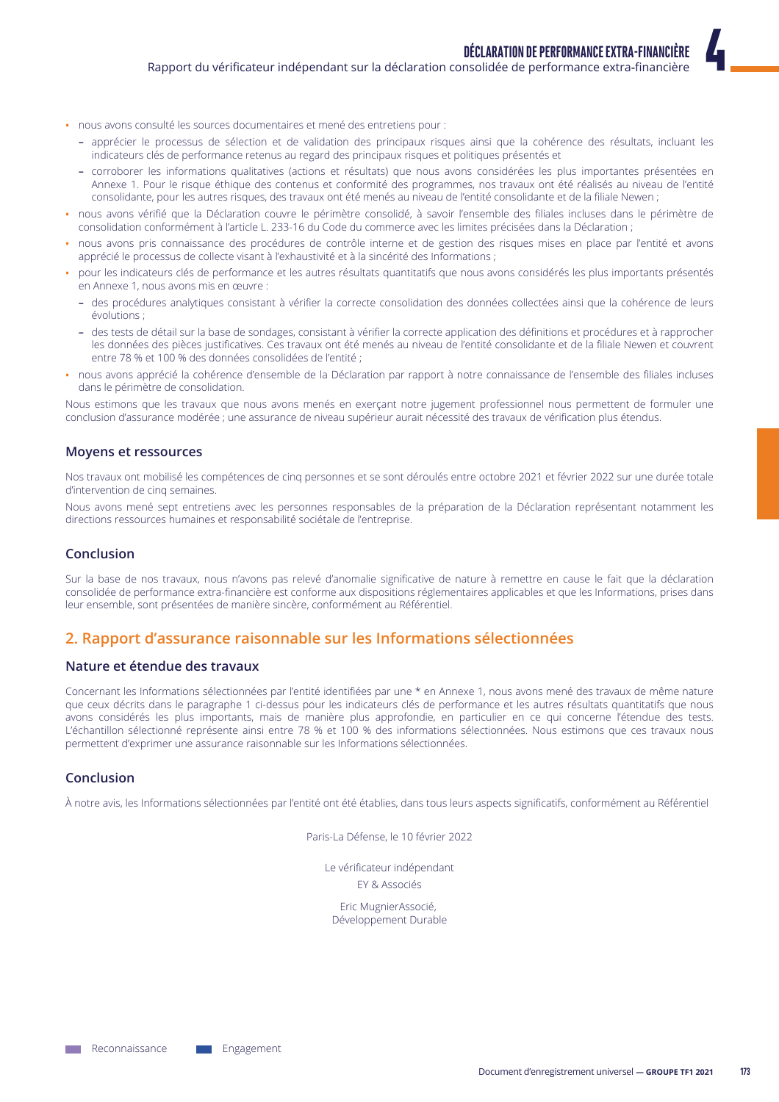- · nous avons consulté les sources documentaires et mené des entretiens pour :
	- apprécier le processus de sélection et de validation des principaux risques ainsi que la cohérence des résultats, incluant les indicateurs clés de performance retenus au regard des principaux risques et politiques présentés et
	- corroborer les informations qualitatives (actions et résultats) que nous avons considérées les plus importantes présentées en Annexe 1. Pour le risque éthique des contenus et conformité des programmes, nos travaux ont été réalisés au niveau de l'entité consolidante, pour les autres risques, des travaux ont été menés au niveau de l'entité consolidante et de la filiale Newen ;
- · nous avons vérifié que la Déclaration couvre le périmètre consolidé, à savoir l'ensemble des filiales incluses dans le périmètre de consolidation conformément à l'article L. 233-16 du Code du commerce avec les limites précisées dans la Déclaration ;
- nous avons pris connaissance des procédures de contrôle interne et de gestion des risques mises en place par l'entité et avons apprécié le processus de collecte visant à l'exhaustivité et à la sincérité des Informations ;
- pour les indicateurs clés de performance et les autres résultats quantitatifs que nous avons considérés les plus importants présentés en Annexe 1, nous avons mis en œuvre :
	- des procédures analytiques consistant à vérifier la correcte consolidation des données collectées ainsi que la cohérence de leurs évolutions :
	- des tests de détail sur la base de sondages, consistant à vérifier la correcte application des définitions et procédures et à rapprocher les données des pièces justificatives. Ces travaux ont été menés au niveau de l'entité consolidante et de la filiale Newen et couvrent entre 78 % et 100 % des données consolidées de l'entité ;
- nous avons apprécié la cohérence d'ensemble de la Déclaration par rapport à notre connaissance de l'ensemble des filiales incluses dans le périmètre de consolidation.

Nous estimons que les travaux que nous avons menés en exerçant notre jugement professionnel nous permettent de formuler une conclusion d'assurance modérée ; une assurance de niveau supérieur aurait nécessité des travaux de vérification plus étendus.

# **Movens et ressources**

Nos travaux ont mobilisé les compétences de cinq personnes et se sont déroulés entre octobre 2021 et février 2022 sur une durée totale d'intervention de cinq semaines

Nous avons mené sept entretiens avec les personnes responsables de la préparation de la Déclaration représentant notamment les directions ressources humaines et responsabilité sociétale de l'entreprise.

# Conclusion

Sur la base de nos travaux, nous n'avons pas relevé d'anomalie significative de nature à remettre en cause le fait que la déclaration consolidée de performance extra-financière est conforme aux dispositions réglementaires applicables et que les Informations, prises dans leur ensemble, sont présentées de manière sincère, conformément au Référentiel.

# 2. Rapport d'assurance raisonnable sur les Informations sélectionnées

# Nature et étendue des travaux

Concernant les Informations sélectionnées par l'entité identifiées par une \* en Annexe 1, nous avons mené des travaux de même nature que ceux décrits dans le paragraphe 1 ci-dessus pour les indicateurs clés de performance et les autres résultats quantitatifs que nous avons considérés les plus importants, mais de manière plus approfondie, en particulier en ce qui concerne l'étendue des tests. L'échantillon sélectionné représente ainsi entre 78 % et 100 % des informations sélectionnées. Nous estimons que ces travaux nous permettent d'exprimer une assurance raisonnable sur les Informations sélectionnées.

# Conclusion

À notre avis, les Informations sélectionnées par l'entité ont été établies, dans tous leurs aspects significatifs, conformément au Référentiel

Paris-La Défense, le 10 février 2022

Le vérificateur indépendant FY & Associés

Eric MugnierAssocié, Développement Durable